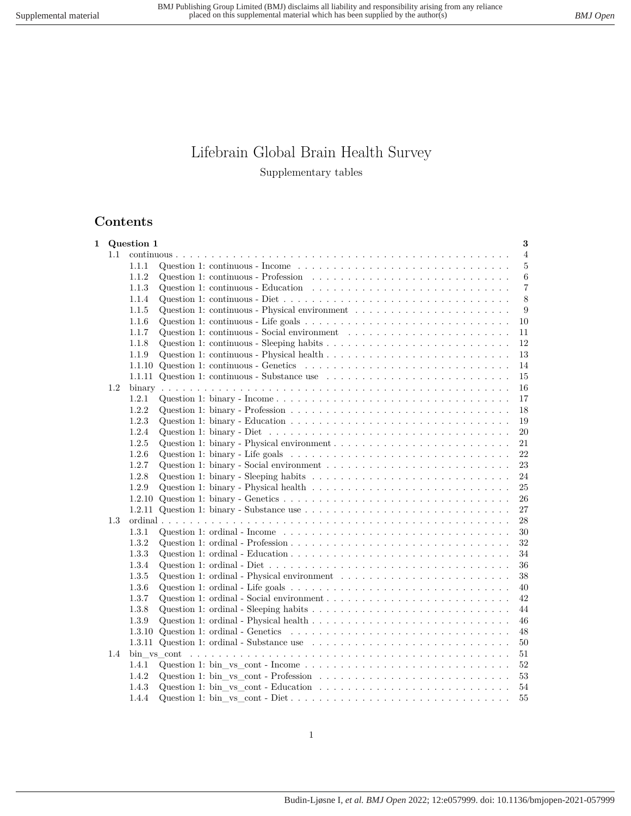# Lifebrain Global Brain Health Survey Supplementary tables

## **Contents**

| 1 |     | Question 1 | 3                                                                                                                            |                |
|---|-----|------------|------------------------------------------------------------------------------------------------------------------------------|----------------|
|   | 1.1 |            |                                                                                                                              | $\overline{4}$ |
|   |     | 1.1.1      | 5<br>Question 1: continuous - Income $\dots \dots \dots \dots \dots \dots \dots \dots \dots \dots \dots \dots \dots$         |                |
|   |     | 1.1.2      | 6<br>Question 1: continuous - Profession $\ldots \ldots \ldots \ldots \ldots \ldots \ldots \ldots \ldots \ldots$             |                |
|   |     | 1.1.3      | Question 1: continuous - Education $\ldots \ldots \ldots \ldots \ldots \ldots \ldots \ldots \ldots \ldots$<br>$\overline{7}$ |                |
|   |     | 1.1.4      | Question 1: continuous - Diet $\dots \dots \dots \dots \dots \dots \dots \dots \dots \dots \dots \dots \dots \dots$<br>8     |                |
|   |     | 1.1.5      | 9                                                                                                                            |                |
|   |     | 1.1.6      | Question 1: continuous - Life goals $\dots \dots \dots \dots \dots \dots \dots \dots \dots \dots \dots \dots$<br>10          |                |
|   |     | 1.1.7      | Question 1: continuous - Social environment $\ldots \ldots \ldots \ldots \ldots \ldots \ldots \ldots$<br>11                  |                |
|   |     | 1.1.8      | 12                                                                                                                           |                |
|   |     | 1.1.9      | 13                                                                                                                           |                |
|   |     | 1.1.10     | Question 1: continuous - Genetics $\ldots \ldots \ldots \ldots \ldots \ldots \ldots \ldots \ldots \ldots$<br>14              |                |
|   |     |            | 1.1.11 Question 1: continuous - Substance use $\ldots \ldots \ldots \ldots \ldots \ldots \ldots \ldots$<br>15                |                |
|   | 1.2 |            | 16                                                                                                                           |                |
|   |     | 1.2.1      | 17                                                                                                                           |                |
|   |     | 1.2.2      | 18                                                                                                                           |                |
|   |     | 1.2.3      | 19                                                                                                                           |                |
|   |     | 1.2.4      | Question 1: binary - Diet $\ldots \ldots \ldots \ldots \ldots \ldots \ldots \ldots \ldots \ldots \ldots \ldots$<br>20        |                |
|   |     | 1.2.5      | 21                                                                                                                           |                |
|   |     | 1.2.6      | Question 1: binary - Life goals $\dots \dots \dots \dots \dots \dots \dots \dots \dots \dots \dots \dots \dots$<br>22        |                |
|   |     | 1.2.7      | Question 1: binary - Social environment $\dots \dots \dots \dots \dots \dots \dots \dots \dots \dots \dots$<br>23            |                |
|   |     | 1.2.8      | 24                                                                                                                           |                |
|   |     | 1.2.9      | Question 1: binary - Physical health $\dots \dots \dots \dots \dots \dots \dots \dots \dots \dots \dots$<br>25               |                |
|   |     | 1.2.10     | 26                                                                                                                           |                |
|   |     | 1.2.11     | Question 1: binary - Substance use $\ldots \ldots \ldots \ldots \ldots \ldots \ldots \ldots \ldots \ldots$<br>27             |                |
|   | 1.3 |            | 28                                                                                                                           |                |
|   |     | 1.3.1      | Question 1: ordinal - Income $\dots \dots \dots \dots \dots \dots \dots \dots \dots \dots \dots \dots \dots$<br>30           |                |
|   |     | 1.3.2      | 32                                                                                                                           |                |
|   |     | 1.3.3      | 34                                                                                                                           |                |
|   |     | 1.3.4      | 36                                                                                                                           |                |
|   |     | 1.3.5      | Question 1: ordinal - Physical environment $\ldots \ldots \ldots \ldots \ldots \ldots \ldots \ldots$<br>38                   |                |
|   |     | 1.3.6      | 40                                                                                                                           |                |
|   |     | 1.3.7      | 42                                                                                                                           |                |
|   |     | 1.3.8      | 44                                                                                                                           |                |
|   |     | 1.3.9      | 46                                                                                                                           |                |
|   |     | 1.3.10     | 48                                                                                                                           |                |
|   |     | 1.3.11     | 50                                                                                                                           |                |
|   | 1.4 |            | 51                                                                                                                           |                |
|   |     | 1.4.1      | $52\,$                                                                                                                       |                |
|   |     | 1.4.2      | 53                                                                                                                           |                |
|   |     | 1.4.3      | 54                                                                                                                           |                |
|   |     | 1.4.4      | 55                                                                                                                           |                |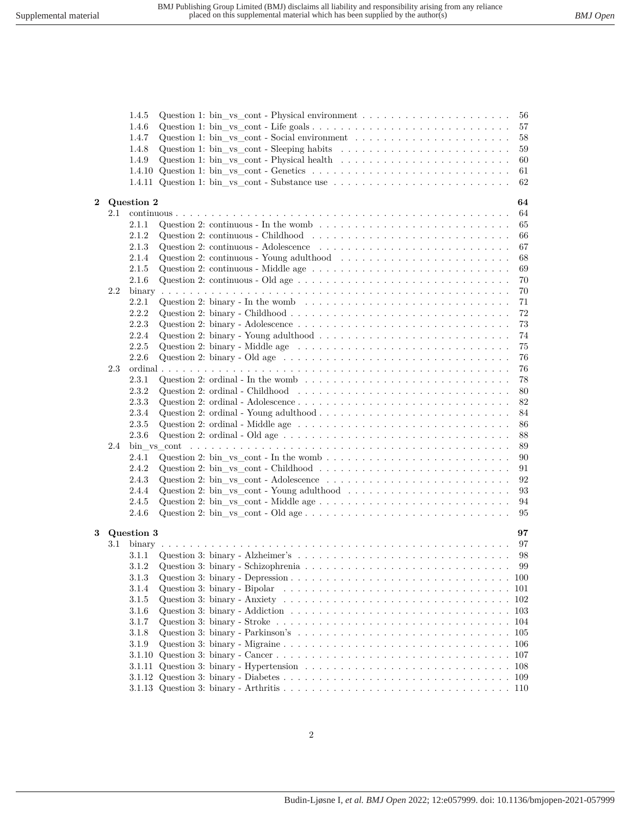|                         |     | 1.4.5<br>1.4.6<br>1.4.7<br>1.4.8<br>1.4.9<br>1.4.10<br>1.4.11 | Question 1: bin_vs_cont - Physical environment $\ldots \ldots \ldots \ldots \ldots \ldots \ldots$<br>56<br>57<br>Question 1: bin_vs_cont - Social environment $\dots \dots \dots \dots \dots \dots \dots \dots$<br>58<br>Question 1: bin_vs_cont - Sleeping habits $\dots \dots \dots \dots \dots \dots \dots \dots \dots \dots$<br>59<br>Question 1: bin_vs_cont - Physical health $\ldots \ldots \ldots \ldots \ldots \ldots \ldots \ldots$<br>60<br>61<br>Question 1: bin _vs_cont - Substance use $\dots \dots \dots \dots \dots \dots \dots \dots \dots \dots$<br>62 |
|-------------------------|-----|---------------------------------------------------------------|---------------------------------------------------------------------------------------------------------------------------------------------------------------------------------------------------------------------------------------------------------------------------------------------------------------------------------------------------------------------------------------------------------------------------------------------------------------------------------------------------------------------------------------------------------------------------|
| $\overline{\mathbf{2}}$ |     | Question 2                                                    | 64                                                                                                                                                                                                                                                                                                                                                                                                                                                                                                                                                                        |
|                         | 2.1 |                                                               | 64                                                                                                                                                                                                                                                                                                                                                                                                                                                                                                                                                                        |
|                         |     | 2.1.1                                                         | 65                                                                                                                                                                                                                                                                                                                                                                                                                                                                                                                                                                        |
|                         |     | 2.1.2                                                         | Question 2: continuous - Childhood $\ldots \ldots \ldots \ldots \ldots \ldots \ldots \ldots \ldots \ldots$<br>66                                                                                                                                                                                                                                                                                                                                                                                                                                                          |
|                         |     | 2.1.3                                                         | Question 2: continuous - Adolescence $\ldots \ldots \ldots \ldots \ldots \ldots \ldots \ldots \ldots$<br>67                                                                                                                                                                                                                                                                                                                                                                                                                                                               |
|                         |     | 2.1.4                                                         | Question 2: continuous - Young adulthood $\ldots \ldots \ldots \ldots \ldots \ldots \ldots \ldots$<br>68                                                                                                                                                                                                                                                                                                                                                                                                                                                                  |
|                         |     | 2.1.5                                                         | Question 2: continuous - Middle age $\dots \dots \dots \dots \dots \dots \dots \dots \dots \dots \dots$<br>69                                                                                                                                                                                                                                                                                                                                                                                                                                                             |
|                         |     | 2.1.6                                                         | 70                                                                                                                                                                                                                                                                                                                                                                                                                                                                                                                                                                        |
|                         | 2.2 |                                                               | 70                                                                                                                                                                                                                                                                                                                                                                                                                                                                                                                                                                        |
|                         |     | 2.2.1                                                         | Question 2: binary - In the womb<br>$\dots \dots \dots \dots \dots \dots \dots \dots \dots \dots \dots \dots \dots$<br>71                                                                                                                                                                                                                                                                                                                                                                                                                                                 |
|                         |     | 2.2.2                                                         | 72                                                                                                                                                                                                                                                                                                                                                                                                                                                                                                                                                                        |
|                         |     | 2.2.3<br>2.2.4                                                | 73                                                                                                                                                                                                                                                                                                                                                                                                                                                                                                                                                                        |
|                         |     | 2.2.5                                                         | Question 2: binary - Young adulthood $\dots \dots \dots \dots \dots \dots \dots \dots \dots \dots \dots$<br>74<br>Question 2: binary - Middle age $\dots \dots \dots \dots \dots \dots \dots \dots \dots \dots \dots \dots \dots$                                                                                                                                                                                                                                                                                                                                         |
|                         |     | 2.2.6                                                         | 75<br>Question 2: binary - Old age $\dots \dots \dots \dots \dots \dots \dots \dots \dots \dots \dots \dots \dots$<br>76                                                                                                                                                                                                                                                                                                                                                                                                                                                  |
|                         | 2.3 |                                                               | 76                                                                                                                                                                                                                                                                                                                                                                                                                                                                                                                                                                        |
|                         |     | 2.3.1                                                         | Question 2: ordinal - In the womb $\ldots \ldots \ldots \ldots \ldots \ldots \ldots \ldots \ldots \ldots \ldots$<br>78                                                                                                                                                                                                                                                                                                                                                                                                                                                    |
|                         |     | 2.3.2                                                         | Question 2: ordinal - Childhood $\ldots \ldots \ldots \ldots \ldots \ldots \ldots \ldots \ldots \ldots \ldots$<br>80                                                                                                                                                                                                                                                                                                                                                                                                                                                      |
|                         |     | 2.3.3                                                         | 82                                                                                                                                                                                                                                                                                                                                                                                                                                                                                                                                                                        |
|                         |     | 2.3.4                                                         | Question 2: ordinal - Young adulthood $\ldots \ldots \ldots \ldots \ldots \ldots \ldots \ldots \ldots \ldots$<br>84                                                                                                                                                                                                                                                                                                                                                                                                                                                       |
|                         |     | 2.3.5                                                         | 86                                                                                                                                                                                                                                                                                                                                                                                                                                                                                                                                                                        |
|                         |     | 2.3.6                                                         | 88                                                                                                                                                                                                                                                                                                                                                                                                                                                                                                                                                                        |
|                         | 2.4 |                                                               | 89                                                                                                                                                                                                                                                                                                                                                                                                                                                                                                                                                                        |
|                         |     | 2.4.1                                                         | 90                                                                                                                                                                                                                                                                                                                                                                                                                                                                                                                                                                        |
|                         |     | 2.4.2                                                         | Question 2: bin_vs_cont - Childhood $\ldots \ldots \ldots \ldots \ldots \ldots \ldots \ldots \ldots \ldots$<br>91                                                                                                                                                                                                                                                                                                                                                                                                                                                         |
|                         |     | 2.4.3                                                         | 92                                                                                                                                                                                                                                                                                                                                                                                                                                                                                                                                                                        |
|                         |     | 2.4.4                                                         | Question 2: bin_vs_cont - Young adulthood $\ldots \ldots \ldots \ldots \ldots \ldots \ldots \ldots$<br>93                                                                                                                                                                                                                                                                                                                                                                                                                                                                 |
|                         |     | 2.4.5                                                         | 94                                                                                                                                                                                                                                                                                                                                                                                                                                                                                                                                                                        |
|                         |     | 2.4.6                                                         | 95                                                                                                                                                                                                                                                                                                                                                                                                                                                                                                                                                                        |
| 3                       |     | Question 3                                                    | 97                                                                                                                                                                                                                                                                                                                                                                                                                                                                                                                                                                        |
|                         | 3.1 |                                                               | 97                                                                                                                                                                                                                                                                                                                                                                                                                                                                                                                                                                        |
|                         |     | 3.1.1                                                         | 98                                                                                                                                                                                                                                                                                                                                                                                                                                                                                                                                                                        |
|                         |     | 3.1.2                                                         | 99                                                                                                                                                                                                                                                                                                                                                                                                                                                                                                                                                                        |
|                         |     | 3.1.3                                                         |                                                                                                                                                                                                                                                                                                                                                                                                                                                                                                                                                                           |
|                         |     | 3.1.4                                                         |                                                                                                                                                                                                                                                                                                                                                                                                                                                                                                                                                                           |
|                         |     | 3.1.5                                                         |                                                                                                                                                                                                                                                                                                                                                                                                                                                                                                                                                                           |
|                         |     | 3.1.6                                                         | Question 3: binary - Addiction $\ldots \ldots \ldots \ldots \ldots \ldots \ldots \ldots \ldots \ldots \ldots \ldots \ldots 103$                                                                                                                                                                                                                                                                                                                                                                                                                                           |
|                         |     | 3.1.7                                                         |                                                                                                                                                                                                                                                                                                                                                                                                                                                                                                                                                                           |
|                         |     | 3.1.8                                                         |                                                                                                                                                                                                                                                                                                                                                                                                                                                                                                                                                                           |
|                         |     | 3.1.9                                                         |                                                                                                                                                                                                                                                                                                                                                                                                                                                                                                                                                                           |
|                         |     | 3.1.10                                                        |                                                                                                                                                                                                                                                                                                                                                                                                                                                                                                                                                                           |
|                         |     | 3.1.11                                                        |                                                                                                                                                                                                                                                                                                                                                                                                                                                                                                                                                                           |
|                         |     | 3.1.12                                                        |                                                                                                                                                                                                                                                                                                                                                                                                                                                                                                                                                                           |
|                         |     |                                                               |                                                                                                                                                                                                                                                                                                                                                                                                                                                                                                                                                                           |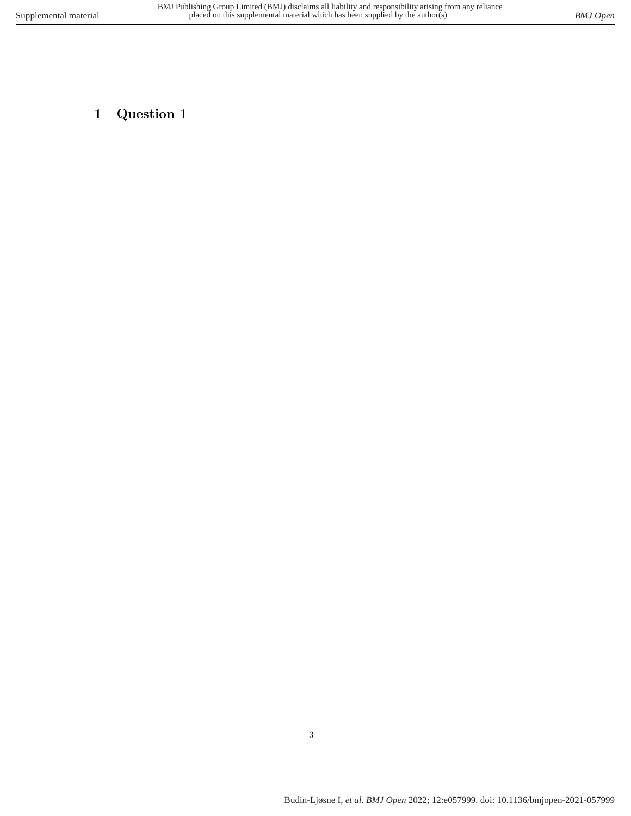# <span id="page-2-0"></span>**1 Question 1**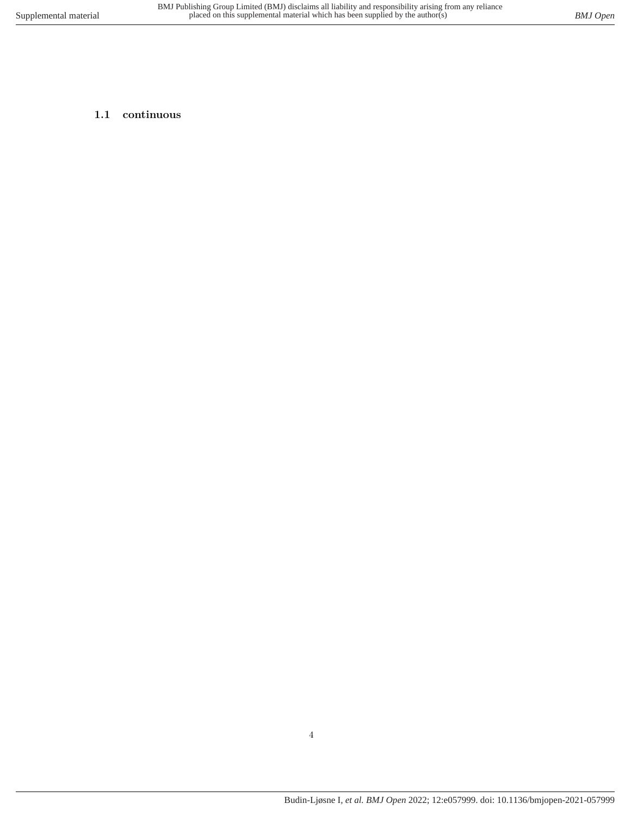## <span id="page-3-0"></span>**1.1 continuous**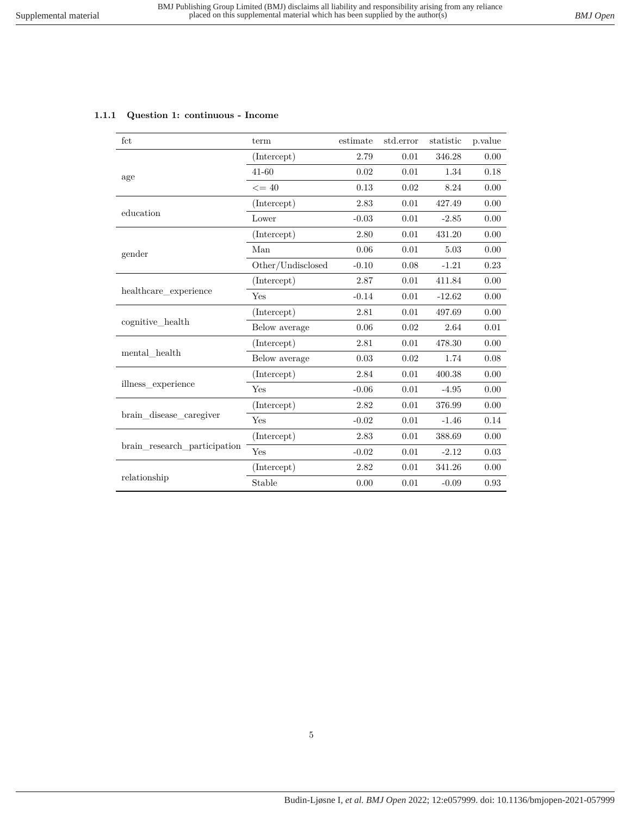<span id="page-4-0"></span>

|  |  |  | 1.1.1 Question 1: continuous - Income |  |  |
|--|--|--|---------------------------------------|--|--|
|--|--|--|---------------------------------------|--|--|

| fct                          | term              | estimate | std.error | statistic | p.value |
|------------------------------|-------------------|----------|-----------|-----------|---------|
|                              | (Intercept)       | 2.79     | 0.01      | 346.28    | 0.00    |
| age                          | $41 - 60$         | 0.02     | 0.01      | 1.34      | 0.18    |
|                              | $\leq$ = 40       | 0.13     | 0.02      | 8.24      | 0.00    |
|                              | (Intercept)       | 2.83     | 0.01      | 427.49    | 0.00    |
| education                    | Lower             | $-0.03$  | 0.01      | $-2.85$   | 0.00    |
|                              | (Intercept)       | 2.80     | 0.01      | 431.20    | 0.00    |
| gender                       | Man               | 0.06     | 0.01      | 5.03      | 0.00    |
|                              | Other/Undisclosed | $-0.10$  | 0.08      | $-1.21$   | 0.23    |
|                              | (Intercept)       | 2.87     | 0.01      | 411.84    | 0.00    |
| healthcare_experience        | Yes               | $-0.14$  | 0.01      | $-12.62$  | 0.00    |
|                              | (Intercept)       | 2.81     | 0.01      | 497.69    | 0.00    |
| cognitive health             | Below average     | 0.06     | 0.02      | 2.64      | 0.01    |
|                              | (Intercept)       | 2.81     | 0.01      | 478.30    | 0.00    |
| mental health                | Below average     | 0.03     | 0.02      | 1.74      | 0.08    |
|                              | (Intercept)       | 2.84     | 0.01      | 400.38    | 0.00    |
| illness experience           | Yes               | $-0.06$  | 0.01      | $-4.95$   | 0.00    |
|                              | (Intercept)       | 2.82     | 0.01      | 376.99    | 0.00    |
| brain_disease_caregiver      | Yes               | $-0.02$  | 0.01      | $-1.46$   | 0.14    |
|                              | (Intercept)       | 2.83     | 0.01      | 388.69    | 0.00    |
| brain research participation | Yes               | $-0.02$  | 0.01      | $-2.12$   | 0.03    |
|                              | (Intercept)       | 2.82     | 0.01      | 341.26    | 0.00    |
| relationship                 | Stable            | 0.00     | $0.01\,$  | $-0.09$   | 0.93    |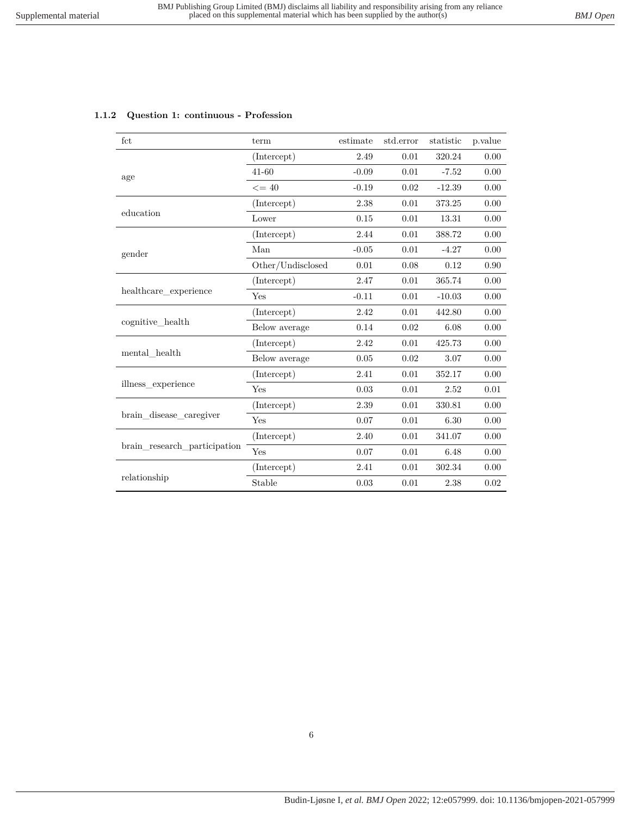| fct                          | term              | estimate | std.error | statistic | p.value  |
|------------------------------|-------------------|----------|-----------|-----------|----------|
|                              | (Intercept)       | 2.49     | 0.01      | 320.24    | 0.00     |
| age                          | $41 - 60$         | $-0.09$  | 0.01      | $-7.52$   | 0.00     |
|                              | $\leq$ = 40       | $-0.19$  | 0.02      | $-12.39$  | 0.00     |
|                              | (Intercept)       | 2.38     | 0.01      | 373.25    | 0.00     |
| education                    | Lower             | 0.15     | 0.01      | 13.31     | 0.00     |
|                              | (Intercept)       | 2.44     | 0.01      | 388.72    | 0.00     |
| gender                       | Man               | $-0.05$  | 0.01      | $-4.27$   | 0.00     |
|                              | Other/Undisclosed | 0.01     | 0.08      | 0.12      | 0.90     |
|                              | (Intercept)       | 2.47     | 0.01      | 365.74    | 0.00     |
| healthcare experience        | Yes               | $-0.11$  | 0.01      | $-10.03$  | 0.00     |
|                              | (Intercept)       | 2.42     | 0.01      | 442.80    | 0.00     |
| cognitive_health             | Below average     | 0.14     | 0.02      | 6.08      | 0.00     |
|                              | (Intercept)       | 2.42     | 0.01      | 425.73    | 0.00     |
| mental health                | Below average     | 0.05     | 0.02      | 3.07      | 0.00     |
|                              | (Intercept)       | 2.41     | 0.01      | 352.17    | 0.00     |
| illness experience           | Yes               | 0.03     | 0.01      | 2.52      | 0.01     |
|                              | (Intercept)       | 2.39     | 0.01      | 330.81    | 0.00     |
| brain disease caregiver      | Yes               | 0.07     | 0.01      | 6.30      | 0.00     |
|                              | (Intercept)       | 2.40     | 0.01      | 341.07    | 0.00     |
| brain_research_participation | Yes               | 0.07     | 0.01      | 6.48      | 0.00     |
|                              | (Intercept)       | 2.41     | 0.01      | 302.34    | 0.00     |
| relationship                 | Stable            | 0.03     | 0.01      | 2.38      | $0.02\,$ |

#### <span id="page-5-0"></span>**1.1.2 Question 1: continuous - Profession**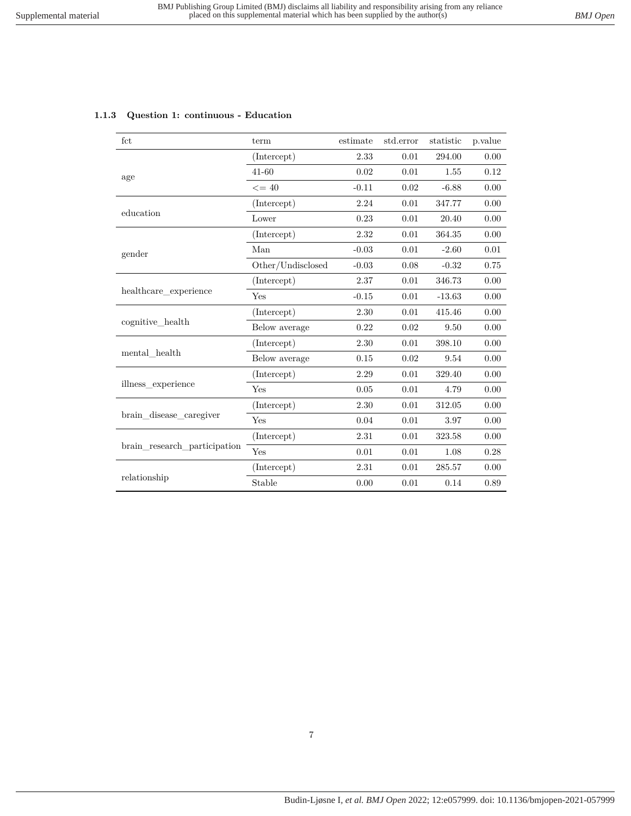<span id="page-6-0"></span>

| fct                          | term              | estimate | std.error | statistic | p.value |
|------------------------------|-------------------|----------|-----------|-----------|---------|
|                              | (Intercept)       | 2.33     | 0.01      | 294.00    | 0.00    |
| age                          | $41 - 60$         | 0.02     | 0.01      | 1.55      | 0.12    |
|                              | $\leq$ = 40       | $-0.11$  | 0.02      | $-6.88$   | 0.00    |
|                              | (Intercept)       | 2.24     | 0.01      | 347.77    | 0.00    |
| education                    | Lower             | 0.23     | 0.01      | 20.40     | 0.00    |
|                              | (Intercept)       | 2.32     | 0.01      | 364.35    | 0.00    |
| gender                       | Man               | $-0.03$  | 0.01      | $-2.60$   | 0.01    |
|                              | Other/Undisclosed | $-0.03$  | 0.08      | $-0.32$   | 0.75    |
|                              | (Intercept)       | 2.37     | 0.01      | 346.73    | 0.00    |
| healthcare_experience        | Yes               | $-0.15$  | 0.01      | $-13.63$  | 0.00    |
|                              | (Intercept)       | 2.30     | 0.01      | 415.46    | 0.00    |
| cognitive health             | Below average     | 0.22     | 0.02      | 9.50      | 0.00    |
|                              | (Intercept)       | $2.30\,$ | 0.01      | 398.10    | 0.00    |
| mental health                | Below average     | 0.15     | 0.02      | 9.54      | 0.00    |
|                              | (Intercept)       | 2.29     | 0.01      | 329.40    | 0.00    |
| illness experience           | Yes               | 0.05     | 0.01      | 4.79      | 0.00    |
|                              | (Intercept)       | 2.30     | 0.01      | 312.05    | 0.00    |
| brain disease caregiver      | Yes               | 0.04     | 0.01      | 3.97      | 0.00    |
|                              | (Intercept)       | 2.31     | 0.01      | 323.58    | 0.00    |
| brain research participation | Yes               | 0.01     | 0.01      | 1.08      | 0.28    |
|                              | (Intercept)       | 2.31     | 0.01      | 285.57    | 0.00    |
| relationship                 | Stable            | 0.00     | 0.01      | 0.14      | 0.89    |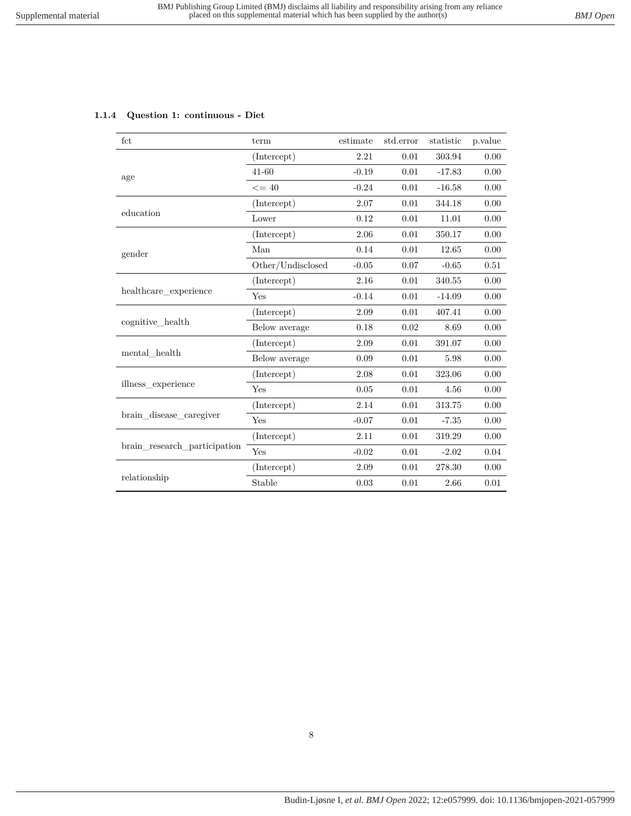#### <span id="page-7-0"></span>**1.1.4 Question 1: continuous - Diet**

| fct                          | term              | estimate | std.error | statistic | p.value |
|------------------------------|-------------------|----------|-----------|-----------|---------|
|                              | (Intercept)       | 2.21     | 0.01      | 303.94    | 0.00    |
| age                          | $41 - 60$         | $-0.19$  | 0.01      | $-17.83$  | 0.00    |
|                              | $\leq$ = 40       | $-0.24$  | 0.01      | $-16.58$  | 0.00    |
|                              | (Intercept)       | 2.07     | 0.01      | 344.18    | 0.00    |
| education                    | Lower             | 0.12     | 0.01      | 11.01     | 0.00    |
|                              | (Intercept)       | 2.06     | 0.01      | 350.17    | 0.00    |
| gender                       | Man               | 0.14     | 0.01      | 12.65     | 0.00    |
|                              | Other/Undisclosed | $-0.05$  | $0.07\,$  | $-0.65$   | 0.51    |
|                              | (Intercept)       | 2.16     | 0.01      | 340.55    | 0.00    |
| healthcare experience        | Yes               | $-0.14$  | 0.01      | $-14.09$  | 0.00    |
|                              | (Intercept)       | 2.09     | 0.01      | 407.41    | 0.00    |
| cognitive_health             | Below average     | 0.18     | 0.02      | 8.69      | 0.00    |
|                              | (Intercept)       | 2.09     | 0.01      | 391.07    | 0.00    |
| mental health                | Below average     | 0.09     | 0.01      | 5.98      | 0.00    |
|                              | (Intercept)       | 2.08     | 0.01      | 323.06    | 0.00    |
| illness experience           | Yes               | 0.05     | 0.01      | 4.56      | 0.00    |
|                              | (Intercept)       | 2.14     | 0.01      | 313.75    | 0.00    |
| brain_disease_caregiver      | Yes               | $-0.07$  | 0.01      | $-7.35$   | 0.00    |
|                              | (Intercept)       | 2.11     | 0.01      | 319.29    | 0.00    |
| brain research participation | Yes               | $-0.02$  | 0.01      | $-2.02$   | 0.04    |
|                              | (Intercept)       | 2.09     | 0.01      | 278.30    | 0.00    |
| relationship                 | Stable            | 0.03     | 0.01      | 2.66      | 0.01    |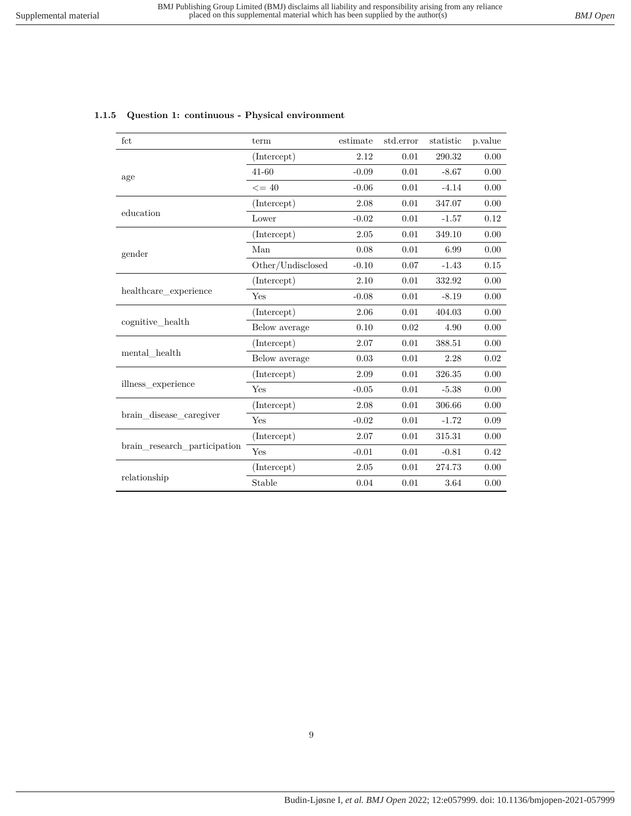<span id="page-8-0"></span>

|  |  |  |  | 1.1.5 Question 1: continuous - Physical environment |
|--|--|--|--|-----------------------------------------------------|
|--|--|--|--|-----------------------------------------------------|

| fct                          | term              | estimate | std.error | statistic | p.value |
|------------------------------|-------------------|----------|-----------|-----------|---------|
|                              | (Intercept)       | 2.12     | 0.01      | 290.32    | 0.00    |
| age                          | $41 - 60$         | $-0.09$  | 0.01      | $-8.67$   | 0.00    |
|                              | $\leq$ = 40       | $-0.06$  | 0.01      | $-4.14$   | 0.00    |
|                              | (Intercept)       | 2.08     | 0.01      | 347.07    | 0.00    |
| education                    | Lower             | $-0.02$  | 0.01      | $-1.57$   | 0.12    |
|                              | (Intercept)       | 2.05     | 0.01      | 349.10    | 0.00    |
| gender                       | Man               | 0.08     | 0.01      | 6.99      | 0.00    |
|                              | Other/Undisclosed | $-0.10$  | $0.07\,$  | $-1.43$   | 0.15    |
|                              | (Intercept)       | 2.10     | 0.01      | 332.92    | 0.00    |
| healthcare_experience        | Yes               | $-0.08$  | 0.01      | $-8.19$   | 0.00    |
|                              | (Intercept)       | 2.06     | 0.01      | 404.03    | 0.00    |
| cognitive_health             | Below average     | 0.10     | 0.02      | 4.90      | 0.00    |
|                              | (Intercept)       | 2.07     | 0.01      | 388.51    | 0.00    |
| mental health                | Below average     | 0.03     | 0.01      | 2.28      | 0.02    |
|                              | (Intercept)       | 2.09     | 0.01      | 326.35    | 0.00    |
| illness_experience           | Yes               | $-0.05$  | 0.01      | $-5.38$   | 0.00    |
|                              | (Intercept)       | 2.08     | 0.01      | 306.66    | 0.00    |
| brain_disease_caregiver      | Yes               | $-0.02$  | 0.01      | $-1.72$   | 0.09    |
|                              | (Intercept)       | 2.07     | 0.01      | 315.31    | 0.00    |
| brain research participation | Yes               | $-0.01$  | 0.01      | $-0.81$   | 0.42    |
|                              | (Intercept)       | 2.05     | 0.01      | 274.73    | 0.00    |
| relationship                 | Stable            | 0.04     | $0.01\,$  | 3.64      | 0.00    |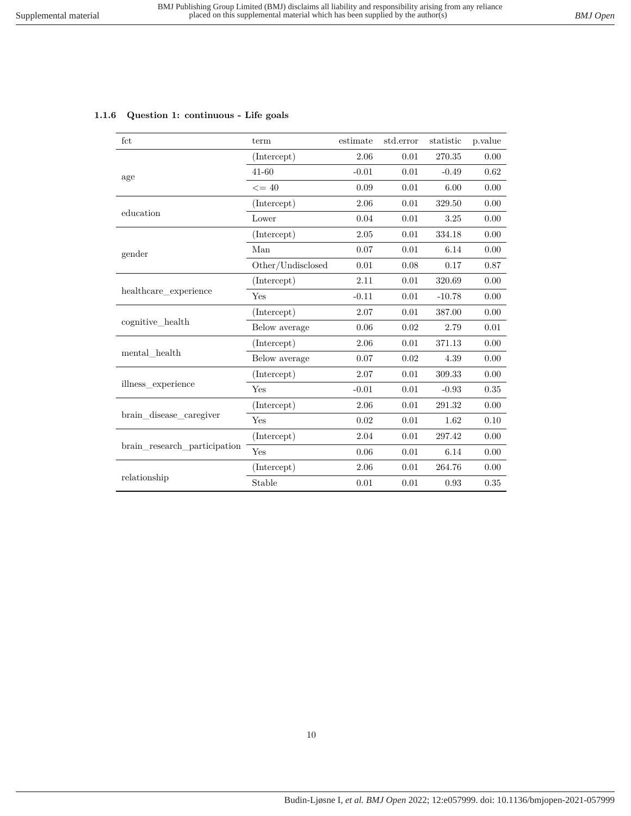<span id="page-9-0"></span>

| 1.1.6 Question 1: continuous - Life goals |  |  |
|-------------------------------------------|--|--|
|-------------------------------------------|--|--|

| fct                          | term              | estimate | std.error | statistic | p.value |
|------------------------------|-------------------|----------|-----------|-----------|---------|
|                              | (Intercept)       | 2.06     | 0.01      | 270.35    | 0.00    |
| age                          | $41 - 60$         | $-0.01$  | 0.01      | $-0.49$   | 0.62    |
|                              | $\leq$ = 40       | 0.09     | 0.01      | 6.00      | 0.00    |
|                              | (Intercept)       | 2.06     | 0.01      | 329.50    | 0.00    |
| education                    | Lower             | 0.04     | 0.01      | 3.25      | 0.00    |
|                              | (Intercept)       | 2.05     | 0.01      | 334.18    | 0.00    |
| gender                       | Man               | 0.07     | 0.01      | 6.14      | 0.00    |
|                              | Other/Undisclosed | 0.01     | 0.08      | 0.17      | 0.87    |
|                              | (Intercept)       | 2.11     | 0.01      | 320.69    | 0.00    |
| healthcare experience        | Yes               | $-0.11$  | 0.01      | $-10.78$  | 0.00    |
|                              | (Intercept)       | 2.07     | 0.01      | 387.00    | 0.00    |
| cognitive_health             | Below average     | 0.06     | 0.02      | 2.79      | 0.01    |
|                              | (Intercept)       | 2.06     | 0.01      | 371.13    | 0.00    |
| mental health                | Below average     | 0.07     | 0.02      | 4.39      | 0.00    |
|                              | (Intercept)       | 2.07     | 0.01      | 309.33    | 0.00    |
| illness experience           | Yes               | $-0.01$  | 0.01      | $-0.93$   | 0.35    |
|                              | (Intercept)       | 2.06     | 0.01      | 291.32    | 0.00    |
| brain disease caregiver      | Yes               | 0.02     | 0.01      | 1.62      | 0.10    |
|                              | (Intercept)       | 2.04     | 0.01      | 297.42    | 0.00    |
| brain research participation | Yes               | 0.06     | 0.01      | 6.14      | 0.00    |
|                              | (Intercept)       | 2.06     | 0.01      | 264.76    | 0.00    |
| relationship                 | Stable            | 0.01     | 0.01      | 0.93      | 0.35    |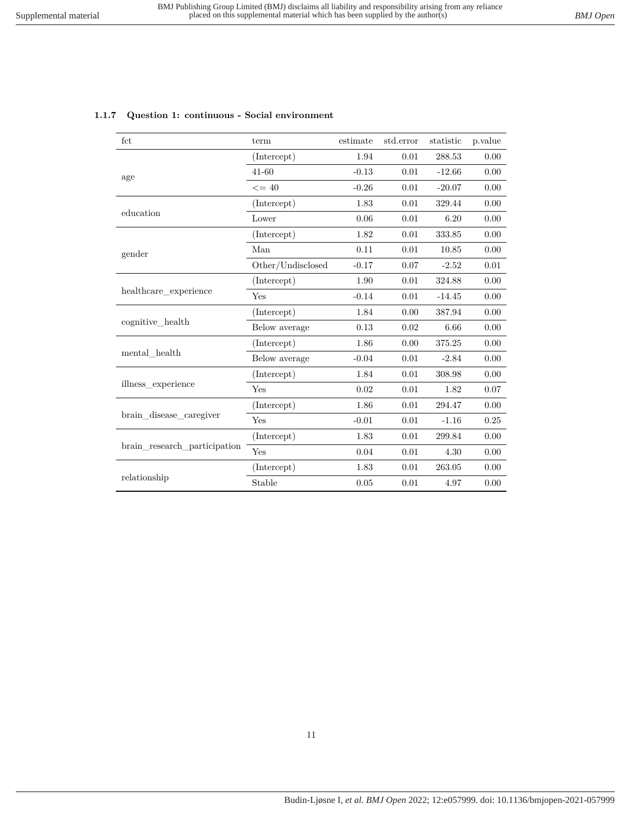| fct                          | term              | estimate | std.error | statistic | p.value |
|------------------------------|-------------------|----------|-----------|-----------|---------|
|                              | (Intercept)       | 1.94     | 0.01      | 288.53    | 0.00    |
| age                          | $41 - 60$         | $-0.13$  | 0.01      | $-12.66$  | 0.00    |
|                              | $\leq$ = 40       | $-0.26$  | 0.01      | $-20.07$  | 0.00    |
|                              | (Intercept)       | 1.83     | 0.01      | 329.44    | 0.00    |
| education                    | Lower             | 0.06     | 0.01      | 6.20      | 0.00    |
|                              | (Intercept)       | 1.82     | 0.01      | 333.85    | 0.00    |
| gender                       | Man               | 0.11     | 0.01      | 10.85     | 0.00    |
|                              | Other/Undisclosed | $-0.17$  | 0.07      | $-2.52$   | 0.01    |
|                              | (Intercept)       | 1.90     | 0.01      | 324.88    | 0.00    |
| healthcare experience        | Yes               | $-0.14$  | 0.01      | $-14.45$  | 0.00    |
|                              | (Intercept)       | 1.84     | 0.00      | 387.94    | 0.00    |
| cognitive health             | Below average     | 0.13     | 0.02      | 6.66      | 0.00    |
|                              | (Intercept)       | 1.86     | 0.00      | 375.25    | 0.00    |
| mental health                | Below average     | $-0.04$  | 0.01      | $-2.84$   | 0.00    |
|                              | (Intercept)       | 1.84     | 0.01      | 308.98    | 0.00    |
| illness_experience           | Yes               | 0.02     | 0.01      | 1.82      | 0.07    |
|                              | (Intercept)       | 1.86     | 0.01      | 294.47    | 0.00    |
| brain_disease_caregiver      | Yes               | $-0.01$  | 0.01      | $-1.16$   | 0.25    |
|                              | (Intercept)       | 1.83     | 0.01      | 299.84    | 0.00    |
| brain research participation | Yes               | 0.04     | 0.01      | 4.30      | 0.00    |
|                              | (Intercept)       | 1.83     | 0.01      | 263.05    | 0.00    |
| relationship                 | Stable            | 0.05     | 0.01      | 4.97      | 0.00    |

#### <span id="page-10-0"></span>**1.1.7 Question 1: continuous - Social environment**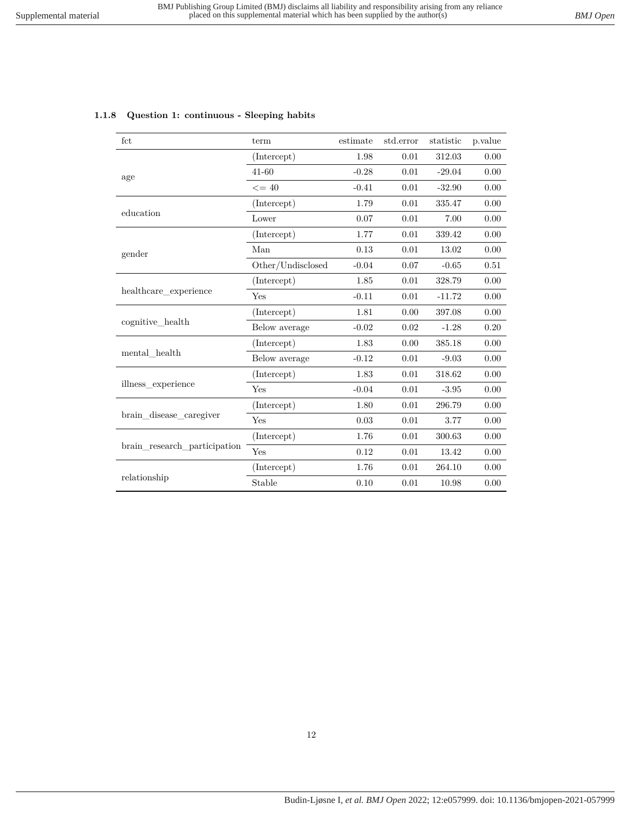| fct                          | term              | estimate | std.error | statistic | p.value |
|------------------------------|-------------------|----------|-----------|-----------|---------|
|                              | (Intercept)       | 1.98     | 0.01      | 312.03    | 0.00    |
| age                          | $41 - 60$         | $-0.28$  | $0.01\,$  | $-29.04$  | 0.00    |
|                              | $\leq$ = 40       | $-0.41$  | 0.01      | $-32.90$  | 0.00    |
|                              | (Intercept)       | 1.79     | 0.01      | 335.47    | 0.00    |
| education                    | Lower             | 0.07     | 0.01      | 7.00      | 0.00    |
|                              | (Intercept)       | 1.77     | 0.01      | 339.42    | 0.00    |
| gender                       | Man               | 0.13     | 0.01      | 13.02     | 0.00    |
|                              | Other/Undisclosed | $-0.04$  | 0.07      | $-0.65$   | 0.51    |
|                              | (Intercept)       | 1.85     | 0.01      | 328.79    | 0.00    |
| healthcare experience        | Yes               | $-0.11$  | 0.01      | $-11.72$  | 0.00    |
|                              | (Intercept)       | 1.81     | 0.00      | 397.08    | 0.00    |
| cognitive_health             | Below average     | $-0.02$  | 0.02      | $-1.28$   | 0.20    |
|                              | (Intercept)       | 1.83     | 0.00      | 385.18    | 0.00    |
| mental health                | Below average     | $-0.12$  | 0.01      | $-9.03$   | 0.00    |
|                              | (Intercept)       | 1.83     | 0.01      | 318.62    | 0.00    |
| illness experience           | Yes               | $-0.04$  | 0.01      | $-3.95$   | 0.00    |
|                              | (Intercept)       | 1.80     | 0.01      | 296.79    | 0.00    |
| brain_disease_caregiver      | Yes               | 0.03     | 0.01      | 3.77      | 0.00    |
|                              | (Intercept)       | 1.76     | 0.01      | 300.63    | 0.00    |
| brain research participation | Yes               | 0.12     | 0.01      | 13.42     | 0.00    |
|                              | (Intercept)       | 1.76     | 0.01      | 264.10    | 0.00    |
| relationship                 | Stable            | 0.10     | 0.01      | 10.98     | 0.00    |

#### <span id="page-11-0"></span>**1.1.8 Question 1: continuous - Sleeping habits**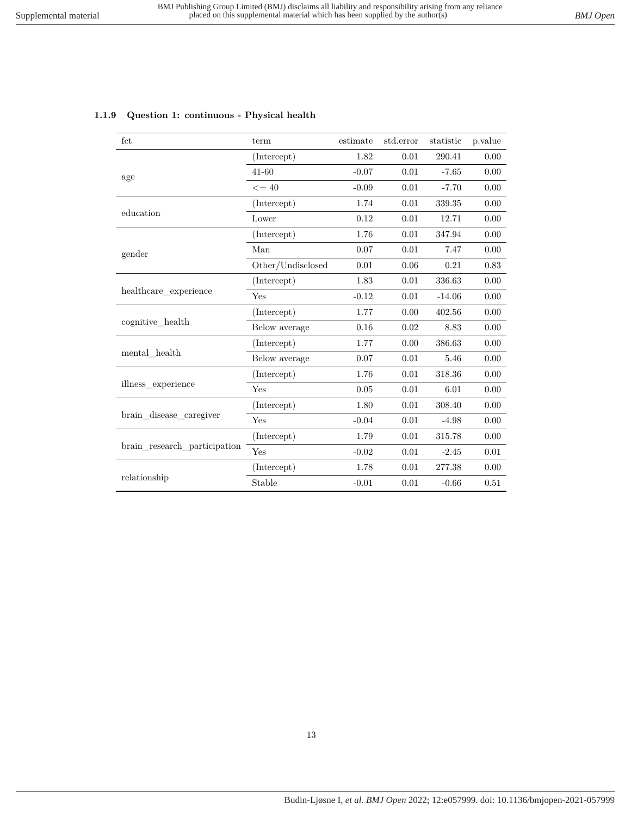| fct                          | term              | estimate | std.error | statistic | p.value  |
|------------------------------|-------------------|----------|-----------|-----------|----------|
|                              | (Intercept)       | 1.82     | 0.01      | 290.41    | 0.00     |
| age                          | 41-60             | $-0.07$  | 0.01      | $-7.65$   | 0.00     |
|                              | $\leq$ = 40       | $-0.09$  | 0.01      | $-7.70$   | 0.00     |
|                              | (Intercept)       | 1.74     | 0.01      | 339.35    | 0.00     |
| education                    | Lower             | 0.12     | 0.01      | 12.71     | 0.00     |
|                              | (Intercept)       | 1.76     | 0.01      | 347.94    | 0.00     |
| gender                       | Man               | 0.07     | 0.01      | 7.47      | 0.00     |
|                              | Other/Undisclosed | 0.01     | 0.06      | 0.21      | 0.83     |
|                              | (Intercept)       | 1.83     | 0.01      | 336.63    | 0.00     |
| healthcare experience        | Yes               | $-0.12$  | 0.01      | $-14.06$  | 0.00     |
|                              | (Intercept)       | 1.77     | 0.00      | 402.56    | 0.00     |
| cognitive health             | Below average     | 0.16     | 0.02      | 8.83      | 0.00     |
|                              | (Intercept)       | 1.77     | 0.00      | 386.63    | 0.00     |
| mental health                | Below average     | 0.07     | 0.01      | 5.46      | 0.00     |
|                              | (Intercept)       | 1.76     | 0.01      | 318.36    | 0.00     |
| illness experience           | Yes               | 0.05     | 0.01      | 6.01      | 0.00     |
|                              | (Intercept)       | 1.80     | 0.01      | 308.40    | 0.00     |
| brain disease caregiver      | Yes               | $-0.04$  | 0.01      | $-4.98$   | 0.00     |
|                              | (Intercept)       | 1.79     | 0.01      | 315.78    | 0.00     |
| brain_research_participation | Yes               | $-0.02$  | 0.01      | $-2.45$   | 0.01     |
|                              | (Intercept)       | 1.78     | 0.01      | 277.38    | 0.00     |
| relationship                 | Stable            | $-0.01$  | 0.01      | $-0.66$   | $0.51\,$ |

#### <span id="page-12-0"></span>**1.1.9 Question 1: continuous - Physical health**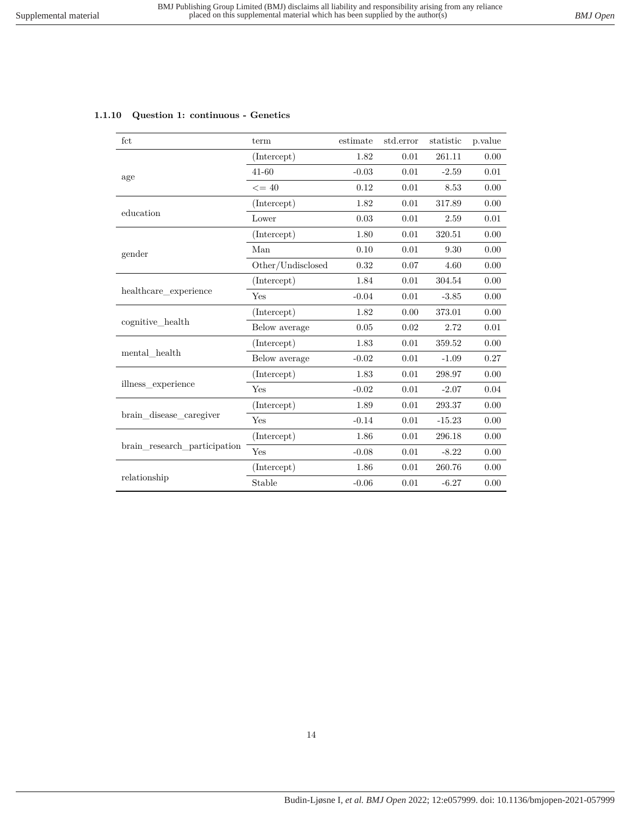<span id="page-13-0"></span>

|  | 1.1.10 Question 1: continuous - Genetics |
|--|------------------------------------------|
|--|------------------------------------------|

| fct                          | term              | estimate | std.error | statistic | p.value |
|------------------------------|-------------------|----------|-----------|-----------|---------|
|                              | (Intercept)       | 1.82     | 0.01      | 261.11    | 0.00    |
| age                          | $41 - 60$         | $-0.03$  | 0.01      | $-2.59$   | 0.01    |
|                              | $\leq$ = 40       | 0.12     | 0.01      | 8.53      | 0.00    |
|                              | (Intercept)       | 1.82     | 0.01      | 317.89    | 0.00    |
| education                    | Lower             | 0.03     | 0.01      | 2.59      | 0.01    |
|                              | (Intercept)       | 1.80     | 0.01      | 320.51    | 0.00    |
| gender                       | Man               | 0.10     | 0.01      | 9.30      | 0.00    |
|                              | Other/Undisclosed | 0.32     | 0.07      | 4.60      | 0.00    |
|                              | (Intercept)       | 1.84     | 0.01      | 304.54    | 0.00    |
| healthcare experience        | Yes               | $-0.04$  | 0.01      | $-3.85$   | 0.00    |
|                              | (Intercept)       | 1.82     | 0.00      | 373.01    | 0.00    |
| cognitive_health             | Below average     | 0.05     | 0.02      | 2.72      | 0.01    |
|                              | (Intercept)       | 1.83     | 0.01      | 359.52    | 0.00    |
| mental health                | Below average     | $-0.02$  | 0.01      | $-1.09$   | 0.27    |
|                              | (Intercept)       | 1.83     | 0.01      | 298.97    | 0.00    |
| illness experience           | Yes               | $-0.02$  | 0.01      | $-2.07$   | 0.04    |
|                              | (Intercept)       | 1.89     | 0.01      | 293.37    | 0.00    |
| brain disease caregiver      | Yes               | $-0.14$  | 0.01      | $-15.23$  | 0.00    |
|                              | (Intercept)       | 1.86     | 0.01      | 296.18    | 0.00    |
| brain research participation | Yes               | $-0.08$  | 0.01      | $-8.22$   | 0.00    |
|                              | (Intercept)       | 1.86     | 0.01      | 260.76    | 0.00    |
| relationship                 | Stable            | $-0.06$  | 0.01      | $-6.27$   | 0.00    |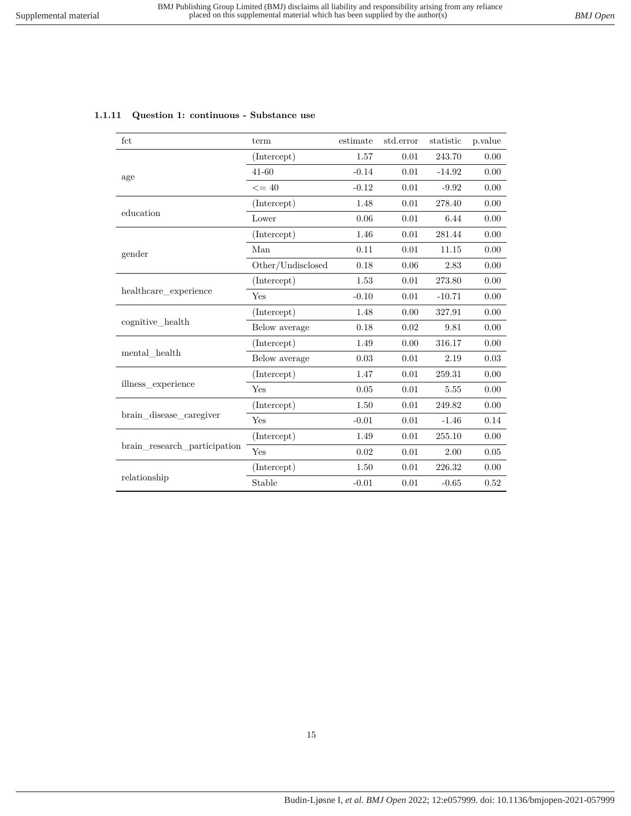| fct                          | term              | estimate | std.error | statistic | p.value |
|------------------------------|-------------------|----------|-----------|-----------|---------|
|                              | (Intercept)       | 1.57     | 0.01      | 243.70    | 0.00    |
| age                          | $41 - 60$         | $-0.14$  | 0.01      | $-14.92$  | 0.00    |
|                              | $\leq$ = 40       | $-0.12$  | 0.01      | $-9.92$   | 0.00    |
|                              | (Intercept)       | 1.48     | 0.01      | 278.40    | 0.00    |
| education                    | Lower             | 0.06     | 0.01      | 6.44      | 0.00    |
|                              | (Intercept)       | 1.46     | 0.01      | 281.44    | 0.00    |
| gender                       | Man               | 0.11     | 0.01      | 11.15     | 0.00    |
|                              | Other/Undisclosed | 0.18     | 0.06      | 2.83      | 0.00    |
|                              | (Intercept)       | 1.53     | 0.01      | 273.80    | 0.00    |
| healthcare_experience        | Yes               | $-0.10$  | 0.01      | $-10.71$  | 0.00    |
|                              | (Intercept)       | 1.48     | 0.00      | 327.91    | 0.00    |
| cognitive health             | Below average     | 0.18     | 0.02      | 9.81      | 0.00    |
|                              | (Intercept)       | 1.49     | 0.00      | 316.17    | 0.00    |
| mental health                | Below average     | 0.03     | 0.01      | 2.19      | 0.03    |
|                              | (Intercept)       | 1.47     | 0.01      | 259.31    | 0.00    |
| illness experience           | Yes               | 0.05     | 0.01      | 5.55      | 0.00    |
|                              | (Intercept)       | 1.50     | 0.01      | 249.82    | 0.00    |
| brain_disease_caregiver      | Yes               | $-0.01$  | 0.01      | $-1.46$   | 0.14    |
|                              | (Intercept)       | 1.49     | 0.01      | 255.10    | 0.00    |
| brain_research_participation | Yes               | 0.02     | 0.01      | 2.00      | 0.05    |
|                              | (Intercept)       | 1.50     | 0.01      | 226.32    | 0.00    |
| relationship                 | Stable            | $-0.01$  | 0.01      | $-0.65$   | 0.52    |

#### <span id="page-14-0"></span>**1.1.11 Question 1: continuous - Substance use**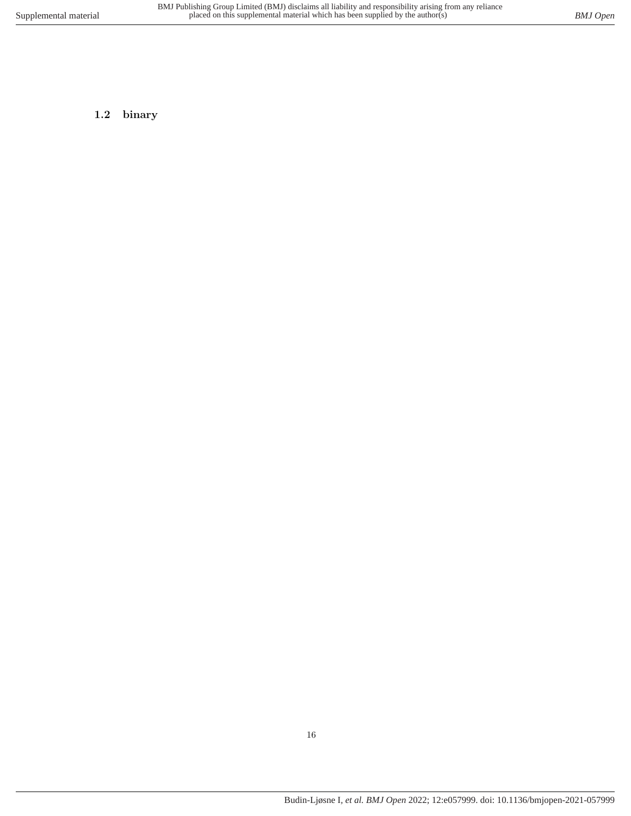<span id="page-15-0"></span>**1.2 binary**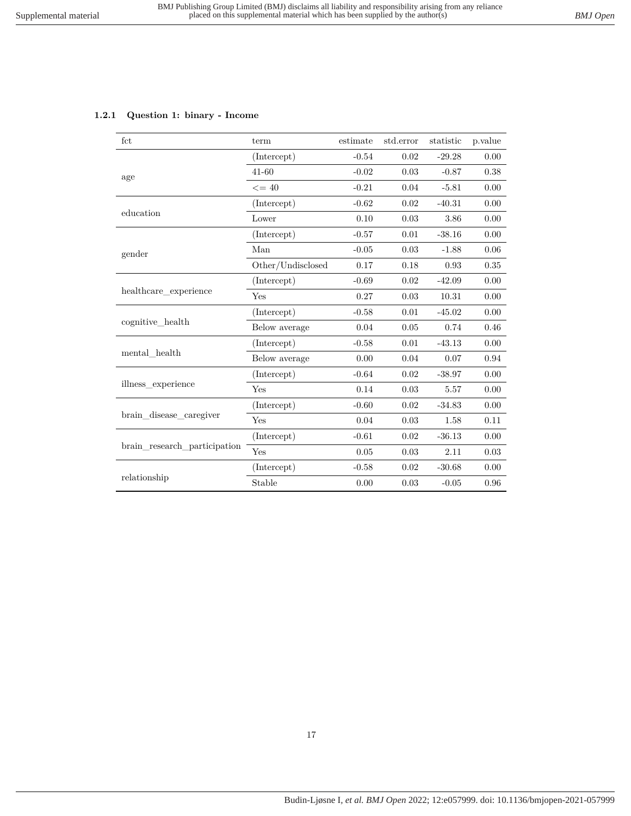## <span id="page-16-0"></span>**1.2.1 Question 1: binary - Income**

| fct                          | term                       | estimate | std.error | statistic | p.value |
|------------------------------|----------------------------|----------|-----------|-----------|---------|
|                              | (Intercept)                | $-0.54$  | 0.02      | $-29.28$  | 0.00    |
| age                          | $41 - 60$                  | $-0.02$  | 0.03      | $-0.87$   | 0.38    |
|                              | $\leq$ = 40                | $-0.21$  | 0.04      | $-5.81$   | 0.00    |
|                              | (Intercept)                | $-0.62$  | 0.02      | $-40.31$  | 0.00    |
| education                    | Lower                      | 0.10     | 0.03      | 3.86      | 0.00    |
|                              | (Intercept)                | $-0.57$  | 0.01      | $-38.16$  | 0.00    |
| gender                       | Man                        | $-0.05$  | 0.03      | $-1.88$   | 0.06    |
|                              | $\mbox{Other/Undisclosed}$ | 0.17     | 0.18      | 0.93      | 0.35    |
|                              | (Intercept)                | $-0.69$  | 0.02      | $-42.09$  | 0.00    |
| healthcare_experience        | Yes                        | 0.27     | 0.03      | 10.31     | 0.00    |
|                              | (Intercept)                | $-0.58$  | 0.01      | $-45.02$  | 0.00    |
| cognitive health             | Below average              | 0.04     | 0.05      | 0.74      | 0.46    |
|                              | (Intercept)                | $-0.58$  | 0.01      | $-43.13$  | 0.00    |
| mental health                | Below average              | 0.00     | 0.04      | 0.07      | 0.94    |
|                              | (Intercept)                | $-0.64$  | 0.02      | $-38.97$  | 0.00    |
| illness experience           | Yes                        | 0.14     | 0.03      | 5.57      | 0.00    |
|                              | (Intercept)                | $-0.60$  | 0.02      | $-34.83$  | 0.00    |
| brain disease caregiver      | Yes                        | 0.04     | 0.03      | 1.58      | 0.11    |
|                              | (Intercept)                | $-0.61$  | 0.02      | $-36.13$  | 0.00    |
| brain research participation | Yes                        | 0.05     | 0.03      | 2.11      | 0.03    |
|                              | (Intercept)                | $-0.58$  | 0.02      | $-30.68$  | 0.00    |
| relationship                 | Stable                     | 0.00     | 0.03      | $-0.05$   | 0.96    |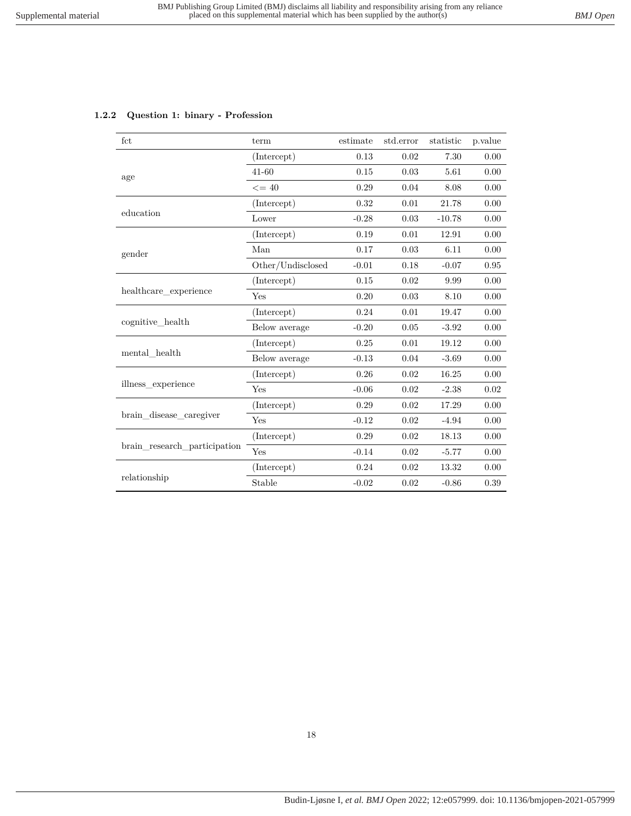<span id="page-17-0"></span>

|  |  |  |  | 1.2.2 Question 1: binary - Profession |
|--|--|--|--|---------------------------------------|
|--|--|--|--|---------------------------------------|

| fct                          | term              | estimate | std.error | statistic | p.value  |
|------------------------------|-------------------|----------|-----------|-----------|----------|
|                              | (Intercept)       | 0.13     | 0.02      | 7.30      | 0.00     |
| age                          | $41 - 60$         | 0.15     | 0.03      | 5.61      | 0.00     |
|                              | $\leq$ = 40       | 0.29     | 0.04      | 8.08      | 0.00     |
|                              | (Intercept)       | 0.32     | 0.01      | 21.78     | 0.00     |
| education                    | Lower             | $-0.28$  | 0.03      | $-10.78$  | 0.00     |
|                              | (Intercept)       | 0.19     | 0.01      | 12.91     | 0.00     |
| gender                       | Man               | 0.17     | 0.03      | 6.11      | 0.00     |
|                              | Other/Undisclosed | $-0.01$  | 0.18      | $-0.07$   | $0.95\,$ |
|                              | (Intercept)       | 0.15     | 0.02      | 9.99      | 0.00     |
| healthcare_experience        | Yes               | 0.20     | 0.03      | 8.10      | 0.00     |
|                              | (Intercept)       | 0.24     | 0.01      | 19.47     | 0.00     |
| cognitive health             | Below average     | $-0.20$  | 0.05      | $-3.92$   | 0.00     |
|                              | (Intercept)       | 0.25     | 0.01      | 19.12     | 0.00     |
| mental health                | Below average     | $-0.13$  | 0.04      | $-3.69$   | 0.00     |
|                              | (Intercept)       | 0.26     | 0.02      | 16.25     | 0.00     |
| illness experience           | Yes               | $-0.06$  | 0.02      | $-2.38$   | 0.02     |
|                              | (Intercept)       | 0.29     | 0.02      | 17.29     | 0.00     |
| brain_disease_caregiver      | Yes               | $-0.12$  | 0.02      | $-4.94$   | 0.00     |
|                              | (Intercept)       | 0.29     | 0.02      | 18.13     | 0.00     |
| brain research participation | Yes               | $-0.14$  | 0.02      | $-5.77$   | 0.00     |
|                              | (Intercept)       | 0.24     | 0.02      | 13.32     | 0.00     |
| relationship                 | Stable            | $-0.02$  | 0.02      | $-0.86$   | 0.39     |

### 18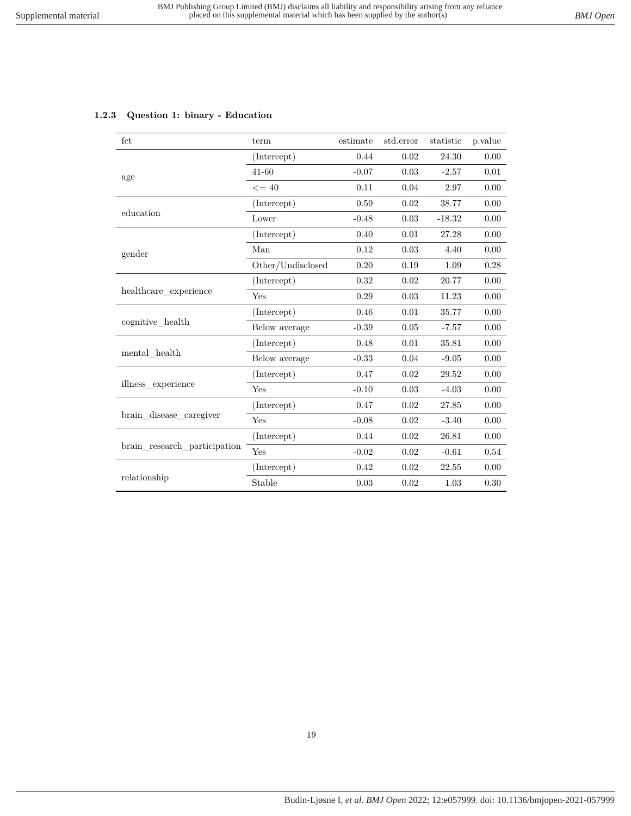### <span id="page-18-0"></span>**1.2.3 Question 1: binary - Education**

| fct                          | term              | estimate | std.error | statistic | p.value |
|------------------------------|-------------------|----------|-----------|-----------|---------|
|                              | (Intercept)       | 0.44     | 0.02      | 24.30     | 0.00    |
| age                          | $41 - 60$         | $-0.07$  | 0.03      | $-2.57$   | 0.01    |
|                              | $\leq$ = 40       | 0.11     | 0.04      | 2.97      | 0.00    |
|                              | (Intercept)       | 0.59     | 0.02      | 38.77     | 0.00    |
| education                    | Lower             | $-0.48$  | 0.03      | $-18.32$  | 0.00    |
|                              | (Intercept)       | 0.40     | 0.01      | 27.28     | 0.00    |
| gender                       | Man               | 0.12     | 0.03      | 4.40      | 0.00    |
|                              | Other/Undisclosed | 0.20     | 0.19      | 1.09      | 0.28    |
|                              | (Intercept)       | 0.32     | 0.02      | 20.77     | 0.00    |
| healthcare_experience        | Yes               | 0.29     | 0.03      | 11.23     | 0.00    |
|                              | (Intercept)       | 0.46     | 0.01      | 35.77     | 0.00    |
| cognitive health             | Below average     | $-0.39$  | 0.05      | $-7.57$   | 0.00    |
|                              | (Intercept)       | 0.48     | 0.01      | 35.81     | 0.00    |
| mental health                | Below average     | $-0.33$  | 0.04      | $-9.05$   | 0.00    |
|                              | (Intercept)       | 0.47     | 0.02      | 29.52     | 0.00    |
| illness experience           | Yes               | $-0.10$  | 0.03      | $-4.03$   | 0.00    |
|                              | (Intercept)       | 0.47     | 0.02      | 27.85     | 0.00    |
| brain disease caregiver      | Yes               | $-0.08$  | 0.02      | $-3.40$   | 0.00    |
|                              | (Intercept)       | 0.44     | 0.02      | 26.81     | 0.00    |
| brain_research_participation | Yes               | $-0.02$  | 0.02      | $-0.61$   | 0.54    |
|                              | (Intercept)       | 0.42     | 0.02      | 22.55     | 0.00    |
| relationship                 | Stable            | 0.03     | 0.02      | 1.03      | 0.30    |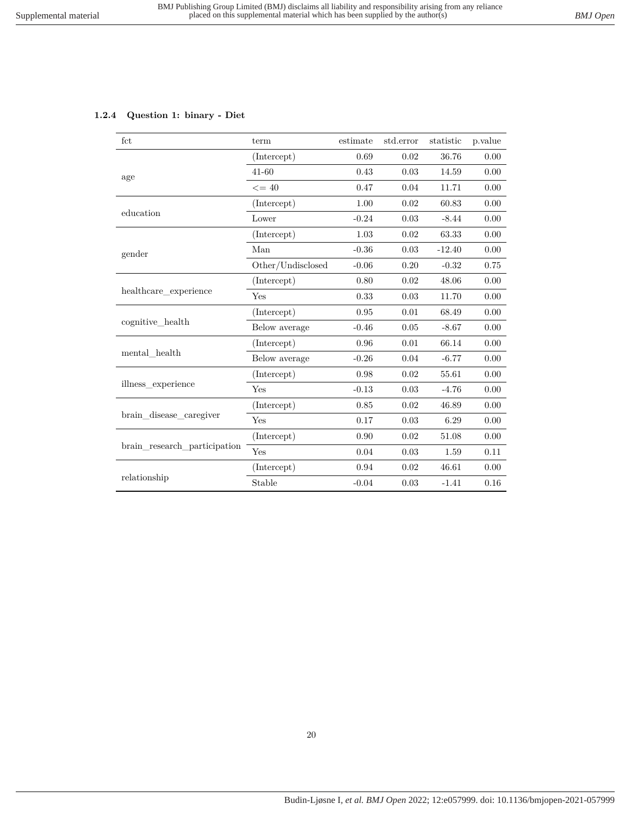## <span id="page-19-0"></span>**1.2.4 Question 1: binary - Diet**

| fct                          | term              | estimate | std.error | statistic | p.value |
|------------------------------|-------------------|----------|-----------|-----------|---------|
|                              | (Intercept)       | 0.69     | 0.02      | 36.76     | 0.00    |
| age                          | $41 - 60$         | 0.43     | 0.03      | 14.59     | 0.00    |
|                              | $\leq$ = 40       | 0.47     | 0.04      | 11.71     | 0.00    |
|                              | (Intercept)       | 1.00     | 0.02      | 60.83     | 0.00    |
| education                    | Lower             | $-0.24$  | 0.03      | $-8.44$   | 0.00    |
|                              | (Intercept)       | 1.03     | 0.02      | 63.33     | 0.00    |
| gender                       | Man               | $-0.36$  | 0.03      | $-12.40$  | 0.00    |
|                              | Other/Undisclosed | $-0.06$  | 0.20      | $-0.32$   | 0.75    |
|                              | (Intercept)       | 0.80     | 0.02      | 48.06     | 0.00    |
| healthcare experience        | Yes               | 0.33     | 0.03      | 11.70     | 0.00    |
|                              | (Intercept)       | 0.95     | 0.01      | 68.49     | 0.00    |
| cognitive health             | Below average     | $-0.46$  | 0.05      | $-8.67$   | 0.00    |
|                              | (Intercept)       | 0.96     | 0.01      | 66.14     | 0.00    |
| mental health                | Below average     | $-0.26$  | 0.04      | $-6.77$   | 0.00    |
|                              | (Intercept)       | 0.98     | 0.02      | 55.61     | 0.00    |
| illness experience           | Yes               | $-0.13$  | 0.03      | $-4.76$   | 0.00    |
|                              | (Intercept)       | 0.85     | 0.02      | 46.89     | 0.00    |
| brain disease caregiver      | Yes               | 0.17     | 0.03      | 6.29      | 0.00    |
|                              | (Intercept)       | 0.90     | 0.02      | 51.08     | 0.00    |
| brain research participation | Yes               | 0.04     | 0.03      | 1.59      | 0.11    |
|                              | (Intercept)       | 0.94     | 0.02      | 46.61     | 0.00    |
| relationship                 | Stable            | $-0.04$  | 0.03      | $-1.41$   | 0.16    |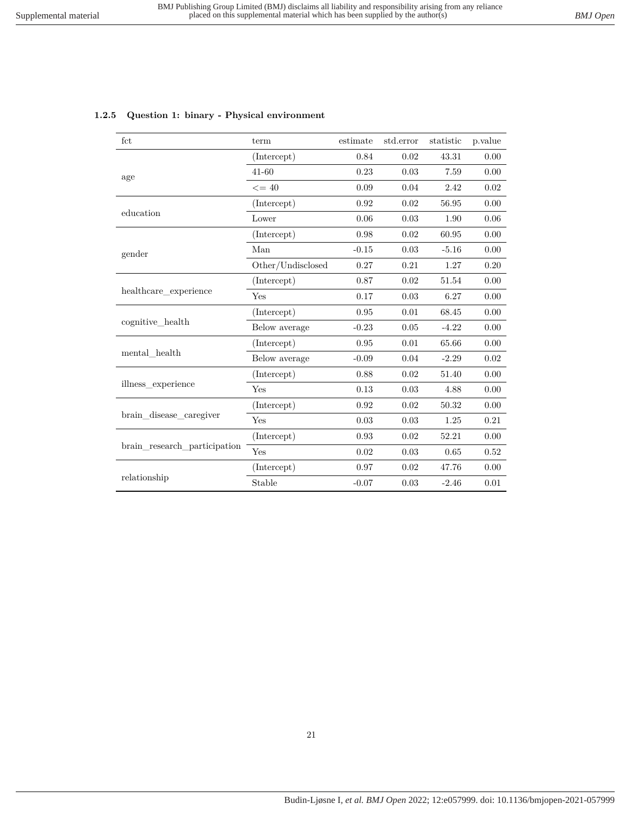| fct                          | term              | estimate | std.error | statistic | p.value |
|------------------------------|-------------------|----------|-----------|-----------|---------|
|                              | (Intercept)       | 0.84     | 0.02      | 43.31     | 0.00    |
| age                          | $41 - 60$         | 0.23     | 0.03      | 7.59      | 0.00    |
|                              | $\leq$ = 40       | 0.09     | 0.04      | 2.42      | 0.02    |
|                              | (Intercept)       | 0.92     | 0.02      | 56.95     | 0.00    |
| education                    | Lower             | 0.06     | 0.03      | 1.90      | 0.06    |
|                              | (Intercept)       | 0.98     | 0.02      | 60.95     | 0.00    |
| gender                       | Man               | $-0.15$  | 0.03      | $-5.16$   | 0.00    |
|                              | Other/Undisclosed | 0.27     | 0.21      | 1.27      | 0.20    |
|                              | (Intercept)       | 0.87     | 0.02      | 51.54     | 0.00    |
| healthcare experience        | Yes               | 0.17     | 0.03      | 6.27      | 0.00    |
|                              | (Intercept)       | 0.95     | 0.01      | 68.45     | 0.00    |
| cognitive_health             | Below average     | $-0.23$  | 0.05      | $-4.22$   | 0.00    |
|                              | (Intercept)       | 0.95     | 0.01      | 65.66     | 0.00    |
| mental health                | Below average     | $-0.09$  | 0.04      | $-2.29$   | 0.02    |
|                              | (Intercept)       | 0.88     | 0.02      | 51.40     | 0.00    |
| illness experience           | Yes               | 0.13     | 0.03      | 4.88      | 0.00    |
|                              | (Intercept)       | 0.92     | 0.02      | 50.32     | 0.00    |
| brain disease caregiver      | Yes               | 0.03     | 0.03      | 1.25      | 0.21    |
|                              | (Intercept)       | 0.93     | 0.02      | 52.21     | 0.00    |
| brain research participation | Yes               | 0.02     | 0.03      | 0.65      | 0.52    |
|                              | (Intercept)       | 0.97     | 0.02      | 47.76     | 0.00    |

relationship  $\overline{\text{Stable}}$  -0.07 0.03 -2.46 0.01

#### <span id="page-20-0"></span>**1.2.5 Question 1: binary - Physical environment**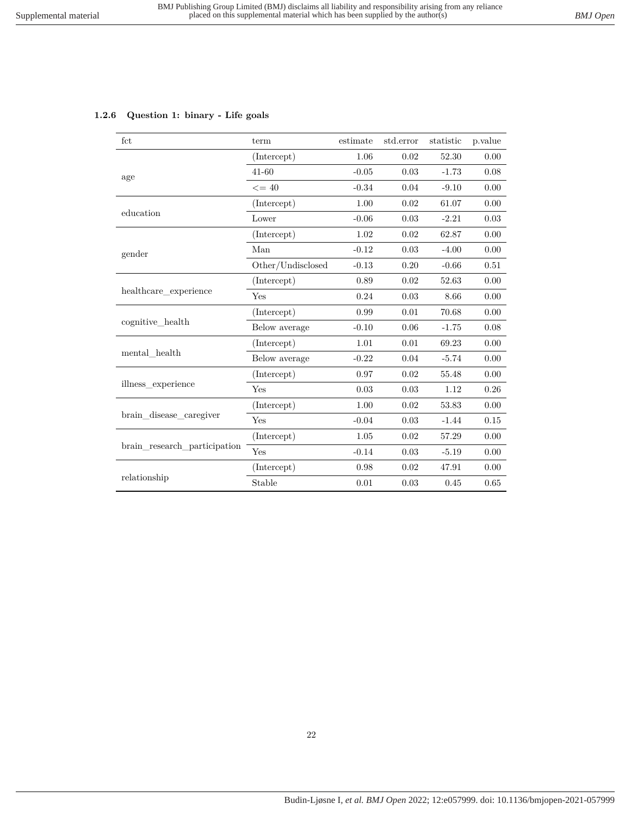## <span id="page-21-0"></span>**1.2.6 Question 1: binary - Life goals**

| fct                          | term              | estimate | std.error | statistic | p.value  |
|------------------------------|-------------------|----------|-----------|-----------|----------|
|                              | (Intercept)       | 1.06     | 0.02      | 52.30     | 0.00     |
| age                          | $41 - 60$         | $-0.05$  | 0.03      | $-1.73$   | 0.08     |
|                              | $\leq$ = 40       | $-0.34$  | 0.04      | $-9.10$   | 0.00     |
|                              | (Intercept)       | 1.00     | 0.02      | 61.07     | 0.00     |
| education                    | Lower             | $-0.06$  | 0.03      | $-2.21$   | 0.03     |
|                              | (Intercept)       | 1.02     | 0.02      | 62.87     | 0.00     |
| gender                       | Man               | $-0.12$  | 0.03      | $-4.00$   | 0.00     |
|                              | Other/Undisclosed | $-0.13$  | 0.20      | $-0.66$   | 0.51     |
|                              | (Intercept)       | 0.89     | 0.02      | 52.63     | 0.00     |
| healthcare experience        | Yes               | 0.24     | 0.03      | 8.66      | 0.00     |
|                              | (Intercept)       | 0.99     | 0.01      | 70.68     | 0.00     |
| cognitive health             | Below average     | $-0.10$  | 0.06      | $-1.75$   | 0.08     |
|                              | (Intercept)       | 1.01     | 0.01      | 69.23     | $0.00\,$ |
| mental health                | Below average     | $-0.22$  | 0.04      | $-5.74$   | 0.00     |
|                              | (Intercept)       | 0.97     | 0.02      | 55.48     | 0.00     |
| illness_experience           | Yes               | 0.03     | 0.03      | 1.12      | 0.26     |
|                              | (Intercept)       | 1.00     | 0.02      | 53.83     | 0.00     |
| brain disease caregiver      | Yes               | $-0.04$  | 0.03      | $-1.44$   | $0.15\,$ |
|                              | (Intercept)       | 1.05     | 0.02      | 57.29     | 0.00     |
| brain research participation | Yes               | $-0.14$  | 0.03      | $-5.19$   | 0.00     |
|                              | (Intercept)       | 0.98     | 0.02      | 47.91     | 0.00     |
| relationship                 | Stable            | 0.01     | 0.03      | 0.45      | 0.65     |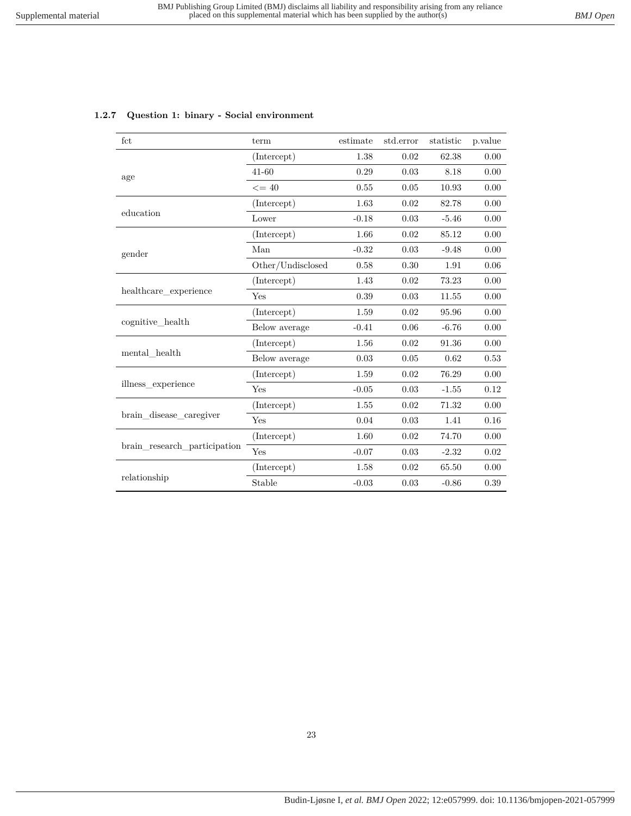| fct                          | term              | estimate | std.error | statistic | p.value |
|------------------------------|-------------------|----------|-----------|-----------|---------|
|                              | (Intercept)       | 1.38     | 0.02      | 62.38     | 0.00    |
| age                          | $41 - 60$         | 0.29     | 0.03      | 8.18      | 0.00    |
|                              | $\leq$ = 40       | 0.55     | 0.05      | 10.93     | 0.00    |
|                              | (Intercept)       | 1.63     | 0.02      | 82.78     | 0.00    |
| education                    | Lower             | $-0.18$  | 0.03      | $-5.46$   | 0.00    |
|                              | (Intercept)       | 1.66     | 0.02      | 85.12     | 0.00    |
| gender                       | Man               | $-0.32$  | 0.03      | $-9.48$   | 0.00    |
|                              | Other/Undisclosed | 0.58     | 0.30      | 1.91      | 0.06    |
|                              | (Intercept)       | 1.43     | 0.02      | 73.23     | 0.00    |
| healthcare_experience        | Yes               | 0.39     | 0.03      | 11.55     | 0.00    |
|                              | (Intercept)       | 1.59     | 0.02      | 95.96     | 0.00    |
| cognitive health             | Below average     | $-0.41$  | 0.06      | $-6.76$   | 0.00    |
|                              | (Intercept)       | 1.56     | 0.02      | 91.36     | 0.00    |
| mental health                | Below average     | 0.03     | 0.05      | 0.62      | 0.53    |
|                              | (Intercept)       | 1.59     | 0.02      | 76.29     | 0.00    |
| illness experience           | Yes               | $-0.05$  | 0.03      | $-1.55$   | 0.12    |
|                              | (Intercept)       | 1.55     | 0.02      | 71.32     | 0.00    |
| brain disease caregiver      | Yes               | 0.04     | 0.03      | 1.41      | 0.16    |
|                              | (Intercept)       | 1.60     | 0.02      | 74.70     | 0.00    |
| brain research participation | Yes               | $-0.07$  | 0.03      | $-2.32$   | 0.02    |
|                              | (Intercept)       | 1.58     | 0.02      | 65.50     | 0.00    |
| relationship                 | Stable            | $-0.03$  | 0.03      | $-0.86$   | 0.39    |

#### <span id="page-22-0"></span>**1.2.7 Question 1: binary - Social environment**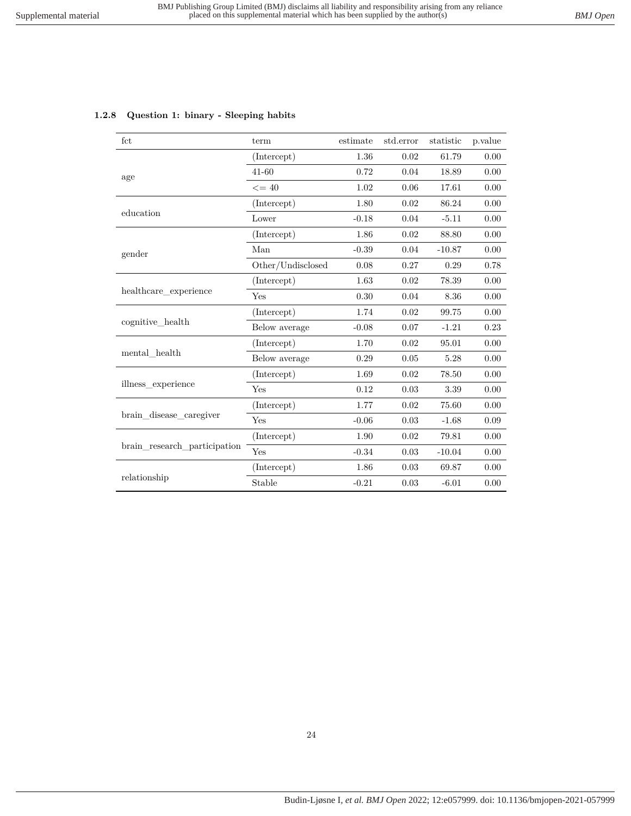<span id="page-23-0"></span>

|  | 1.2.8 Question 1: binary - Sleeping habits |  |  |  |
|--|--------------------------------------------|--|--|--|
|--|--------------------------------------------|--|--|--|

| fct                          | term              | estimate | std.error  | statistic | p.value |
|------------------------------|-------------------|----------|------------|-----------|---------|
|                              | (Intercept)       | 1.36     | 0.02       | 61.79     | 0.00    |
| age                          | $41 - 60$         | 0.72     | 0.04       | 18.89     | 0.00    |
|                              | $\leq$ = 40       | 1.02     | 0.06       | 17.61     | 0.00    |
|                              | (Intercept)       | 1.80     | 0.02       | 86.24     | 0.00    |
| education                    | Lower             | $-0.18$  | $0.04\,$   | $-5.11$   | 0.00    |
|                              | (Intercept)       | 1.86     | 0.02       | 88.80     | 0.00    |
| gender                       | Man               | $-0.39$  | 0.04       | $-10.87$  | 0.00    |
|                              | Other/Undisclosed | 0.08     | 0.27       | 0.29      | 0.78    |
|                              | (Intercept)       | 1.63     | 0.02       | 78.39     | 0.00    |
| healthcare_experience        | Yes               | 0.30     | 0.04       | 8.36      | 0.00    |
|                              | (Intercept)       | 1.74     | 0.02       | 99.75     | 0.00    |
| cognitive health             | Below average     | $-0.08$  | 0.07       | $-1.21$   | 0.23    |
|                              | (Intercept)       | 1.70     | 0.02       | 95.01     | 0.00    |
| mental health                | Below average     | 0.29     | 0.05       | 5.28      | 0.00    |
|                              | (Intercept)       | 1.69     | 0.02       | 78.50     | 0.00    |
| illness experience           | Yes               | 0.12     | 0.03       | 3.39      | 0.00    |
|                              | (Intercept)       | 1.77     | 0.02       | 75.60     | 0.00    |
| brain disease caregiver      | Yes               | $-0.06$  | 0.03       | $-1.68$   | 0.09    |
|                              | (Intercept)       | 1.90     | 0.02       | 79.81     | 0.00    |
| brain_research_participation | Yes               | $-0.34$  | 0.03       | $-10.04$  | 0.00    |
|                              | (Intercept)       | 1.86     | 0.03       | 69.87     | 0.00    |
| relationship                 | Stable            | $-0.21$  | $\rm 0.03$ | $-6.01$   | 0.00    |

### 24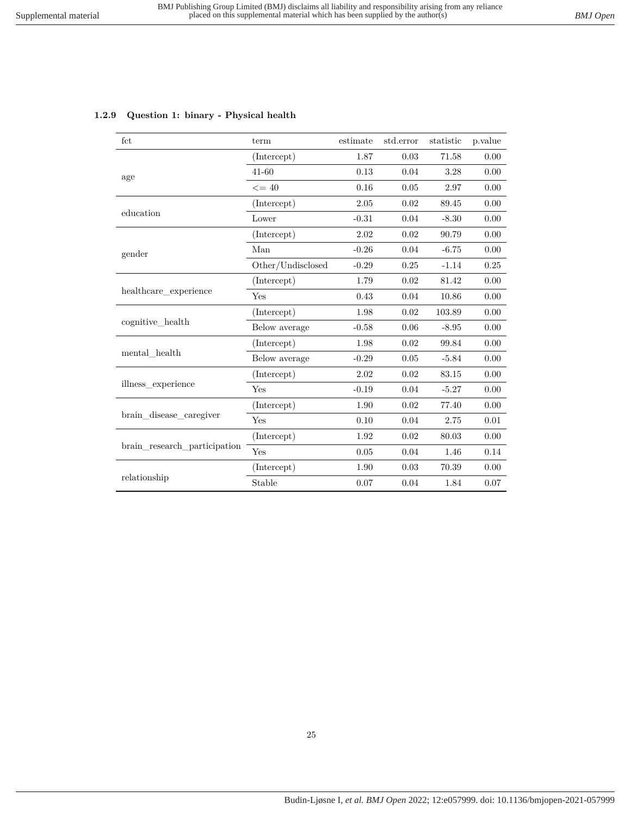| fct                          | term              | estimate | std.error | statistic | p.value |
|------------------------------|-------------------|----------|-----------|-----------|---------|
|                              | (Intercept)       | 1.87     | 0.03      | 71.58     | 0.00    |
| age                          | $41 - 60$         | 0.13     | 0.04      | 3.28      | 0.00    |
|                              | $\leq$ = 40       | 0.16     | 0.05      | 2.97      | 0.00    |
|                              | (Intercept)       | $2.05\,$ | 0.02      | 89.45     | 0.00    |
| education                    | Lower             | $-0.31$  | 0.04      | $-8.30$   | 0.00    |
|                              | (Intercept)       | 2.02     | 0.02      | 90.79     | 0.00    |
| gender                       | Man               | $-0.26$  | 0.04      | $-6.75$   | 0.00    |
|                              | Other/Undisclosed | $-0.29$  | 0.25      | $-1.14$   | 0.25    |
|                              | (Intercept)       | 1.79     | 0.02      | 81.42     | 0.00    |
| healthcare experience        | Yes               | 0.43     | 0.04      | 10.86     | 0.00    |
|                              | (Intercept)       | 1.98     | 0.02      | 103.89    | 0.00    |
| cognitive health             | Below average     | $-0.58$  | 0.06      | $-8.95$   | 0.00    |
|                              | (Intercept)       | 1.98     | 0.02      | 99.84     | 0.00    |
| mental health                | Below average     | $-0.29$  | 0.05      | $-5.84$   | 0.00    |
|                              | (Intercept)       | 2.02     | 0.02      | 83.15     | 0.00    |
| illness experience           | Yes               | $-0.19$  | 0.04      | $-5.27$   | 0.00    |
|                              | (Intercept)       | 1.90     | 0.02      | 77.40     | 0.00    |
| brain disease caregiver      | Yes               | 0.10     | 0.04      | 2.75      | 0.01    |
|                              | (Intercept)       | 1.92     | 0.02      | 80.03     | 0.00    |
| brain_research_participation | Yes               | 0.05     | 0.04      | 1.46      | 0.14    |
|                              | (Intercept)       | 1.90     | 0.03      | 70.39     | 0.00    |
| relationship                 | Stable            | 0.07     | 0.04      | 1.84      | 0.07    |

#### <span id="page-24-0"></span>**1.2.9 Question 1: binary - Physical health**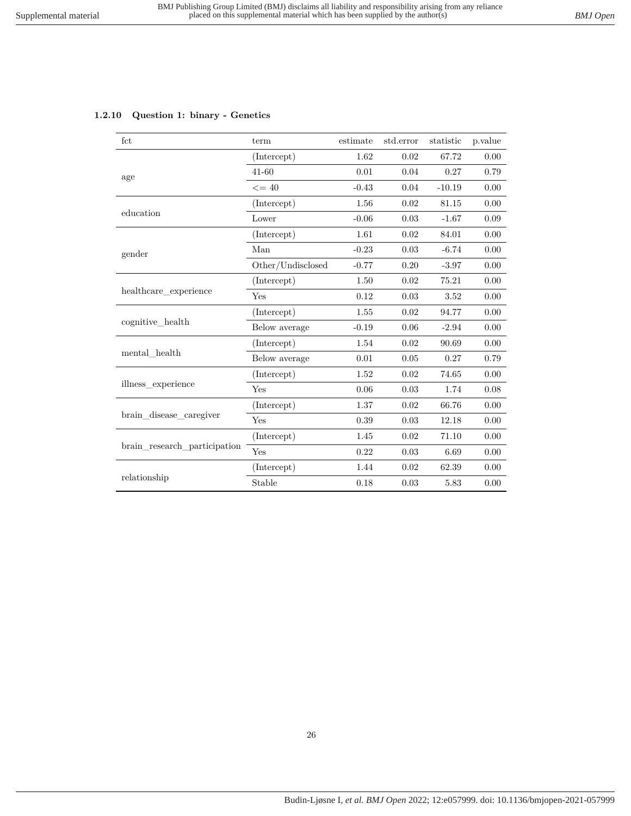## <span id="page-25-0"></span>**1.2.10 Question 1: binary - Genetics**

| fct                          | term                       | estimate | std.error | statistic | p.value  |
|------------------------------|----------------------------|----------|-----------|-----------|----------|
|                              | (Intercept)                | 1.62     | 0.02      | 67.72     | 0.00     |
| age                          | $41 - 60$                  | 0.01     | 0.04      | 0.27      | 0.79     |
|                              | $\leq$ = 40                | $-0.43$  | 0.04      | $-10.19$  | 0.00     |
|                              | (Intercept)                | 1.56     | 0.02      | 81.15     | 0.00     |
| education                    | Lower                      | $-0.06$  | 0.03      | $-1.67$   | 0.09     |
|                              | (Intercept)                | 1.61     | 0.02      | 84.01     | 0.00     |
| gender                       | Man                        | $-0.23$  | 0.03      | $-6.74$   | 0.00     |
|                              | $\mbox{Other/Undisclosed}$ | $-0.77$  | 0.20      | $-3.97$   | 0.00     |
|                              | (Intercept)                | 1.50     | 0.02      | 75.21     | 0.00     |
| healthcare_experience        | Yes                        | 0.12     | 0.03      | 3.52      | 0.00     |
|                              | (Intercept)                | 1.55     | 0.02      | 94.77     | 0.00     |
| cognitive health             | Below average              | $-0.19$  | 0.06      | $-2.94$   | 0.00     |
|                              | (Intercept)                | 1.54     | 0.02      | 90.69     | 0.00     |
| mental health                | Below average              | 0.01     | 0.05      | 0.27      | 0.79     |
|                              | (Intercept)                | 1.52     | 0.02      | 74.65     | 0.00     |
| illness_experience           | Yes                        | 0.06     | 0.03      | 1.74      | 0.08     |
|                              | (Intercept)                | 1.37     | 0.02      | 66.76     | 0.00     |
| brain disease caregiver      | Yes                        | 0.39     | 0.03      | 12.18     | $0.00\,$ |
|                              | (Intercept)                | 1.45     | 0.02      | 71.10     | 0.00     |
| brain research participation | Yes                        | 0.22     | 0.03      | 6.69      | 0.00     |
|                              | (Intercept)                | 1.44     | 0.02      | 62.39     | 0.00     |
| relationship                 | Stable                     | 0.18     | 0.03      | 5.83      | 0.00     |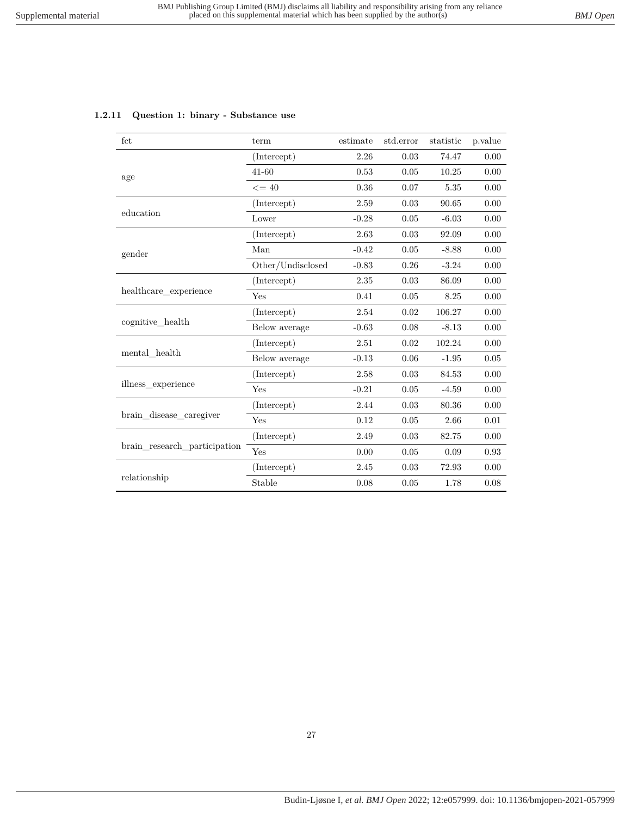<span id="page-26-0"></span>

| 1.2.11 Question 1: binary - Substance use |  |  |  |  |
|-------------------------------------------|--|--|--|--|
|-------------------------------------------|--|--|--|--|

| fct                          | term              | estimate | std.error | statistic | p.value |
|------------------------------|-------------------|----------|-----------|-----------|---------|
|                              | (Intercept)       | 2.26     | 0.03      | 74.47     | 0.00    |
| age                          | 41-60             | 0.53     | 0.05      | 10.25     | 0.00    |
|                              | $\leq$ = 40       | 0.36     | 0.07      | 5.35      | 0.00    |
|                              | (Intercept)       | 2.59     | 0.03      | 90.65     | 0.00    |
| education                    | Lower             | $-0.28$  | 0.05      | $-6.03$   | 0.00    |
|                              | (Intercept)       | 2.63     | 0.03      | 92.09     | 0.00    |
| gender                       | Man               | $-0.42$  | $0.05\,$  | $-8.88$   | 0.00    |
|                              | Other/Undisclosed | $-0.83$  | 0.26      | $-3.24$   | 0.00    |
|                              | (Intercept)       | 2.35     | 0.03      | 86.09     | 0.00    |
| healthcare experience        | Yes               | 0.41     | 0.05      | 8.25      | 0.00    |
|                              | (Intercept)       | 2.54     | 0.02      | 106.27    | 0.00    |
| cognitive_health             | Below average     | $-0.63$  | 0.08      | $-8.13$   | 0.00    |
|                              | (Intercept)       | 2.51     | 0.02      | 102.24    | 0.00    |
| mental health                | Below average     | $-0.13$  | 0.06      | $-1.95$   | 0.05    |
|                              | (Intercept)       | 2.58     | 0.03      | 84.53     | 0.00    |
| illness experience           | Yes               | $-0.21$  | 0.05      | $-4.59$   | 0.00    |
|                              | (Intercept)       | 2.44     | 0.03      | 80.36     | 0.00    |
| brain disease caregiver      | Yes               | 0.12     | $0.05\,$  | 2.66      | 0.01    |
|                              | (Intercept)       | 2.49     | 0.03      | 82.75     | 0.00    |
| brain research participation | Yes               | 0.00     | 0.05      | 0.09      | 0.93    |
|                              | (Intercept)       | 2.45     | 0.03      | 72.93     | 0.00    |
| relationship                 | Stable            | 0.08     | 0.05      | 1.78      | 0.08    |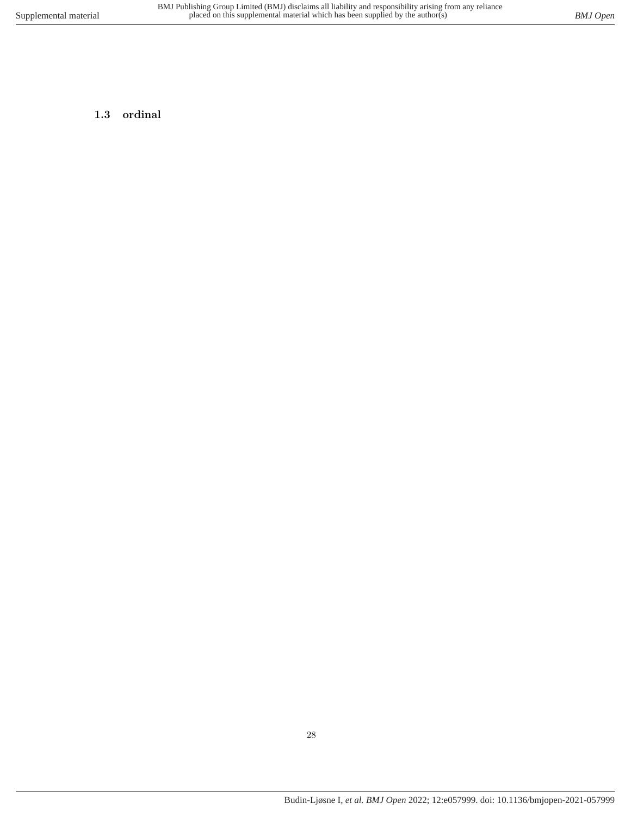## <span id="page-27-0"></span>**1.3 ordinal**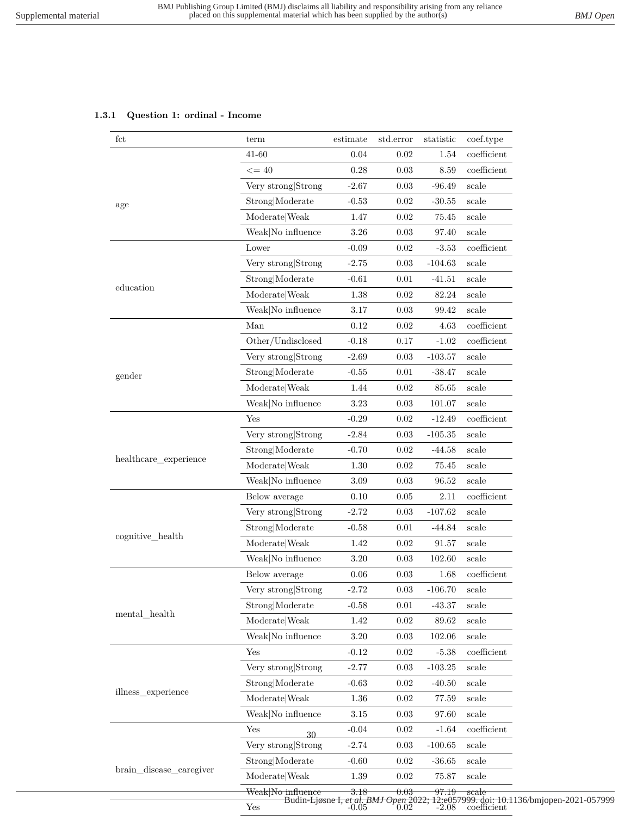## **1.3.1 Question 1: ordinal - Income**

| fct                       | term                                   | estimate                                            | std.error  | statistic | coef.type                                                         |
|---------------------------|----------------------------------------|-----------------------------------------------------|------------|-----------|-------------------------------------------------------------------|
|                           | 41-60                                  | 0.04                                                | 0.02       | 1.54      | $coefficient$                                                     |
|                           | $\leq$ = 40                            | $0.28\,$                                            | $0.03\,$   | 8.59      | $coefficient$                                                     |
|                           | Very strong Strong                     | $-2.67$                                             | 0.03       | $-96.49$  | scale                                                             |
| age                       | Strong Moderate                        | $-0.53$                                             | 0.02       | $-30.55$  | scale                                                             |
|                           | Moderate Weak                          | 1.47                                                | 0.02       | 75.45     | scale                                                             |
|                           | Weak No influence                      | $3.26\,$                                            | $\rm 0.03$ | 97.40     | scale                                                             |
|                           | Lower                                  | $-0.09$                                             | 0.02       | $-3.53$   | $coefficient$                                                     |
|                           | Very strong Strong                     | $-2.75$                                             | 0.03       | $-104.63$ | scale                                                             |
|                           | Strong Moderate                        | $-0.61$                                             | 0.01       | $-41.51$  | scale                                                             |
| education                 | $\textbf{Modern} \times \textbf{Weak}$ | 1.38                                                | 0.02       | 82.24     | scale                                                             |
|                           | Weak No influence                      | 3.17                                                | 0.03       | 99.42     | scale                                                             |
|                           | Man                                    | $0.12\,$                                            | 0.02       | 4.63      | $coefficient$                                                     |
|                           | Other/Undisclosed                      | $-0.18$                                             | 0.17       | $-1.02$   | $coefficient$                                                     |
|                           | Very strong Strong                     | $-2.69$                                             | 0.03       | $-103.57$ | scale                                                             |
| gender                    | Strong Moderate                        | $-0.55$                                             | 0.01       | $-38.47$  | scale                                                             |
|                           | Moderate Weak                          | 1.44                                                | 0.02       | 85.65     | scale                                                             |
|                           | Weak No influence                      | 3.23                                                | 0.03       | 101.07    | scale                                                             |
|                           | Yes                                    | $-0.29$                                             | 0.02       | $-12.49$  | $coefficient$                                                     |
|                           | Very strong Strong                     | $-2.84$                                             | 0.03       | $-105.35$ | scale                                                             |
|                           | Strong Moderate                        | $-0.70$                                             | 0.02       | $-44.58$  | scale                                                             |
| healthcare_experience     | Moderate Weak                          | 1.30                                                | 0.02       | 75.45     | scale                                                             |
|                           | Weak No influence                      | $3.09\,$                                            | 0.03       | 96.52     | $_{\rm scale}$                                                    |
|                           | Below average                          | 0.10                                                | 0.05       | 2.11      | $coefficient$                                                     |
|                           | Very strong Strong                     | $-2.72$                                             | 0.03       | $-107.62$ | scale                                                             |
|                           | Strong Moderate                        | $-0.58$                                             | 0.01       | $-44.84$  | scale                                                             |
| cognitive_health          | Moderate Weak                          | 1.42                                                | 0.02       | 91.57     | $_{\rm scale}$                                                    |
|                           | Weak No influence                      | $3.20\,$                                            | 0.03       | 102.60    | scale                                                             |
|                           | Below average                          | 0.06                                                | 0.03       | 1.68      | $coefficient$                                                     |
|                           | Very strong Strong                     | $-2.72$                                             | 0.03       | $-106.70$ | scale                                                             |
|                           | Strong Moderate                        | $-0.58$                                             | 0.01       | $-43.37$  | scale                                                             |
| $\mathrm{mental\_health}$ | Moderate Weak                          | $1.42\,$                                            | 0.02       | 89.62     | scale                                                             |
|                           | Weak No influence                      | $3.20\,$                                            | 0.03       | 102.06    | $_{\rm scale}$                                                    |
|                           | Yes                                    | $-0.12$                                             | 0.02       | $-5.38$   | coefficient                                                       |
|                           | Very strong Strong                     | $-2.77$                                             | 0.03       | $-103.25$ | scale                                                             |
|                           | Strong Moderate                        | $-0.63$                                             | 0.02       | $-40.50$  | scale                                                             |
| illness_experience        | $\textbf{Modern} \times \textbf{Weak}$ | $1.36\,$                                            | $0.02\,$   | 77.59     | scale                                                             |
|                           | Weak No influence                      | 3.15                                                | 0.03       | 97.60     | scale                                                             |
|                           | Yes<br>30                              | $-0.04$                                             | 0.02       | $-1.64$   | $coefficient$                                                     |
|                           | Very strong Strong                     | $-2.74$                                             | 0.03       | $-100.65$ | scale                                                             |
|                           | Strong Moderate                        | $-0.60$                                             | 0.02       | $-36.65$  | scale                                                             |
| brain_disease_caregiver   | Moderate Weak                          | $1.39\,$                                            | 0.02       | 75.87     | scale                                                             |
|                           | Weak No influence                      | 3.18                                                | 0.03       | 97.19     | $_{\rm scale}$                                                    |
|                           | Yes                                    | Budin-Ljøsne I, et al. BMJ Open 2022;<br>-0.05 0.02 |            |           | 12:e057999. doi: 10.1136/bmjopen-2021-057999<br>-2.08 coefficient |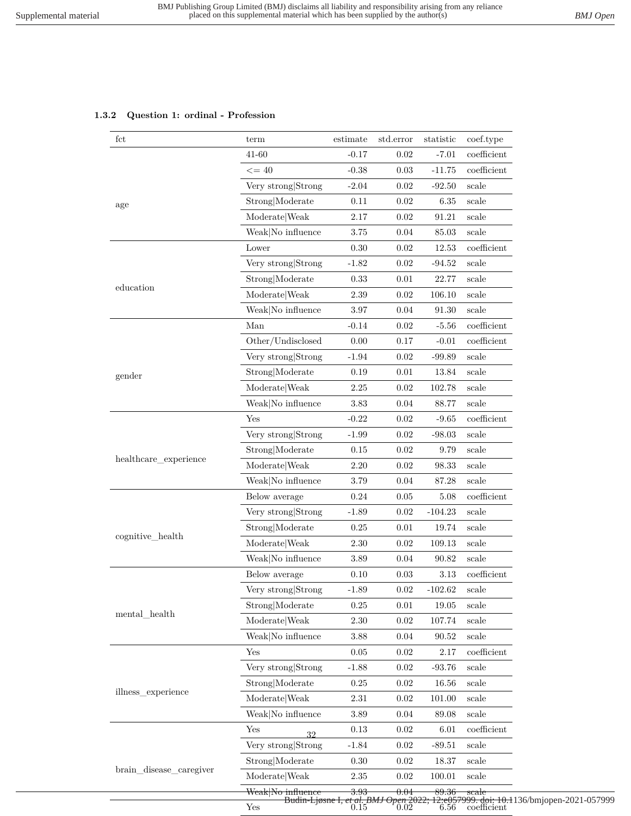## **1.3.2 Question 1: ordinal - Profession**

| fct                     | term                  | estimate | std.error | statistic | coef.type                                                                                                        |
|-------------------------|-----------------------|----------|-----------|-----------|------------------------------------------------------------------------------------------------------------------|
|                         | 41-60                 | $-0.17$  | 0.02      | $-7.01$   | $coefficient$                                                                                                    |
|                         | $\leq$ = 40           | $-0.38$  | 0.03      | $-11.75$  | coefficient                                                                                                      |
|                         | Very strong Strong    | $-2.04$  | $0.02\,$  | $-92.50$  | scale                                                                                                            |
| age                     | Strong Moderate       | $0.11\,$ | 0.02      | 6.35      | $_{\rm scale}$                                                                                                   |
|                         | ModelWeak             | $2.17\,$ | $0.02\,$  | 91.21     | scale                                                                                                            |
|                         | Weak No influence     | 3.75     | 0.04      | 85.03     | scale                                                                                                            |
|                         | Lower                 | 0.30     | 0.02      | 12.53     | $coefficient$                                                                                                    |
|                         | Very strong Strong    | $-1.82$  | 0.02      | $-94.52$  | $_{\rm scale}$                                                                                                   |
|                         | Strong Moderate       | 0.33     | 0.01      | 22.77     | scale                                                                                                            |
| education               | Moderate Weak         | 2.39     | 0.02      | 106.10    | scale                                                                                                            |
|                         | Weak No influence     | 3.97     | 0.04      | 91.30     | scale                                                                                                            |
|                         | Man                   | $-0.14$  | 0.02      | $-5.56$   | coefficient                                                                                                      |
|                         | Other/Undisclosed     | 0.00     | 0.17      | $-0.01$   | coefficient                                                                                                      |
|                         | Very strong Strong    | $-1.94$  | 0.02      | $-99.89$  | scale                                                                                                            |
| gender                  | Strong Moderate       | 0.19     | 0.01      | 13.84     | scale                                                                                                            |
|                         | Moderate Weak         | $2.25\,$ | 0.02      | 102.78    | scale                                                                                                            |
|                         | Weak No influence     | $3.83\,$ | 0.04      | 88.77     | $_{\rm scale}$                                                                                                   |
|                         | Yes                   | $-0.22$  | 0.02      | $-9.65$   | $coefficient$                                                                                                    |
|                         | Very strong Strong    | $-1.99$  | 0.02      | $-98.03$  | scale                                                                                                            |
|                         | Strong Moderate       | $0.15\,$ | 0.02      | 9.79      | scale                                                                                                            |
| healthcare_experience   | Moderate Weak         | $2.20\,$ | 0.02      | 98.33     | scale                                                                                                            |
|                         | Weak No influence     | 3.79     | 0.04      | 87.28     | scale                                                                                                            |
|                         | Below average         | $0.24\,$ | 0.05      | 5.08      | $coefficient$                                                                                                    |
|                         | Very strong Strong    | $-1.89$  | 0.02      | $-104.23$ | scale                                                                                                            |
|                         | Strong Moderate       | $0.25\,$ | 0.01      | 19.74     | scale                                                                                                            |
| cognitive_health        | Moderate Weak         | 2.30     | 0.02      | 109.13    | scale                                                                                                            |
|                         | Weak No influence     | 3.89     | 0.04      | 90.82     | scale                                                                                                            |
|                         | Below average         | 0.10     | 0.03      | 3.13      | $coefficient$                                                                                                    |
|                         | Very strong<br>Strong | 1.89     | $0.02\,$  | $-102.62$ | scale                                                                                                            |
|                         | Strong Moderate       | 0.25     | 0.01      | 19.05     | scale                                                                                                            |
| mental health           | Moderate Weak         | $2.30\,$ | 0.02      | 107.74    | scale                                                                                                            |
|                         | Weak No influence     | 3.88     | 0.04      | 90.52     | scale                                                                                                            |
|                         | Yes                   | 0.05     | 0.02      | 2.17      | $\operatorname{coefficient}$                                                                                     |
|                         | Very strong Strong    | $-1.88$  | 0.02      | $-93.76$  | scale                                                                                                            |
|                         | Strong Moderate       | 0.25     | 0.02      | 16.56     | scale                                                                                                            |
| illness experience      | Moderate Weak         | 2.31     | 0.02      | 101.00    | scale                                                                                                            |
|                         | Weak No influence     | 3.89     | 0.04      | 89.08     | scale                                                                                                            |
|                         | Yes<br>32             | $0.13\,$ | 0.02      | 6.01      | $coefficient$                                                                                                    |
|                         | Very strong Strong    | $-1.84$  | 0.02      | $-89.51$  | scale                                                                                                            |
|                         | Strong Moderate       | 0.30     | 0.02      | 18.37     | scale                                                                                                            |
| brain_disease_caregiver | Moderate Weak         | $2.35\,$ | 0.02      | 100.01    | scale                                                                                                            |
|                         | Weak No influence     | 3.93     | 0.04      | 89.36     | scale                                                                                                            |
|                         | $\operatorname{Yes}$  |          |           |           | Budin-Ljøsne I, et al. BMJ Open 2022; 12:e057999. doi: 10.1136/bmjopen-2021-057999<br>0.15 0.02 6.56 coefficient |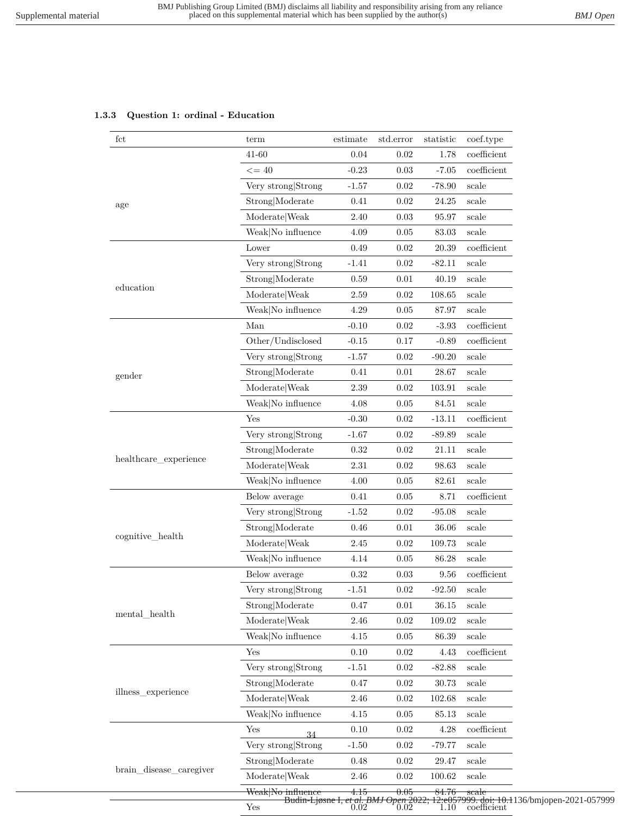## **1.3.3 Question 1: ordinal - Education**

| fct                     | term                         | estimate | std.error                             | statistic        | coef.type                                  |
|-------------------------|------------------------------|----------|---------------------------------------|------------------|--------------------------------------------|
|                         | 41-60                        | 0.04     | 0.02                                  | 1.78             | $coefficient$                              |
|                         | $\leq$ = 40                  | $-0.23$  | 0.03                                  | $-7.05$          | coefficient                                |
|                         | Very strong Strong           | $-1.57$  | 0.02                                  | $-78.90$         | scale                                      |
| age                     | Strong Moderate              | 0.41     | 0.02                                  | 24.25            | scale                                      |
|                         | Moderate Weak                | 2.40     | 0.03                                  | 95.97            | scale                                      |
|                         | Weak No influence            | 4.09     | 0.05                                  | 83.03            | scale                                      |
|                         | Lower                        | 0.49     | 0.02                                  | 20.39            | coefficient                                |
|                         | Very strong Strong           | $-1.41$  | 0.02                                  | $-82.11$         | scale                                      |
|                         | Strong Moderate              | 0.59     | 0.01                                  | 40.19            | scale                                      |
| education               | Moderate   Weak              | 2.59     | 0.02                                  | 108.65           | scale                                      |
|                         | Weak No influence            | 4.29     | 0.05                                  | 87.97            | scale                                      |
|                         | Man                          | $-0.10$  | 0.02                                  | $-3.93$          | coefficient                                |
|                         | Other/Undisclosed            | $-0.15$  | 0.17                                  | $-0.89$          | coefficient                                |
|                         | Very strong Strong           | $-1.57$  | 0.02                                  | $-90.20$         | scale                                      |
| gender                  | Strong Moderate              | 0.41     | 0.01                                  | 28.67            | scale                                      |
|                         | Moderate Weak                | 2.39     | 0.02                                  | 103.91           | scale                                      |
|                         | Weak No influence            | 4.08     | 0.05                                  | 84.51            | scale                                      |
|                         | Yes                          | $-0.30$  | 0.02                                  | $-13.11$         | coefficient                                |
|                         | Very strong Strong           | $-1.67$  | 0.02                                  | $-89.89$         | scale                                      |
|                         | Strong Moderate              | 0.32     | 0.02                                  | 21.11            | scale                                      |
| healthcare_experience   | Moderate   Weak              | 2.31     | 0.02                                  | 98.63            | scale                                      |
|                         | Weak No influence            | 4.00     | 0.05                                  | 82.61            | scale                                      |
|                         | Below average                | 0.41     | $0.05\,$                              | 8.71             | $coefficient$                              |
|                         | Very strong Strong           | $-1.52$  | 0.02                                  | $-95.08$         | scale                                      |
|                         | Strong Moderate              | 0.46     | 0.01                                  | 36.06            | scale                                      |
| cognitive_health        | Moderate   Weak              | 2.45     | 0.02                                  | 109.73           | scale                                      |
|                         | Weak No influence            | 4.14     | 0.05                                  | 86.28            | scale                                      |
|                         | Below average                | 0.32     | 0.03                                  | 9.56             | coefficient                                |
|                         | Very strong Strong           | 1.51     | 0.02                                  | $-92.50$         | scale                                      |
|                         | Strong Moderate              | 0.47     | 0.01                                  | 36.15            | scale                                      |
| mental health           | Moderate Weak                | 2.46     | 0.02                                  | 109.02           | scale                                      |
|                         | Weak No influence            | 4.15     | 0.05                                  | 86.39            | scale                                      |
|                         | Yes                          | 0.10     | 0.02                                  | 4.43             | $coefficient$                              |
|                         | Very strong Strong           | $-1.51$  | 0.02                                  | $-82.88$         | scale                                      |
|                         | Strong Moderate              | 0.47     | 0.02                                  | 30.73            | scale                                      |
| illness_experience      | Moderate Weak                | 2.46     | 0.02                                  | 102.68           | scale                                      |
|                         | Weak No influence            | 4.15     | 0.05                                  | 85.13            | scale                                      |
|                         | Yes<br>34                    | 0.10     | 0.02                                  | 4.28             | coefficient                                |
|                         | Very strong Strong           | $-1.50$  | 0.02                                  | $-79.77$         | scale                                      |
|                         | Strong Moderate              | 0.48     | 0.02                                  | 29.47            | scale                                      |
| brain_disease_caregiver | Moderate Weak                | 2.46     | $0.02\,$                              | 100.62           | scale                                      |
|                         | <del>Weak No influence</del> | 4.15     | 0.05                                  | <del>84.76</del> | $_{\rm scale}$                             |
|                         | Yes                          |          | Budin-Ljøsne I, et al. BMJ Open 2022; |                  | 12:e057999. doi: 10.11<br>1.10 coefficient |

Budin-Ljøsne I*, et al. BMJ Open* 2022; 12:e057999. doi: 10.1136/bmjopen-2021-057999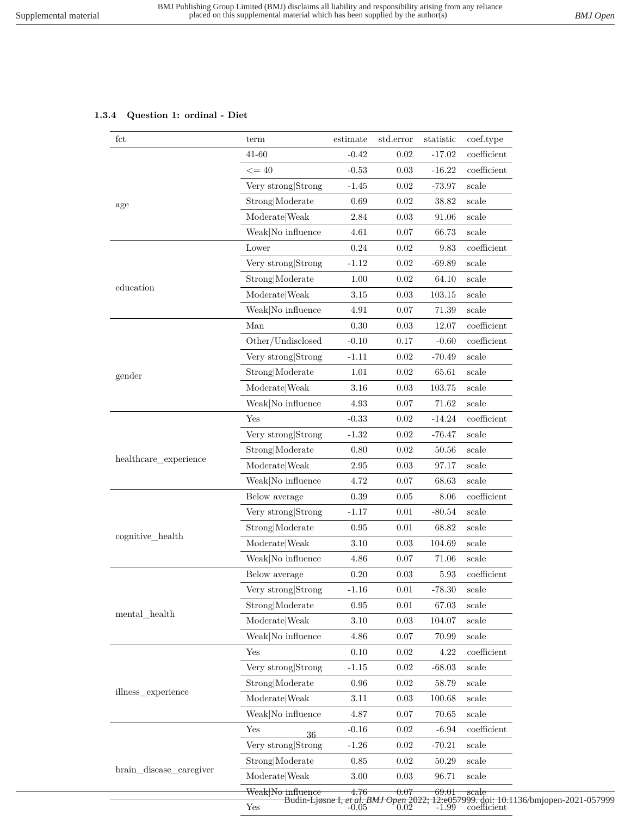### **1.3.4 Question 1: ordinal - Diet**

| fct                                                                     | term                                   | estimate | std.error                           | statistic | coef.type                                                   |
|-------------------------------------------------------------------------|----------------------------------------|----------|-------------------------------------|-----------|-------------------------------------------------------------|
|                                                                         | 41-60                                  | $-0.42$  | 0.02                                | $-17.02$  | $coefficient$                                               |
|                                                                         | $\leq$ = 40                            | $-0.53$  | 0.03                                | $-16.22$  | $coefficient$                                               |
|                                                                         | Very strong Strong                     | $-1.45$  | 0.02                                | $-73.97$  | scale                                                       |
|                                                                         | Strong Moderate                        | 0.69     | 0.02                                | 38.82     | scale                                                       |
| age<br>education<br>gender<br>healthcare_experience<br>cognitive_health | Moderate Weak                          | 2.84     | 0.03                                | 91.06     | scale                                                       |
|                                                                         | Weak No influence                      | 4.61     | 0.07                                | 66.73     | scale                                                       |
|                                                                         | Lower                                  | 0.24     | 0.02                                | 9.83      | $coefficient$                                               |
|                                                                         | Very strong Strong                     | $-1.12$  | 0.02                                | $-69.89$  | $_{\rm scale}$                                              |
|                                                                         | Strong Moderate                        | $1.00\,$ | 0.02                                | 64.10     | scale                                                       |
|                                                                         | Moderate Weak                          | 3.15     | 0.03                                | 103.15    | scale                                                       |
|                                                                         | Weak No influence                      | 4.91     | 0.07                                | 71.39     | scale                                                       |
|                                                                         | Man                                    | $0.30\,$ | 0.03                                | 12.07     | $coefficient$                                               |
|                                                                         | Other/Undisclosed                      | $-0.10$  | 0.17                                | $-0.60$   | $coefficient$                                               |
|                                                                         | Very strong Strong                     | $-1.11$  | 0.02                                | $-70.49$  | $_{\rm scale}$                                              |
|                                                                         | Strong Moderate                        | 1.01     | 0.02                                | 65.61     | scale                                                       |
|                                                                         | Moderate Weak                          | 3.16     | 0.03                                | 103.75    | scale                                                       |
|                                                                         | Weak No influence                      | 4.93     | 0.07                                | 71.62     | $_{\rm scale}$                                              |
|                                                                         | Yes                                    | $-0.33$  | 0.02                                | $-14.24$  | $coefficient$                                               |
|                                                                         | Very strong Strong                     | $-1.32$  | 0.02                                | $-76.47$  | scale                                                       |
|                                                                         | Strong Moderate                        | $0.80\,$ | 0.02                                | 50.56     | scale                                                       |
|                                                                         | Moderate   Weak                        | $2.95\,$ | 0.03                                | 97.17     | scale                                                       |
|                                                                         | Weak No influence                      | 4.72     | 0.07                                | 68.63     | $_{\rm scale}$                                              |
|                                                                         | Below average                          | 0.39     | 0.05                                | 8.06      | $coefficient$                                               |
|                                                                         | Very strong Strong                     | $-1.17$  | 0.01                                | $-80.54$  | scale                                                       |
|                                                                         | Strong Moderate                        | 0.95     | 0.01                                | 68.82     | scale                                                       |
|                                                                         | Moderate Weak                          | $3.10\,$ | 0.03                                | 104.69    | scale                                                       |
|                                                                         | Weak No influence                      | 4.86     | 0.07                                | 71.06     | scale                                                       |
|                                                                         | Below average                          | 0.20     | 0.03                                | 5.93      | $coefficient$                                               |
|                                                                         | Very strong Strong                     | $-1.16$  | $0.01\,$                            | $-78.30$  | scale                                                       |
|                                                                         | Strong Moderate                        | 0.95     | 0.01                                | 67.03     | scale                                                       |
| $\mathrm{mental\_health}$                                               | Moderate Weak                          | $3.10\,$ | 0.03                                | 104.07    | scale                                                       |
|                                                                         | Weak No influence                      | 4.86     | 0.07                                | 70.99     | scale                                                       |
|                                                                         | Yes                                    | $0.10\,$ | 0.02                                | 4.22      | $coefficient$                                               |
|                                                                         | Very strong Strong                     | $-1.15$  | 0.02                                | $-68.03$  | scale                                                       |
|                                                                         | Strong Moderate                        | 0.96     | 0.02                                | 58.79     | scale                                                       |
| illness_experience                                                      | Moderate Weak                          | 3.11     | 0.03                                | 100.68    | scale                                                       |
|                                                                         | Weak No influence                      | 4.87     | 0.07                                | 70.65     | scale                                                       |
|                                                                         | Yes                                    | $-0.16$  | 0.02                                | $-6.94$   | coefficient                                                 |
|                                                                         | 36<br>Very strong Strong               | $-1.26$  | 0.02                                | $-70.21$  | scale                                                       |
|                                                                         | Strong Moderate                        | 0.85     | 0.02                                | 50.29     | scale                                                       |
| brain_disease_caregiver                                                 | $\textbf{Modern} \times \textbf{Weak}$ | 3.00     | 0.03                                | 96.71     | scale                                                       |
|                                                                         | Weak No influence                      | 4.76     | 0.07                                | 69.01     | scale                                                       |
|                                                                         | Budin-Ljøsne I,<br>Yes                 |          | et al. BMJ Open 2022;<br>-0.05 0.02 | $-1.99$   | 12:e057999. doi: 10.1136/bmjopen-2021-057999<br>coefficient |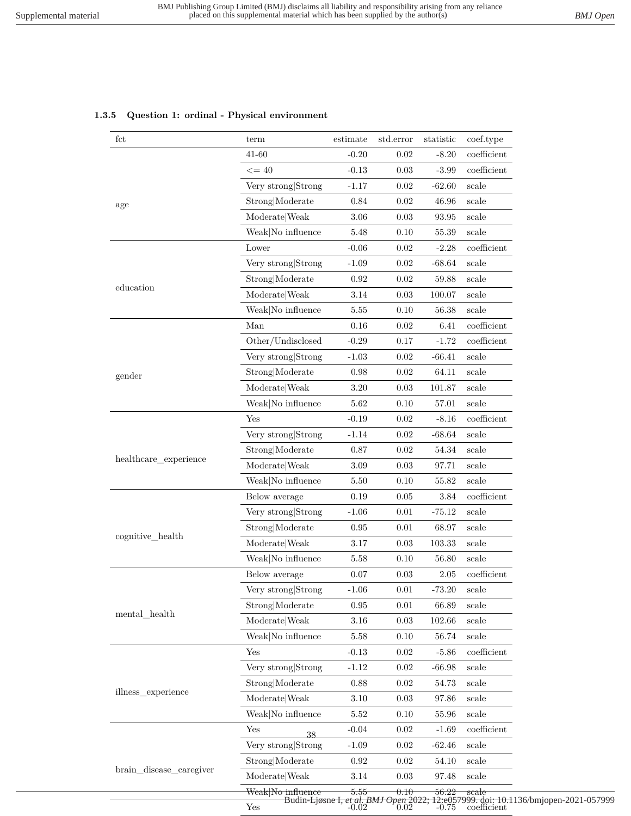### **1.3.5 Question 1: ordinal - Physical environment**

| fct                                                                                      | term                              | estimate   | std.error                             | statistic        | coef.type                                                         |
|------------------------------------------------------------------------------------------|-----------------------------------|------------|---------------------------------------|------------------|-------------------------------------------------------------------|
|                                                                                          | 41-60                             | $-0.20$    | $0.02\,$                              | $-8.20$          | $coefficient$                                                     |
|                                                                                          | $\leq$ = 40                       | $-0.13$    | 0.03                                  | $-3.99$          | coefficient                                                       |
|                                                                                          | Very strong Strong                | $-1.17$    | $0.02\,$                              | $-62.60$         | scale                                                             |
|                                                                                          | Strong Moderate                   | $0.84\,$   | $0.02\,$                              | 46.96            | scale                                                             |
|                                                                                          | Moderate Weak                     | 3.06       | 0.03                                  | 93.95            | scale                                                             |
|                                                                                          | Weak No influence                 | $5.48\,$   | 0.10                                  | 55.39            | $_{\rm scale}$                                                    |
| age<br>education<br>gender<br>healthcare_experience<br>cognitive_health<br>mental_health | Lower                             | $-0.06$    | 0.02                                  | $-2.28$          | $coefficient$                                                     |
|                                                                                          | Very strong Strong                | $-1.09$    | $0.02\,$                              | $-68.64$         | $_{\rm scale}$                                                    |
|                                                                                          | Strong Moderate                   | 0.92       | $0.02\,$                              | 59.88            | scale                                                             |
|                                                                                          | Moderate Weak                     | 3.14       | 0.03                                  | 100.07           | scale                                                             |
|                                                                                          | Weak No influence                 | 5.55       | 0.10                                  | 56.38            | scale                                                             |
|                                                                                          | Man                               | 0.16       | 0.02                                  | 6.41             | coefficient                                                       |
| illness experience<br>brain_disease_caregiver                                            | Other/Undisclosed                 | $-0.29$    | 0.17                                  | $-1.72$          | coefficient                                                       |
|                                                                                          | Very strong Strong                | $-1.03$    | 0.02                                  | $-66.41$         | scale                                                             |
|                                                                                          | Strong Moderate                   | 0.98       | $0.02\,$                              | 64.11            | scale                                                             |
|                                                                                          | Moderate Weak                     | 3.20       | 0.03                                  | 101.87           | scale                                                             |
|                                                                                          | $\text{Weak} \text{No influence}$ | $5.62\,$   | 0.10                                  | 57.01            | $_{\rm scale}$                                                    |
|                                                                                          | Yes                               | $-0.19$    | $0.02\,$                              | $-8.16$          | $coefficient$                                                     |
|                                                                                          | Very strong Strong                | $-1.14$    | $0.02\,$                              | $-68.64$         | scale                                                             |
|                                                                                          | Strong Moderate                   | 0.87       | $0.02\,$                              | 54.34            | scale                                                             |
|                                                                                          | Moderate Weak                     | $3.09\,$   | 0.03                                  | 97.71            | scale                                                             |
|                                                                                          | Weak No influence                 | 5.50       | 0.10                                  | 55.82            | scale                                                             |
|                                                                                          | Below average                     | $0.19\,$   | $0.05\,$                              | 3.84             | $coefficient$                                                     |
|                                                                                          | Very strong Strong                | $-1.06$    | 0.01                                  | $-75.12$         | scale                                                             |
|                                                                                          | Strong Moderate                   | $\rm 0.95$ | 0.01                                  | 68.97            | scale                                                             |
|                                                                                          | Moderate Weak                     | 3.17       | 0.03                                  | 103.33           | scale                                                             |
|                                                                                          | Weak No influence                 | 5.58       | 0.10                                  | 56.80            | scale                                                             |
|                                                                                          | Below average                     | 0.07       | 0.03                                  | $2.05\,$         | $coefficient$                                                     |
|                                                                                          | Very strong Strong                | $-1.06$    | $0.01\,$                              | $-73.20$         | scale                                                             |
|                                                                                          | Strong Moderate                   | 0.95       | 0.01                                  | 66.89            | scale                                                             |
|                                                                                          | Moderate Weak                     | 3.16       | 0.03                                  | 102.66           | scale                                                             |
|                                                                                          | Weak No influence                 | 5.58       | 0.10                                  | 56.74            | scale                                                             |
|                                                                                          | Yes                               | $-0.13$    | 0.02                                  | $-5.86$          | $coefficient$                                                     |
|                                                                                          | Very strong Strong                | $-1.12$    | 0.02                                  | $-66.98$         | scale                                                             |
|                                                                                          | Strong Moderate                   | $0.88\,$   | 0.02                                  | $54.73\,$        | scale                                                             |
|                                                                                          | Moderate Weak                     | $3.10\,$   | 0.03                                  | 97.86            | scale                                                             |
|                                                                                          | Weak No influence                 | 5.52       | 0.10                                  | 55.96            | scale                                                             |
|                                                                                          | Yes<br>38                         | $-0.04$    | 0.02                                  | $-1.69$          | coefficient                                                       |
|                                                                                          | Very strong Strong                | $-1.09$    | 0.02                                  | $-62.46$         | $_{\rm scale}$                                                    |
|                                                                                          | Strong Moderate                   | 0.92       | 0.02                                  | 54.10            | scale                                                             |
|                                                                                          | Moderate Weak                     | $3.14\,$   | 0.03                                  | $\mathbf{97.48}$ | scale                                                             |
|                                                                                          | Weak No influence                 | 5.55       | 0.10                                  | 56.22            | scale                                                             |
|                                                                                          | Yes                               |            | Budin-Ljøsne I, et al. BMJ Open 2022; |                  | 12:e057999. doi: 10.1136/bmjopen-2021-057999<br>-0.75 coefficient |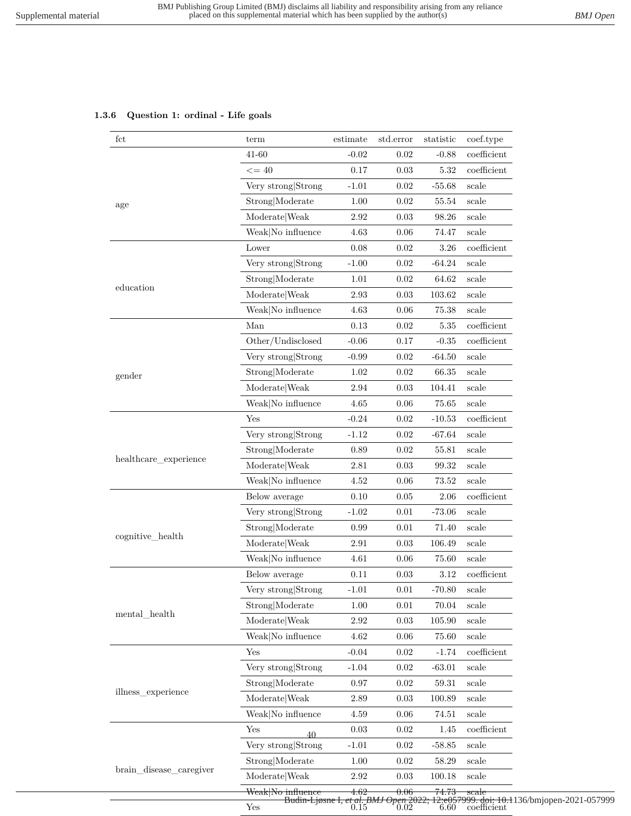# **1.3.6 Question 1: ordinal - Life goals**

| fct                                                                               | term               | estimate   | std.error | statistic | coef.type                                                                                                        |
|-----------------------------------------------------------------------------------|--------------------|------------|-----------|-----------|------------------------------------------------------------------------------------------------------------------|
|                                                                                   | 41-60              | $-0.02$    | 0.02      | $-0.88$   | $coefficient$                                                                                                    |
|                                                                                   | $\leq$ = 40        | 0.17       | 0.03      | 5.32      | $coefficient$                                                                                                    |
|                                                                                   | Very strong Strong | $-1.01$    | 0.02      | $-55.68$  | scale                                                                                                            |
|                                                                                   | Strong Moderate    | 1.00       | 0.02      | 55.54     | scale                                                                                                            |
|                                                                                   | Moderate Weak      | 2.92       | 0.03      | 98.26     | scale                                                                                                            |
|                                                                                   | Weak No influence  | $4.63\,$   | 0.06      | 74.47     | scale                                                                                                            |
|                                                                                   | Lower              | 0.08       | 0.02      | 3.26      | coefficient                                                                                                      |
|                                                                                   | Very strong Strong | $-1.00$    | 0.02      | $-64.24$  | scale                                                                                                            |
|                                                                                   | Strong Moderate    | $1.01\,$   | 0.02      | 64.62     | scale                                                                                                            |
|                                                                                   | Moderate Weak      | 2.93       | 0.03      | 103.62    | scale                                                                                                            |
|                                                                                   | Weak No influence  | 4.63       | 0.06      | 75.38     | scale                                                                                                            |
|                                                                                   | Man                | 0.13       | 0.02      | 5.35      | $coefficient$                                                                                                    |
| education<br>gender<br>healthcare_experience<br>cognitive_health                  | Other/Undisclosed  | $-0.06$    | 0.17      | $-0.35$   | $coefficient$                                                                                                    |
|                                                                                   | Very strong Strong | $-0.99$    | 0.02      | $-64.50$  | scale                                                                                                            |
|                                                                                   | Strong Moderate    | 1.02       | 0.02      | 66.35     | scale                                                                                                            |
|                                                                                   | Moderate Weak      | $\;\:2.94$ | 0.03      | 104.41    | scale                                                                                                            |
|                                                                                   | Weak No influence  | 4.65       | 0.06      | 75.65     | $_{\rm scale}$                                                                                                   |
|                                                                                   | Yes                | $-0.24$    | 0.02      | $-10.53$  | $coefficient$                                                                                                    |
|                                                                                   | Very strong Strong | $-1.12$    | 0.02      | $-67.64$  | scale                                                                                                            |
|                                                                                   | Strong Moderate    | 0.89       | 0.02      | 55.81     | $_{\rm scale}$                                                                                                   |
|                                                                                   | Moderate   Weak    | 2.81       | 0.03      | 99.32     | scale                                                                                                            |
|                                                                                   | Weak No influence  | 4.52       | 0.06      | 73.52     | $_{\rm scale}$                                                                                                   |
|                                                                                   | Below average      | 0.10       | 0.05      | 2.06      | coefficient                                                                                                      |
|                                                                                   | Very strong Strong | $-1.02$    | 0.01      | $-73.06$  | scale                                                                                                            |
|                                                                                   | Strong Moderate    | 0.99       | 0.01      | 71.40     | scale                                                                                                            |
|                                                                                   | Moderate Weak      | 2.91       | 0.03      | 106.49    | scale                                                                                                            |
|                                                                                   | Weak No influence  | 4.61       | 0.06      | 75.60     | scale                                                                                                            |
| age<br>$\mathrm{mental\_health}$<br>illness_experience<br>brain_disease_caregiver | Below average      | 0.11       | 0.03      | 3.12      | $coefficient$                                                                                                    |
|                                                                                   | Very strong Strong | $-1.01$    | 0.01      | $-70.80$  | scale                                                                                                            |
|                                                                                   | Strong Moderate    | 1.00       | 0.01      | 70.04     | scale                                                                                                            |
|                                                                                   | Moderate Weak      | $2.92\,$   | 0.03      | 105.90    | scale                                                                                                            |
|                                                                                   | Weak No influence  | 4.62       | 0.06      | 75.60     | scale                                                                                                            |
|                                                                                   | Yes                | $-0.04$    | 0.02      | $-1.74$   | $coefficient$                                                                                                    |
|                                                                                   | Very strong Strong | $-1.04$    | $0.02\,$  | $-63.01$  | scale                                                                                                            |
|                                                                                   | Strong Moderate    | $0.97\,$   | 0.02      | 59.31     | scale                                                                                                            |
|                                                                                   | Moderate Weak      | 2.89       | 0.03      | 100.89    | scale                                                                                                            |
|                                                                                   | Weak No influence  | 4.59       | 0.06      | 74.51     | scale                                                                                                            |
|                                                                                   | Yes<br>40          | $0.03\,$   | 0.02      | 1.45      | coefficient                                                                                                      |
|                                                                                   | Very strong Strong | $-1.01$    | 0.02      | $-58.85$  | scale                                                                                                            |
|                                                                                   | Strong Moderate    | 1.00       | 0.02      | 58.29     | scale                                                                                                            |
|                                                                                   | Moderate Weak      | 2.92       | 0.03      | 100.18    | scale                                                                                                            |
|                                                                                   | Weak No influence  | 4.62       | 0.06      | 74.73     | scale                                                                                                            |
|                                                                                   | ${\rm Yes}$        |            |           |           | Budin-Ljøsne I, et al. BMJ Open 2022; 12:e057999. doi: 10.1136/bmjopen-2021-057999<br>0.15 0.02 6.60 coefficient |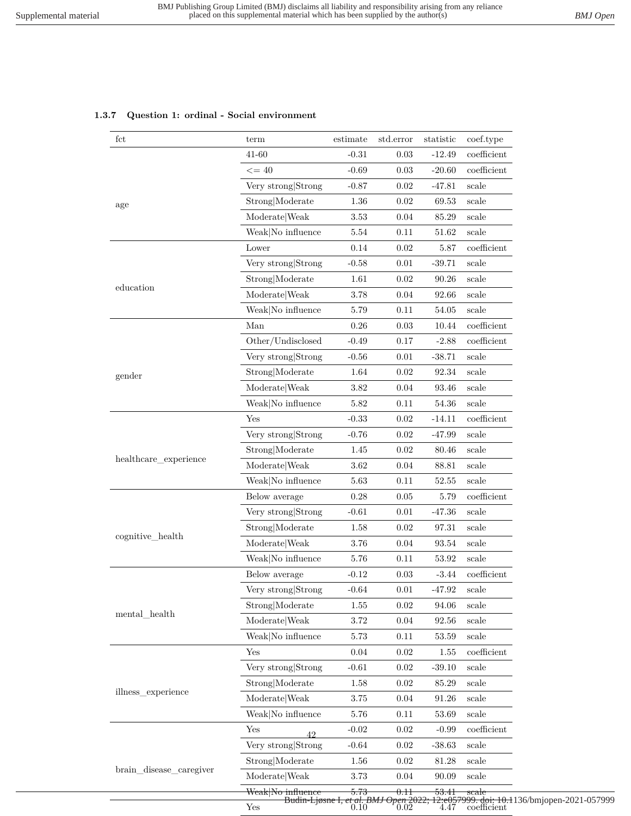### **1.3.7 Question 1: ordinal - Social environment**

| fct                                                                     | term                 | estimate                                           | std.error | statistic | coef.type                                                       |
|-------------------------------------------------------------------------|----------------------|----------------------------------------------------|-----------|-----------|-----------------------------------------------------------------|
|                                                                         | $41 - 60$            | $-0.31$                                            | 0.03      | $-12.49$  | $coefficient$                                                   |
|                                                                         | $\leq$ = 40          | $-0.69$                                            | 0.03      | $-20.60$  | $coefficient$                                                   |
|                                                                         | Very strong Strong   | $-0.87$                                            | 0.02      | $-47.81$  | $_{\rm scale}$                                                  |
| age<br>education<br>gender<br>healthcare_experience<br>cognitive_health | Strong Moderate      | $1.36\,$                                           | 0.02      | 69.53     | scale                                                           |
|                                                                         | Moderate   Weak      | 3.53                                               | 0.04      | 85.29     | scale                                                           |
| $\mathrm{mental\_health}$<br>illness experience                         | Weak No influence    | 5.54                                               | 0.11      | 51.62     | $_{\rm scale}$                                                  |
|                                                                         | Lower                | 0.14                                               | 0.02      | 5.87      | coefficient                                                     |
|                                                                         | Very strong Strong   | $-0.58$                                            | $0.01\,$  | $-39.71$  | scale                                                           |
|                                                                         | Strong Moderate      | $1.61\,$                                           | 0.02      | 90.26     | scale                                                           |
|                                                                         | Moderate Weak        | 3.78                                               | 0.04      | 92.66     | scale                                                           |
|                                                                         | Weak No influence    | 5.79                                               | 0.11      | 54.05     | scale                                                           |
|                                                                         | Man                  | 0.26                                               | 0.03      | 10.44     | $coefficient$                                                   |
|                                                                         | Other/Undisclosed    | $-0.49$                                            | 0.17      | $-2.88$   | $coefficient$                                                   |
|                                                                         | Very strong Strong   | $-0.56$                                            | 0.01      | $-38.71$  | scale                                                           |
|                                                                         | Strong Moderate      | 1.64                                               | 0.02      | $92.34\,$ | scale                                                           |
|                                                                         | Moderate Weak        | 3.82                                               | 0.04      | 93.46     | scale                                                           |
|                                                                         | Weak No influence    | $5.82\,$                                           | 0.11      | 54.36     | scale                                                           |
|                                                                         | Yes                  | $-0.33$                                            | 0.02      | $-14.11$  | coefficient                                                     |
|                                                                         | Very strong Strong   | $-0.76$                                            | 0.02      | $-47.99$  | scale                                                           |
|                                                                         | Strong Moderate      | 1.45                                               | 0.02      | 80.46     | scale                                                           |
|                                                                         | Moderate Weak        | $3.62\,$                                           | 0.04      | 88.81     | scale                                                           |
|                                                                         | Weak No influence    | 5.63                                               | 0.11      | 52.55     | scale                                                           |
|                                                                         | Below average        | 0.28                                               | 0.05      | 5.79      | $coefficient$                                                   |
|                                                                         | Very strong Strong   | $-0.61$                                            | 0.01      | $-47.36$  | scale                                                           |
|                                                                         | Strong Moderate      | 1.58                                               | 0.02      | 97.31     | scale                                                           |
|                                                                         | ModelWeak            | 3.76                                               | 0.04      | 93.54     | scale                                                           |
| brain_disease_caregiver                                                 | Weak No influence    | 5.76                                               | 0.11      | 53.92     | scale                                                           |
|                                                                         | Below average        | $-0.12$                                            | 0.03      | $-3.44$   | coefficient                                                     |
|                                                                         | Very strong Strong   | $-0.64$                                            | $0.01\,$  | $-47.92$  | $_{\rm scale}$                                                  |
|                                                                         | Strong Moderate      | 1.55                                               | 0.02      | 94.06     | scale                                                           |
|                                                                         | Moderate Weak        | $3.72\,$                                           | 0.04      | 92.56     | $_{\rm scale}$                                                  |
|                                                                         | Weak No influence    | 5.73                                               | 0.11      | 53.59     | scale                                                           |
|                                                                         | Yes                  | $0.04\,$                                           | 0.02      | 1.55      | $coefficient$                                                   |
|                                                                         | Very strong Strong   | $-0.61$                                            | $0.02\,$  | $-39.10$  | $_{\rm scale}$                                                  |
|                                                                         | Strong Moderate      | $1.58\,$                                           | 0.02      | 85.29     | scale                                                           |
|                                                                         | ModelWeak            | 3.75                                               | 0.04      | 91.26     | scale                                                           |
|                                                                         | Weak No influence    | $5.76\,$                                           | 0.11      | 53.69     | scale                                                           |
|                                                                         | Yes<br>$\Lambda$     | $\text{-}0.02$                                     | 0.02      | $-0.99$   | $coefficient$                                                   |
|                                                                         | Very strong Strong   | $-0.64$                                            | 0.02      | $-38.63$  | $_{\rm scale}$                                                  |
|                                                                         | Strong Moderate      | 1.56                                               | 0.02      | 81.28     | scale                                                           |
|                                                                         | Moderate Weak        | $3.73\,$                                           | 0.04      | 90.09     | scale                                                           |
|                                                                         | Weak No influence    | 5.73                                               | 0.11      | 53.41     | scale                                                           |
|                                                                         | $\operatorname{Yes}$ | Budin-Ljøsne I, et al. BMJ Open 2022;<br>0.10 0.02 |           |           | 12:e057999.doi: 10.1136/bmjopen-2021-057999<br>4.47 coefficient |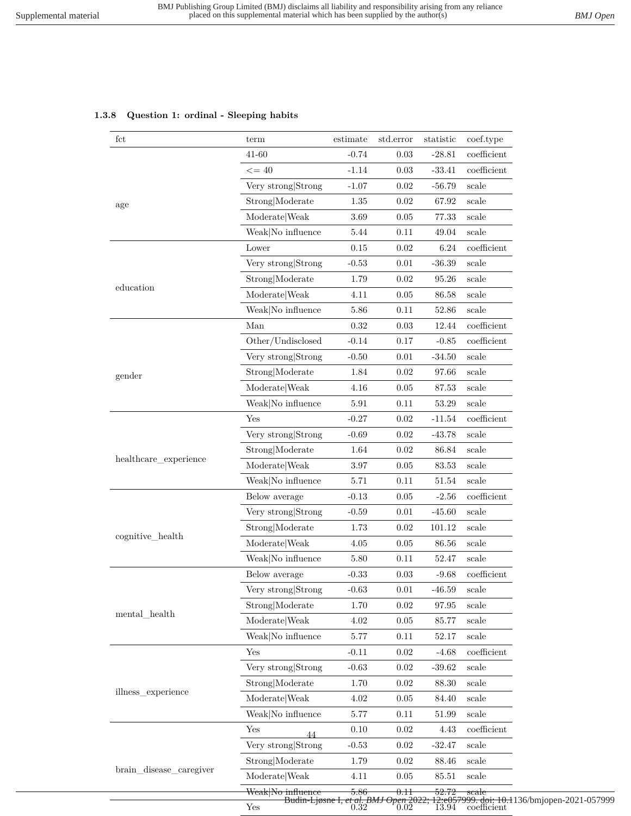|  | 1.3.8 Question 1: ordinal - Sleeping habits |  |  |  |
|--|---------------------------------------------|--|--|--|
|--|---------------------------------------------|--|--|--|

| fct                                                                                                                                                   | term                                                                                                                                                                                                                                                                                                                                                                                                                                                                                                                                                                                                                                                                                                                                                                                                                                                                                                                                                                                                                                           | estimate | std.error | statistic | coef.type      |  |  |  |  |  |  |
|-------------------------------------------------------------------------------------------------------------------------------------------------------|------------------------------------------------------------------------------------------------------------------------------------------------------------------------------------------------------------------------------------------------------------------------------------------------------------------------------------------------------------------------------------------------------------------------------------------------------------------------------------------------------------------------------------------------------------------------------------------------------------------------------------------------------------------------------------------------------------------------------------------------------------------------------------------------------------------------------------------------------------------------------------------------------------------------------------------------------------------------------------------------------------------------------------------------|----------|-----------|-----------|----------------|--|--|--|--|--|--|
|                                                                                                                                                       | $41 - 60$                                                                                                                                                                                                                                                                                                                                                                                                                                                                                                                                                                                                                                                                                                                                                                                                                                                                                                                                                                                                                                      | $-0.74$  | 0.03      | $-28.81$  | $coefficient$  |  |  |  |  |  |  |
|                                                                                                                                                       | $\leq$ = 40                                                                                                                                                                                                                                                                                                                                                                                                                                                                                                                                                                                                                                                                                                                                                                                                                                                                                                                                                                                                                                    | $-1.14$  | 0.03      | $-33.41$  | $coefficient$  |  |  |  |  |  |  |
| age<br>education<br>gender<br>healthcare_experience<br>cognitive_health<br>$\mathrm{mental\_health}$<br>illness_experience<br>brain_disease_caregiver | Very strong Strong                                                                                                                                                                                                                                                                                                                                                                                                                                                                                                                                                                                                                                                                                                                                                                                                                                                                                                                                                                                                                             | $-1.07$  | 0.02      | $-56.79$  | scale          |  |  |  |  |  |  |
|                                                                                                                                                       | Strong Moderate                                                                                                                                                                                                                                                                                                                                                                                                                                                                                                                                                                                                                                                                                                                                                                                                                                                                                                                                                                                                                                | $1.35\,$ | 0.02      | 67.92     | scale          |  |  |  |  |  |  |
|                                                                                                                                                       | Moderate   Weak                                                                                                                                                                                                                                                                                                                                                                                                                                                                                                                                                                                                                                                                                                                                                                                                                                                                                                                                                                                                                                | 3.69     | 0.05      | 77.33     | scale          |  |  |  |  |  |  |
|                                                                                                                                                       | Weak No influence                                                                                                                                                                                                                                                                                                                                                                                                                                                                                                                                                                                                                                                                                                                                                                                                                                                                                                                                                                                                                              | 5.44     | 0.11      | 49.04     | scale          |  |  |  |  |  |  |
|                                                                                                                                                       | Lower                                                                                                                                                                                                                                                                                                                                                                                                                                                                                                                                                                                                                                                                                                                                                                                                                                                                                                                                                                                                                                          | 0.15     | 0.02      | 6.24      | coefficient    |  |  |  |  |  |  |
|                                                                                                                                                       | Very strong Strong                                                                                                                                                                                                                                                                                                                                                                                                                                                                                                                                                                                                                                                                                                                                                                                                                                                                                                                                                                                                                             | $-0.53$  | 0.01      | $-36.39$  | scale          |  |  |  |  |  |  |
|                                                                                                                                                       | Strong Moderate                                                                                                                                                                                                                                                                                                                                                                                                                                                                                                                                                                                                                                                                                                                                                                                                                                                                                                                                                                                                                                | 1.79     | 0.02      | 95.26     | scale          |  |  |  |  |  |  |
|                                                                                                                                                       | $\textbf{Modern} \times \textbf{Weak}$                                                                                                                                                                                                                                                                                                                                                                                                                                                                                                                                                                                                                                                                                                                                                                                                                                                                                                                                                                                                         | 4.11     | 0.05      | $86.58\,$ | scale          |  |  |  |  |  |  |
|                                                                                                                                                       | Weak No influence                                                                                                                                                                                                                                                                                                                                                                                                                                                                                                                                                                                                                                                                                                                                                                                                                                                                                                                                                                                                                              | 5.86     | 0.11      | 52.86     | scale          |  |  |  |  |  |  |
|                                                                                                                                                       | Man                                                                                                                                                                                                                                                                                                                                                                                                                                                                                                                                                                                                                                                                                                                                                                                                                                                                                                                                                                                                                                            | 0.32     | 0.03      | 12.44     | $coefficient$  |  |  |  |  |  |  |
|                                                                                                                                                       | Other/Undisclosed                                                                                                                                                                                                                                                                                                                                                                                                                                                                                                                                                                                                                                                                                                                                                                                                                                                                                                                                                                                                                              | $-0.14$  | 0.17      | $-0.85$   | $coefficient$  |  |  |  |  |  |  |
|                                                                                                                                                       | Very strong Strong                                                                                                                                                                                                                                                                                                                                                                                                                                                                                                                                                                                                                                                                                                                                                                                                                                                                                                                                                                                                                             | $-0.50$  | 0.01      | $-34.50$  | scale          |  |  |  |  |  |  |
|                                                                                                                                                       | Strong Moderate                                                                                                                                                                                                                                                                                                                                                                                                                                                                                                                                                                                                                                                                                                                                                                                                                                                                                                                                                                                                                                | 1.84     | 0.02      | 97.66     | scale          |  |  |  |  |  |  |
|                                                                                                                                                       |                                                                                                                                                                                                                                                                                                                                                                                                                                                                                                                                                                                                                                                                                                                                                                                                                                                                                                                                                                                                                                                |          |           |           |                |  |  |  |  |  |  |
|                                                                                                                                                       |                                                                                                                                                                                                                                                                                                                                                                                                                                                                                                                                                                                                                                                                                                                                                                                                                                                                                                                                                                                                                                                |          |           |           |                |  |  |  |  |  |  |
|                                                                                                                                                       | Yes                                                                                                                                                                                                                                                                                                                                                                                                                                                                                                                                                                                                                                                                                                                                                                                                                                                                                                                                                                                                                                            |          |           |           | $coefficient$  |  |  |  |  |  |  |
|                                                                                                                                                       |                                                                                                                                                                                                                                                                                                                                                                                                                                                                                                                                                                                                                                                                                                                                                                                                                                                                                                                                                                                                                                                | $-0.69$  | 0.02      |           | scale          |  |  |  |  |  |  |
|                                                                                                                                                       |                                                                                                                                                                                                                                                                                                                                                                                                                                                                                                                                                                                                                                                                                                                                                                                                                                                                                                                                                                                                                                                |          |           |           |                |  |  |  |  |  |  |
|                                                                                                                                                       |                                                                                                                                                                                                                                                                                                                                                                                                                                                                                                                                                                                                                                                                                                                                                                                                                                                                                                                                                                                                                                                |          |           |           |                |  |  |  |  |  |  |
|                                                                                                                                                       |                                                                                                                                                                                                                                                                                                                                                                                                                                                                                                                                                                                                                                                                                                                                                                                                                                                                                                                                                                                                                                                | 5.71     | 0.11      | 51.54     | $_{\rm scale}$ |  |  |  |  |  |  |
|                                                                                                                                                       |                                                                                                                                                                                                                                                                                                                                                                                                                                                                                                                                                                                                                                                                                                                                                                                                                                                                                                                                                                                                                                                | $-0.13$  | 0.05      | $-2.56$   | $coefficient$  |  |  |  |  |  |  |
|                                                                                                                                                       |                                                                                                                                                                                                                                                                                                                                                                                                                                                                                                                                                                                                                                                                                                                                                                                                                                                                                                                                                                                                                                                | $-0.59$  | 0.01      | $-45.60$  | scale          |  |  |  |  |  |  |
|                                                                                                                                                       |                                                                                                                                                                                                                                                                                                                                                                                                                                                                                                                                                                                                                                                                                                                                                                                                                                                                                                                                                                                                                                                |          |           |           |                |  |  |  |  |  |  |
|                                                                                                                                                       |                                                                                                                                                                                                                                                                                                                                                                                                                                                                                                                                                                                                                                                                                                                                                                                                                                                                                                                                                                                                                                                | 4.05     | 0.05      |           | scale          |  |  |  |  |  |  |
|                                                                                                                                                       |                                                                                                                                                                                                                                                                                                                                                                                                                                                                                                                                                                                                                                                                                                                                                                                                                                                                                                                                                                                                                                                | 5.80     | 0.11      | 52.47     | scale          |  |  |  |  |  |  |
|                                                                                                                                                       |                                                                                                                                                                                                                                                                                                                                                                                                                                                                                                                                                                                                                                                                                                                                                                                                                                                                                                                                                                                                                                                |          | $0.03\,$  | $-9.68$   | coefficient    |  |  |  |  |  |  |
|                                                                                                                                                       |                                                                                                                                                                                                                                                                                                                                                                                                                                                                                                                                                                                                                                                                                                                                                                                                                                                                                                                                                                                                                                                | $-0.63$  | 0.01      | $-46.59$  | scale          |  |  |  |  |  |  |
|                                                                                                                                                       |                                                                                                                                                                                                                                                                                                                                                                                                                                                                                                                                                                                                                                                                                                                                                                                                                                                                                                                                                                                                                                                | 1.70     | 0.02      | 97.95     | scale          |  |  |  |  |  |  |
|                                                                                                                                                       | Moderate Weak                                                                                                                                                                                                                                                                                                                                                                                                                                                                                                                                                                                                                                                                                                                                                                                                                                                                                                                                                                                                                                  | $4.02\,$ | 0.05      | 85.77     | scale          |  |  |  |  |  |  |
|                                                                                                                                                       | Weak No influence                                                                                                                                                                                                                                                                                                                                                                                                                                                                                                                                                                                                                                                                                                                                                                                                                                                                                                                                                                                                                              | 5.77     | 0.11      | 52.17     | scale          |  |  |  |  |  |  |
|                                                                                                                                                       | Yes                                                                                                                                                                                                                                                                                                                                                                                                                                                                                                                                                                                                                                                                                                                                                                                                                                                                                                                                                                                                                                            | $-0.11$  | 0.02      | $-4.68$   | coefficient    |  |  |  |  |  |  |
|                                                                                                                                                       |                                                                                                                                                                                                                                                                                                                                                                                                                                                                                                                                                                                                                                                                                                                                                                                                                                                                                                                                                                                                                                                | $-0.63$  | 0.02      |           | scale          |  |  |  |  |  |  |
|                                                                                                                                                       | Strong Moderate                                                                                                                                                                                                                                                                                                                                                                                                                                                                                                                                                                                                                                                                                                                                                                                                                                                                                                                                                                                                                                |          | 0.02      |           | scale          |  |  |  |  |  |  |
|                                                                                                                                                       |                                                                                                                                                                                                                                                                                                                                                                                                                                                                                                                                                                                                                                                                                                                                                                                                                                                                                                                                                                                                                                                |          | 0.05      | 84.40     | scale          |  |  |  |  |  |  |
|                                                                                                                                                       |                                                                                                                                                                                                                                                                                                                                                                                                                                                                                                                                                                                                                                                                                                                                                                                                                                                                                                                                                                                                                                                | 5.77     | 0.11      | 51.99     | scale          |  |  |  |  |  |  |
|                                                                                                                                                       | Yes                                                                                                                                                                                                                                                                                                                                                                                                                                                                                                                                                                                                                                                                                                                                                                                                                                                                                                                                                                                                                                            |          | 0.02      | 4.43      | coefficient    |  |  |  |  |  |  |
|                                                                                                                                                       |                                                                                                                                                                                                                                                                                                                                                                                                                                                                                                                                                                                                                                                                                                                                                                                                                                                                                                                                                                                                                                                |          |           |           |                |  |  |  |  |  |  |
|                                                                                                                                                       |                                                                                                                                                                                                                                                                                                                                                                                                                                                                                                                                                                                                                                                                                                                                                                                                                                                                                                                                                                                                                                                |          |           |           |                |  |  |  |  |  |  |
|                                                                                                                                                       |                                                                                                                                                                                                                                                                                                                                                                                                                                                                                                                                                                                                                                                                                                                                                                                                                                                                                                                                                                                                                                                |          |           |           |                |  |  |  |  |  |  |
|                                                                                                                                                       |                                                                                                                                                                                                                                                                                                                                                                                                                                                                                                                                                                                                                                                                                                                                                                                                                                                                                                                                                                                                                                                |          |           |           |                |  |  |  |  |  |  |
|                                                                                                                                                       | Moderate Weak<br>4.16<br>0.05<br>87.53<br>scale<br>Weak No influence<br>$5.91\,$<br>0.11<br>53.29<br>scale<br>$-0.27$<br>0.02<br>$\textbf{-11.54}$<br>Very strong Strong<br>$-43.78$<br>Strong Moderate<br>1.64<br>0.02<br>86.84<br>$_{\rm scale}$<br>Moderate Weak<br>3.97<br>0.05<br>83.53<br>scale<br>Weak No influence<br>Below average<br>Very strong Strong<br>Strong Moderate<br>1.73<br>0.02<br>101.12<br>scale<br>Moderate Weak<br>86.56<br>Weak No influence<br>Below average<br>$-0.33$<br>Very strong Strong<br>Strong Moderate<br>Very strong Strong<br>$-39.62$<br>1.70<br>$88.30\,$<br>Moderate Weak<br>4.02<br>Weak No influence<br>$0.10\,$<br>44<br>Very strong Strong<br>$-0.53$<br>$0.02\,$<br>$-32.47$<br>scale<br>Strong Moderate<br>1.79<br>0.02<br>88.46<br>scale<br>Moderate Weak<br>4.11<br>0.05<br>85.51<br>scale<br>Weak No influence<br>5.86<br>52.72<br>$_{\rm scale}$<br>0.11<br>12:e057999. doi: 10.1136/bmjopen-2021-057999<br>13.94 coefficient<br>Budin-Ljøsne I, et al. BMJ Open 2022;<br>0.32 0.02<br>Yes |          |           |           |                |  |  |  |  |  |  |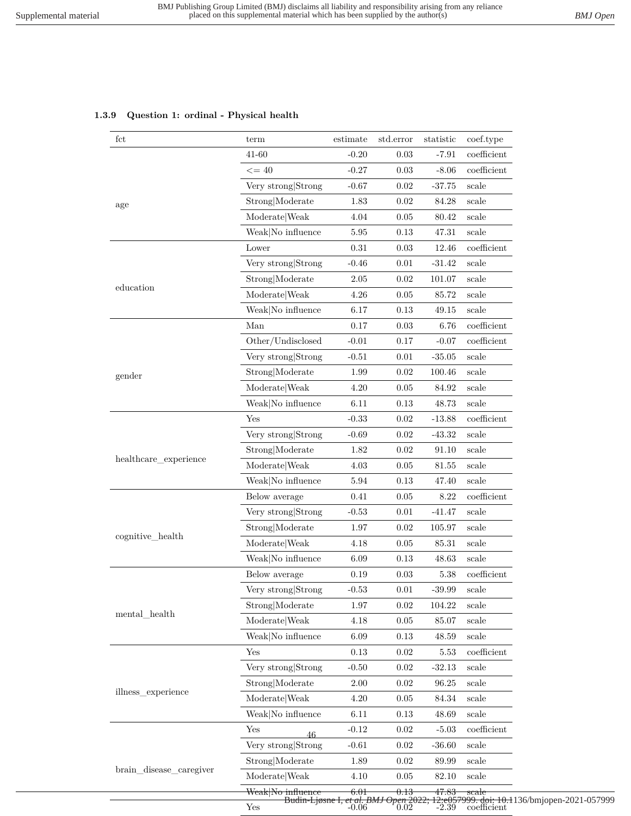# **1.3.9 Question 1: ordinal - Physical health**

| fct                                                                     | term                                                                                                                                                     | estimate | std.error | statistic   | coef.type                |  |  |  |  |  |
|-------------------------------------------------------------------------|----------------------------------------------------------------------------------------------------------------------------------------------------------|----------|-----------|-------------|--------------------------|--|--|--|--|--|
|                                                                         | 41-60                                                                                                                                                    | $-0.20$  | 0.03      | $-7.91$     | $coefficient$            |  |  |  |  |  |
|                                                                         | $\leq$ = 40                                                                                                                                              | $-0.27$  | $0.03\,$  | $-8.06$     | $coefficient$            |  |  |  |  |  |
| age<br>education<br>gender<br>healthcare_experience<br>cognitive_health | Very strong Strong                                                                                                                                       | $-0.67$  | 0.02      | $-37.75$    | scale                    |  |  |  |  |  |
|                                                                         | Strong Moderate                                                                                                                                          | 1.83     | 0.02      | 84.28       | scale                    |  |  |  |  |  |
|                                                                         | Moderate Weak                                                                                                                                            | 4.04     | 0.05      | 80.42       | $_{\rm scale}$           |  |  |  |  |  |
|                                                                         | Weak No influence                                                                                                                                        | 5.95     | 0.13      | 47.31       | scale                    |  |  |  |  |  |
|                                                                         | Lower                                                                                                                                                    | 0.31     | 0.03      | 12.46       | $coefficient$            |  |  |  |  |  |
|                                                                         | Very strong Strong                                                                                                                                       | $-0.46$  | 0.01      | $-31.42$    | $_{\rm scale}$           |  |  |  |  |  |
|                                                                         | Strong Moderate                                                                                                                                          | 2.05     | 0.02      | 101.07      | scale                    |  |  |  |  |  |
|                                                                         | Moderate Weak                                                                                                                                            | 4.26     | 0.05      | 85.72       | scale                    |  |  |  |  |  |
|                                                                         | Weak No influence                                                                                                                                        | 6.17     | 0.13      | 49.15       | $_{\rm scale}$           |  |  |  |  |  |
| mental health<br>illness_experience                                     | Man                                                                                                                                                      | 0.17     | 0.03      | 6.76        | coefficient              |  |  |  |  |  |
|                                                                         | Other/Undisclosed                                                                                                                                        | $-0.01$  | 0.17      | $-0.07$     | $coefficient$            |  |  |  |  |  |
|                                                                         | Very strong Strong                                                                                                                                       | $-0.51$  | 0.01      | $-35.05$    | scale                    |  |  |  |  |  |
|                                                                         | Strong Moderate                                                                                                                                          | 1.99     | 0.02      | 100.46      | $_{\rm scale}$           |  |  |  |  |  |
|                                                                         | Moderate Weak                                                                                                                                            | 4.20     | 0.05      | 84.92       | scale                    |  |  |  |  |  |
|                                                                         | Weak No influence                                                                                                                                        | 6.11     | $0.13\,$  | 48.73       | scale                    |  |  |  |  |  |
|                                                                         | Yes                                                                                                                                                      | $-0.33$  | $0.02\,$  | $-13.88$    | $coefficient$            |  |  |  |  |  |
|                                                                         | Very strong Strong                                                                                                                                       | $-0.69$  | 0.02      | $-43.32$    | scale                    |  |  |  |  |  |
|                                                                         | Strong Moderate                                                                                                                                          | 1.82     | 0.02      | 91.10       | scale                    |  |  |  |  |  |
|                                                                         | Moderate Weak                                                                                                                                            | 4.03     | 0.05      | 81.55       | scale                    |  |  |  |  |  |
|                                                                         | Weak No influence                                                                                                                                        | 5.94     | 0.13      | 47.40       | $_{\rm scale}$           |  |  |  |  |  |
|                                                                         | Below average                                                                                                                                            | 0.41     | 0.05      | 8.22        | coefficient              |  |  |  |  |  |
|                                                                         | Very strong Strong                                                                                                                                       | $-0.53$  | $0.01\,$  | $-41.47$    | $_{\rm scale}$           |  |  |  |  |  |
|                                                                         | Strong Moderate                                                                                                                                          | 1.97     | $0.02\,$  | 105.97      | scale                    |  |  |  |  |  |
|                                                                         | Moderate Weak                                                                                                                                            | 4.18     | $0.05\,$  | 85.31       | scale                    |  |  |  |  |  |
| brain_disease_caregiver                                                 | Weak No influence                                                                                                                                        | 6.09     | 0.13      | 48.63       | scale                    |  |  |  |  |  |
|                                                                         | Below average                                                                                                                                            | 0.19     | $0.03\,$  | 5.38        | $coefficient$            |  |  |  |  |  |
|                                                                         |                                                                                                                                                          | $-0.53$  | 0.01      | $-39.99$    | scale                    |  |  |  |  |  |
|                                                                         | Strong Moderate                                                                                                                                          | 1.97     | $0.02\,$  | 104.22      | scale                    |  |  |  |  |  |
|                                                                         | Moderate Weak                                                                                                                                            | 4.18     | 0.05      | 85.07       | scale                    |  |  |  |  |  |
|                                                                         | Weak No influence                                                                                                                                        | 6.09     | 0.13      | $\!48.59\!$ | scale                    |  |  |  |  |  |
|                                                                         | Yes                                                                                                                                                      | 0.13     | 0.02      | 5.53        | coefficient              |  |  |  |  |  |
|                                                                         | Very strong Strong                                                                                                                                       | $-0.50$  | $0.02\,$  | $-32.13$    | scale                    |  |  |  |  |  |
|                                                                         | Strong Moderate                                                                                                                                          | 2.00     | $0.02\,$  | 96.25       | scale                    |  |  |  |  |  |
|                                                                         | Moderate Weak                                                                                                                                            | 4.20     | 0.05      | $84.34\,$   | $_{\mbox{\small scale}}$ |  |  |  |  |  |
|                                                                         | Weak No influence                                                                                                                                        | 6.11     | 0.13      | 48.69       | scale                    |  |  |  |  |  |
|                                                                         | Yes                                                                                                                                                      | $-0.12$  | $0.02\,$  | $-5.03$     | coefficient              |  |  |  |  |  |
|                                                                         | Very strong Strong                                                                                                                                       | $-0.61$  | $0.02\,$  | $-36.60$    | scale                    |  |  |  |  |  |
|                                                                         | Strong Moderate                                                                                                                                          | 1.89     | 0.02      | 89.99       | scale                    |  |  |  |  |  |
|                                                                         | Moderate Weak                                                                                                                                            | 4.10     | 0.05      | 82.10       | scale                    |  |  |  |  |  |
|                                                                         | Weak No influence                                                                                                                                        | 6.01     | 0.13      | 47.83       | scale                    |  |  |  |  |  |
|                                                                         | Very strong<br> Strong<br>46<br>12:e057999.doi: 10.1136/bmjopen-2021-057999<br>-2.39 coefficient<br>Budin-Ljøsne I, et al. BMJ Open 2022;<br>${\rm Yes}$ |          |           |             |                          |  |  |  |  |  |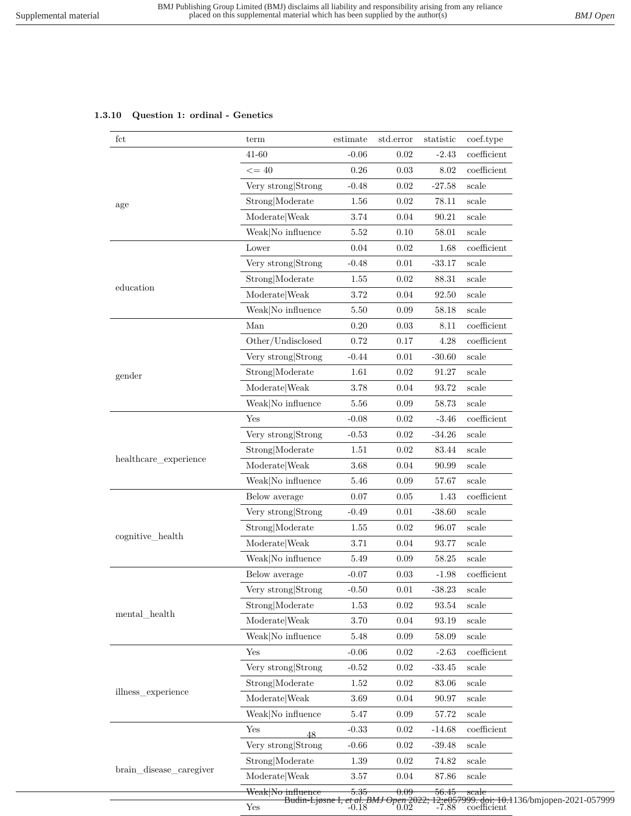# **1.3.10 Question 1: ordinal - Genetics**

| fct                                                                                                  | term                                   | estimate | std.error                          | statistic | coef.type                                                  |
|------------------------------------------------------------------------------------------------------|----------------------------------------|----------|------------------------------------|-----------|------------------------------------------------------------|
|                                                                                                      | 41-60                                  | $-0.06$  | 0.02                               | $-2.43$   | $coefficient$                                              |
|                                                                                                      | $\leq$ = 40                            | $0.26\,$ | 0.03                               | $8.02\,$  | $coefficient$                                              |
|                                                                                                      | Very strong Strong                     | $-0.48$  | 0.02                               | $-27.58$  | scale                                                      |
|                                                                                                      | Strong Moderate                        | $1.56\,$ | 0.02                               | 78.11     | scale                                                      |
|                                                                                                      | Moderate Weak                          | 3.74     | 0.04                               | 90.21     | scale                                                      |
|                                                                                                      | Weak No influence                      | $5.52\,$ | 0.10                               | 58.01     | scale                                                      |
| age<br>education<br>gender<br>healthcare_experience<br>cognitive_health<br>$\mathrm{mental\_health}$ | Lower                                  | 0.04     | 0.02                               | 1.68      | $coefficient$                                              |
|                                                                                                      | Very strong Strong                     | $-0.48$  | 0.01                               | $-33.17$  | scale                                                      |
|                                                                                                      | Strong Moderate                        | 1.55     | 0.02                               | 88.31     | scale                                                      |
|                                                                                                      | $\textbf{Modern} \times \textbf{Weak}$ | $3.72\,$ | 0.04                               | 92.50     | scale                                                      |
|                                                                                                      | Weak No influence                      | 5.50     | 0.09                               | 58.18     | scale                                                      |
|                                                                                                      | Man                                    | 0.20     | 0.03                               | 8.11      | $coefficient$                                              |
|                                                                                                      | Other/Undisclosed                      | 0.72     | 0.17                               | 4.28      | $coefficient$                                              |
|                                                                                                      | Very strong Strong                     | $-0.44$  | 0.01                               | $-30.60$  | scale                                                      |
|                                                                                                      | Strong Moderate                        | 1.61     | 0.02                               | 91.27     | scale                                                      |
|                                                                                                      | Moderate Weak                          | 3.78     | 0.04                               | 93.72     | scale                                                      |
|                                                                                                      | Weak No influence                      | 5.56     | 0.09                               | 58.73     | scale                                                      |
|                                                                                                      | Yes                                    | $-0.08$  | 0.02                               | $-3.46$   | $coefficient$                                              |
|                                                                                                      | Very strong Strong                     | $-0.53$  | 0.02                               | $-34.26$  | scale                                                      |
|                                                                                                      | Strong Moderate                        | 1.51     | 0.02                               | 83.44     | $_{\rm scale}$                                             |
|                                                                                                      | Moderate Weak                          | 3.68     | 0.04                               | 90.99     | scale                                                      |
|                                                                                                      | Weak No influence                      | 5.46     | 0.09                               | 57.67     | $_{\rm scale}$                                             |
|                                                                                                      | Below average                          | 0.07     | 0.05                               | 1.43      | $coefficient$                                              |
|                                                                                                      | Very strong Strong                     | $-0.49$  | 0.01                               | $-38.60$  | scale                                                      |
|                                                                                                      | Strong Moderate                        | 1.55     | 0.02                               | 96.07     | scale                                                      |
|                                                                                                      | Moderate Weak                          | 3.71     | 0.04                               | 93.77     | $_{\rm scale}$                                             |
|                                                                                                      | Weak No influence                      | 5.49     | 0.09                               | 58.25     | scale                                                      |
|                                                                                                      | Below average                          | $-0.07$  | 0.03                               | $-1.98$   | $coefficient$                                              |
|                                                                                                      | Very strong Strong                     | $-0.50$  | 0.01                               | $-38.23$  | scale                                                      |
|                                                                                                      | Strong Moderate                        | 1.53     | 0.02                               | 93.54     | scale                                                      |
|                                                                                                      | Moderate Weak                          | $3.70\,$ | 0.04                               | 93.19     | scale                                                      |
|                                                                                                      | Weak No influence                      | $5.48\,$ | 0.09                               | 58.09     | $_{\rm scale}$                                             |
|                                                                                                      | Yes                                    | $-0.06$  | $0.02\,$                           | $-2.63$   | coefficient                                                |
|                                                                                                      | Very strong Strong                     | $-0.52$  | $0.02\,$                           | $-33.45$  | scale                                                      |
|                                                                                                      | Strong Moderate                        | $1.52\,$ | 0.02                               | $83.06\,$ | scale                                                      |
| illness_experience                                                                                   | Moderate Weak                          | $3.69\,$ | 0.04                               | 90.97     | scale                                                      |
|                                                                                                      | Weak No influence                      | $5.47\,$ | 0.09                               | 57.72     | scale                                                      |
|                                                                                                      | Yes<br>48                              | $-0.33$  | $0.02\,$                           | $-14.68$  | $coefficient$                                              |
|                                                                                                      | Very strong Strong                     | $-0.66$  | 0.02                               | $-39.48$  | scale                                                      |
|                                                                                                      | Strong Moderate                        | 1.39     | 0.02                               | 74.82     | scale                                                      |
| brain_disease_caregiver                                                                              | Moderate Weak                          | $3.57\,$ | 0.04                               | 87.86     | scale                                                      |
|                                                                                                      | Weak No influence                      | 5.35     | 0.09                               | 56.45     | scale                                                      |
|                                                                                                      | Budin-Ljøsne I,<br>Yes                 |          | et al. BMJ Open 2022<br>-0.18 0.02 | $-7.88$   | 2:e057999. doi: 10.1136/bmjopen-2021-057999<br>coefficient |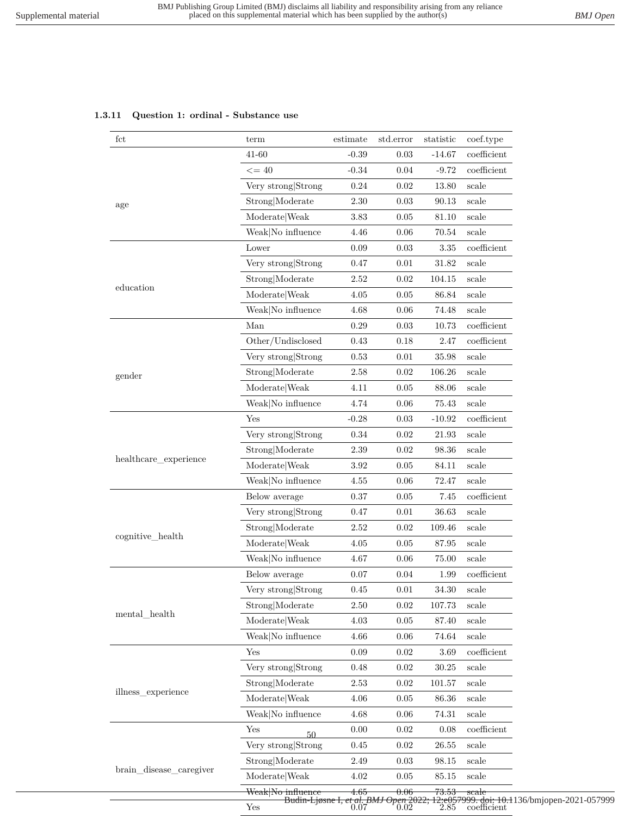## **1.3.11 Question 1: ordinal - Substance use**

| fct                                                                     | term                 | estimate                                           | std.error | statistic | coef.type                                                       |
|-------------------------------------------------------------------------|----------------------|----------------------------------------------------|-----------|-----------|-----------------------------------------------------------------|
|                                                                         | $41 - 60$            | $-0.39$                                            | 0.03      | $-14.67$  | $coefficient$                                                   |
|                                                                         | $\leq$ = 40          | $-0.34$                                            | 0.04      | $-9.72$   | $coefficient$                                                   |
|                                                                         | Very strong Strong   | 0.24                                               | 0.02      | 13.80     | $_{\rm scale}$                                                  |
| age<br>education<br>gender<br>healthcare_experience<br>cognitive_health | Strong Moderate      | 2.30                                               | 0.03      | 90.13     | scale                                                           |
|                                                                         | Moderate   Weak      | 3.83                                               | 0.05      | 81.10     | scale                                                           |
| $\mathrm{mental\_health}$<br>illness experience                         | Weak No influence    | 4.46                                               | 0.06      | 70.54     | $_{\rm scale}$                                                  |
|                                                                         | Lower                | $0.09\,$                                           | 0.03      | 3.35      | coefficient                                                     |
|                                                                         | Very strong Strong   | 0.47                                               | $0.01\,$  | 31.82     | scale                                                           |
|                                                                         | Strong Moderate      | $2.52\,$                                           | 0.02      | 104.15    | scale                                                           |
|                                                                         | Moderate Weak        | 4.05                                               | 0.05      | 86.84     | scale                                                           |
|                                                                         | Weak No influence    | 4.68                                               | 0.06      | 74.48     | scale                                                           |
|                                                                         | Man                  | 0.29                                               | 0.03      | 10.73     | $coefficient$                                                   |
| brain_disease_caregiver                                                 | Other/Undisclosed    | $0.43\,$                                           | 0.18      | 2.47      | $coefficient$                                                   |
|                                                                         | Very strong Strong   | 0.53                                               | 0.01      | 35.98     | scale                                                           |
|                                                                         | Strong Moderate      | $2.58\,$                                           | 0.02      | 106.26    | scale                                                           |
|                                                                         | Moderate Weak        | 4.11                                               | 0.05      | 88.06     | scale                                                           |
|                                                                         | Weak No influence    | 4.74                                               | 0.06      | 75.43     | scale                                                           |
|                                                                         | Yes                  | $-0.28$                                            | 0.03      | $-10.92$  | coefficient                                                     |
|                                                                         | Very strong Strong   | $0.34\,$                                           | 0.02      | $21.93\,$ | scale                                                           |
|                                                                         | Strong Moderate      | 2.39                                               | 0.02      | 98.36     | scale                                                           |
|                                                                         | Moderate Weak        | $3.92\,$                                           | 0.05      | 84.11     | scale                                                           |
|                                                                         | Weak No influence    | 4.55                                               | 0.06      | 72.47     | scale                                                           |
|                                                                         | Below average        | 0.37                                               | 0.05      | 7.45      | $coefficient$                                                   |
|                                                                         | Very strong Strong   | 0.47                                               | 0.01      | 36.63     | scale                                                           |
|                                                                         | Strong Moderate      | 2.52                                               | 0.02      | 109.46    | scale                                                           |
|                                                                         | ModelWeak            | 4.05                                               | 0.05      | 87.95     | scale                                                           |
|                                                                         | Weak No influence    | 4.67                                               | 0.06      | 75.00     | scale                                                           |
|                                                                         | Below average        | 0.07                                               | 0.04      | 1.99      | coefficient                                                     |
|                                                                         | Very strong Strong   | 0.45                                               | $0.01\,$  | $34.30\,$ | $_{\rm scale}$                                                  |
|                                                                         | Strong Moderate      | 2.50                                               | 0.02      | 107.73    | scale                                                           |
|                                                                         | Moderate Weak        | $4.03\,$                                           | 0.05      | 87.40     | $_{\rm scale}$                                                  |
|                                                                         | Weak No influence    | 4.66                                               | 0.06      | 74.64     | scale                                                           |
|                                                                         | Yes                  | $0.09\,$                                           | 0.02      | $3.69\,$  | $coefficient$                                                   |
|                                                                         | Very strong Strong   | 0.48                                               | $0.02\,$  | 30.25     | $_{\rm scale}$                                                  |
|                                                                         | Strong Moderate      | 2.53                                               | 0.02      | 101.57    | $_{\rm scale}$                                                  |
|                                                                         | ModelWeak            | 4.06                                               | 0.05      | 86.36     | scale                                                           |
|                                                                         | Weak No influence    | $4.68\,$                                           | 0.06      | 74.31     | scale                                                           |
|                                                                         | Yes<br>50            | $0.00\,$                                           | 0.02      | 0.08      | $coefficient$                                                   |
|                                                                         | Very strong Strong   | 0.45                                               | 0.02      | 26.55     | $_{\rm scale}$                                                  |
|                                                                         | Strong Moderate      | 2.49                                               | 0.03      | 98.15     | scale                                                           |
|                                                                         | Moderate Weak        | 4.02                                               | $0.05\,$  | 85.15     | scale                                                           |
|                                                                         | Weak No influence    | 4.65                                               | 0.06      | 73.53     | scale                                                           |
|                                                                         | $\operatorname{Yes}$ | Budin-Ljøsne I, et al. BMJ Open 2022;<br>0.07 0.02 |           |           | 12:e057999.doi: 10.1136/bmjopen-2021-057999<br>2.85 coefficient |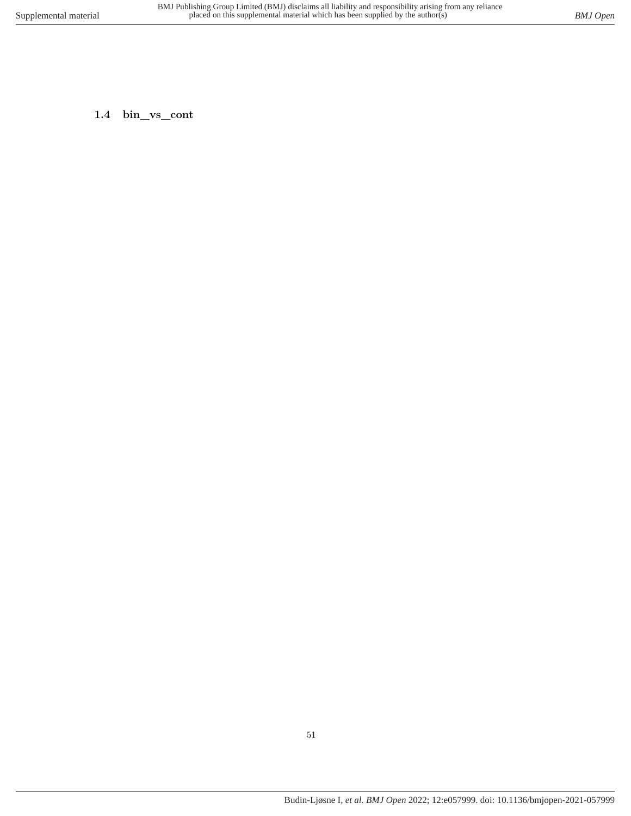**1.4 bin\_vs\_cont**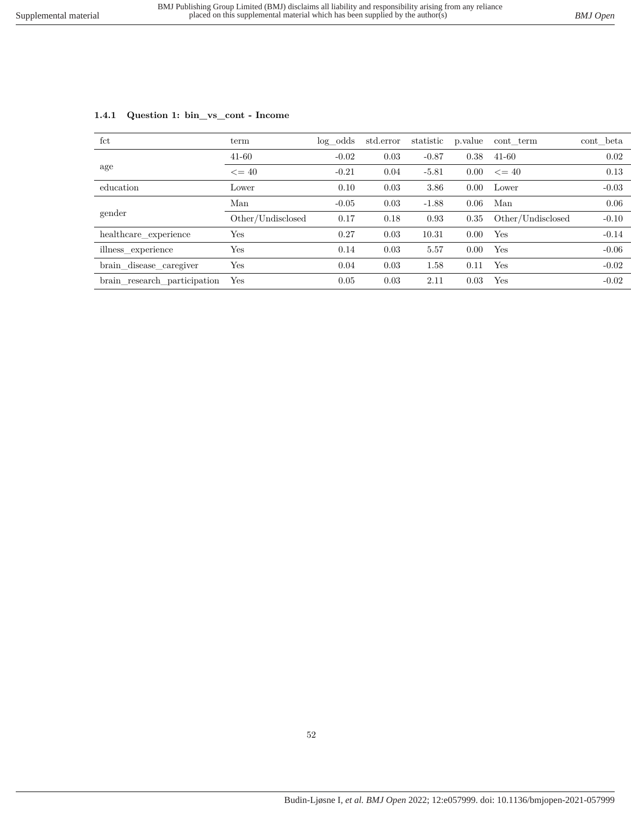| fct                          | term              | log odds | std.error | statistic | p.value | cont term         | cont beta |
|------------------------------|-------------------|----------|-----------|-----------|---------|-------------------|-----------|
|                              | $41 - 60$         | $-0.02$  | 0.03      | $-0.87$   | 0.38    | $41 - 60$         | 0.02      |
| age                          | $\leq$ = 40       | $-0.21$  | 0.04      | $-5.81$   | 0.00    | $\leq$ = 40       | 0.13      |
| education                    | Lower             | 0.10     | 0.03      | 3.86      | 0.00    | Lower             | $-0.03$   |
|                              | Man               | $-0.05$  | 0.03      | $-1.88$   | 0.06    | Man               | 0.06      |
| gender                       | Other/Undisclosed | 0.17     | 0.18      | 0.93      | 0.35    | Other/Undisclosed | $-0.10$   |
| healthcare_experience        | Yes               | 0.27     | 0.03      | 10.31     | 0.00    | Yes               | $-0.14$   |
| illness experience           | Yes               | 0.14     | 0.03      | 5.57      | 0.00    | Yes               | $-0.06$   |
| brain_disease_caregiver      | Yes               | 0.04     | 0.03      | 1.58      | 0.11    | Yes               | $-0.02$   |
| brain_research_participation | Yes               | 0.05     | 0.03      | 2.11      | 0.03    | Yes               | $-0.02$   |

### **1.4.1 Question 1: bin\_vs\_cont - Income**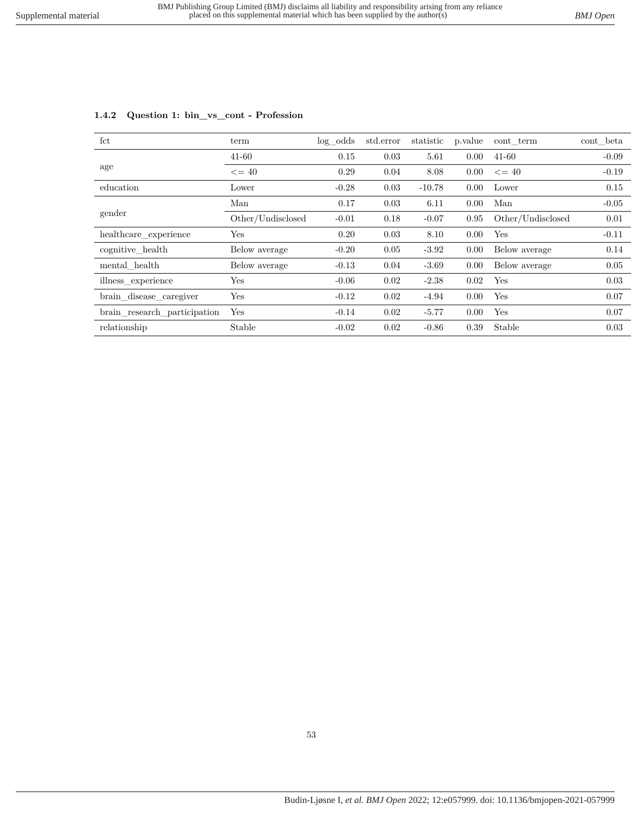| fct                          | term              | $log\_odds$ | std.error | statistic | p.value | cont term         | cont beta |
|------------------------------|-------------------|-------------|-----------|-----------|---------|-------------------|-----------|
|                              | $41 - 60$         | 0.15        | 0.03      | 5.61      | 0.00    | $41 - 60$         | $-0.09$   |
| age                          | $\leq$ = 40       | 0.29        | 0.04      | 8.08      | 0.00    | $\leq$ = 40       | $-0.19$   |
| education                    | Lower             | $-0.28$     | 0.03      | $-10.78$  | 0.00    | Lower             | 0.15      |
| gender                       | Man               | 0.17        | 0.03      | 6.11      | 0.00    | Man               | $-0.05$   |
|                              | Other/Undisclosed | $-0.01$     | 0.18      | $-0.07$   | 0.95    | Other/Undisclosed | 0.01      |
| healthcare experience        | Yes               | 0.20        | 0.03      | 8.10      | 0.00    | Yes               | $-0.11$   |
| cognitive health             | Below average     | $-0.20$     | 0.05      | $-3.92$   | 0.00    | Below average     | 0.14      |
| mental health                | Below average     | $-0.13$     | 0.04      | $-3.69$   | 0.00    | Below average     | 0.05      |
| illness experience           | Yes               | $-0.06$     | 0.02      | $-2.38$   | 0.02    | Yes               | 0.03      |
| brain_disease_caregiver      | Yes               | $-0.12$     | 0.02      | $-4.94$   | 0.00    | Yes               | 0.07      |
| brain research participation | Yes               | $-0.14$     | 0.02      | $-5.77$   | 0.00    | Yes               | 0.07      |
| relationship                 | Stable            | $-0.02$     | 0.02      | $-0.86$   | 0.39    | Stable            | 0.03      |
|                              |                   |             |           |           |         |                   |           |

# **1.4.2 Question 1: bin\_vs\_cont - Profession**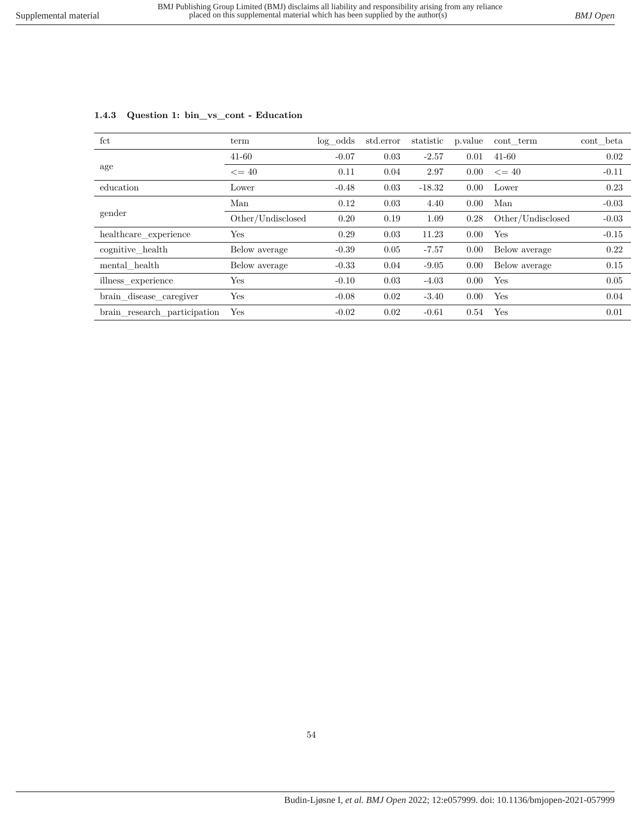| fct                          | term              | $log\_odds$ | std.error | statistic | p.value | cont term         | cont beta |
|------------------------------|-------------------|-------------|-----------|-----------|---------|-------------------|-----------|
|                              | $41 - 60$         | $-0.07$     | 0.03      | $-2.57$   | 0.01    | $41 - 60$         | 0.02      |
| age                          | $\leq$ = 40       | 0.11        | 0.04      | 2.97      | 0.00    | $\leq$ 40         | $-0.11$   |
| education                    | Lower             | $-0.48$     | 0.03      | $-18.32$  | 0.00    | Lower             | 0.23      |
| gender                       | Man               | 0.12        | 0.03      | 4.40      | 0.00    | Man               | $-0.03$   |
|                              | Other/Undisclosed | 0.20        | 0.19      | 1.09      | 0.28    | Other/Undisclosed | $-0.03$   |
| healthcare experience        | Yes               | 0.29        | 0.03      | 11.23     | 0.00    | Yes               | $-0.15$   |
| cognitive health             | Below average     | $-0.39$     | 0.05      | $-7.57$   | 0.00    | Below average     | 0.22      |
| mental health                | Below average     | $-0.33$     | 0.04      | $-9.05$   | 0.00    | Below average     | 0.15      |
| illness experience           | Yes               | $-0.10$     | 0.03      | $-4.03$   | 0.00    | Yes               | 0.05      |
| brain_disease_caregiver      | Yes               | $-0.08$     | 0.02      | $-3.40$   | 0.00    | Yes               | 0.04      |
| brain research participation | Yes               | $-0.02$     | 0.02      | $-0.61$   | 0.54    | Yes               | 0.01      |

### **1.4.3 Question 1: bin\_vs\_cont - Education**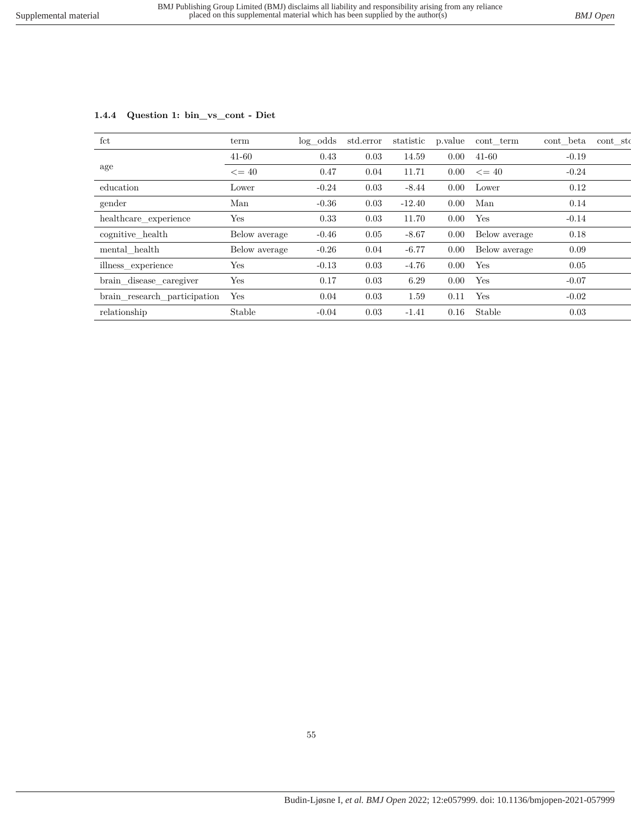| fct                          | term          | $log\_odds$ | std.error | statistic | p.value | cont term     | cont beta | cont sto |
|------------------------------|---------------|-------------|-----------|-----------|---------|---------------|-----------|----------|
|                              | $41 - 60$     | 0.43        | 0.03      | 14.59     | 0.00    | $41 - 60$     | $-0.19$   |          |
| age                          | $\leq$ = 40   | 0.47        | 0.04      | 11.71     | 0.00    | $\leq$ = 40   | $-0.24$   |          |
| education                    | Lower         | $-0.24$     | 0.03      | $-8.44$   | 0.00    | Lower         | 0.12      |          |
| gender                       | Man           | $-0.36$     | 0.03      | $-12.40$  | 0.00    | Man           | 0.14      |          |
| healthcare experience        | Yes           | 0.33        | 0.03      | 11.70     | 0.00    | Yes           | $-0.14$   |          |
| cognitive health             | Below average | $-0.46$     | 0.05      | $-8.67$   | 0.00    | Below average | 0.18      |          |
| mental health                | Below average | $-0.26$     | 0.04      | $-6.77$   | 0.00    | Below average | 0.09      |          |
| illness_experience           | Yes           | $-0.13$     | 0.03      | $-4.76$   | 0.00    | Yes           | 0.05      |          |
| brain_disease_caregiver      | Yes           | 0.17        | 0.03      | 6.29      | 0.00    | Yes           | $-0.07$   |          |
| brain_research_participation | Yes           | 0.04        | 0.03      | 1.59      | 0.11    | Yes           | $-0.02$   |          |
| relationship                 | Stable        | $-0.04$     | 0.03      | $-1.41$   | 0.16    | Stable        | 0.03      |          |

### **1.4.4 Question 1: bin\_vs\_cont - Diet**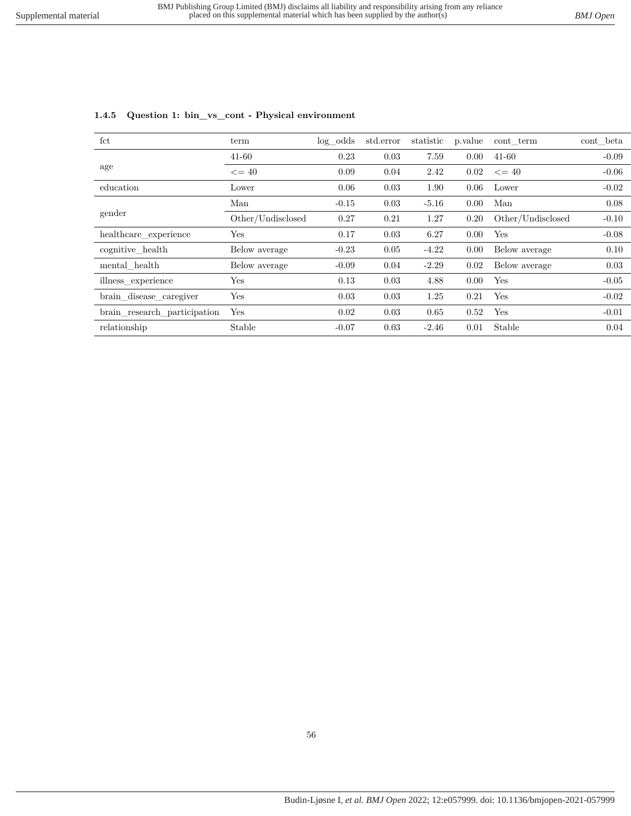# **1.4.5 Question 1: bin\_vs\_cont - Physical environment**

| fct                          | term              | $log\_odds$ | std.error | statistic | p. value | cont term         | cont_beta |
|------------------------------|-------------------|-------------|-----------|-----------|----------|-------------------|-----------|
|                              |                   |             |           |           |          |                   |           |
|                              | $41 - 60$         | 0.23        | 0.03      | 7.59      | 0.00     | $41 - 60$         | $-0.09$   |
| age                          | $\epsilon = 40$   | 0.09        | 0.04      | 2.42      | 0.02     | $\leq$ 40         | $-0.06$   |
| education                    | Lower             | 0.06        | 0.03      | 1.90      | 0.06     | Lower             | $-0.02$   |
|                              | Man               | $-0.15$     | 0.03      | $-5.16$   | 0.00     | Man               | 0.08      |
| gender                       | Other/Undisclosed | 0.27        | 0.21      | 1.27      | 0.20     | Other/Undisclosed | $-0.10$   |
| healthcare experience        | Yes               | 0.17        | 0.03      | 6.27      | 0.00     | Yes               | $-0.08$   |
| cognitive_health             | Below average     | $-0.23$     | 0.05      | $-4.22$   | 0.00     | Below average     | 0.10      |
| mental health                | Below average     | $-0.09$     | 0.04      | $-2.29$   | 0.02     | Below average     | 0.03      |
| illness_experience           | Yes               | 0.13        | 0.03      | 4.88      | 0.00     | Yes               | $-0.05$   |
| brain_disease_caregiver      | Yes               | 0.03        | 0.03      | 1.25      | 0.21     | Yes               | $-0.02$   |
| brain_research_participation | Yes               | 0.02        | 0.03      | 0.65      | 0.52     | Yes               | $-0.01$   |
| relationship                 | Stable            | $-0.07$     | 0.03      | $-2.46$   | 0.01     | Stable            | 0.04      |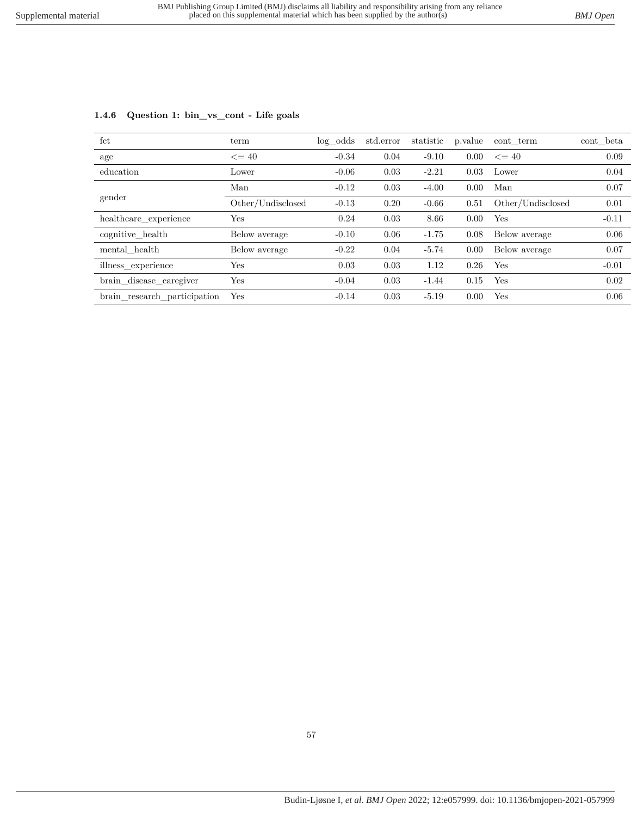| fct                          | term              | log odds | std.error | statistic | p.value | cont term         | cont beta |
|------------------------------|-------------------|----------|-----------|-----------|---------|-------------------|-----------|
| age                          | $\leq$ = 40       | $-0.34$  | 0.04      | $-9.10$   | 0.00    | $\leq$ = 40       | 0.09      |
| education                    | Lower             | $-0.06$  | 0.03      | $-2.21$   | 0.03    | Lower             | 0.04      |
|                              | Man               | $-0.12$  | 0.03      | $-4.00$   | 0.00    | Man               | 0.07      |
| gender                       | Other/Undisclosed | $-0.13$  | 0.20      | $-0.66$   | 0.51    | Other/Undisclosed | 0.01      |
| healthcare experience        | Yes               | 0.24     | 0.03      | 8.66      | 0.00    | Yes               | $-0.11$   |
| cognitive health             | Below average     | $-0.10$  | 0.06      | $-1.75$   | 0.08    | Below average     | 0.06      |
| mental health                | Below average     | $-0.22$  | 0.04      | $-5.74$   | 0.00    | Below average     | 0.07      |
| illness experience           | Yes               | 0.03     | 0.03      | 1.12      | 0.26    | Yes               | $-0.01$   |
| brain_disease_caregiver      | $_{\rm Yes}$      | $-0.04$  | 0.03      | $-1.44$   | 0.15    | Yes               | 0.02      |
| brain research participation | Yes               | $-0.14$  | 0.03      | $-5.19$   | 0.00    | Yes               | 0.06      |

### **1.4.6 Question 1: bin\_vs\_cont - Life goals**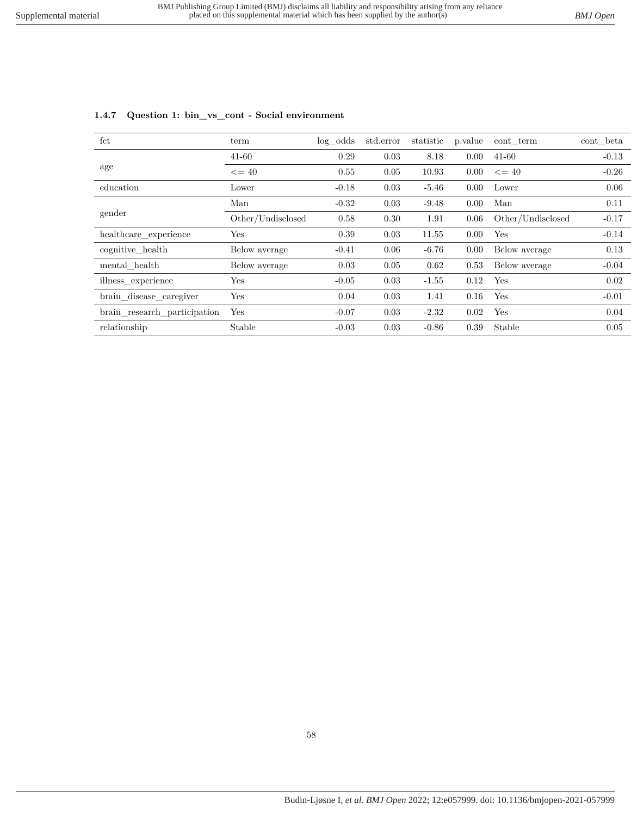# **1.4.7 Question 1: bin\_vs\_cont - Social environment**

| fct                          | term              | $log\_odds$ | std.error | statistic | p. value | cont term         | cont_beta |
|------------------------------|-------------------|-------------|-----------|-----------|----------|-------------------|-----------|
|                              | $41 - 60$         | 0.29        | 0.03      | 8.18      | 0.00     | $41 - 60$         | $-0.13$   |
| age                          | $\leq$ = 40       | 0.55        | 0.05      | 10.93     | 0.00     | $\leq$ 40         | $-0.26$   |
| education                    | Lower             | $-0.18$     | 0.03      | $-5.46$   | 0.00     | Lower             | 0.06      |
| gender                       | Man               | $-0.32$     | 0.03      | $-9.48$   | 0.00     | Man               | 0.11      |
|                              | Other/Undisclosed | 0.58        | 0.30      | 1.91      | 0.06     | Other/Undisclosed | $-0.17$   |
| healthcare experience        | Yes               | 0.39        | 0.03      | 11.55     | 0.00     | Yes               | $-0.14$   |
| cognitive_health             | Below average     | $-0.41$     | 0.06      | $-6.76$   | 0.00     | Below average     | 0.13      |
| mental health                | Below average     | 0.03        | 0.05      | 0.62      | 0.53     | Below average     | $-0.04$   |
| illness_experience           | Yes               | $-0.05$     | 0.03      | $-1.55$   | 0.12     | Yes               | 0.02      |
| brain_disease_caregiver      | Yes               | 0.04        | 0.03      | 1.41      | 0.16     | Yes               | $-0.01$   |
| brain_research_participation | Yes               | $-0.07$     | 0.03      | $-2.32$   | 0.02     | Yes               | 0.04      |
| relationship                 | Stable            | $-0.03$     | 0.03      | $-0.86$   | 0.39     | Stable            | 0.05      |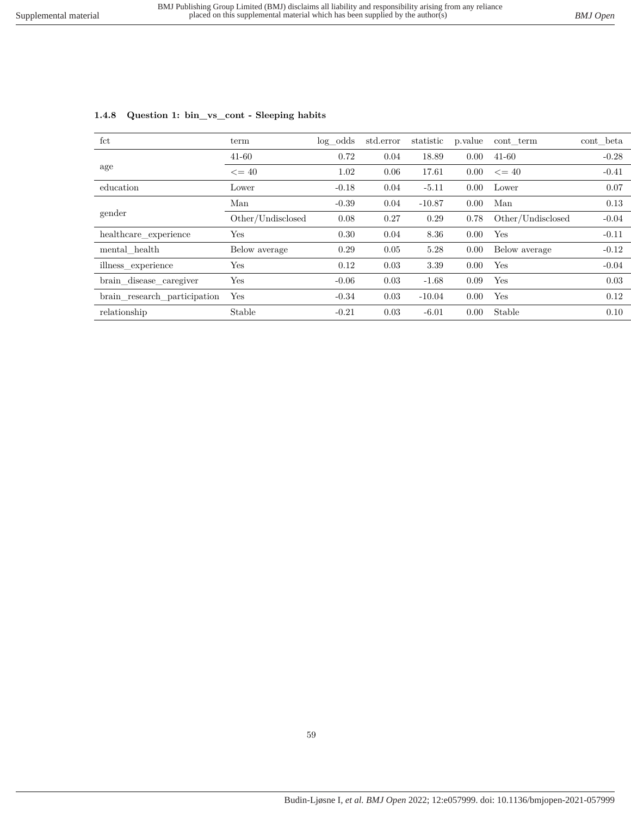|  | 1.4.8 Question 1: bin_vs_cont - Sleeping habits |
|--|-------------------------------------------------|
|  |                                                 |

| $_{\rm fct}$                 | term              | $log\_odds$ | std.error | statistic | p.value | cont term         | $\text{cont}\_\text{beta}$ |
|------------------------------|-------------------|-------------|-----------|-----------|---------|-------------------|----------------------------|
|                              | $41 - 60$         | 0.72        | 0.04      | 18.89     | 0.00    | $41 - 60$         | $-0.28$                    |
| age                          | $\leq$ = 40       | 1.02        | 0.06      | 17.61     | 0.00    | $\leq$ 40         | $-0.41$                    |
| education                    | Lower             | $-0.18$     | 0.04      | $-5.11$   | 0.00    | Lower             | 0.07                       |
| gender                       | Man               | $-0.39$     | 0.04      | $-10.87$  | 0.00    | Man               | 0.13                       |
|                              | Other/Undisclosed | 0.08        | 0.27      | 0.29      | 0.78    | Other/Undisclosed | $-0.04$                    |
| healthcare experience        | Yes               | 0.30        | 0.04      | 8.36      | 0.00    | Yes               | $-0.11$                    |
| mental health                | Below average     | 0.29        | 0.05      | 5.28      | 0.00    | Below average     | $-0.12$                    |
| illness experience           | $_{\rm Yes}$      | 0.12        | 0.03      | 3.39      | 0.00    | Yes               | $-0.04$                    |
| brain_disease_caregiver      | Yes               | $-0.06$     | 0.03      | $-1.68$   | 0.09    | Yes               | 0.03                       |
| brain research participation | Yes               | $-0.34$     | 0.03      | $-10.04$  | 0.00    | Yes               | 0.12                       |
| relationship                 | Stable            | $-0.21$     | 0.03      | $-6.01$   | 0.00    | Stable            | 0.10                       |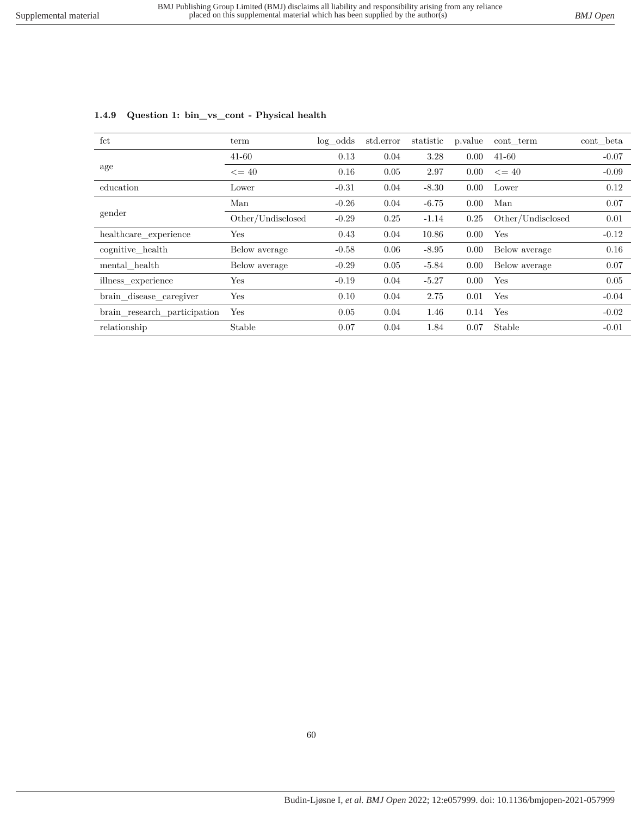| fct                          | term              | $log\_odds$ | std.error | statistic | p. value | cont term         | cont beta |
|------------------------------|-------------------|-------------|-----------|-----------|----------|-------------------|-----------|
|                              | $41 - 60$         | 0.13        | 0.04      | 3.28      | 0.00     | $41 - 60$         | $-0.07$   |
| age                          | $\leq$ = 40       | 0.16        | 0.05      | 2.97      | 0.00     | $\leq$ = 40       | $-0.09$   |
| education                    | Lower             | $-0.31$     | 0.04      | $-8.30$   | 0.00     | Lower             | 0.12      |
|                              | Man               | $-0.26$     | 0.04      | $-6.75$   | 0.00     | Man               | 0.07      |
| gender                       | Other/Undisclosed | $-0.29$     | 0.25      | $-1.14$   | 0.25     | Other/Undisclosed | 0.01      |
| healthcare_experience        | Yes               | 0.43        | 0.04      | 10.86     | 0.00     | Yes               | $-0.12$   |
| cognitive health             | Below average     | $-0.58$     | 0.06      | $-8.95$   | 0.00     | Below average     | 0.16      |
| mental health                | Below average     | $-0.29$     | 0.05      | $-5.84$   | 0.00     | Below average     | 0.07      |
| illness_experience           | Yes               | $-0.19$     | 0.04      | $-5.27$   | 0.00     | Yes               | 0.05      |
| brain_disease_caregiver      | Yes               | 0.10        | 0.04      | 2.75      | 0.01     | Yes               | $-0.04$   |
| brain_research_participation | Yes               | 0.05        | 0.04      | 1.46      | 0.14     | Yes               | $-0.02$   |
| relationship                 | Stable            | 0.07        | 0.04      | 1.84      | 0.07     | Stable            | $-0.01$   |

# **1.4.9 Question 1: bin\_vs\_cont - Physical health**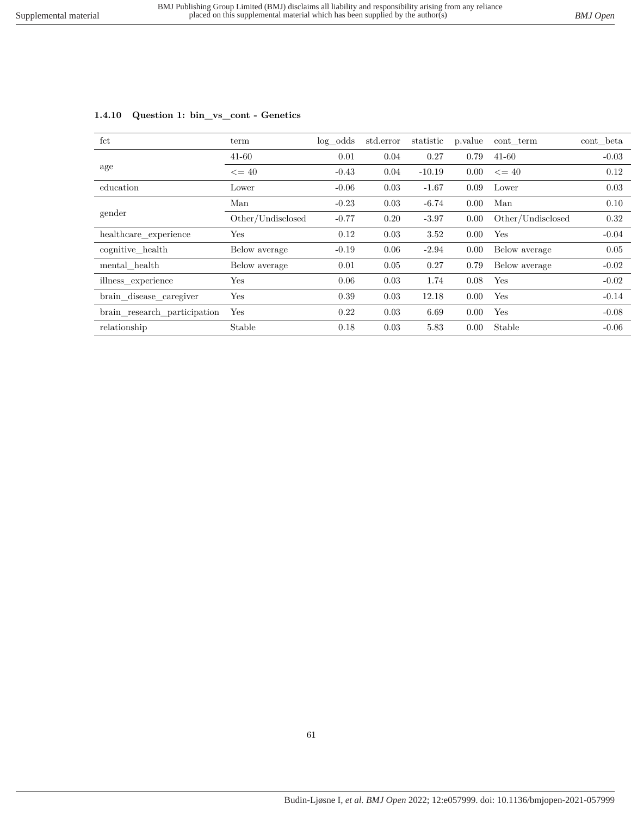| fct                          | term              | $log\_odds$ | std.error | statistic | p.value        | cont term         | cont beta |
|------------------------------|-------------------|-------------|-----------|-----------|----------------|-------------------|-----------|
|                              | $41 - 60$         | 0.01        | 0.04      | 0.27      | 0.79           | $41 - 60$         | $-0.03$   |
| age                          | $\epsilon = 40$   | $-0.43$     | 0.04      | $-10.19$  | $0.00^{\circ}$ | $\leq$ = 40       | 0.12      |
| education                    | Lower             | $-0.06$     | 0.03      | $-1.67$   | 0.09           | Lower             | 0.03      |
| gender                       | Man               | $-0.23$     | 0.03      | $-6.74$   | 0.00           | Man               | 0.10      |
|                              | Other/Undisclosed | $-0.77$     | 0.20      | $-3.97$   | 0.00           | Other/Undisclosed | 0.32      |
| healthcare experience        | Yes               | 0.12        | 0.03      | 3.52      | 0.00           | Yes               | $-0.04$   |
| cognitive_health             | Below average     | $-0.19$     | 0.06      | $-2.94$   | 0.00           | Below average     | 0.05      |
| mental health                | Below average     | 0.01        | 0.05      | 0.27      | 0.79           | Below average     | $-0.02$   |
| illness experience           | Yes               | 0.06        | 0.03      | 1.74      | 0.08           | Yes               | $-0.02$   |
| brain_disease_caregiver      | Yes               | 0.39        | 0.03      | 12.18     | 0.00           | Yes               | $-0.14$   |
| brain research participation | Yes               | 0.22        | 0.03      | 6.69      | 0.00           | Yes               | $-0.08$   |
| relationship                 | Stable            | 0.18        | 0.03      | 5.83      | 0.00           | Stable            | $-0.06$   |

### **1.4.10 Question 1: bin\_vs\_cont - Genetics**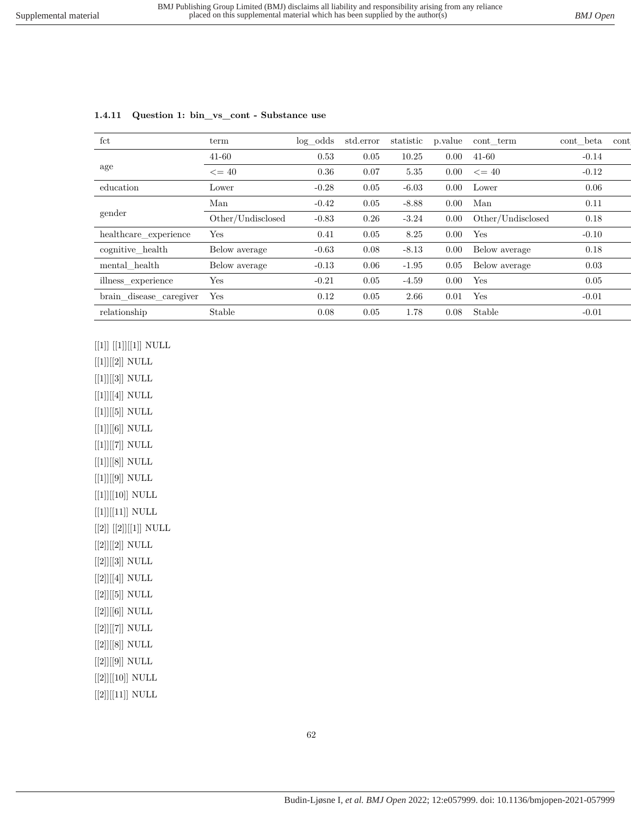| fct                     | term              | $log\_odds$ | std.error | statistic | p.value | cont term         | cont beta | cont |
|-------------------------|-------------------|-------------|-----------|-----------|---------|-------------------|-----------|------|
|                         | $41 - 60$         | 0.53        | 0.05      | 10.25     | 0.00    | $41 - 60$         | $-0.14$   |      |
| age                     | $\leq$ = 40       | 0.36        | 0.07      | 5.35      | 0.00    | $\leq$ = 40       | $-0.12$   |      |
| education               | Lower             | $-0.28$     | 0.05      | $-6.03$   | 0.00    | Lower             | 0.06      |      |
| gender                  | Man               | $-0.42$     | 0.05      | $-8.88$   | 0.00    | Man               | 0.11      |      |
|                         | Other/Undisclosed | $-0.83$     | 0.26      | $-3.24$   | 0.00    | Other/Undisclosed | 0.18      |      |
| healthcare experience   | Yes               | 0.41        | 0.05      | 8.25      | 0.00    | Yes               | $-0.10$   |      |
| cognitive health        | Below average     | $-0.63$     | 0.08      | $-8.13$   | 0.00    | Below average     | 0.18      |      |
| mental health           | Below average     | $-0.13$     | 0.06      | $-1.95$   | 0.05    | Below average     | 0.03      |      |
| illness_experience      | Yes               | $-0.21$     | 0.05      | $-4.59$   | 0.00    | Yes               | 0.05      |      |
| brain_disease_caregiver | Yes               | 0.12        | 0.05      | 2.66      | 0.01    | Yes               | $-0.01$   |      |
| relationship            | Stable            | 0.08        | 0.05      | 1.78      | 0.08    | Stable            | $-0.01$   |      |
|                         |                   |             |           |           |         |                   |           |      |

#### **1.4.11 Question 1: bin\_vs\_cont - Substance use**

 $\left[\left[1\right]\right]\left[\left[1\right]\right]\left[\left[1\right]\right]$  NULL

 $[[1]][[2]]$  NULL  $\left[ [1] \right] \left[ [3] \right]$  NULL  $[[1]][[4]]$  NULL  $\left[ [1] \right] \left[ [5] \right]$  NULL  $\left[ [1] \right] \left[ [6] \right]$  NULL  $\left[ [1] \right] \left[ [7] \right]$  NULL  $\left[ [1] \right] \left[ [8] \right]$  NULL  $\left[ [1] \right] \left[ [9] \right]$  NULL  $\left[ [1] \right] \left[ [10] \right]$  NULL  $\left[ [1] \right] \left[ [11] \right]$  NULL  $\left[ \left[ 2\right] \right]$   $\left[ \left[ 2\right] \right]$   $\left[ \left[ 1\right] \right]$  NULL  $[[2]][[2]]$  NULL  $\left[ [2] \right] \left[ [3] \right]$  NULL [[2]][[4]] NULL [[2]][[5]] NULL  $[[2]][[6]]$  NULL [[2]][[7]] NULL [[2]][[8]] NULL [[2]][[9]] NULL  $[[2]][[10]]$  NULL  $[[2]][[11]]$  NULL

62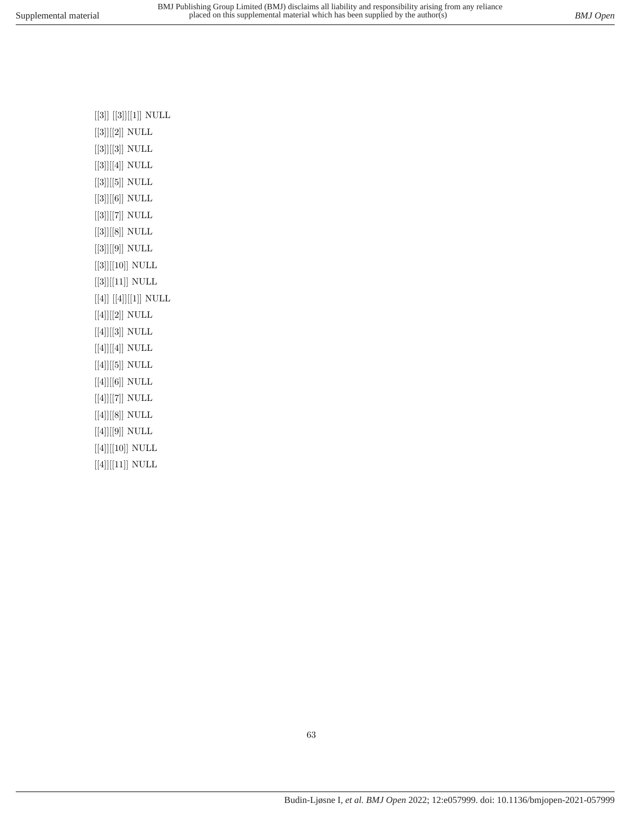$\left[\left[3\right]\right]\left[\left[3\right]\right]\left[\left[1\right]\right]$  NULL [[3]][[2]] NULL  $[[3]][[3]]$  NULL  $[[3]][[4]]$  NULL [[3]][[5]] NULL [[3]][[6]] NULL [[3]][[7]] NULL [[3]][[8]] NULL [[3]][[9]] NULL  $\left[ [3] \right] \left[ [10] \right]$  NULL  $\left[ [3] \right] \left[ [11] \right]$  NULL  $\left[ \left[ 4\right] \right]$   $\left[ \left[ 4\right] \right]$   $\left[ \left[ 1\right] \right]$  NULL  $\left[ [4] \right] \left[ [2] \right]$  NULL  $\left[ \left[ 4\right] \right] \left[ \left[ 3\right] \right]$  NULL [[4]][[4]] NULL  $[[4]][[5]]$  NULL [[4]][[6]] NULL  $\left[ \left[ 4\right] \right] \left[ \left[ 7\right] \right]$  NULL [[4]][[8]] NULL  $\left[ [4] \right] \left[ [9] \right]$  NULL  $\left[ [4] \right] \left[ [10] \right]$  NULL  $[[4]][[11]]$  NULL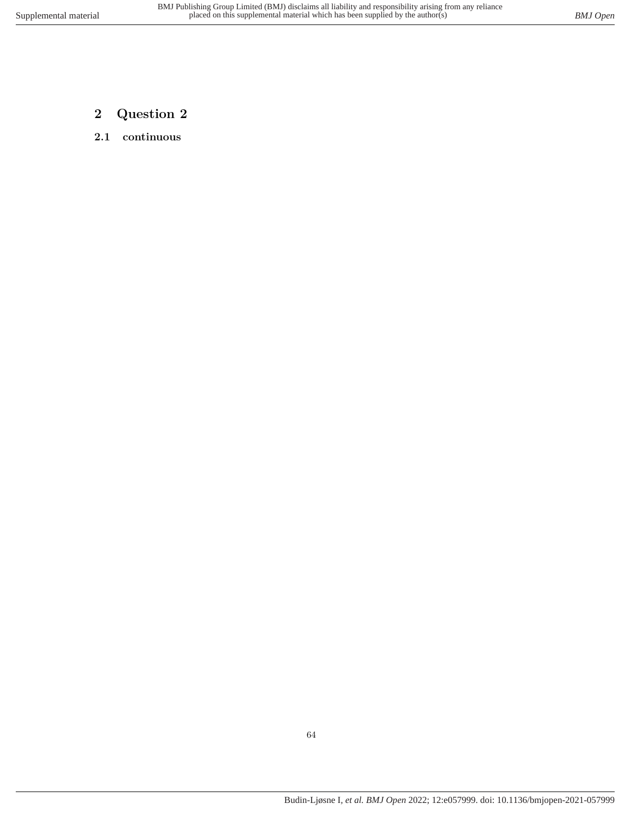- **2 Question 2**
- **2.1 continuous**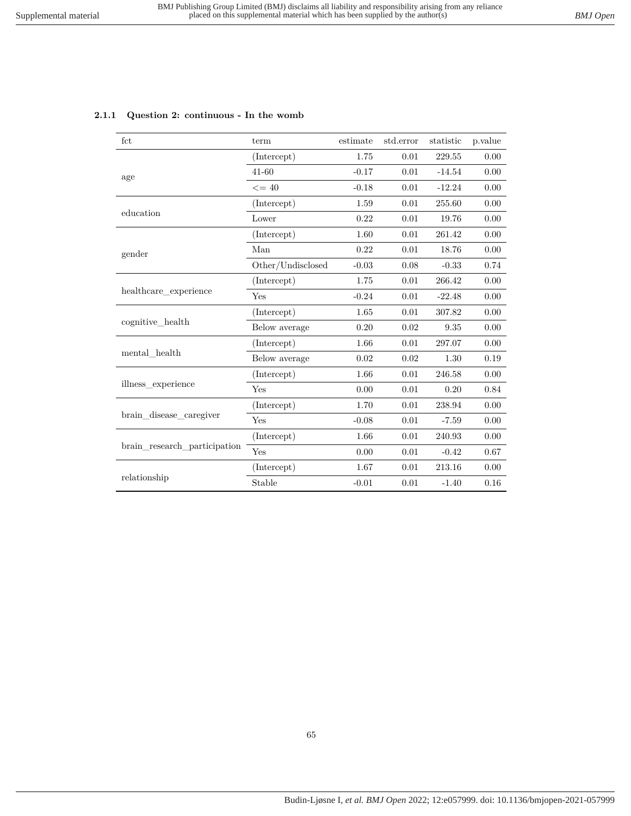| fct                                                                                                                                                                                                                                                                                                                                                                                                                                                | term                                                                                                                                                             | estimate                                                                                                                                                                                                                                                                                                                                                                                                                           | std.error    | statistic | p. value |
|----------------------------------------------------------------------------------------------------------------------------------------------------------------------------------------------------------------------------------------------------------------------------------------------------------------------------------------------------------------------------------------------------------------------------------------------------|------------------------------------------------------------------------------------------------------------------------------------------------------------------|------------------------------------------------------------------------------------------------------------------------------------------------------------------------------------------------------------------------------------------------------------------------------------------------------------------------------------------------------------------------------------------------------------------------------------|--------------|-----------|----------|
|                                                                                                                                                                                                                                                                                                                                                                                                                                                    | (Intercept)                                                                                                                                                      | 1.75                                                                                                                                                                                                                                                                                                                                                                                                                               | 0.01         | 229.55    | 0.00     |
| 41-60<br>$-0.17$<br>0.01<br>age<br>$<=40$<br>$-0.18$<br>0.01<br>(Intercept)<br>1.59<br>0.01<br>education<br>Lower<br>0.22<br>0.01<br>(Intercept)<br>1.60<br>0.01<br>Man<br>0.22<br>0.01<br>gender<br>Other/Undisclosed<br>$-0.03$<br>$0.08\,$<br>(Intercept)<br>1.75<br>0.01<br>healthcare_experience<br>$-0.24$<br>0.01<br>Yes<br>(Intercept)<br>1.65<br>0.01<br>cognitive health<br>Below average<br>0.20<br>0.02<br>1.66<br>0.01<br>(Intercept) | $-14.54$                                                                                                                                                         | 0.00                                                                                                                                                                                                                                                                                                                                                                                                                               |              |           |          |
|                                                                                                                                                                                                                                                                                                                                                                                                                                                    |                                                                                                                                                                  |                                                                                                                                                                                                                                                                                                                                                                                                                                    |              | $-12.24$  | 0.00     |
|                                                                                                                                                                                                                                                                                                                                                                                                                                                    |                                                                                                                                                                  | 255.60<br>0.00<br>19.76<br>0.00<br>261.42<br>0.00<br>18.76<br>0.00<br>0.74<br>$-0.33$<br>266.42<br>0.00<br>$-22.48$<br>0.00<br>307.82<br>0.00<br>9.35<br>0.00<br>297.07<br>0.00<br>0.02<br>0.02<br>1.30<br>0.19<br>1.66<br>0.01<br>246.58<br>0.00<br>0.00<br>0.01<br>0.20<br>0.84<br>1.70<br>0.01<br>238.94<br>0.00<br>$-0.08$<br>0.01<br>$-7.59$<br>0.00<br>1.66<br>0.01<br>240.93<br>0.00<br>0.00<br>$0.67\,$<br>0.01<br>$-0.42$ |              |           |          |
|                                                                                                                                                                                                                                                                                                                                                                                                                                                    |                                                                                                                                                                  |                                                                                                                                                                                                                                                                                                                                                                                                                                    |              |           |          |
|                                                                                                                                                                                                                                                                                                                                                                                                                                                    |                                                                                                                                                                  |                                                                                                                                                                                                                                                                                                                                                                                                                                    |              |           |          |
|                                                                                                                                                                                                                                                                                                                                                                                                                                                    |                                                                                                                                                                  |                                                                                                                                                                                                                                                                                                                                                                                                                                    |              |           |          |
|                                                                                                                                                                                                                                                                                                                                                                                                                                                    | Below average<br>(Intercept)<br>Yes<br>(Intercept)<br>Yes<br>(Intercept)<br>Yes<br>1.67<br>(Intercept)<br>0.01<br>213.16<br>Stable<br>$-0.01$<br>0.01<br>$-1.40$ |                                                                                                                                                                                                                                                                                                                                                                                                                                    |              |           |          |
|                                                                                                                                                                                                                                                                                                                                                                                                                                                    |                                                                                                                                                                  |                                                                                                                                                                                                                                                                                                                                                                                                                                    |              |           |          |
|                                                                                                                                                                                                                                                                                                                                                                                                                                                    |                                                                                                                                                                  |                                                                                                                                                                                                                                                                                                                                                                                                                                    |              |           |          |
|                                                                                                                                                                                                                                                                                                                                                                                                                                                    |                                                                                                                                                                  |                                                                                                                                                                                                                                                                                                                                                                                                                                    | 0.00<br>0.16 |           |          |
|                                                                                                                                                                                                                                                                                                                                                                                                                                                    |                                                                                                                                                                  |                                                                                                                                                                                                                                                                                                                                                                                                                                    |              |           |          |
|                                                                                                                                                                                                                                                                                                                                                                                                                                                    |                                                                                                                                                                  |                                                                                                                                                                                                                                                                                                                                                                                                                                    |              |           |          |
| mental health                                                                                                                                                                                                                                                                                                                                                                                                                                      |                                                                                                                                                                  |                                                                                                                                                                                                                                                                                                                                                                                                                                    |              |           |          |
|                                                                                                                                                                                                                                                                                                                                                                                                                                                    |                                                                                                                                                                  |                                                                                                                                                                                                                                                                                                                                                                                                                                    |              |           |          |
| illness experience                                                                                                                                                                                                                                                                                                                                                                                                                                 |                                                                                                                                                                  |                                                                                                                                                                                                                                                                                                                                                                                                                                    |              |           |          |
|                                                                                                                                                                                                                                                                                                                                                                                                                                                    |                                                                                                                                                                  |                                                                                                                                                                                                                                                                                                                                                                                                                                    |              |           |          |
| brain disease caregiver                                                                                                                                                                                                                                                                                                                                                                                                                            |                                                                                                                                                                  |                                                                                                                                                                                                                                                                                                                                                                                                                                    |              |           |          |
|                                                                                                                                                                                                                                                                                                                                                                                                                                                    |                                                                                                                                                                  |                                                                                                                                                                                                                                                                                                                                                                                                                                    |              |           |          |
| brain research participation                                                                                                                                                                                                                                                                                                                                                                                                                       |                                                                                                                                                                  |                                                                                                                                                                                                                                                                                                                                                                                                                                    |              |           |          |
|                                                                                                                                                                                                                                                                                                                                                                                                                                                    |                                                                                                                                                                  |                                                                                                                                                                                                                                                                                                                                                                                                                                    |              |           |          |
| relationship                                                                                                                                                                                                                                                                                                                                                                                                                                       |                                                                                                                                                                  |                                                                                                                                                                                                                                                                                                                                                                                                                                    |              |           |          |

# **2.1.1 Question 2: continuous - In the womb**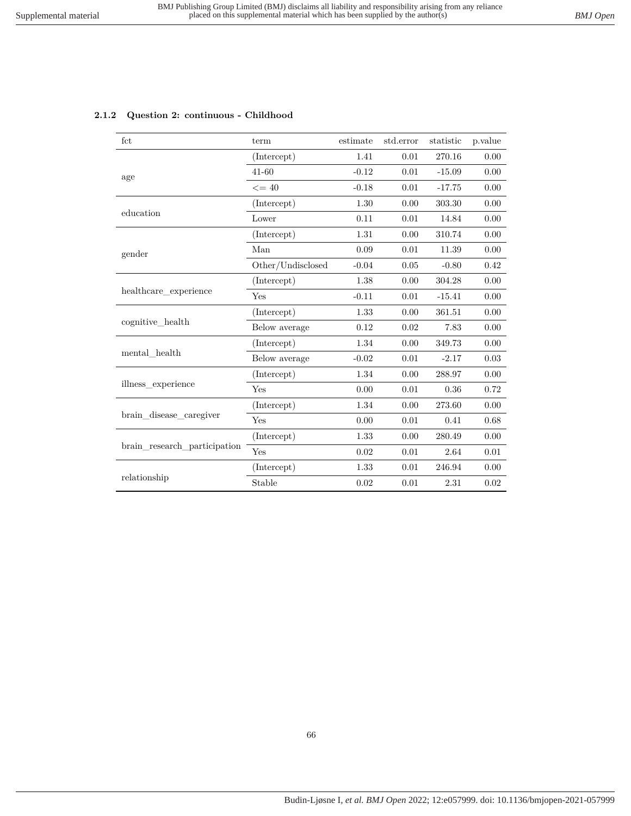|  |  | 2.1.2 Question 2: continuous - Childhood |  |
|--|--|------------------------------------------|--|
|--|--|------------------------------------------|--|

| fct                          | term              | estimate                                                                                                                      | std.error                                                                                                                                                                                                                                                                                                                                                                                                                                                                | statistic | p.value |
|------------------------------|-------------------|-------------------------------------------------------------------------------------------------------------------------------|--------------------------------------------------------------------------------------------------------------------------------------------------------------------------------------------------------------------------------------------------------------------------------------------------------------------------------------------------------------------------------------------------------------------------------------------------------------------------|-----------|---------|
|                              | (Intercept)       | 1.41                                                                                                                          | 0.01                                                                                                                                                                                                                                                                                                                                                                                                                                                                     | 270.16    | 0.00    |
| age                          | $41 - 60$         | $-0.12$                                                                                                                       | 0.01                                                                                                                                                                                                                                                                                                                                                                                                                                                                     | $-15.09$  | 0.00    |
|                              | $\leq$ = 40       | $-0.18$                                                                                                                       | 0.01                                                                                                                                                                                                                                                                                                                                                                                                                                                                     | $-17.75$  | 0.00    |
|                              | (Intercept)       | 1.30                                                                                                                          | 0.00                                                                                                                                                                                                                                                                                                                                                                                                                                                                     | 303.30    | 0.00    |
| education                    | Lower             | 0.11                                                                                                                          | 0.01<br>0.00<br>14.84<br>310.74<br>0.00<br>0.00<br>0.01<br>11.39<br>0.00<br>0.05<br>$-0.80$<br>0.42<br>0.00<br>304.28<br>0.00<br>0.01<br>0.00<br>$-15.41$<br>0.00<br>361.51<br>0.00<br>0.02<br>7.83<br>0.00<br>0.00<br>349.73<br>0.00<br>0.01<br>0.03<br>$-2.17$<br>0.00<br>288.97<br>0.00<br>0.01<br>0.36<br>0.72<br>0.00<br>273.60<br>0.00<br>0.01<br>0.68<br>0.41<br>0.00<br>280.49<br>0.00<br>0.01<br>0.01<br>2.64<br>0.01<br>246.94<br>0.00<br>0.01<br>2.31<br>0.02 |           |         |
|                              | (Intercept)       | 1.31                                                                                                                          |                                                                                                                                                                                                                                                                                                                                                                                                                                                                          |           |         |
| gender                       | Man               | 0.09                                                                                                                          |                                                                                                                                                                                                                                                                                                                                                                                                                                                                          |           |         |
|                              | Other/Undisclosed | $-0.04$<br>1.38<br>$-0.11$<br>1.33<br>0.12<br>1.34<br>$-0.02$<br>1.34<br>0.00<br>1.34<br>0.00<br>1.33<br>0.02<br>1.33<br>0.02 |                                                                                                                                                                                                                                                                                                                                                                                                                                                                          |           |         |
|                              | (Intercept)       |                                                                                                                               |                                                                                                                                                                                                                                                                                                                                                                                                                                                                          |           |         |
| healthcare_experience        | Yes               |                                                                                                                               |                                                                                                                                                                                                                                                                                                                                                                                                                                                                          |           |         |
|                              | (Intercept)       |                                                                                                                               |                                                                                                                                                                                                                                                                                                                                                                                                                                                                          |           |         |
| cognitive health             | Below average     |                                                                                                                               |                                                                                                                                                                                                                                                                                                                                                                                                                                                                          |           |         |
|                              | (Intercept)       |                                                                                                                               |                                                                                                                                                                                                                                                                                                                                                                                                                                                                          |           |         |
| mental health                | Below average     |                                                                                                                               |                                                                                                                                                                                                                                                                                                                                                                                                                                                                          |           |         |
|                              | (Intercept)       |                                                                                                                               |                                                                                                                                                                                                                                                                                                                                                                                                                                                                          |           |         |
| illness experience           | Yes               |                                                                                                                               |                                                                                                                                                                                                                                                                                                                                                                                                                                                                          |           |         |
|                              | (Intercept)       |                                                                                                                               |                                                                                                                                                                                                                                                                                                                                                                                                                                                                          |           |         |
| brain disease caregiver      | Yes               |                                                                                                                               |                                                                                                                                                                                                                                                                                                                                                                                                                                                                          |           |         |
|                              | (Intercept)       |                                                                                                                               |                                                                                                                                                                                                                                                                                                                                                                                                                                                                          |           |         |
| brain research participation | Yes               |                                                                                                                               |                                                                                                                                                                                                                                                                                                                                                                                                                                                                          |           |         |
|                              | (Intercept)       |                                                                                                                               |                                                                                                                                                                                                                                                                                                                                                                                                                                                                          |           |         |
| relationship                 | Stable            |                                                                                                                               |                                                                                                                                                                                                                                                                                                                                                                                                                                                                          |           |         |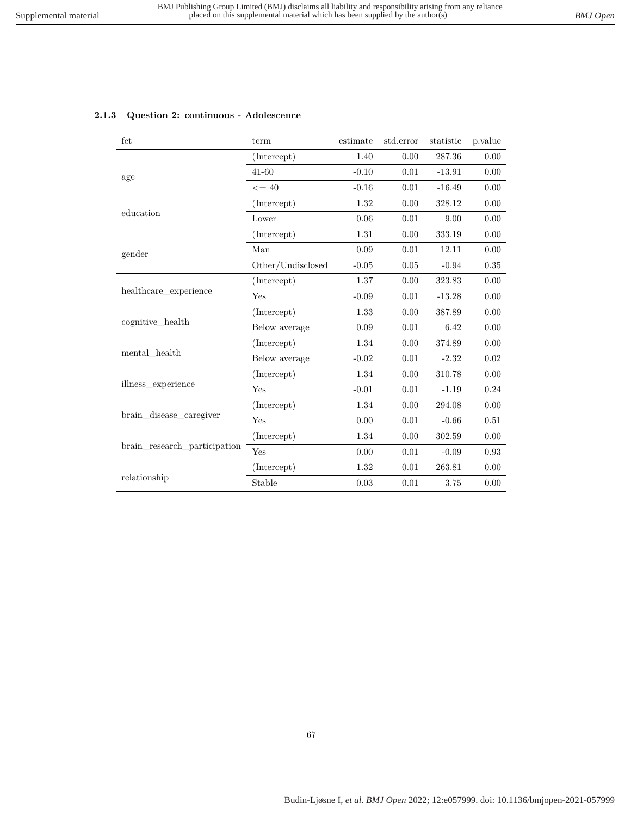| 2.1.3 Question 2: continuous - Adolescence |  |  |  |  |  |
|--------------------------------------------|--|--|--|--|--|
|--------------------------------------------|--|--|--|--|--|

| fct                          | term              | estimate | std.error | statistic | p.value |
|------------------------------|-------------------|----------|-----------|-----------|---------|
|                              | (Intercept)       | 1.40     | 0.00      | 287.36    | 0.00    |
| age                          | $41 - 60$         | $-0.10$  | 0.01      | $-13.91$  | 0.00    |
|                              | $\leq$ = 40       | $-0.16$  | 0.01      | $-16.49$  | 0.00    |
|                              | (Intercept)       | 1.32     | 0.00      | 328.12    | 0.00    |
| education                    | Lower             | 0.06     | 0.01      | 9.00      | 0.00    |
|                              | (Intercept)       | 1.31     | 0.00      | 333.19    | 0.00    |
| gender                       | Man               | 0.09     | 0.01      | 12.11     | 0.00    |
|                              | Other/Undisclosed | $-0.05$  | $0.05\,$  | $-0.94$   | 0.35    |
|                              | (Intercept)       | 1.37     | 0.00      | 323.83    | 0.00    |
| healthcare_experience        | Yes               | $-0.09$  | 0.01      | $-13.28$  | 0.00    |
|                              | (Intercept)       | 1.33     | 0.00      | 387.89    | 0.00    |
| cognitive health             | Below average     | 0.09     | 0.01      | 6.42      | 0.00    |
|                              | (Intercept)       | 1.34     | 0.00      | 374.89    | 0.00    |
| mental health                | Below average     | $-0.02$  | 0.01      | $-2.32$   | 0.02    |
|                              | (Intercept)       | 1.34     | 0.00      | 310.78    | 0.00    |
| illness experience           | Yes               | $-0.01$  | 0.01      | $-1.19$   | 0.24    |
| brain_disease_caregiver      | (Intercept)       | 1.34     | 0.00      | 294.08    | 0.00    |
|                              | Yes               | 0.00     | 0.01      | $-0.66$   | 0.51    |
| brain research participation | (Intercept)       | 1.34     | 0.00      | 302.59    | 0.00    |
|                              | Yes               | 0.00     | 0.01      | $-0.09$   | 0.93    |
|                              | (Intercept)       | 1.32     | 0.01      | 263.81    | 0.00    |
| relationship                 | Stable            | 0.03     | 0.01      | 3.75      | 0.00    |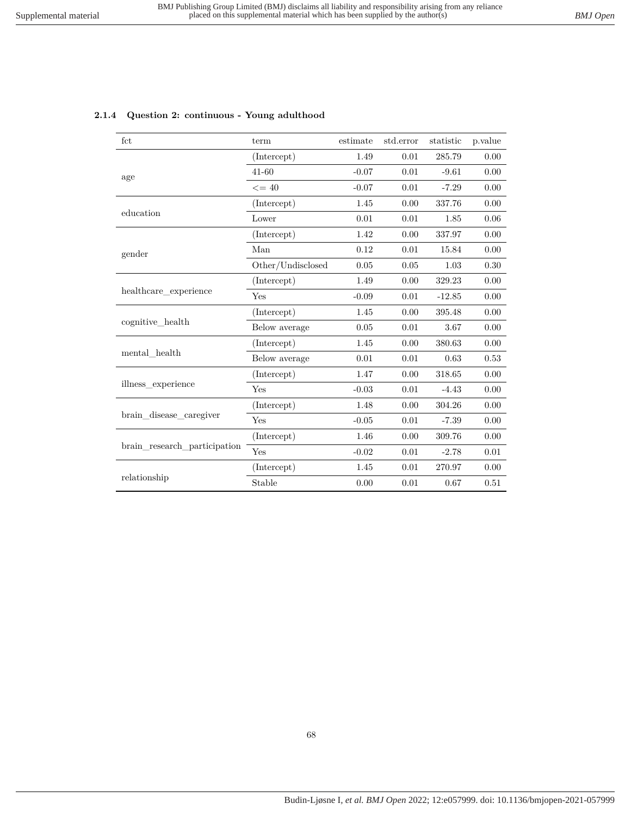| fct                          | term              | estimate | std.error | statistic | p.value |
|------------------------------|-------------------|----------|-----------|-----------|---------|
|                              | (Intercept)       | 1.49     | 0.01      | 285.79    | 0.00    |
| age                          | $41 - 60$         | $-0.07$  | 0.01      | $-9.61$   | 0.00    |
|                              | $\leq$ = 40       | $-0.07$  | 0.01      | $-7.29$   | 0.00    |
|                              | (Intercept)       | 1.45     | 0.00      | 337.76    | 0.00    |
| education                    | Lower             | 0.01     | 0.01      | 1.85      | 0.06    |
|                              | (Intercept)       | 1.42     | 0.00      | 337.97    | 0.00    |
| gender                       | Man               | 0.12     | 0.01      | 15.84     | 0.00    |
|                              | Other/Undisclosed | 0.05     | 0.05      | 1.03      | 0.30    |
|                              | (Intercept)       | 1.49     | 0.00      | 329.23    | 0.00    |
| healthcare_experience        | <b>Yes</b>        | $-0.09$  | 0.01      | $-12.85$  | 0.00    |
|                              | (Intercept)       | 1.45     | 0.00      | 395.48    | 0.00    |
| cognitive health             | Below average     | 0.05     | 0.01      | 3.67      | 0.00    |
|                              | (Intercept)       | 1.45     | 0.00      | 380.63    | 0.00    |
| mental health                | Below average     | 0.01     | 0.01      | 0.63      | 0.53    |
|                              | (Intercept)       | 1.47     | 0.00      | 318.65    | 0.00    |
| illness experience           | Yes               | $-0.03$  | 0.01      | $-4.43$   | 0.00    |
| brain disease caregiver      | (Intercept)       | 1.48     | 0.00      | 304.26    | 0.00    |
|                              | Yes               | $-0.05$  | 0.01      | $-7.39$   | 0.00    |
| brain research participation | (Intercept)       | 1.46     | 0.00      | 309.76    | 0.00    |
|                              | Yes               | $-0.02$  | 0.01      | $-2.78$   | 0.01    |
| relationship                 | (Intercept)       | 1.45     | 0.01      | 270.97    | 0.00    |
|                              | Stable            | 0.00     | 0.01      | 0.67      | 0.51    |

### **2.1.4 Question 2: continuous - Young adulthood**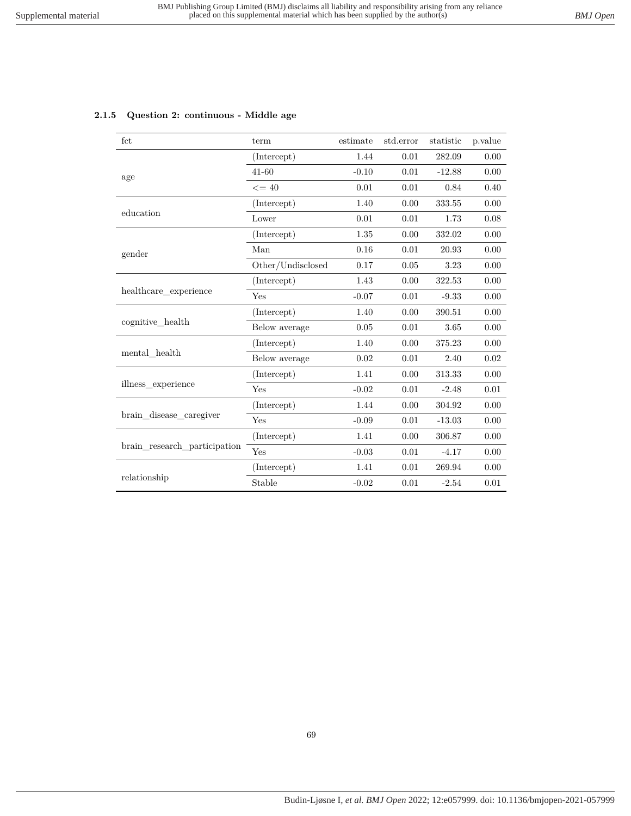| fct                          | term              | estimate | std.error | statistic  | p.value |
|------------------------------|-------------------|----------|-----------|------------|---------|
|                              | (Intercept)       | 1.44     | 0.01      | 282.09     | 0.00    |
| age                          | $41 - 60$         | $-0.10$  | 0.01      | $-12.88$   | 0.00    |
|                              | $\leq$ = 40       | 0.01     | 0.01      | 0.84       | 0.40    |
|                              | (Intercept)       | 1.40     | 0.00      | 333.55     | 0.00    |
| education                    | Lower             | 0.01     | 0.01      | 1.73       | 0.08    |
|                              | (Intercept)       | 1.35     | 0.00      | 332.02     | 0.00    |
| gender                       | Man               | 0.16     | 0.01      | 20.93      | 0.00    |
|                              | Other/Undisclosed | 0.17     | 0.05      | 3.23       | 0.00    |
|                              | (Intercept)       | 1.43     | 0.00      | 322.53     | 0.00    |
| healthcare_experience        | Yes               | $-0.07$  | 0.01      | $-9.33$    | 0.00    |
|                              | (Intercept)       | 1.40     | 0.00      | 390.51     | 0.00    |
| cognitive health             | Below average     | 0.05     | 0.01      | 3.65       | 0.00    |
|                              | (Intercept)       | 1.40     | 0.00      | 375.23     | 0.00    |
| mental health                | Below average     | 0.02     | 0.01      | 2.40       | 0.02    |
|                              | (Intercept)       | 1.41     | 0.00      | 313.33     | 0.00    |
| illness experience           | Yes               | $-0.02$  | 0.01      | $-2.48$    | 0.01    |
| brain disease caregiver      | (Intercept)       | 1.44     | 0.00      | 304.92     | 0.00    |
|                              | Yes               | $-0.09$  | 0.01      | $-13.03$   | 0.00    |
| brain research participation | (Intercept)       | 1.41     | 0.00      | 306.87     | 0.00    |
|                              | Yes               | $-0.03$  | 0.01      | $-4.17$    | 0.00    |
| relationship                 | (Intercept)       | 1.41     | 0.01      | $269.94\,$ | 0.00    |
|                              | Stable            | $-0.02$  | 0.01      | $-2.54$    | 0.01    |

### **2.1.5 Question 2: continuous - Middle age**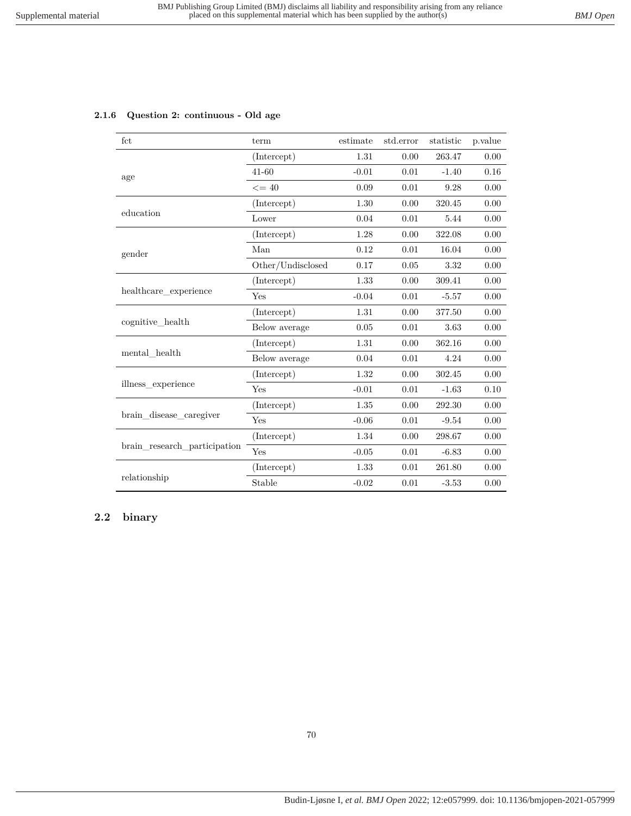|  |  | 2.1.6 Question 2: continuous - Old age |  |  |
|--|--|----------------------------------------|--|--|
|--|--|----------------------------------------|--|--|

| fct                          | term              | estimate | std.error | statistic | p.value |
|------------------------------|-------------------|----------|-----------|-----------|---------|
|                              | (Intercept)       | 1.31     | 0.00      | 263.47    | 0.00    |
| age                          | 41-60             | $-0.01$  | 0.01      | $-1.40$   | 0.16    |
|                              | $\leq$ = 40       | 0.09     | 0.01      | 9.28      | 0.00    |
|                              | (Intercept)       | 1.30     | 0.00      | 320.45    | 0.00    |
| education                    | Lower             | 0.04     | 0.01      | 5.44      | 0.00    |
|                              | (Intercept)       | 1.28     | 0.00      | 322.08    | 0.00    |
| gender                       | Man               | 0.12     | 0.01      | 16.04     | 0.00    |
|                              | Other/Undisclosed | 0.17     | 0.05      | 3.32      | 0.00    |
|                              | (Intercept)       | 1.33     | 0.00      | 309.41    | 0.00    |
| healthcare experience        | Yes               | $-0.04$  | 0.01      | $-5.57$   | 0.00    |
|                              | (Intercept)       | 1.31     | 0.00      | 377.50    | 0.00    |
| cognitive health             | Below average     | 0.05     | 0.01      | 3.63      | 0.00    |
|                              | (Intercept)       | 1.31     | 0.00      | 362.16    | 0.00    |
| mental health                | Below average     | 0.04     | 0.01      | 4.24      | 0.00    |
|                              | (Intercept)       | 1.32     | 0.00      | 302.45    | 0.00    |
| illness experience           | Yes               | $-0.01$  | 0.01      | $-1.63$   | 0.10    |
| brain_disease_caregiver      | (Intercept)       | 1.35     | 0.00      | 292.30    | 0.00    |
|                              | Yes               | $-0.06$  | 0.01      | $-9.54$   | 0.00    |
| brain research participation | (Intercept)       | 1.34     | 0.00      | 298.67    | 0.00    |
|                              | Yes               | $-0.05$  | 0.01      | $-6.83$   | 0.00    |
|                              | (Intercept)       | 1.33     | 0.01      | 261.80    | 0.00    |
| relationship                 | Stable            | $-0.02$  | 0.01      | $-3.53$   | 0.00    |

# **2.2 binary**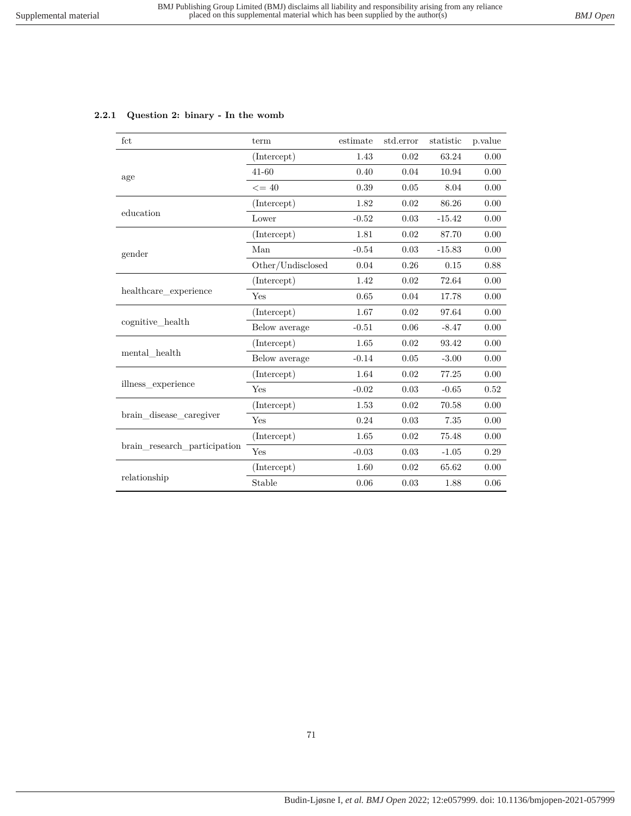# **2.2.1 Question 2: binary - In the womb**

| fct                             | term              | estimate | std.error | statistic | p.value  |
|---------------------------------|-------------------|----------|-----------|-----------|----------|
|                                 | (Intercept)       | 1.43     | 0.02      | 63.24     | 0.00     |
| age                             | 41-60             | 0.40     | 0.04      | 10.94     | 0.00     |
|                                 | $\leq$ = 40       | 0.39     | $0.05\,$  | 8.04      | 0.00     |
|                                 | (Intercept)       | 1.82     | 0.02      | 86.26     | 0.00     |
| education                       | Lower             | $-0.52$  | 0.03      | $-15.42$  | 0.00     |
|                                 | (Intercept)       | 1.81     | 0.02      | 87.70     | 0.00     |
| gender                          | Man               | $-0.54$  | 0.03      | $-15.83$  | 0.00     |
|                                 | Other/Undisclosed | 0.04     | 0.26      | 0.15      | 0.88     |
|                                 | (Intercept)       | 1.42     | 0.02      | 72.64     | 0.00     |
| healthcare experience           | Yes               | 0.65     | 0.04      | 17.78     | 0.00     |
|                                 | (Intercept)       | 1.67     | 0.02      | 97.64     | 0.00     |
| $cognitive{\_}health$           | Below average     | $-0.51$  | 0.06      | $-8.47$   | 0.00     |
|                                 | (Intercept)       | 1.65     | 0.02      | 93.42     | $0.00\,$ |
| $\operatorname{mental\_health}$ | Below average     | $-0.14$  | 0.05      | $-3.00$   | 0.00     |
|                                 | (Intercept)       | 1.64     | 0.02      | 77.25     | 0.00     |
| illness_experience              | Yes               | $-0.02$  | 0.03      | $-0.65$   | 0.52     |
| brain disease caregiver         | (Intercept)       | 1.53     | 0.02      | 70.58     | 0.00     |
|                                 | Yes               | 0.24     | 0.03      | 7.35      | 0.00     |
| brain research participation    | (Intercept)       | 1.65     | 0.02      | 75.48     | 0.00     |
|                                 | Yes               | $-0.03$  | 0.03      | $-1.05$   | 0.29     |
|                                 | (Intercept)       | 1.60     | 0.02      | 65.62     | 0.00     |
| relationship                    | Stable            | 0.06     | 0.03      | 1.88      | 0.06     |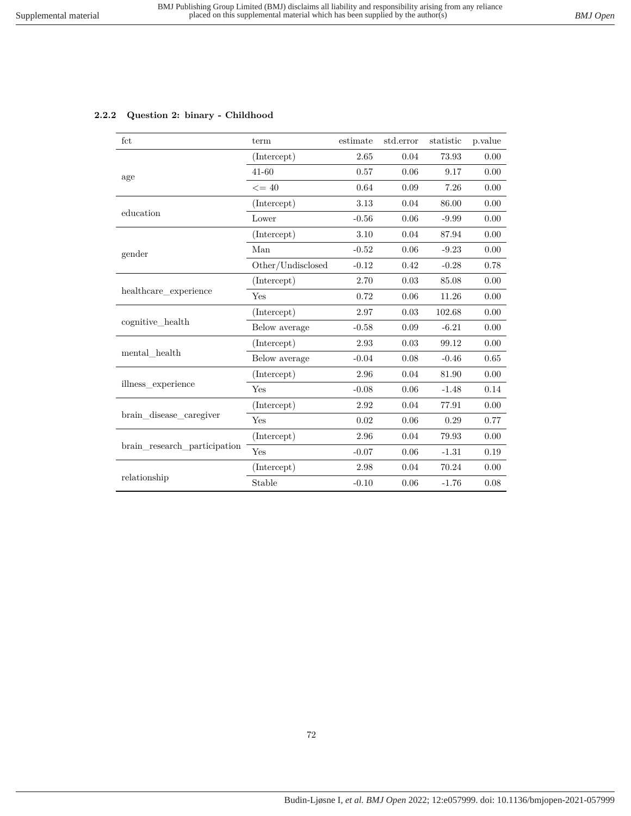# **2.2.2 Question 2: binary - Childhood**

| fct                          | term              | estimate | std.error | statistic | p.value |
|------------------------------|-------------------|----------|-----------|-----------|---------|
|                              | (Intercept)       | 2.65     | 0.04      | 73.93     | 0.00    |
| age                          | $41 - 60$         | 0.57     | 0.06      | 9.17      | 0.00    |
|                              | $\leq$ = 40       | 0.64     | 0.09      | 7.26      | 0.00    |
|                              | (Intercept)       | 3.13     | 0.04      | 86.00     | 0.00    |
| education                    | Lower             | $-0.56$  | 0.06      | $-9.99$   | 0.00    |
|                              | (Intercept)       | 3.10     | 0.04      | 87.94     | 0.00    |
| gender                       | Man               | $-0.52$  | 0.06      | $-9.23$   | 0.00    |
|                              | Other/Undisclosed | $-0.12$  | 0.42      | $-0.28$   | 0.78    |
|                              | (Intercept)       | 2.70     | 0.03      | 85.08     | 0.00    |
| healthcare experience        | Yes               | 0.72     | 0.06      | 11.26     | 0.00    |
|                              | (Intercept)       | 2.97     | 0.03      | 102.68    | 0.00    |
| cognitive_health             | Below average     | $-0.58$  | 0.09      | $-6.21$   | 0.00    |
|                              | (Intercept)       | 2.93     | 0.03      | 99.12     | 0.00    |
| mental health                | Below average     | $-0.04$  | 0.08      | $-0.46$   | 0.65    |
|                              | (Intercept)       | 2.96     | 0.04      | 81.90     | 0.00    |
| illness experience           | Yes               | $-0.08$  | 0.06      | $-1.48$   | 0.14    |
|                              | (Intercept)       | 2.92     | 0.04      | 77.91     | 0.00    |
| brain_disease_caregiver      | Yes               | $0.02\,$ | 0.06      | 0.29      | 0.77    |
| brain research participation | (Intercept)       | 2.96     | 0.04      | 79.93     | 0.00    |
|                              | Yes               | $-0.07$  | 0.06      | $-1.31$   | 0.19    |
| relationship                 | (Intercept)       | 2.98     | 0.04      | 70.24     | 0.00    |
|                              | Stable            | $-0.10$  | 0.06      | $-1.76$   | 0.08    |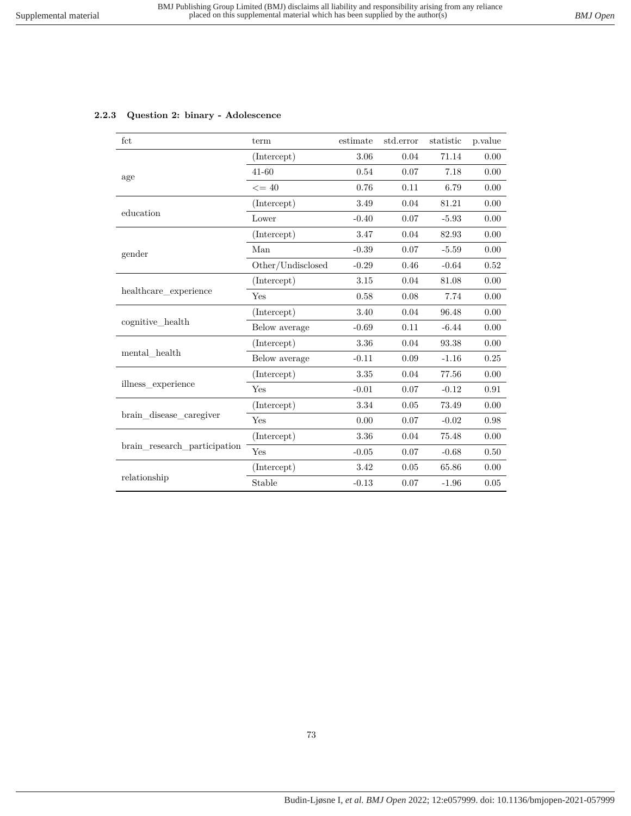|  |  |  | 2.2.3 Question 2: binary - Adolescence |
|--|--|--|----------------------------------------|
|--|--|--|----------------------------------------|

| fct                          | term              | estimate | std.error | statistic | p.value |
|------------------------------|-------------------|----------|-----------|-----------|---------|
|                              | (Intercept)       | 3.06     | 0.04      | 71.14     | 0.00    |
| age                          | $41 - 60$         | 0.54     | 0.07      | 7.18      | 0.00    |
|                              | $\leq$ = 40       | 0.76     | 0.11      | 6.79      | 0.00    |
|                              | (Intercept)       | 3.49     | 0.04      | 81.21     | 0.00    |
| education                    | Lower             | $-0.40$  | 0.07      | $-5.93$   | 0.00    |
|                              | (Intercept)       | 3.47     | 0.04      | 82.93     | 0.00    |
| gender                       | Man               | $-0.39$  | 0.07      | $-5.59$   | 0.00    |
|                              | Other/Undisclosed | $-0.29$  | 0.46      | $-0.64$   | 0.52    |
|                              | (Intercept)       | 3.15     | 0.04      | 81.08     | 0.00    |
| healthcare experience        | Yes               | 0.58     | 0.08      | 7.74      | 0.00    |
|                              | (Intercept)       | 3.40     | 0.04      | 96.48     | 0.00    |
| cognitive health             | Below average     | $-0.69$  | 0.11      | $-6.44$   | 0.00    |
|                              | (Intercept)       | 3.36     | 0.04      | 93.38     | 0.00    |
| mental health                | Below average     | $-0.11$  | 0.09      | $-1.16$   | 0.25    |
|                              | (Intercept)       | 3.35     | 0.04      | 77.56     | 0.00    |
| illness experience           | Yes               | $-0.01$  | 0.07      | $-0.12$   | 0.91    |
|                              | (Intercept)       | 3.34     | 0.05      | 73.49     | 0.00    |
| brain disease caregiver      | Yes               | 0.00     | 0.07      | $-0.02$   | 0.98    |
|                              | (Intercept)       | 3.36     | 0.04      | 75.48     | 0.00    |
| brain research participation | Yes               | $-0.05$  | 0.07      | $-0.68$   | 0.50    |
|                              | (Intercept)       | 3.42     | 0.05      | 65.86     | 0.00    |
| relationship                 | Stable            | $-0.13$  | 0.07      | $-1.96$   | 0.05    |

## 73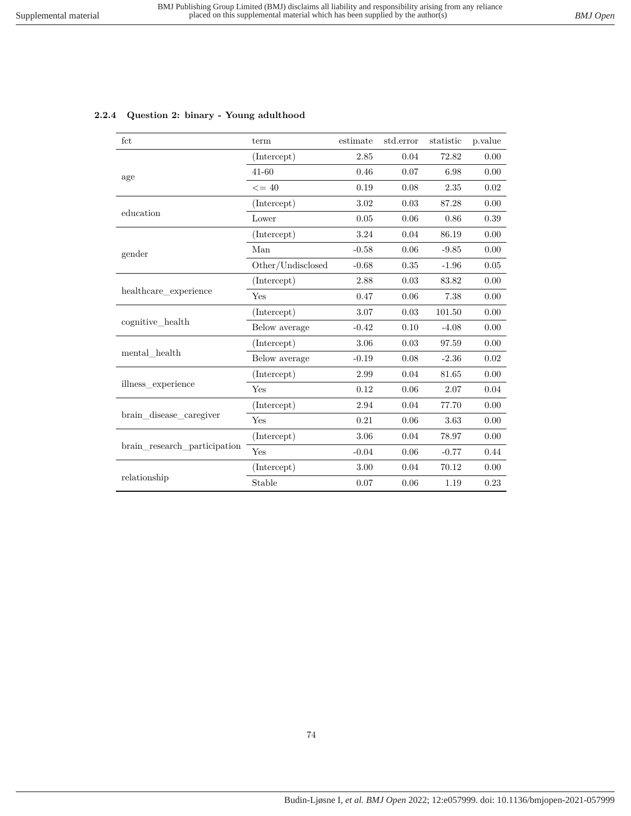| fct                                                                                                                                                                                       | term                                                                                                                    | estimate                                                                                                                                                                                                                                                                                                                                                                                                                                                        | std.error | statistic | p.value  |
|-------------------------------------------------------------------------------------------------------------------------------------------------------------------------------------------|-------------------------------------------------------------------------------------------------------------------------|-----------------------------------------------------------------------------------------------------------------------------------------------------------------------------------------------------------------------------------------------------------------------------------------------------------------------------------------------------------------------------------------------------------------------------------------------------------------|-----------|-----------|----------|
|                                                                                                                                                                                           | (Intercept)                                                                                                             | 2.85                                                                                                                                                                                                                                                                                                                                                                                                                                                            | 0.04      | 72.82     | 0.00     |
|                                                                                                                                                                                           | $41 - 60$                                                                                                               | 0.46                                                                                                                                                                                                                                                                                                                                                                                                                                                            | 0.07      | 6.98      | 0.00     |
|                                                                                                                                                                                           | $\leq$ = 40                                                                                                             | 0.19                                                                                                                                                                                                                                                                                                                                                                                                                                                            | 0.08      | 2.35      | 0.02     |
|                                                                                                                                                                                           | (Intercept)                                                                                                             | 3.02                                                                                                                                                                                                                                                                                                                                                                                                                                                            | 0.03      | 87.28     | 0.00     |
|                                                                                                                                                                                           | Lower                                                                                                                   | 0.05                                                                                                                                                                                                                                                                                                                                                                                                                                                            | 0.06      | 0.86      | $0.39\,$ |
|                                                                                                                                                                                           | (Intercept)                                                                                                             | 3.24<br>0.04<br>86.19<br>$-0.58$<br>0.06<br>$-9.85$<br>$-0.68$<br>0.35<br>$-1.96$<br>0.03<br>2.88<br>83.82<br>0.47<br>0.06<br>7.38<br>3.07<br>0.03<br>101.50<br>$-0.42$<br>0.10<br>$-4.08$<br>3.06<br>$0.03\,$<br>97.59<br>0.08<br>$-0.19$<br>$-2.36$<br>0.04<br>81.65<br>2.99<br>0.06<br>0.12<br>2.07<br>2.94<br>0.04<br>77.70<br>0.21<br>0.06<br>3.63<br>3.06<br>0.04<br>78.97<br>$-0.04$<br>0.06<br>$-0.77$<br>0.04<br>3.00<br>70.12<br>0.07<br>0.06<br>1.19 | 0.00      |           |          |
| age<br>education<br>gender<br>healthcare experience<br>cognitive health<br>mental health<br>illness experience<br>brain disease caregiver<br>brain research participation<br>relationship | Man                                                                                                                     |                                                                                                                                                                                                                                                                                                                                                                                                                                                                 |           |           | 0.00     |
|                                                                                                                                                                                           | Other/Undisclosed                                                                                                       |                                                                                                                                                                                                                                                                                                                                                                                                                                                                 |           |           | 0.05     |
|                                                                                                                                                                                           | (Intercept)                                                                                                             |                                                                                                                                                                                                                                                                                                                                                                                                                                                                 |           |           | 0.00     |
|                                                                                                                                                                                           | <b>Yes</b>                                                                                                              |                                                                                                                                                                                                                                                                                                                                                                                                                                                                 |           |           | 0.00     |
|                                                                                                                                                                                           | (Intercept)                                                                                                             |                                                                                                                                                                                                                                                                                                                                                                                                                                                                 | 0.00      |           |          |
|                                                                                                                                                                                           | Below average                                                                                                           |                                                                                                                                                                                                                                                                                                                                                                                                                                                                 |           |           | 0.00     |
|                                                                                                                                                                                           | (Intercept)<br>Below average<br>(Intercept)<br>Yes<br>(Intercept)<br>Yes<br>(Intercept)<br>Yes<br>(Intercept)<br>Stable |                                                                                                                                                                                                                                                                                                                                                                                                                                                                 |           |           | 0.00     |
|                                                                                                                                                                                           |                                                                                                                         |                                                                                                                                                                                                                                                                                                                                                                                                                                                                 |           |           | 0.02     |
|                                                                                                                                                                                           |                                                                                                                         |                                                                                                                                                                                                                                                                                                                                                                                                                                                                 |           |           | 0.00     |
|                                                                                                                                                                                           |                                                                                                                         |                                                                                                                                                                                                                                                                                                                                                                                                                                                                 |           |           | 0.04     |
|                                                                                                                                                                                           |                                                                                                                         |                                                                                                                                                                                                                                                                                                                                                                                                                                                                 |           |           | 0.00     |
|                                                                                                                                                                                           |                                                                                                                         |                                                                                                                                                                                                                                                                                                                                                                                                                                                                 |           |           | 0.00     |
|                                                                                                                                                                                           |                                                                                                                         |                                                                                                                                                                                                                                                                                                                                                                                                                                                                 |           |           | 0.00     |
|                                                                                                                                                                                           |                                                                                                                         |                                                                                                                                                                                                                                                                                                                                                                                                                                                                 |           |           | 0.44     |
|                                                                                                                                                                                           |                                                                                                                         |                                                                                                                                                                                                                                                                                                                                                                                                                                                                 |           |           | 0.00     |
|                                                                                                                                                                                           |                                                                                                                         |                                                                                                                                                                                                                                                                                                                                                                                                                                                                 |           |           | 0.23     |

### **2.2.4 Question 2: binary - Young adulthood**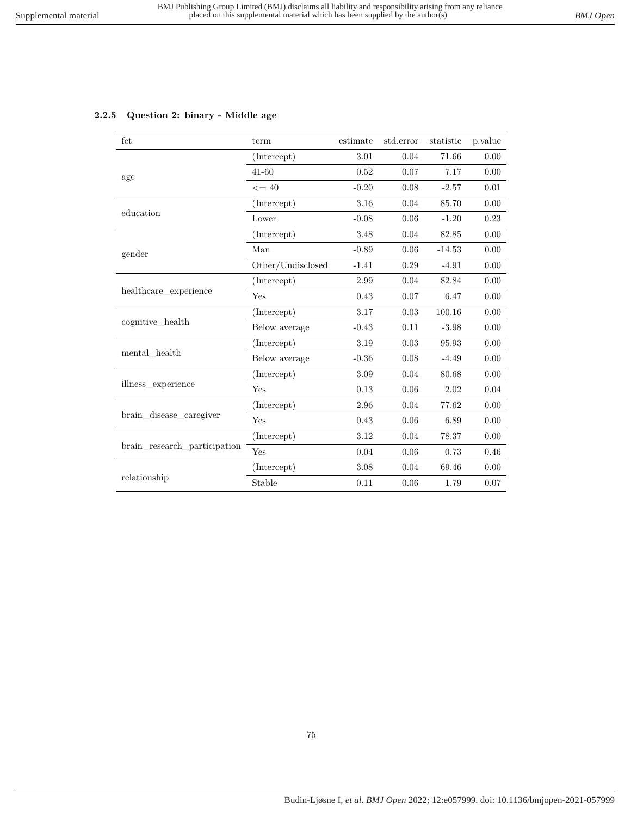## **2.2.5 Question 2: binary - Middle age**

| fct                          | term              | estimate | std.error | statistic | p.value |
|------------------------------|-------------------|----------|-----------|-----------|---------|
|                              | (Intercept)       | 3.01     | 0.04      | 71.66     | 0.00    |
| age                          | $41 - 60$         | 0.52     | 0.07      | 7.17      | 0.00    |
|                              | $\leq$ = 40       | $-0.20$  | 0.08      | $-2.57$   | 0.01    |
|                              | (Intercept)       | 3.16     | 0.04      | 85.70     | 0.00    |
| education                    | Lower             | $-0.08$  | 0.06      | $-1.20$   | 0.23    |
|                              | (Intercept)       | 3.48     | 0.04      | 82.85     | 0.00    |
| gender                       | Man               | $-0.89$  | 0.06      | $-14.53$  | 0.00    |
|                              | Other/Undisclosed | $-1.41$  | 0.29      | $-4.91$   | 0.00    |
|                              | (Intercept)       | 2.99     | 0.04      | 82.84     | 0.00    |
| healthcare experience        | Yes               | 0.43     | 0.07      | 6.47      | 0.00    |
|                              | (Intercept)       | 3.17     | 0.03      | 100.16    | 0.00    |
| cognitive health             | Below average     | $-0.43$  | 0.11      | $-3.98$   | 0.00    |
|                              | (Intercept)       | 3.19     | 0.03      | 95.93     | 0.00    |
| mental health                | Below average     | $-0.36$  | 0.08      | $-4.49$   | 0.00    |
|                              | (Intercept)       | 3.09     | 0.04      | 80.68     | 0.00    |
| illness experience           | Yes               | 0.13     | 0.06      | 2.02      | 0.04    |
|                              | (Intercept)       | 2.96     | 0.04      | 77.62     | 0.00    |
| brain disease caregiver      | Yes               | 0.43     | 0.06      | 6.89      | 0.00    |
|                              | (Intercept)       | 3.12     | 0.04      | 78.37     | 0.00    |
| brain research participation | Yes               | 0.04     | 0.06      | 0.73      | 0.46    |
|                              | (Intercept)       | 3.08     | 0.04      | 69.46     | 0.00    |
| relationship                 | Stable            | 0.11     | 0.06      | 1.79      | 0.07    |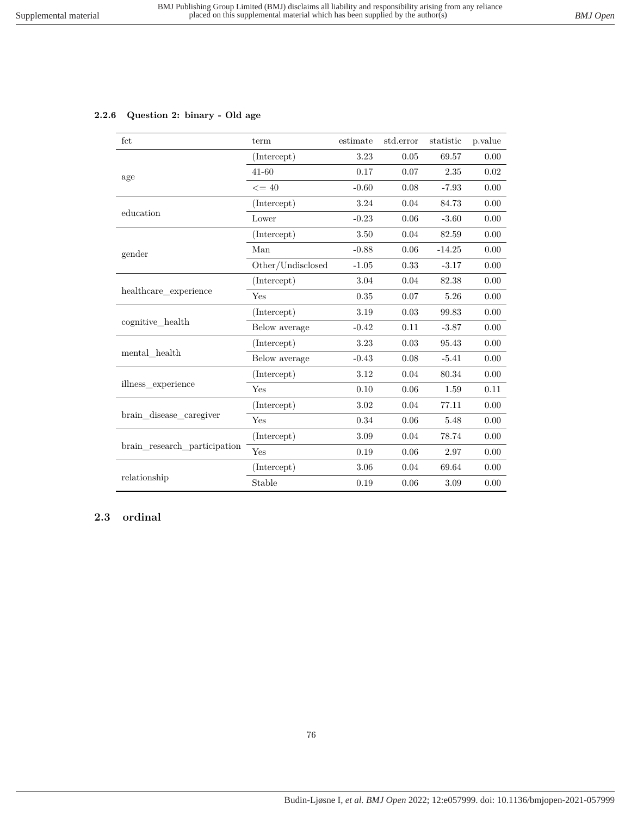## **2.2.6 Question 2: binary - Old age**

| fct                                                                                                                                       | term              | estimate | std.error | statistic | p.value  |
|-------------------------------------------------------------------------------------------------------------------------------------------|-------------------|----------|-----------|-----------|----------|
|                                                                                                                                           | (Intercept)       | 3.23     | 0.05      | 69.57     | 0.00     |
|                                                                                                                                           | $41 - 60$         | 0.17     | 0.07      | 2.35      | 0.02     |
|                                                                                                                                           | $\leq$ = 40       | $-0.60$  | 0.08      | $-7.93$   | 0.00     |
|                                                                                                                                           | (Intercept)       | 3.24     | 0.04      | 84.73     | 0.00     |
|                                                                                                                                           | Lower             | $-0.23$  | 0.06      | $-3.60$   | 0.00     |
|                                                                                                                                           | (Intercept)       | 3.50     | 0.04      | 82.59     | 0.00     |
| age<br>education<br>gender<br>healthcare experience<br>cognitive health<br>mental health<br>illness experience<br>brain disease caregiver | Man               | $-0.88$  | 0.06      | $-14.25$  | 0.00     |
|                                                                                                                                           | Other/Undisclosed | $-1.05$  | 0.33      | $-3.17$   | $0.00\,$ |
|                                                                                                                                           | (Intercept)       | 3.04     | 0.04      | 82.38     | 0.00     |
|                                                                                                                                           | Yes               | $0.35\,$ | 0.07      | 5.26      | 0.00     |
|                                                                                                                                           | (Intercept)       | 3.19     | 0.03      | 99.83     | 0.00     |
|                                                                                                                                           | Below average     | $-0.42$  | 0.11      | $-3.87$   | 0.00     |
|                                                                                                                                           | (Intercept)       | 3.23     | 0.03      | 95.43     | 0.00     |
|                                                                                                                                           | Below average     | $-0.43$  | 0.08      | $-5.41$   | 0.00     |
|                                                                                                                                           | (Intercept)       | 3.12     | 0.04      | 80.34     | 0.00     |
|                                                                                                                                           | Yes               | 0.10     | 0.06      | 1.59      | 0.11     |
|                                                                                                                                           | (Intercept)       | 3.02     | 0.04      | 77.11     | 0.00     |
|                                                                                                                                           | Yes               | 0.34     | 0.06      | 5.48      | 0.00     |
|                                                                                                                                           | (Intercept)       | 3.09     | 0.04      | 78.74     | 0.00     |
| brain research participation                                                                                                              | Yes               | 0.19     | 0.06      | 2.97      | 0.00     |
|                                                                                                                                           | (Intercept)       | 3.06     | 0.04      | 69.64     | 0.00     |
| relationship                                                                                                                              | Stable            | 0.19     | 0.06      | 3.09      | 0.00     |

## **2.3 ordinal**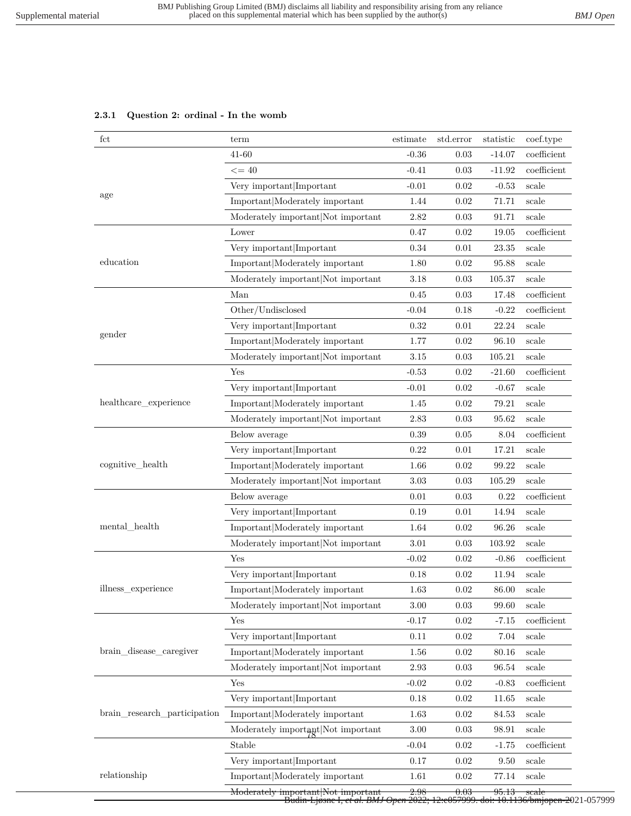### **2.3.1 Question 2: ordinal - In the womb**

| $_{\rm fct}$                                                                                                                                                       | term                                          | estimate | std.error        | statistic | coef.type      |
|--------------------------------------------------------------------------------------------------------------------------------------------------------------------|-----------------------------------------------|----------|------------------|-----------|----------------|
|                                                                                                                                                                    | $41 - 60$                                     | $-0.36$  | 0.03             | $-14.07$  | coefficient    |
|                                                                                                                                                                    | $\leq$ = 40                                   | $-0.41$  | 0.03             | $-11.92$  | coefficient    |
|                                                                                                                                                                    | Very important Important                      | $-0.01$  | 0.02             | $-0.53$   | scale          |
| age                                                                                                                                                                | Important Moderately important                | 1.44     | 0.02             | 71.71     | scale          |
| education<br>gender<br>healthcare_experience<br>cognitive_health<br>mental_health<br>illness_experience<br>brain_disease_caregiver<br>brain research participation | Moderately important Not important            | 2.82     | 0.03             | 91.71     | scale          |
|                                                                                                                                                                    | Lower                                         | 0.47     | 0.02             | 19.05     | coefficient    |
|                                                                                                                                                                    | Very important Important                      | 0.34     | 0.01             | 23.35     | scale          |
|                                                                                                                                                                    | Important Moderately important                | 1.80     | 0.02             | 95.88     | scale          |
|                                                                                                                                                                    | Moderately important Not important            | 3.18     | 0.03             | 105.37    | scale          |
|                                                                                                                                                                    | Man                                           | 0.45     | 0.03             | 17.48     | coefficient    |
|                                                                                                                                                                    | Other/Undisclosed                             | $-0.04$  | 0.18             | $-0.22$   | coefficient    |
|                                                                                                                                                                    | Very important Important                      | 0.32     | 0.01             | 22.24     | scale          |
|                                                                                                                                                                    | Important Moderately important                | 1.77     | 0.02             | 96.10     | scale          |
|                                                                                                                                                                    | Moderately important Not important            | 3.15     | $0.03\,$         | 105.21    | scale          |
|                                                                                                                                                                    | Yes                                           | $-0.53$  | 0.02             | $-21.60$  | coefficient    |
|                                                                                                                                                                    | Very important Important                      | $-0.01$  | 0.02             | $-0.67$   | scale          |
|                                                                                                                                                                    | Important Moderately important                | 1.45     | 0.02             | 79.21     | scale          |
|                                                                                                                                                                    | Moderately important Not important            | 2.83     | 0.03             | 95.62     | scale          |
|                                                                                                                                                                    | Below average                                 | 0.39     | 0.05             | 8.04      | $coefficient$  |
|                                                                                                                                                                    | Very important Important                      | 0.22     | 0.01             | 17.21     | scale          |
| relationship                                                                                                                                                       | Important Moderately important                | 1.66     | 0.02             | 99.22     | scale          |
|                                                                                                                                                                    | Moderately important Not important            | 3.03     | 0.03             | 105.29    | scale          |
|                                                                                                                                                                    | Below average                                 | 0.01     | 0.03             | 0.22      | coefficient    |
|                                                                                                                                                                    | Very important Important                      | 0.19     | 0.01             | 14.94     | scale          |
|                                                                                                                                                                    | Important Moderately important                | 1.64     | 0.02             | 96.26     | scale          |
|                                                                                                                                                                    | Moderately important Not important            | 3.01     | 0.03             | 103.92    | scale          |
|                                                                                                                                                                    | Yes                                           | $-0.02$  | 0.02             | $-0.86$   | coefficient    |
|                                                                                                                                                                    | Very important Important                      | 0.18     | 0.02             | 11.94     | scale          |
|                                                                                                                                                                    | $\mbox{Important} \mbox{Modern}$ important    | 1.63     | 0.02             | 86.00     | $_{\rm scale}$ |
|                                                                                                                                                                    | Moderately important Not important            | 3.00     | 0.03             | 99.60     | scale          |
|                                                                                                                                                                    | Yes                                           | $-0.17$  | 0.02             | $-7.15$   | coefficient    |
|                                                                                                                                                                    | Very important Important                      | 0.11     | 0.02             | 7.04      | scale          |
|                                                                                                                                                                    | Important Moderately important                | 1.56     | 0.02             | 80.16     | scale          |
|                                                                                                                                                                    | Moderately important Not important            | 2.93     | 0.03             | 96.54     | scale          |
|                                                                                                                                                                    | Yes                                           | $-0.02$  | 0.02             | $-0.83$   | coefficient    |
|                                                                                                                                                                    | Very important Important                      | 0.18     | 0.02             | 11.65     | scale          |
|                                                                                                                                                                    | Important Moderately important                | 1.63     | 0.02             | 84.53     | scale          |
|                                                                                                                                                                    | Moderately important Not important            | $3.00\,$ | 0.03             | 98.91     | scale          |
|                                                                                                                                                                    | Stable                                        | $-0.04$  | 0.02             | $-1.75$   | coefficient    |
|                                                                                                                                                                    | Very important Important                      | 0.17     | 0.02             | 9.50      | scale          |
|                                                                                                                                                                    | Important Moderately important                | 1.61     | 0.02             | 77.14     | scale          |
|                                                                                                                                                                    | <del>Moderately important Not important</del> | 2.98     | <del>0.03-</del> | 95.13     | scale          |

Moderately important|Not important 2.98 0.03 95.13 scale Budin-Ljøsne I*, et al. BMJ Open* 2022; 12:e057999. doi: 10.1136/bmjopen-2021-057999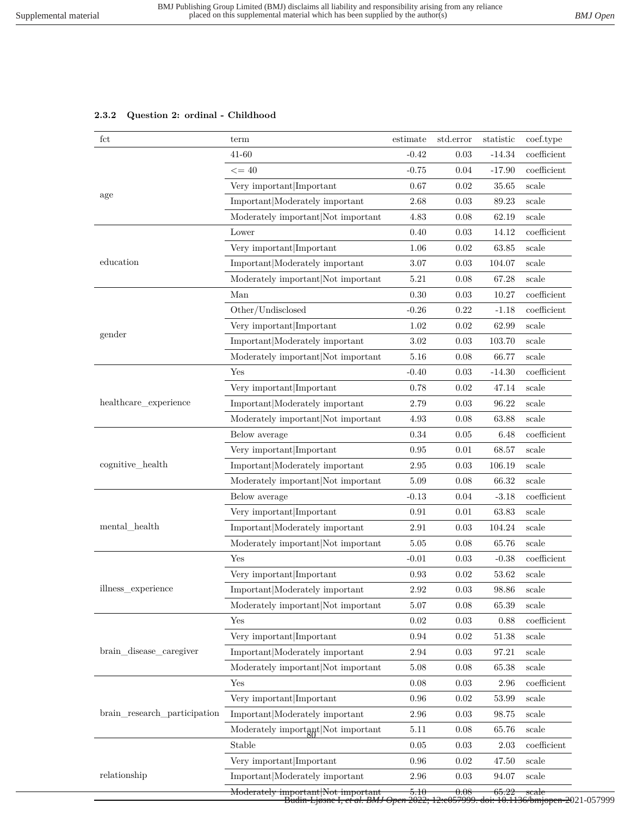## **2.3.2 Question 2: ordinal - Childhood**

| fct                                                                                           | term                                                                                                                                                                                                                                                                                                                                                                                                                                                                                                                                                                                                                                                                                                                                                                                                   | estimate | std.error | statistic | coef.type     |
|-----------------------------------------------------------------------------------------------|--------------------------------------------------------------------------------------------------------------------------------------------------------------------------------------------------------------------------------------------------------------------------------------------------------------------------------------------------------------------------------------------------------------------------------------------------------------------------------------------------------------------------------------------------------------------------------------------------------------------------------------------------------------------------------------------------------------------------------------------------------------------------------------------------------|----------|-----------|-----------|---------------|
|                                                                                               | 41-60                                                                                                                                                                                                                                                                                                                                                                                                                                                                                                                                                                                                                                                                                                                                                                                                  | $-0.42$  | 0.03      | $-14.34$  | coefficient   |
|                                                                                               | $\leq$ = 40                                                                                                                                                                                                                                                                                                                                                                                                                                                                                                                                                                                                                                                                                                                                                                                            | $-0.75$  | 0.04      | $-17.90$  | coefficient   |
|                                                                                               | Very important Important                                                                                                                                                                                                                                                                                                                                                                                                                                                                                                                                                                                                                                                                                                                                                                               | 0.67     | 0.02      | 35.65     | scale         |
| age                                                                                           | Important Moderately important                                                                                                                                                                                                                                                                                                                                                                                                                                                                                                                                                                                                                                                                                                                                                                         | 2.68     | 0.03      | 89.23     | scale         |
| education<br>gender                                                                           | Moderately important Not important                                                                                                                                                                                                                                                                                                                                                                                                                                                                                                                                                                                                                                                                                                                                                                     | 4.83     | 0.08      | 62.19     | scale         |
|                                                                                               | Lower                                                                                                                                                                                                                                                                                                                                                                                                                                                                                                                                                                                                                                                                                                                                                                                                  | 0.40     | 0.03      | 14.12     | coefficient   |
|                                                                                               | Very important Important                                                                                                                                                                                                                                                                                                                                                                                                                                                                                                                                                                                                                                                                                                                                                                               | 1.06     | 0.02      | 63.85     | scale         |
|                                                                                               | Important Moderately important                                                                                                                                                                                                                                                                                                                                                                                                                                                                                                                                                                                                                                                                                                                                                                         | 3.07     | 0.03      | 104.07    | scale         |
|                                                                                               | Moderately important Not important                                                                                                                                                                                                                                                                                                                                                                                                                                                                                                                                                                                                                                                                                                                                                                     | 5.21     | 0.08      | 67.28     | scale         |
|                                                                                               | Man                                                                                                                                                                                                                                                                                                                                                                                                                                                                                                                                                                                                                                                                                                                                                                                                    | 0.30     | 0.03      | 10.27     | coefficient   |
|                                                                                               | Other/Undisclosed                                                                                                                                                                                                                                                                                                                                                                                                                                                                                                                                                                                                                                                                                                                                                                                      | $-0.26$  | 0.22      | $-1.18$   | coefficient   |
| healthcare_experience<br>cognitive_health<br>$\mathrm{mental\_health}$                        | Very important Important                                                                                                                                                                                                                                                                                                                                                                                                                                                                                                                                                                                                                                                                                                                                                                               | 1.02     | 0.02      | 62.99     | scale         |
|                                                                                               | Important Moderately important                                                                                                                                                                                                                                                                                                                                                                                                                                                                                                                                                                                                                                                                                                                                                                         | 3.02     | 0.03      | 103.70    | scale         |
|                                                                                               | Moderately important Not important                                                                                                                                                                                                                                                                                                                                                                                                                                                                                                                                                                                                                                                                                                                                                                     | 5.16     | 0.08      | 66.77     | scale         |
|                                                                                               | Yes                                                                                                                                                                                                                                                                                                                                                                                                                                                                                                                                                                                                                                                                                                                                                                                                    | $-0.40$  | 0.03      | $-14.30$  | $coefficient$ |
|                                                                                               | Very important Important                                                                                                                                                                                                                                                                                                                                                                                                                                                                                                                                                                                                                                                                                                                                                                               | 0.78     | 0.02      | 47.14     | scale         |
|                                                                                               | Important Moderately important                                                                                                                                                                                                                                                                                                                                                                                                                                                                                                                                                                                                                                                                                                                                                                         | 2.79     | 0.03      | 96.22     | scale         |
|                                                                                               | Moderately important Not important                                                                                                                                                                                                                                                                                                                                                                                                                                                                                                                                                                                                                                                                                                                                                                     | 4.93     | 0.08      | 63.88     | scale         |
|                                                                                               | Below average                                                                                                                                                                                                                                                                                                                                                                                                                                                                                                                                                                                                                                                                                                                                                                                          | 0.34     | 0.05      | 6.48      | coefficient   |
|                                                                                               | Very important Important                                                                                                                                                                                                                                                                                                                                                                                                                                                                                                                                                                                                                                                                                                                                                                               | 0.95     | 0.01      | 68.57     | scale         |
| illness experience<br>brain_disease_caregiver<br>brain research participation<br>relationship | Important Moderately important                                                                                                                                                                                                                                                                                                                                                                                                                                                                                                                                                                                                                                                                                                                                                                         | 2.95     | 0.03      | 106.19    | scale         |
|                                                                                               | Moderately important Not important                                                                                                                                                                                                                                                                                                                                                                                                                                                                                                                                                                                                                                                                                                                                                                     | 5.09     | 0.08      | 66.32     | scale         |
|                                                                                               | Below average                                                                                                                                                                                                                                                                                                                                                                                                                                                                                                                                                                                                                                                                                                                                                                                          | $-0.13$  | 0.04      | $-3.18$   | coefficient   |
|                                                                                               | Very important Important                                                                                                                                                                                                                                                                                                                                                                                                                                                                                                                                                                                                                                                                                                                                                                               | 0.91     | 0.01      | 63.83     | scale         |
|                                                                                               | Important Moderately important                                                                                                                                                                                                                                                                                                                                                                                                                                                                                                                                                                                                                                                                                                                                                                         | 2.91     | 0.03      | 104.24    | scale         |
|                                                                                               | Moderately important Not important                                                                                                                                                                                                                                                                                                                                                                                                                                                                                                                                                                                                                                                                                                                                                                     | 5.05     | 0.08      | 65.76     | scale         |
|                                                                                               | Yes                                                                                                                                                                                                                                                                                                                                                                                                                                                                                                                                                                                                                                                                                                                                                                                                    | $-0.01$  | 0.03      | $-0.38$   | coefficient   |
|                                                                                               | Very important Important                                                                                                                                                                                                                                                                                                                                                                                                                                                                                                                                                                                                                                                                                                                                                                               | 0.93     | 0.02      | 53.62     | scale         |
|                                                                                               | Important Moderately important                                                                                                                                                                                                                                                                                                                                                                                                                                                                                                                                                                                                                                                                                                                                                                         | 2.92     | $0.03\,$  | 98.86     | scale         |
|                                                                                               | Moderately important Not important<br>5.07<br>0.08<br>65.39<br>scale<br>0.02<br>0.03<br>0.88<br>Yes<br>Very important Important<br>0.94<br>0.02<br>51.38<br>scale<br>Important Moderately important<br>2.94<br>0.03<br>97.21<br>scale<br>Moderately important Not important<br>5.08<br>65.38<br>0.08<br>scale<br>Yes<br>0.08<br>0.03<br>2.96<br>Very important Important<br>0.96<br>0.02<br>53.99<br>scale<br>Important Moderately important<br>2.96<br>0.03<br>98.75<br>scale<br>Moderately important Not important<br>5.11<br>0.08<br>65.76<br>scale<br>Stable<br>0.05<br>0.03<br>2.03<br>Very important Important<br>0.96<br>0.02<br>47.50<br>scale<br>Important Moderately important<br>$2.96\,$<br>0.03<br>94.07<br>scale<br>Moderately important Not important<br>5.10<br>65.22<br>0.08<br>scale |          |           |           |               |
|                                                                                               |                                                                                                                                                                                                                                                                                                                                                                                                                                                                                                                                                                                                                                                                                                                                                                                                        |          |           |           | coefficient   |
|                                                                                               |                                                                                                                                                                                                                                                                                                                                                                                                                                                                                                                                                                                                                                                                                                                                                                                                        |          |           |           |               |
|                                                                                               |                                                                                                                                                                                                                                                                                                                                                                                                                                                                                                                                                                                                                                                                                                                                                                                                        |          |           |           |               |
|                                                                                               |                                                                                                                                                                                                                                                                                                                                                                                                                                                                                                                                                                                                                                                                                                                                                                                                        |          |           |           |               |
|                                                                                               |                                                                                                                                                                                                                                                                                                                                                                                                                                                                                                                                                                                                                                                                                                                                                                                                        |          |           |           | coefficient   |
|                                                                                               |                                                                                                                                                                                                                                                                                                                                                                                                                                                                                                                                                                                                                                                                                                                                                                                                        |          |           |           |               |
|                                                                                               |                                                                                                                                                                                                                                                                                                                                                                                                                                                                                                                                                                                                                                                                                                                                                                                                        |          |           |           |               |
|                                                                                               |                                                                                                                                                                                                                                                                                                                                                                                                                                                                                                                                                                                                                                                                                                                                                                                                        |          |           |           |               |
|                                                                                               |                                                                                                                                                                                                                                                                                                                                                                                                                                                                                                                                                                                                                                                                                                                                                                                                        |          |           |           | coefficient   |
|                                                                                               |                                                                                                                                                                                                                                                                                                                                                                                                                                                                                                                                                                                                                                                                                                                                                                                                        |          |           |           |               |
|                                                                                               |                                                                                                                                                                                                                                                                                                                                                                                                                                                                                                                                                                                                                                                                                                                                                                                                        |          |           |           |               |
|                                                                                               |                                                                                                                                                                                                                                                                                                                                                                                                                                                                                                                                                                                                                                                                                                                                                                                                        |          |           |           |               |

Moderately important|Not important 5.10 0.08 65.22 scale Budin-Ljøsne I*, et al. BMJ Open* 2022; 12:e057999. doi: 10.1136/bmjopen-2021-057999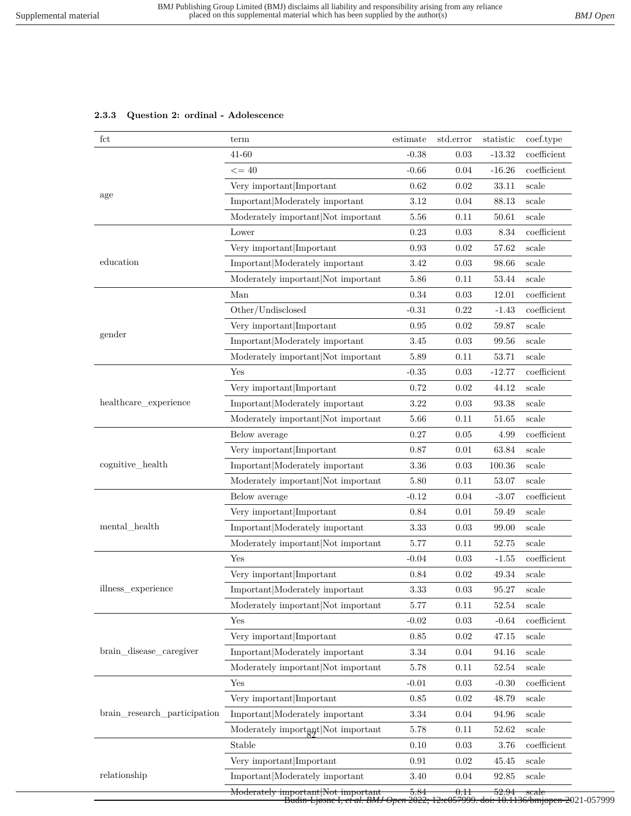|  |  |  |  | 2.3.3 Question 2: ordinal - Adolescence |
|--|--|--|--|-----------------------------------------|
|--|--|--|--|-----------------------------------------|

| $_{\rm fct}$                 | term                                          | estimate | std.error       | statistic | coef.type                    |
|------------------------------|-----------------------------------------------|----------|-----------------|-----------|------------------------------|
|                              | $41 - 60$                                     | $-0.38$  | 0.03            | $-13.32$  | coefficient                  |
|                              | $\leq$ = 40                                   | $-0.66$  | 0.04            | $-16.26$  | coefficient                  |
|                              | Very important Important                      | 0.62     | 0.02            | 33.11     | scale                        |
| age                          | Important Moderately important                | 3.12     | 0.04            | 88.13     | scale                        |
|                              | Moderately important Not important            | 5.56     | 0.11            | 50.61     | scale                        |
|                              | Lower                                         | 0.23     | 0.03            | 8.34      | coefficient                  |
|                              | Very important Important                      | 0.93     | 0.02            | 57.62     | scale                        |
| education                    | Important Moderately important                | 3.42     | 0.03            | 98.66     | scale                        |
|                              | Moderately important Not important            | 5.86     | 0.11            | 53.44     | scale                        |
|                              | Man                                           | 0.34     | 0.03            | 12.01     | $coefficient$                |
|                              | Other/Undisclosed                             | $-0.31$  | 0.22            | $-1.43$   | coefficient                  |
|                              | Very important Important                      | 0.95     | 0.02            | 59.87     | scale                        |
| gender                       | Important Moderately important                | 3.45     | 0.03            | 99.56     | scale                        |
|                              | Moderately important Not important            | 5.89     | 0.11            | 53.71     | scale                        |
|                              | Yes                                           | $-0.35$  | 0.03            | $-12.77$  | $coefficient$                |
|                              | Very important Important                      | 0.72     | 0.02            | 44.12     | scale                        |
| healthcare_experience        | Important Moderately important                | 3.22     | 0.03            | 93.38     | scale                        |
|                              | Moderately important Not important            | 5.66     | 0.11            | $51.65\,$ | scale                        |
|                              | Below average                                 | 0.27     | 0.05            | 4.99      | coefficient                  |
|                              | Very important Important                      | 0.87     | 0.01            | 63.84     | scale                        |
| cognitive_health             | Important Moderately important                | 3.36     | 0.03            | 100.36    | scale                        |
|                              | Moderately important Not important            | 5.80     | 0.11            | 53.07     | scale                        |
|                              | Below average                                 | $-0.12$  | 0.04            | $-3.07$   | coefficient                  |
|                              | Very important Important                      | 0.84     | 0.01            | 59.49     | scale                        |
| mental health                | Important Moderately important                | 3.33     | 0.03            | 99.00     | scale                        |
|                              | Moderately important Not important            | 5.77     | 0.11            | 52.75     | scale                        |
|                              | Yes                                           | $-0.04$  | 0.03            | $-1.55$   | coefficient                  |
|                              | Very important Important                      | 0.84     | 0.02            | 49.34     | scale                        |
| illness_experience           | Important Moderately important                | $\!.33$  | $\rm 0.03$      | $95.27\,$ | scale                        |
| brain_disease_caregiver      | Moderately important Not important            | 5.77     | 0.11            | 52.54     | scale                        |
|                              | Yes                                           | $-0.02$  | 0.03            | $-0.64$   | $\operatorname{coefficient}$ |
|                              | Very important Important                      | 0.85     | 0.02            | 47.15     | scale                        |
|                              | Important Moderately important                | $3.34\,$ | 0.04            | 94.16     | scale                        |
|                              | Moderately important Not important            | 5.78     | 0.11            | 52.54     | scale                        |
|                              | Yes                                           | $-0.01$  | 0.03            | $-0.30$   | $coefficient$                |
|                              | Very important Important                      | 0.85     | 0.02            | 48.79     | scale                        |
| brain_research_participation | Important Moderately important                | $3.34\,$ | 0.04            | 94.96     | scale                        |
|                              | Moderately important Not important            | 5.78     | 0.11            | 52.62     | scale                        |
|                              | Stable                                        | 0.10     | 0.03            | 3.76      | $coefficient$                |
|                              | Very important Important                      | 0.91     | 0.02            | 45.45     | scale                        |
| relationship                 | Important Moderately important                | 3.40     | 0.04            | 92.85     | scale                        |
|                              | <del>Moderately important Not important</del> | 5.84     | <del>0.11</del> | 52.94     | scale                        |

ery importantifi<del>vot important 5.84<br>|- Budin-Ljøsne I, *et al. BMJ Open 2*022;</del> Budin-Ljøsne I*, et al. BMJ Open* 2022; 12:e057999. doi: 10.1136/bmjopen-2021-057999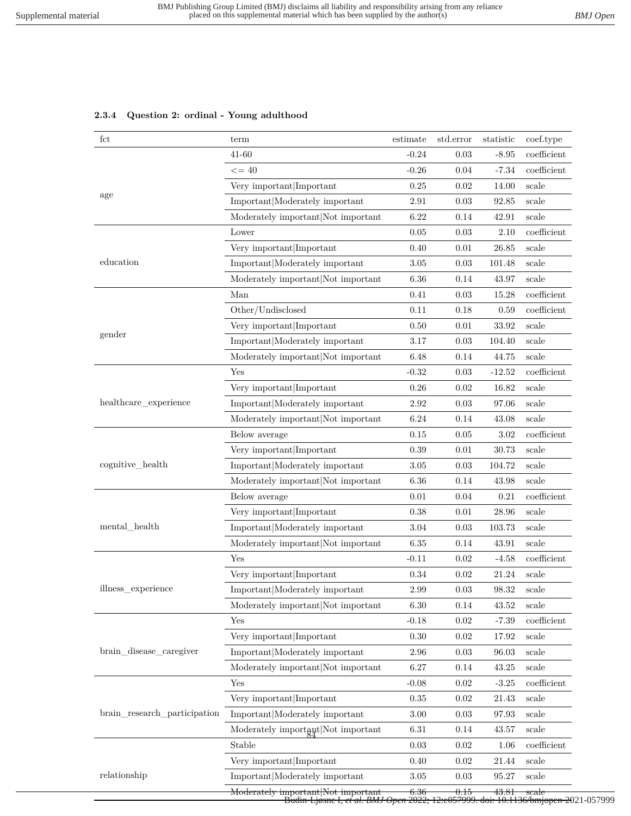# fct term term estimate std.error statistic coef.type 41-60 -0.24 0.03 -8.95 coefficient  $\epsilon = 40$   $-0.26$   $0.04$   $-7.34$  coefficient Very important|Important 0.25 0.02 14.00 scale age Important|Moderately important 2.91 0.03 92.85 scale Moderately important|Not important 6.22 0.14 42.91 scale  $0.05 \qquad \qquad 0.03 \qquad \qquad 2.10 \quad \text{coefficient}$ Very important|Important 0.40 0.01 26.85 scale education Important|Moderately important 3.05 0.03 101.48 scale Moderately important|Not important 6.36 0.14 43.97 scale Man 0.41 0.03 15.28 coefficient Other/Undisclosed 0.11 0.18 0.59 coefficient Very important |Important  $0.50$  0.01 33.92 scale gender Theorem 1991 Important|Moderately important 3.17 0.03 104.40 scale Moderately important|Not important 6.48 0.14 44.75 scale Yes -0.32 0.03 -12.52 coefficient Very important|Important 0.26 0.02 16.82 scale healthcare\_experience Important|Moderately important 2.92 0.03 97.06 scale Moderately important|Not important 6.24 0.14 43.08 scale Below average  $0.15$   $0.05$   $3.02$  coefficient Very important|Important 0.39 0.01 30.73 scale cognitive\_health Important|Moderately important 3.05 0.03 104.72 scale Moderately important|Not important 6.36 0.14 43.98 scale Below average  $0.01$   $0.04$   $0.21$  coefficient Very important|Important 0.38 0.01 28.96 scale mental\_health Important|Moderately important 3.04 0.03 103.73 scale Moderately important|Not important 6.35 0.14 43.91 scale  $Yes$   $-0.11$   $0.02$   $-4.58$  coefficient Very important|Important 0.34 0.02 21.24 scale illness\_experience Important|Moderately important 2.99 0.03 98.32 scale Moderately important|Not important 6.30 0.14 43.52 scale Yes  $-0.18$   $0.02$   $-7.39$  coefficient Very important|Important 0.30 0.02 17.92 scale brain\_disease\_caregiver Important|Moderately important 2.96 0.03 96.03 scale Moderately important|Not important 6.27 0.14 43.25 scale Yes  $-0.08$   $0.02$   $-3.25$  coefficient Very important|Important  $0.35$   $0.02$   $21.43$  scale brain\_research\_participation Important|Moderately important 3.00 0.03 97.93 scale Moderately important  $6.31$   $0.14$   $43.57$  scale Stable 0.03 0.02 1.06 coefficient Very important  $\text{Important}$  and  $\text{Important}$  0.40  $\text{Important}$  0.02  $\text{Impart}$  scale relationship Important|Moderately important 3.05 0.03 95.27 scale

#### **2.3.4 Question 2: ordinal - Young adulthood**

Moderately important|Not important 6.36 0.15 43.81 scale<br>Budin-Liøsne L et al. BMJ Oven 2022: 12:e057999. doi: 10.1136/bmjor Budin-Ljøsne I*, et al. BMJ Open* 2022; 12:e057999. doi: 10.1136/bmjopen-2021-057999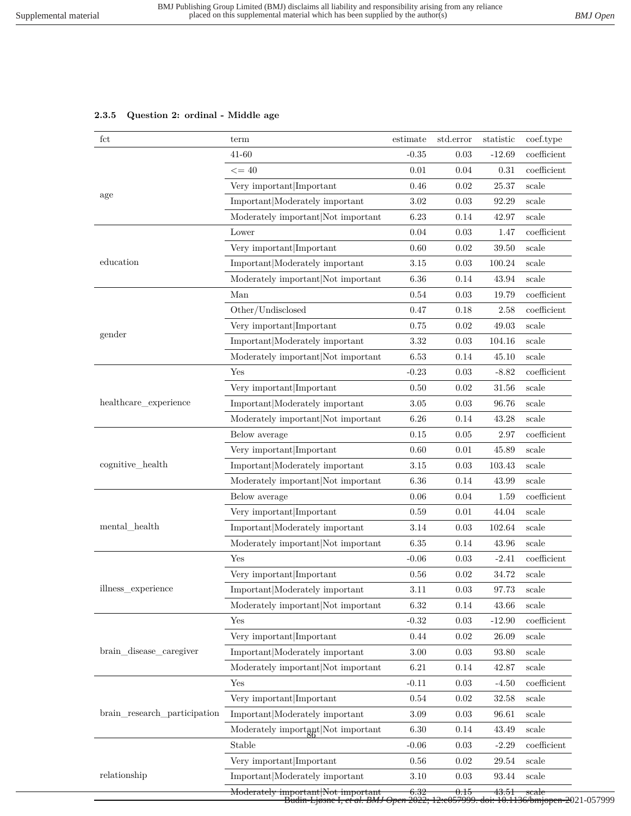## **2.3.5 Question 2: ordinal - Middle age**

| fct                                                                                                     | term                                                                                                                                                                                                                                                                                                                                                                                                                                                                                                                                                                                                    | estimate | std.error | statistic | coef.type     |
|---------------------------------------------------------------------------------------------------------|---------------------------------------------------------------------------------------------------------------------------------------------------------------------------------------------------------------------------------------------------------------------------------------------------------------------------------------------------------------------------------------------------------------------------------------------------------------------------------------------------------------------------------------------------------------------------------------------------------|----------|-----------|-----------|---------------|
|                                                                                                         | 41-60                                                                                                                                                                                                                                                                                                                                                                                                                                                                                                                                                                                                   | $-0.35$  | 0.03      | $-12.69$  | coefficient   |
|                                                                                                         | $\leq$ = 40                                                                                                                                                                                                                                                                                                                                                                                                                                                                                                                                                                                             | 0.01     | 0.04      | 0.31      | coefficient   |
|                                                                                                         | Very important Important                                                                                                                                                                                                                                                                                                                                                                                                                                                                                                                                                                                | 0.46     | 0.02      | 25.37     | scale         |
| age                                                                                                     | Important Moderately important                                                                                                                                                                                                                                                                                                                                                                                                                                                                                                                                                                          | 3.02     | 0.03      | 92.29     | scale         |
| education<br>gender<br>healthcare_experience<br>cognitive_health<br>mental_health<br>illness_experience | Moderately important Not important                                                                                                                                                                                                                                                                                                                                                                                                                                                                                                                                                                      | 6.23     | 0.14      | 42.97     | scale         |
|                                                                                                         | Lower                                                                                                                                                                                                                                                                                                                                                                                                                                                                                                                                                                                                   | 0.04     | 0.03      | 1.47      | coefficient   |
|                                                                                                         | Very important Important                                                                                                                                                                                                                                                                                                                                                                                                                                                                                                                                                                                | 0.60     | 0.02      | 39.50     | scale         |
|                                                                                                         | Important Moderately important                                                                                                                                                                                                                                                                                                                                                                                                                                                                                                                                                                          | 3.15     | 0.03      | 100.24    | scale         |
|                                                                                                         | Moderately important Not important                                                                                                                                                                                                                                                                                                                                                                                                                                                                                                                                                                      | 6.36     | 0.14      | 43.94     | scale         |
|                                                                                                         | Man                                                                                                                                                                                                                                                                                                                                                                                                                                                                                                                                                                                                     | 0.54     | 0.03      | 19.79     | coefficient   |
| brain_disease_caregiver<br>brain_research_participation                                                 | Other/Undisclosed                                                                                                                                                                                                                                                                                                                                                                                                                                                                                                                                                                                       | 0.47     | 0.18      | 2.58      | coefficient   |
|                                                                                                         | Very important Important                                                                                                                                                                                                                                                                                                                                                                                                                                                                                                                                                                                | 0.75     | 0.02      | 49.03     | scale         |
|                                                                                                         | Important Moderately important                                                                                                                                                                                                                                                                                                                                                                                                                                                                                                                                                                          | 3.32     | 0.03      | 104.16    | scale         |
|                                                                                                         | Moderately important Not important                                                                                                                                                                                                                                                                                                                                                                                                                                                                                                                                                                      | 6.53     | 0.14      | 45.10     | scale         |
|                                                                                                         | Yes                                                                                                                                                                                                                                                                                                                                                                                                                                                                                                                                                                                                     | $-0.23$  | 0.03      | $-8.82$   | coefficient   |
|                                                                                                         | Very important Important                                                                                                                                                                                                                                                                                                                                                                                                                                                                                                                                                                                | 0.50     | 0.02      | 31.56     | scale         |
|                                                                                                         | Important Moderately important                                                                                                                                                                                                                                                                                                                                                                                                                                                                                                                                                                          | $3.05\,$ | 0.03      | 96.76     | scale         |
|                                                                                                         | Moderately important Not important                                                                                                                                                                                                                                                                                                                                                                                                                                                                                                                                                                      | 6.26     | 0.14      | 43.28     | scale         |
|                                                                                                         | Below average                                                                                                                                                                                                                                                                                                                                                                                                                                                                                                                                                                                           | 0.15     | 0.05      | 2.97      | coefficient   |
| relationship                                                                                            | Very important Important                                                                                                                                                                                                                                                                                                                                                                                                                                                                                                                                                                                | 0.60     | 0.01      | 45.89     | scale         |
|                                                                                                         | Important Moderately important                                                                                                                                                                                                                                                                                                                                                                                                                                                                                                                                                                          | 3.15     | 0.03      | 103.43    | scale         |
|                                                                                                         | Moderately important Not important                                                                                                                                                                                                                                                                                                                                                                                                                                                                                                                                                                      | 6.36     | 0.14      | 43.99     | scale         |
|                                                                                                         | Below average                                                                                                                                                                                                                                                                                                                                                                                                                                                                                                                                                                                           | 0.06     | 0.04      | 1.59      | coefficient   |
|                                                                                                         | Very important Important                                                                                                                                                                                                                                                                                                                                                                                                                                                                                                                                                                                | 0.59     | 0.01      | 44.04     | scale         |
|                                                                                                         | Important Moderately important                                                                                                                                                                                                                                                                                                                                                                                                                                                                                                                                                                          | 3.14     | 0.03      | 102.64    | scale         |
|                                                                                                         | Moderately important Not important                                                                                                                                                                                                                                                                                                                                                                                                                                                                                                                                                                      | 6.35     | 0.14      | 43.96     | scale         |
|                                                                                                         | Yes                                                                                                                                                                                                                                                                                                                                                                                                                                                                                                                                                                                                     | $-0.06$  | 0.03      | $-2.41$   | $coefficient$ |
|                                                                                                         | Very important Important                                                                                                                                                                                                                                                                                                                                                                                                                                                                                                                                                                                | 0.56     | 0.02      | 34.72     | scale         |
|                                                                                                         | Important Moderately important                                                                                                                                                                                                                                                                                                                                                                                                                                                                                                                                                                          | 3.11     | $0.03\,$  | 97.73     | scale         |
|                                                                                                         | Moderately important Not important<br>6.32<br>0.14<br>$-0.32$<br>Yes<br>0.03<br>Very important Important<br>0.44<br>0.02<br>Important Moderately important<br>$3.00\,$<br>0.03<br>Moderately important Not important<br>6.21<br>0.14<br>Yes<br>$-0.11$<br>0.03<br>Very important Important<br>0.54<br>0.02<br>Important Moderately important<br>3.09<br>0.03<br>Moderately important Not important<br>6.30<br>0.14<br>Stable<br>$-0.06$<br>0.03<br>Very important Important<br>0.56<br>0.02<br>Important Moderately important<br>$3.10\,$<br>0.03<br>6.32<br>Moderately important Not important<br>0.15 | 43.66    | scale     |           |               |
|                                                                                                         |                                                                                                                                                                                                                                                                                                                                                                                                                                                                                                                                                                                                         |          |           | $-12.90$  | coefficient   |
|                                                                                                         |                                                                                                                                                                                                                                                                                                                                                                                                                                                                                                                                                                                                         |          |           | 26.09     | scale         |
|                                                                                                         |                                                                                                                                                                                                                                                                                                                                                                                                                                                                                                                                                                                                         |          |           | 93.80     | scale         |
|                                                                                                         |                                                                                                                                                                                                                                                                                                                                                                                                                                                                                                                                                                                                         |          |           | 42.87     | scale         |
|                                                                                                         |                                                                                                                                                                                                                                                                                                                                                                                                                                                                                                                                                                                                         |          |           | $-4.50$   | coefficient   |
|                                                                                                         |                                                                                                                                                                                                                                                                                                                                                                                                                                                                                                                                                                                                         |          |           | 32.58     | scale         |
|                                                                                                         |                                                                                                                                                                                                                                                                                                                                                                                                                                                                                                                                                                                                         |          |           | 96.61     | scale         |
|                                                                                                         |                                                                                                                                                                                                                                                                                                                                                                                                                                                                                                                                                                                                         |          |           | 43.49     | scale         |
|                                                                                                         |                                                                                                                                                                                                                                                                                                                                                                                                                                                                                                                                                                                                         |          |           | $-2.29$   | coefficient   |
|                                                                                                         |                                                                                                                                                                                                                                                                                                                                                                                                                                                                                                                                                                                                         |          |           | 29.54     | scale         |
|                                                                                                         |                                                                                                                                                                                                                                                                                                                                                                                                                                                                                                                                                                                                         |          |           | 93.44     | scale         |
|                                                                                                         |                                                                                                                                                                                                                                                                                                                                                                                                                                                                                                                                                                                                         |          |           | 43.51     | scale         |

Moderately important|Not important 6.32 0.15 43.51 scale Budin-Ljøsne I*, et al. BMJ Open* 2022; 12:e057999. doi: 10.1136/bmjopen-2021-057999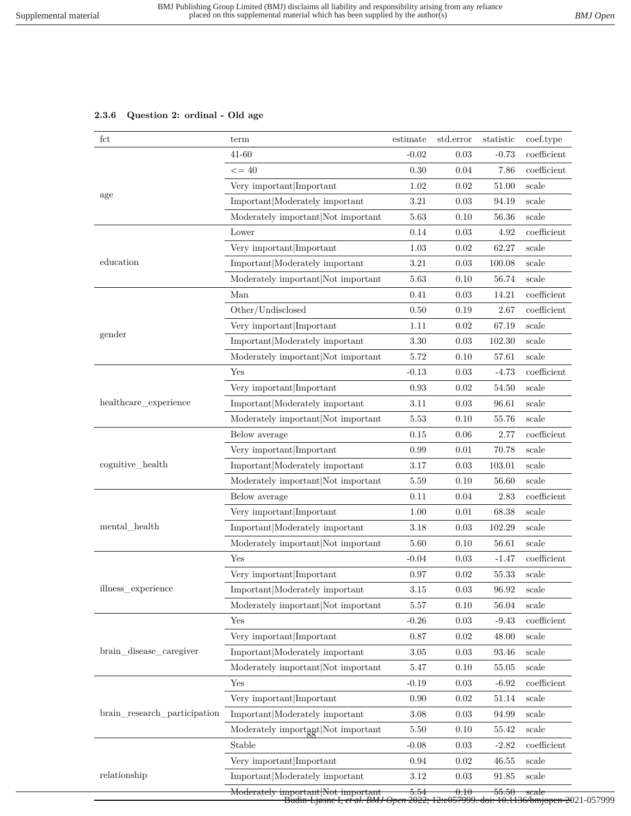## **2.3.6 Question 2: ordinal - Old age**

| $_{\rm fct}$                                                                                                   | term                               | estimate | std.error  | statistic            | coef.type        |
|----------------------------------------------------------------------------------------------------------------|------------------------------------|----------|------------|----------------------|------------------|
|                                                                                                                | 41-60                              | $-0.02$  | 0.03       | $-0.73$              | coefficient      |
| age<br>education<br>gender<br>healthcare_experience<br>cognitive_health<br>mental_health<br>illness_experience | $\leq$ = 40                        | 0.30     | 0.04       | 7.86                 | coefficient      |
|                                                                                                                | Very important Important           | 1.02     | 0.02       | 51.00                | scale            |
|                                                                                                                | Important Moderately important     | 3.21     | 0.03       | 94.19                | scale            |
| brain_disease_caregiver                                                                                        | Moderately important Not important | 5.63     | 0.10       | 56.36                | scale            |
|                                                                                                                | Lower                              | 0.14     | 0.03       | 4.92                 | coefficient      |
|                                                                                                                | Very important Important           | 1.03     | 0.02       | 62.27                | scale            |
|                                                                                                                | Important Moderately important     | 3.21     | $0.03\,$   | 100.08               | scale            |
|                                                                                                                | Moderately important Not important | 5.63     | 0.10       | 56.74                | scale            |
|                                                                                                                | Man                                | 0.41     | 0.03       | 14.21                | coefficient      |
|                                                                                                                | Other/Undisclosed                  | 0.50     | 0.19       | 2.67                 | coefficient      |
|                                                                                                                | Very important Important           | 1.11     | 0.02       | 67.19                | scale            |
|                                                                                                                | Important Moderately important     | 3.30     | 0.03       | 102.30               | scale            |
|                                                                                                                | Moderately important Not important | 5.72     | 0.10       | 57.61                | scale            |
|                                                                                                                | Yes                                | $-0.13$  | 0.03       | $-4.73$              | coefficient      |
|                                                                                                                | Very important Important           | 0.93     | 0.02       | 54.50                | scale            |
|                                                                                                                | Important Moderately important     | 3.11     | 0.03       | 96.61                | scale            |
|                                                                                                                | Moderately important Not important | 5.53     | 0.10       | 55.76                | scale            |
|                                                                                                                | Below average                      | 0.15     | 0.06       | 2.77                 | coefficient      |
| brain research participation                                                                                   | Very important Important           | 0.99     | 0.01       | 70.78                | scale            |
|                                                                                                                | Important Moderately important     | 3.17     | 0.03       | 103.01               | scale            |
|                                                                                                                | Moderately important Not important | 5.59     | 0.10       | 56.60                | scale            |
|                                                                                                                | Below average                      | 0.11     | 0.04       | 2.83                 | coefficient      |
|                                                                                                                | Very important Important           | 1.00     | 0.01       | 68.38                | scale            |
|                                                                                                                | Important Moderately important     | 3.18     | 0.03       | 102.29               | scale            |
|                                                                                                                | Moderately important Not important | 5.60     | 0.10       | 56.61                | scale            |
|                                                                                                                | Yes                                | $-0.04$  | 0.03       | $-1.47$              | coefficient      |
|                                                                                                                | Very important Important           | 0.97     | 0.02       | 55.33                | scale            |
|                                                                                                                | Important Moderately important     | $3.15\,$ | $\rm 0.03$ | $96.92\,$            | scale            |
| relationship                                                                                                   | Moderately important Not important | 5.57     | 0.10       | 56.04                | scale            |
|                                                                                                                | Yes                                | $-0.26$  | 0.03       | $-9.43$              | $coefficient$    |
|                                                                                                                | Very important Important           | 0.87     | 0.02       | 48.00                | scale            |
|                                                                                                                | Important Moderately important     | $3.05\,$ | 0.03       | 93.46                | scale            |
|                                                                                                                | Moderately important Not important | 5.47     | 0.10       | 55.05                | scale            |
|                                                                                                                | Yes                                | $-0.19$  | 0.03       | $-6.92$              | coefficient      |
|                                                                                                                | Very important Important           | 0.90     | 0.02       | 51.14                | scale            |
|                                                                                                                | Important Moderately important     | 3.08     | 0.03       | 94.99                | scale            |
|                                                                                                                | Moderately important Not important | 5.50     | 0.10       | 55.42                | scale            |
|                                                                                                                | Stable                             | $-0.08$  | 0.03       | $-2.82$              | coefficient      |
|                                                                                                                | Very important Important           | 0.94     | 0.02       | 46.55                | scale            |
|                                                                                                                | Important Moderately important     | $3.12\,$ | 0.03       | $\boldsymbol{91.85}$ | scale            |
|                                                                                                                | Moderately important Not important | 5.54     | 0.10       | 55.50                | <del>scale</del> |

Moderately important|Not important 5.54 0.10 55.50 scale Budin-Ljøsne I*, et al. BMJ Open* 2022; 12:e057999. doi: 10.1136/bmjopen-2021-057999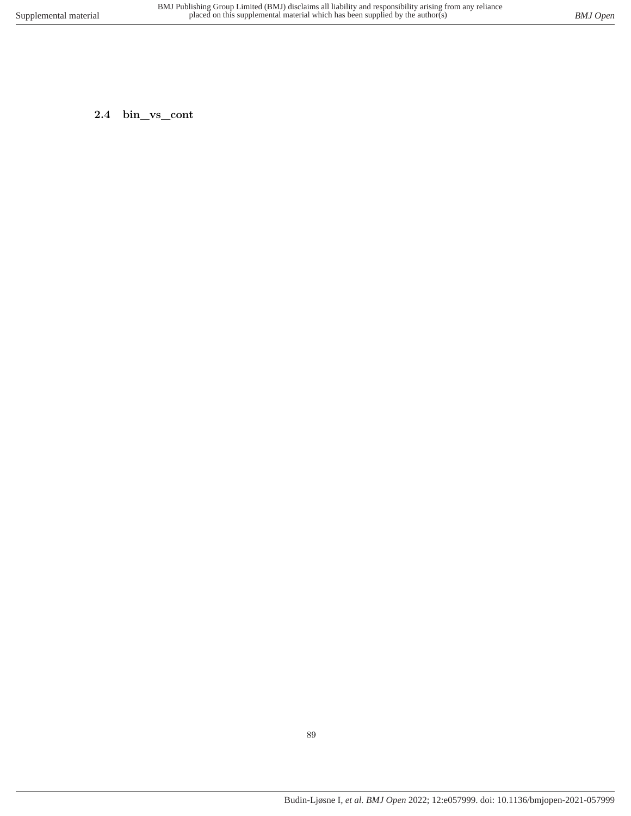**2.4 bin\_vs\_cont**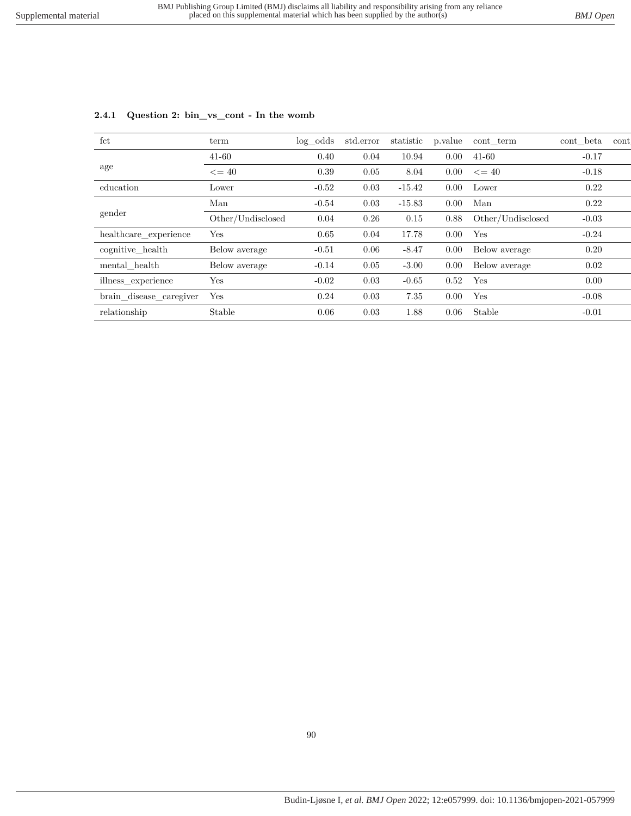| fct                     | term              | $log\_odds$ | std.error | statistic | p.value        | cont term         | cont beta | cont |
|-------------------------|-------------------|-------------|-----------|-----------|----------------|-------------------|-----------|------|
|                         | 41-60             | 0.40        | 0.04      | 10.94     | 0.00           | 41-60             | $-0.17$   |      |
| age                     | $\leq$ = 40       | 0.39        | 0.05      | 8.04      | 0.00           | $\leq$ = 40       | $-0.18$   |      |
| education               | Lower             | $-0.52$     | 0.03      | $-15.42$  | $0.00^{\circ}$ | Lower             | 0.22      |      |
|                         | Man               | $-0.54$     | 0.03      | $-15.83$  | 0.00           | Man               | 0.22      |      |
| gender                  | Other/Undisclosed | 0.04        | 0.26      | 0.15      | 0.88           | Other/Undisclosed | $-0.03$   |      |
| healthcare_experience   | Yes               | 0.65        | 0.04      | 17.78     | 0.00           | Yes               | $-0.24$   |      |
| cognitive health        | Below average     | $-0.51$     | 0.06      | $-8.47$   | $0.00^{\circ}$ | Below average     | 0.20      |      |
| mental health           | Below average     | $-0.14$     | 0.05      | $-3.00$   | $0.00^{\circ}$ | Below average     | 0.02      |      |
| illness experience      | Yes               | $-0.02$     | 0.03      | $-0.65$   | 0.52           | Yes               | 0.00      |      |
| brain_disease_caregiver | Yes               | 0.24        | 0.03      | 7.35      | 0.00           | Yes               | $-0.08$   |      |
| relationship            | Stable            | 0.06        | 0.03      | 1.88      | 0.06           | Stable            | $-0.01$   |      |

## **2.4.1 Question 2: bin\_vs\_cont - In the womb**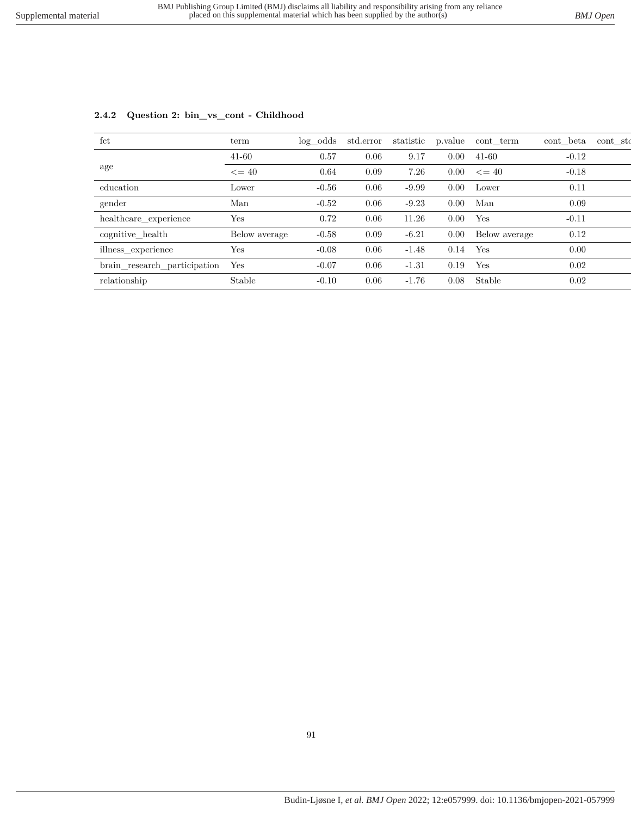| $_{\rm fct}$                 | term          | $log\_odds$ | std.error | statistic | p.value | cont term     | cont beta | cont sto |
|------------------------------|---------------|-------------|-----------|-----------|---------|---------------|-----------|----------|
|                              | $41 - 60$     | 0.57        | 0.06      | 9.17      | 0.00    | $41 - 60$     | $-0.12$   |          |
| age                          | $\leq$ = 40   | 0.64        | 0.09      | 7.26      | 0.00    | $\leq$ = 40   | $-0.18$   |          |
| education                    | Lower         | $-0.56$     | 0.06      | $-9.99$   | 0.00    | Lower         | 0.11      |          |
| gender                       | Man           | $-0.52$     | 0.06      | $-9.23$   | 0.00    | Man           | 0.09      |          |
| healthcare experience        | Yes           | 0.72        | 0.06      | 11.26     | 0.00    | Yes           | $-0.11$   |          |
| cognitive health             | Below average | $-0.58$     | 0.09      | $-6.21$   | 0.00    | Below average | 0.12      |          |
| illness_experience           | Yes           | $-0.08$     | 0.06      | $-1.48$   | 0.14    | Yes           | 0.00      |          |
| brain_research_participation | Yes           | $-0.07$     | 0.06      | $-1.31$   | 0.19    | Yes           | 0.02      |          |
| relationship                 | Stable        | $-0.10$     | 0.06      | $-1.76$   | 0.08    | Stable        | 0.02      |          |

### **2.4.2 Question 2: bin\_vs\_cont - Childhood**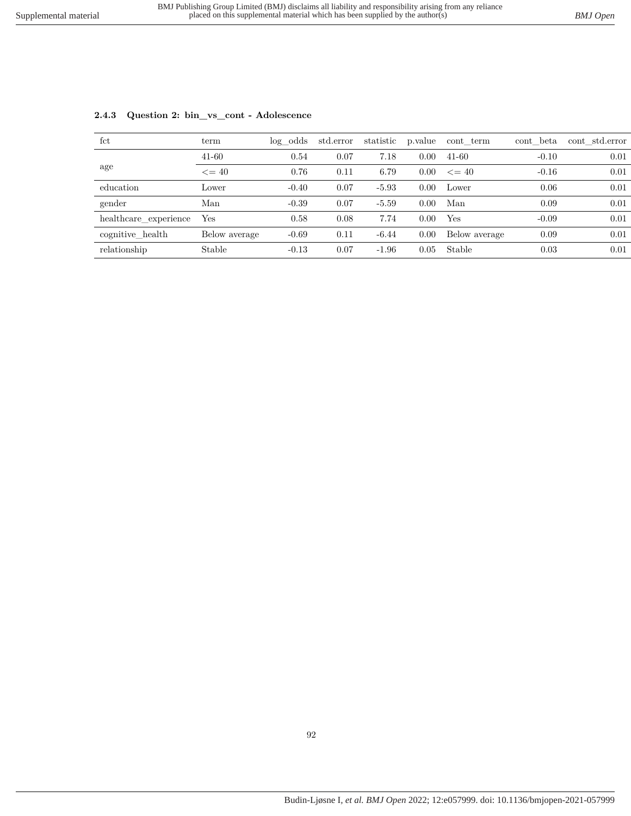| $_{\rm fct}$          | term          | log odds | std.error | statistic | p.value | cont term     | cont beta | cont std.error |
|-----------------------|---------------|----------|-----------|-----------|---------|---------------|-----------|----------------|
|                       | $41 - 60$     | 0.54     | 0.07      | 7.18      | 0.00    | $41 - 60$     | $-0.10$   | 0.01           |
| age                   | $\leq$ = 40   | 0.76     | 0.11      | 6.79      | 0.00    | $\leq$ = 40   | $-0.16$   | 0.01           |
| education             | Lower         | $-0.40$  | 0.07      | $-5.93$   | 0.00    | Lower         | 0.06      | 0.01           |
| gender                | Man           | $-0.39$  | 0.07      | $-5.59$   | 0.00    | Man           | 0.09      | 0.01           |
| healthcare experience | Yes           | 0.58     | 0.08      | 7.74      | 0.00    | Yes           | $-0.09$   | 0.01           |
| cognitive health      | Below average | $-0.69$  | 0.11      | $-6.44$   | 0.00    | Below average | 0.09      | 0.01           |
| relationship          | Stable        | $-0.13$  | 0.07      | $-1.96$   | 0.05    | Stable        | 0.03      | 0.01           |

### **2.4.3 Question 2: bin\_vs\_cont - Adolescence**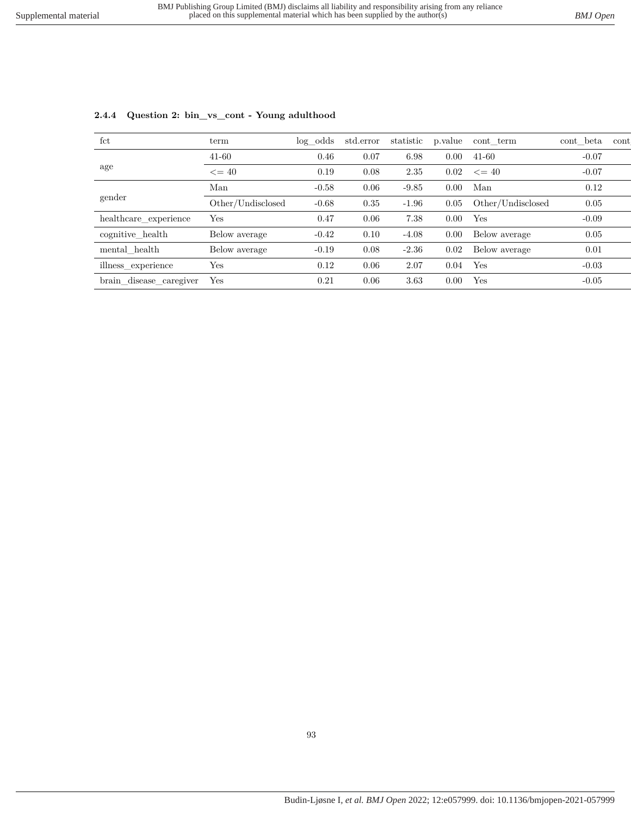| fct                     | term              | $log\_odds$ | std.error | statistic | p.value | cont term         | cont beta | cont |
|-------------------------|-------------------|-------------|-----------|-----------|---------|-------------------|-----------|------|
|                         | $41 - 60$         | 0.46        | 0.07      | 6.98      | 0.00    | $41 - 60$         | $-0.07$   |      |
| age                     | $\leq$ = 40       | 0.19        | 0.08      | 2.35      | 0.02    | $\leq$ = 40       | $-0.07$   |      |
|                         | Man               | $-0.58$     | 0.06      | $-9.85$   | 0.00    | Man               | 0.12      |      |
| gender                  | Other/Undisclosed | $-0.68$     | 0.35      | $-1.96$   | 0.05    | Other/Undisclosed | 0.05      |      |
| healthcare experience   | Yes               | 0.47        | 0.06      | 7.38      | 0.00    | Yes               | $-0.09$   |      |
| cognitive health        | Below average     | $-0.42$     | 0.10      | $-4.08$   | 0.00    | Below average     | 0.05      |      |
| mental_health           | Below average     | $-0.19$     | 0.08      | $-2.36$   | 0.02    | Below average     | 0.01      |      |
| illness experience      | Yes               | 0.12        | 0.06      | 2.07      | 0.04    | Yes               | $-0.03$   |      |
| brain_disease_caregiver | Yes               | 0.21        | 0.06      | 3.63      | 0.00    | Yes               | $-0.05$   |      |

### **2.4.4 Question 2: bin\_vs\_cont - Young adulthood**

93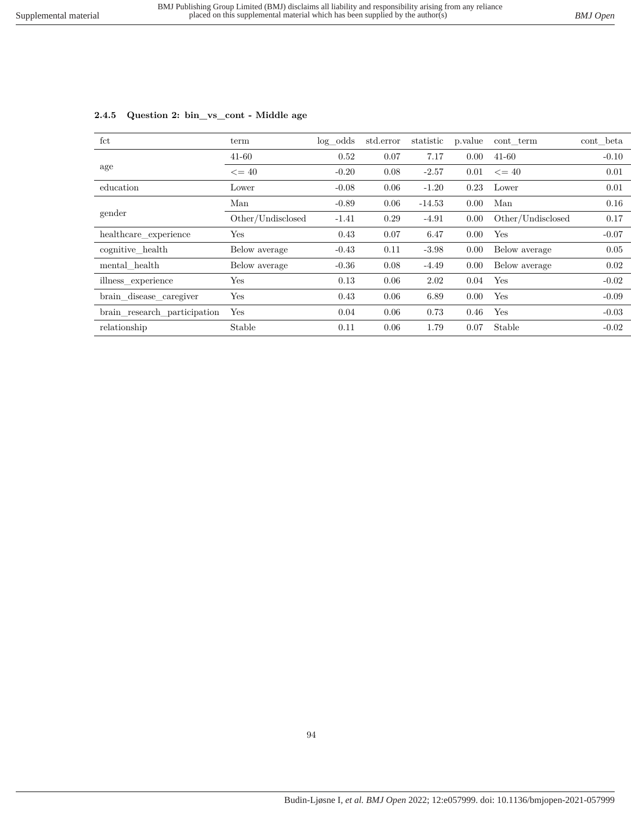| fct                          | term              | log odds | std.error | statistic | p.value | cont term         | cont beta |
|------------------------------|-------------------|----------|-----------|-----------|---------|-------------------|-----------|
|                              | $41 - 60$         | 0.52     | 0.07      | 7.17      | 0.00    | $41 - 60$         | $-0.10$   |
| age                          | $\leq$ = 40       | $-0.20$  | 0.08      | $-2.57$   | 0.01    | $\leq$ = 40       | 0.01      |
| education                    | Lower             | $-0.08$  | 0.06      | $-1.20$   | 0.23    | Lower             | 0.01      |
|                              | Man               | $-0.89$  | 0.06      | $-14.53$  | 0.00    | Man               | 0.16      |
| gender                       | Other/Undisclosed | $-1.41$  | 0.29      | $-4.91$   | 0.00    | Other/Undisclosed | 0.17      |
| healthcare_experience        | Yes               | 0.43     | 0.07      | 6.47      | 0.00    | Yes               | $-0.07$   |
| cognitive health             | Below average     | $-0.43$  | 0.11      | $-3.98$   | 0.00    | Below average     | 0.05      |
| mental health                | Below average     | $-0.36$  | 0.08      | $-4.49$   | 0.00    | Below average     | 0.02      |
| illness experience           | Yes               | 0.13     | 0.06      | 2.02      | 0.04    | Yes               | $-0.02$   |
| brain_disease_caregiver      | Yes               | 0.43     | 0.06      | 6.89      | 0.00    | Yes               | $-0.09$   |
| brain research participation | Yes               | 0.04     | 0.06      | 0.73      | 0.46    | Yes               | $-0.03$   |
| relationship                 | Stable            | 0.11     | 0.06      | 1.79      | 0.07    | Stable            | $-0.02$   |

### **2.4.5 Question 2: bin\_vs\_cont - Middle age**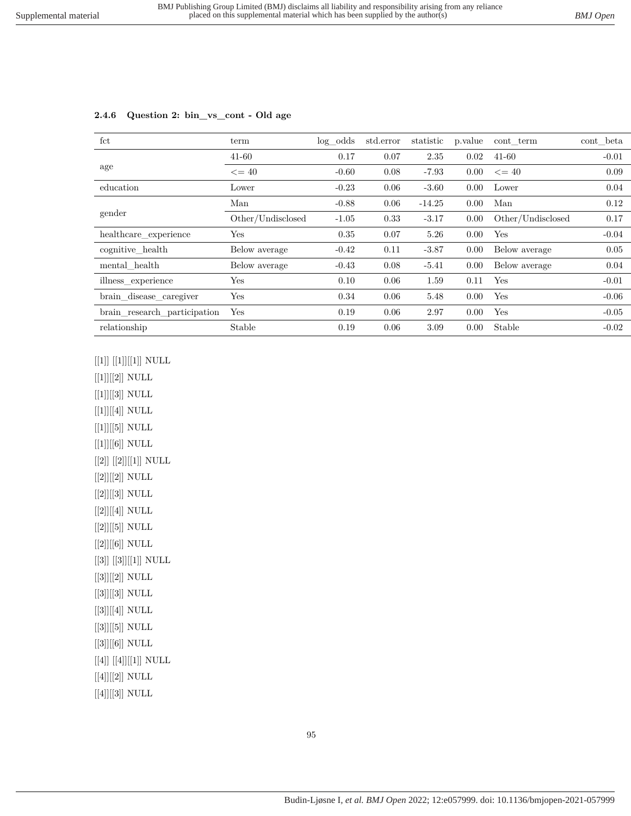| fct                          | term              | $log\_odds$ | std.error | statistic | p. value | cont term         | cont beta |
|------------------------------|-------------------|-------------|-----------|-----------|----------|-------------------|-----------|
|                              | $41 - 60$         | 0.17        | 0.07      | 2.35      | 0.02     | $41 - 60$         | $-0.01$   |
| age                          | $\leq$ = 40       | $-0.60$     | 0.08      | $-7.93$   | 0.00     | $\leq$ = 40       | 0.09      |
| education                    | Lower             | $-0.23$     | 0.06      | $-3.60$   | 0.00     | Lower             | 0.04      |
|                              | Man               | $-0.88$     | 0.06      | $-14.25$  | 0.00     | Man               | 0.12      |
| gender                       | Other/Undisclosed | $-1.05$     | 0.33      | $-3.17$   | 0.00     | Other/Undisclosed | 0.17      |
| healthcare experience        | Yes               | 0.35        | 0.07      | 5.26      | 0.00     | Yes               | $-0.04$   |
| cognitive health             | Below average     | $-0.42$     | 0.11      | $-3.87$   | 0.00     | Below average     | 0.05      |
| mental health                | Below average     | $-0.43$     | 0.08      | $-5.41$   | 0.00     | Below average     | 0.04      |
| illness_experience           | Yes               | 0.10        | 0.06      | 1.59      | 0.11     | Yes               | $-0.01$   |
| brain_disease_caregiver      | Yes               | 0.34        | 0.06      | 5.48      | 0.00     | Yes               | $-0.06$   |
| brain research participation | Yes               | 0.19        | 0.06      | 2.97      | 0.00     | Yes               | $-0.05$   |
| relationship                 | Stable            | 0.19        | 0.06      | 3.09      | 0.00     | Stable            | $-0.02$   |

#### **2.4.6 Question 2: bin\_vs\_cont - Old age**

 $[[1]] [[1]][[1]]$  NULL

 $\left[ [1] \right] \left[ [2] \right]$  NULL  $\left[ [1] \right] \left[ [3] \right]$  NULL  $[[1]][[4]]$  NULL  $[[1]][[5]]$  NULL  $[[1]][[6]]$  NULL  $\left[\left[2\right]\right]\left[\left[2\right]\right]\left[\left[1\right]\right]$  NULL  $[[2]][[2]]$  NULL [[2]][[3]] NULL [[2]][[4]] NULL [[2]][[5]] NULL [[2]][[6]] NULL  $\left[\left[3\right]\right]\left[\left[3\right]\right]\left[\left[1\right]\right]$  NULL  $\left[ [3] \right] \left[ [2] \right]$  NULL  $[[3]][[3]]$  NULL [[3]][[4]] NULL  $[[3]][[5]]$  NULL [[3]][[6]] NULL  $\left[\left[4\right]\right]\left[\left[4\right]\right]\left[\left[1\right]\right]$  NULL  $[[4]][[2]]$  NULL  $[[4]][[3]]$  NULL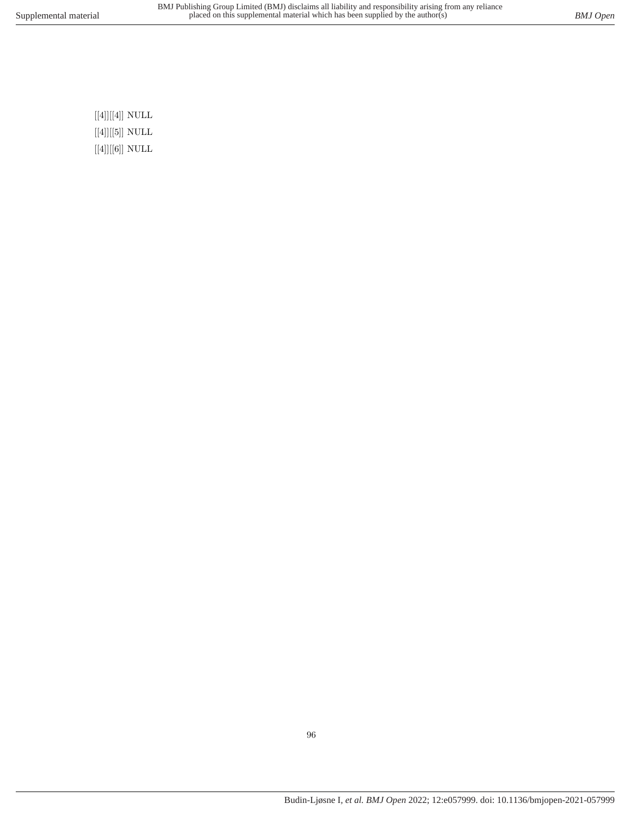$\left[ [4] \right] \left[ [4] \right]$  NULL  $\left[ \left[ 4\right] \right] \left[ \left[ 5\right] \right]$  NULL  $[[4]][[6]]$  NULL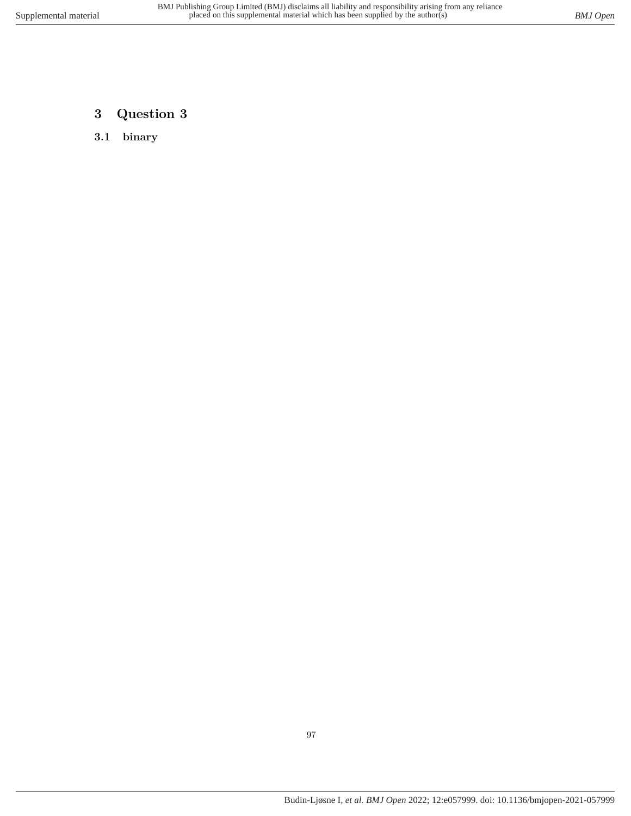# **3 Question 3**

**3.1 binary**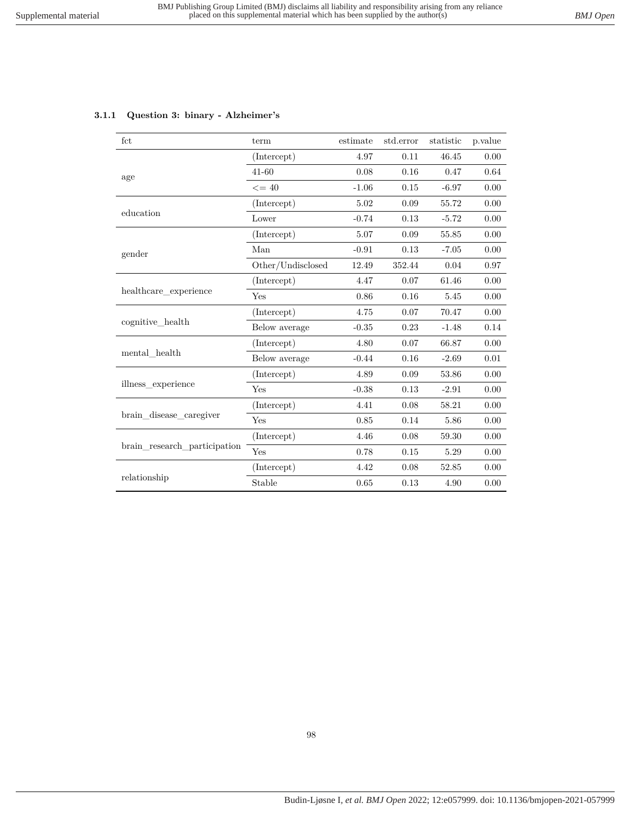|  |  |  | 3.1.1 Question 3: binary - Alzheimer's |
|--|--|--|----------------------------------------|
|--|--|--|----------------------------------------|

| fct                          | term                                                                                                                                                                                                                                                            | estimate | std.error    | statistic | p.value  |
|------------------------------|-----------------------------------------------------------------------------------------------------------------------------------------------------------------------------------------------------------------------------------------------------------------|----------|--------------|-----------|----------|
|                              | (Intercept)                                                                                                                                                                                                                                                     | 4.97     | 0.11         | 46.45     | 0.00     |
| age                          | $41 - 60$                                                                                                                                                                                                                                                       | 0.08     | 0.16         | 0.47      | 0.64     |
|                              | $\leq$ = 40<br>(Intercept)<br>Lower<br>(Intercept)<br>Man<br>Other/Undisclosed<br>(Intercept)<br>Yes<br>(Intercept)<br>Below average<br>(Intercept)<br>Below average<br>(Intercept)<br>Yes<br>(Intercept)<br>Yes<br>(Intercept)<br>Yes<br>(Intercept)<br>Stable | $-1.06$  | 0.15         | $-6.97$   | 0.00     |
|                              |                                                                                                                                                                                                                                                                 | 5.02     | 0.09         | 55.72     | 0.00     |
| education                    |                                                                                                                                                                                                                                                                 | $-0.74$  | 0.13         | $-5.72$   | 0.00     |
|                              |                                                                                                                                                                                                                                                                 | 5.07     | 0.09         | 55.85     | 0.00     |
| gender                       |                                                                                                                                                                                                                                                                 | $-0.91$  | 0.13         | $-7.05$   | 0.00     |
|                              |                                                                                                                                                                                                                                                                 | 12.49    | 352.44       | 0.04      | $0.97\,$ |
| healthcare_experience        |                                                                                                                                                                                                                                                                 | 4.47     | 0.07         | 61.46     | 0.00     |
|                              |                                                                                                                                                                                                                                                                 | 0.86     | 0.16         | 5.45      | 0.00     |
|                              |                                                                                                                                                                                                                                                                 | 4.75     | 0.07         | 70.47     | 0.00     |
| cognitive health             |                                                                                                                                                                                                                                                                 | $-0.35$  | 0.23         | $-1.48$   | 0.14     |
|                              |                                                                                                                                                                                                                                                                 | 4.80     | 0.07         | 66.87     | 0.00     |
| mental health                |                                                                                                                                                                                                                                                                 | $-0.44$  | 0.16         | $-2.69$   | 0.01     |
|                              |                                                                                                                                                                                                                                                                 | 4.89     | 0.09         | 53.86     | 0.00     |
| illness experience           |                                                                                                                                                                                                                                                                 | $-0.38$  | 0.13         | $-2.91$   | 0.00     |
|                              |                                                                                                                                                                                                                                                                 | 4.41     | 0.08         | 58.21     | 0.00     |
| brain disease caregiver      |                                                                                                                                                                                                                                                                 | 0.85     | 0.14         | 5.86      | 0.00     |
|                              |                                                                                                                                                                                                                                                                 | 4.46     | 0.08         | 59.30     | 0.00     |
| brain research participation |                                                                                                                                                                                                                                                                 | 0.78     | 0.15         | 5.29      | 0.00     |
|                              |                                                                                                                                                                                                                                                                 | 4.42     | 0.08         | 52.85     | 0.00     |
| relationship                 |                                                                                                                                                                                                                                                                 | 0.65     | 0.13<br>4.90 | 0.00      |          |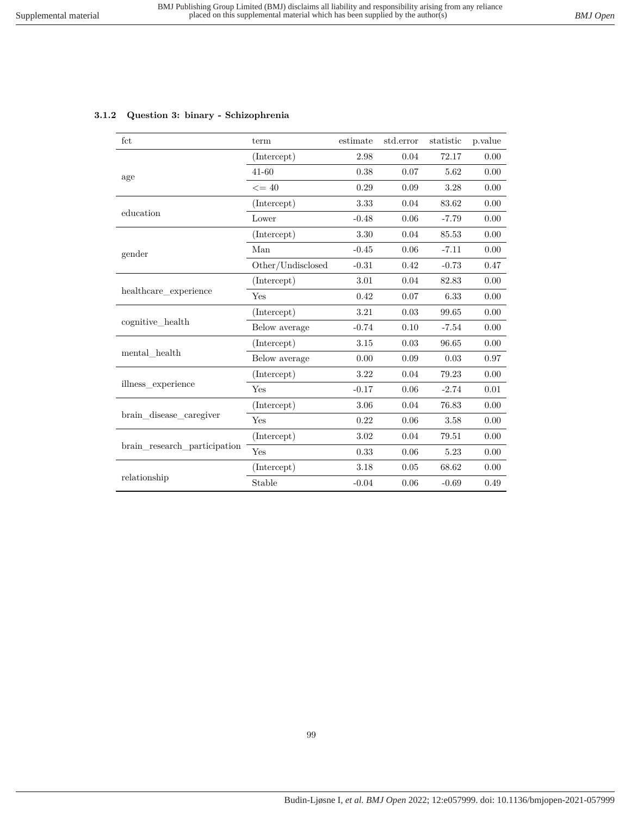| fct                          | term                                                                                    | estimate                                                                   | std.error | statistic | p.value |
|------------------------------|-----------------------------------------------------------------------------------------|----------------------------------------------------------------------------|-----------|-----------|---------|
|                              | (Intercept)                                                                             | 2.98                                                                       | 0.04      | 72.17     | 0.00    |
| age                          | 41-60                                                                                   | 0.38                                                                       | 0.07      | 5.62      | 0.00    |
|                              | $\leq$ = 40                                                                             | 0.29                                                                       | 0.09      | 3.28      | 0.00    |
|                              | (Intercept)                                                                             | 3.33                                                                       | 0.04      | 83.62     | 0.00    |
| education                    | Lower                                                                                   | $-0.48$                                                                    | 0.06      | $-7.79$   | 0.00    |
| gender                       | (Intercept)                                                                             | 3.30                                                                       | 0.04      | 85.53     | 0.00    |
|                              | Man                                                                                     | $-0.45$                                                                    | 0.06      | $-7.11$   | 0.00    |
|                              | Other/Undisclosed                                                                       | $-0.31$                                                                    | 0.42      | $-0.73$   | 0.47    |
|                              | (Intercept)                                                                             | 3.01                                                                       | 0.04      | 82.83     | 0.00    |
| healthcare experience        | Yes                                                                                     | 0.42                                                                       | 0.07      | 6.33      | 0.00    |
|                              | (Intercept)                                                                             | 3.21                                                                       | 0.03      | 99.65     | 0.00    |
| cognitive health             | Below average                                                                           | $-0.74$                                                                    | 0.10      | $-7.54$   | 0.00    |
|                              | (Intercept)                                                                             | 3.15                                                                       | 0.03      | 96.65     | 0.00    |
| mental health                | Below average                                                                           | 0.00<br>3.22<br>$-0.17$<br>3.06<br>0.22<br>3.02<br>0.33<br>3.18<br>$-0.04$ | 0.09      | 0.03      | 0.97    |
|                              | (Intercept)<br>Yes<br>(Intercept)<br>Yes<br>(Intercept)<br>Yes<br>(Intercept)<br>Stable |                                                                            | 0.04      | 79.23     | 0.00    |
| illness experience           |                                                                                         |                                                                            | 0.06      | $-2.74$   | 0.01    |
|                              |                                                                                         |                                                                            | 0.04      | 76.83     | 0.00    |
| brain disease caregiver      |                                                                                         |                                                                            | 0.06      | 3.58      | 0.00    |
|                              |                                                                                         |                                                                            | 0.04      | 79.51     | 0.00    |
| brain research participation |                                                                                         |                                                                            | 0.06      | 5.23      | 0.00    |
|                              |                                                                                         |                                                                            | 0.05      | 68.62     | 0.00    |
| relationship                 |                                                                                         |                                                                            | 0.06      | $-0.69$   | 0.49    |

### **3.1.2 Question 3: binary - Schizophrenia**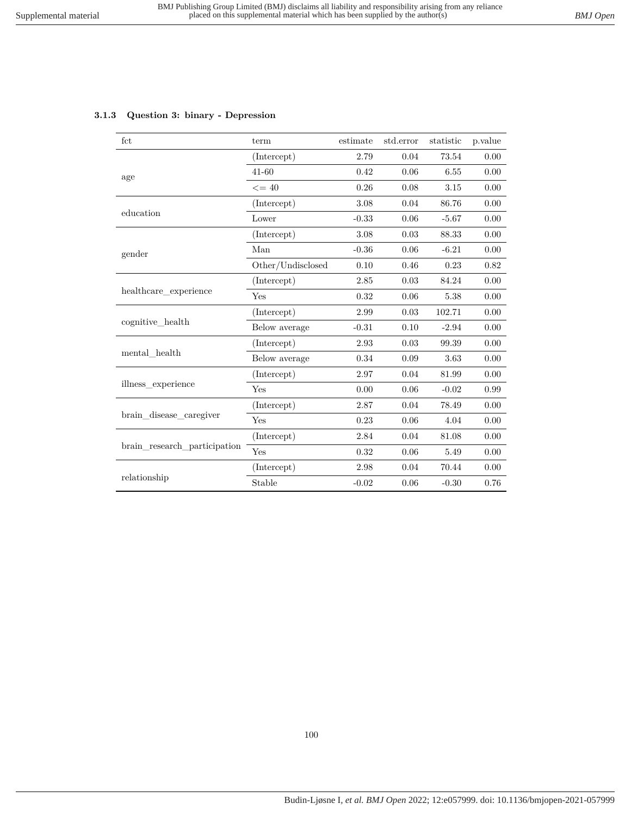|  |  |  | 3.1.3 Question 3: binary - Depression |
|--|--|--|---------------------------------------|
|--|--|--|---------------------------------------|

| fct                          | term                                                                                                                                | estimate | std.error | statistic | p.value |
|------------------------------|-------------------------------------------------------------------------------------------------------------------------------------|----------|-----------|-----------|---------|
|                              | (Intercept)                                                                                                                         | 2.79     | 0.04      | 73.54     | 0.00    |
| age                          | $41 - 60$                                                                                                                           | 0.42     | 0.06      | 6.55      | 0.00    |
|                              | $\leq$ = 40                                                                                                                         | 0.26     | 0.08      | 3.15      | 0.00    |
|                              | (Intercept)                                                                                                                         | 3.08     | 0.04      | 86.76     | 0.00    |
| education                    | Lower                                                                                                                               | $-0.33$  | 0.06      | $-5.67$   | 0.00    |
|                              | (Intercept)                                                                                                                         | 3.08     | 0.03      | 88.33     | 0.00    |
| gender                       | Man                                                                                                                                 | $-0.36$  | 0.06      | $-6.21$   | 0.00    |
|                              | Other/Undisclosed                                                                                                                   | 0.10     | 0.46      | 0.23      | 0.82    |
| healthcare_experience        | (Intercept)                                                                                                                         | 2.85     | 0.03      | 84.24     | 0.00    |
|                              | Yes                                                                                                                                 | 0.32     | 0.06      | 5.38      | 0.00    |
|                              | (Intercept)                                                                                                                         | 2.99     | 0.03      | 102.71    | 0.00    |
| cognitive health             | Below average                                                                                                                       | $-0.31$  | 0.10      | $-2.94$   | 0.00    |
|                              | (Intercept)                                                                                                                         | 2.93     | 0.03      | 99.39     | 0.00    |
| mental health                | Below average                                                                                                                       | 0.34     | 0.09      | 3.63      | 0.00    |
|                              | (Intercept)                                                                                                                         | 2.97     | 0.04      | 81.99     | 0.00    |
| illness experience           | Yes<br>0.00<br>2.87<br>(Intercept)<br>0.23<br>Yes<br>(Intercept)<br>2.84<br>Yes<br>0.32<br>(Intercept)<br>2.98<br>Stable<br>$-0.02$ | 0.06     | $-0.02$   | 0.99      |         |
|                              |                                                                                                                                     |          | 0.04      | 78.49     | 0.00    |
| brain disease caregiver      |                                                                                                                                     |          | 0.06      | 4.04      | 0.00    |
|                              |                                                                                                                                     |          | 0.04      | 81.08     | 0.00    |
| brain research participation |                                                                                                                                     |          | 0.06      | 5.49      | 0.00    |
|                              |                                                                                                                                     |          | 0.04      | 70.44     | 0.00    |
| relationship                 |                                                                                                                                     |          | $0.06\,$  | $-0.30$   | 0.76    |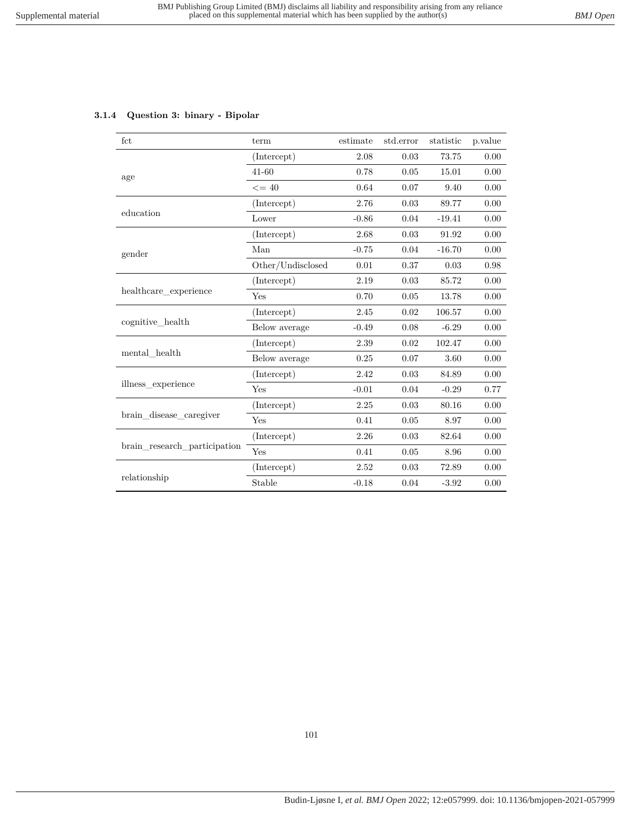## **3.1.4 Question 3: binary - Bipolar**

| fct                          | term              | estimate | std.error | statistic | p.value |
|------------------------------|-------------------|----------|-----------|-----------|---------|
|                              | (Intercept)       | 2.08     | 0.03      | 73.75     | 0.00    |
| age                          | $41 - 60$         | 0.78     | 0.05      | 15.01     | 0.00    |
|                              | $\leq$ = 40       | 0.64     | 0.07      | 9.40      | 0.00    |
|                              | (Intercept)       | 2.76     | 0.03      | 89.77     | 0.00    |
| education                    | Lower             | $-0.86$  | 0.04      | $-19.41$  | 0.00    |
|                              | (Intercept)       | 2.68     | 0.03      | 91.92     | 0.00    |
| gender                       | Man               | $-0.75$  | 0.04      | $-16.70$  | 0.00    |
|                              | Other/Undisclosed | 0.01     | 0.37      | 0.03      | 0.98    |
| healthcare experience        | (Intercept)       | 2.19     | 0.03      | 85.72     | 0.00    |
|                              | Yes               | 0.70     | 0.05      | 13.78     | 0.00    |
|                              | (Intercept)       | 2.45     | 0.02      | 106.57    | 0.00    |
| cognitive_health             | Below average     | $-0.49$  | 0.08      | $-6.29$   | 0.00    |
|                              | (Intercept)       | 2.39     | 0.02      | 102.47    | 0.00    |
| mental health                | Below average     | 0.25     | 0.07      | 3.60      | 0.00    |
|                              | (Intercept)       | 2.42     | 0.03      | 84.89     | 0.00    |
| illness experience           | Yes               | $-0.01$  | 0.04      | $-0.29$   | 0.77    |
|                              | (Intercept)       | 2.25     | 0.03      | 80.16     | 0.00    |
| brain disease caregiver      | Yes               | 0.41     | 0.05      | 8.97      | 0.00    |
|                              | (Intercept)       | 2.26     | 0.03      | 82.64     | 0.00    |
| brain research participation | Yes               | 0.41     | 0.05      | 8.96      | 0.00    |
|                              | (Intercept)       | 2.52     | 0.03      | 72.89     | 0.00    |
| relationship                 | Stable            | $-0.18$  | 0.04      | $-3.92$   | 0.00    |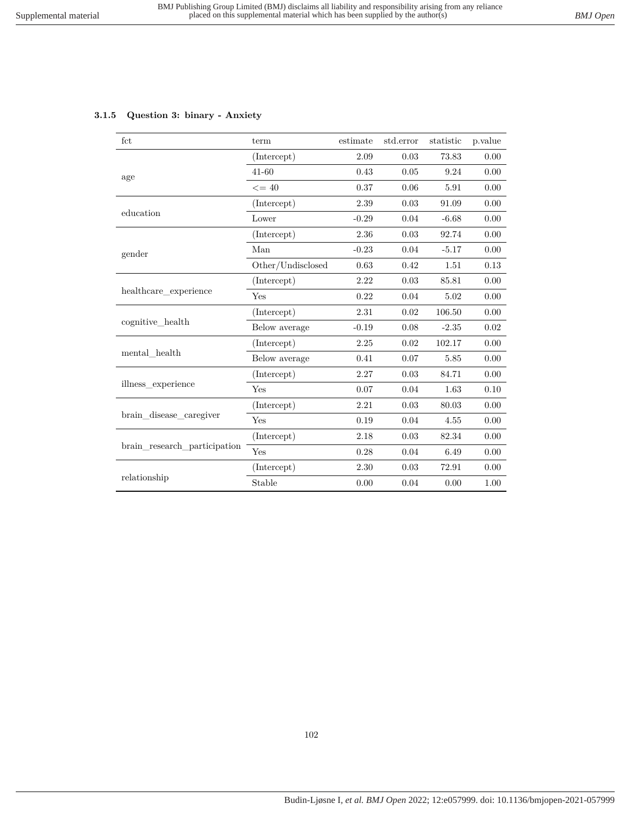## **3.1.5 Question 3: binary - Anxiety**

| fct                          | term              | estimate | std.error | statistic | p.value |
|------------------------------|-------------------|----------|-----------|-----------|---------|
|                              | (Intercept)       | 2.09     | 0.03      | 73.83     | 0.00    |
| age                          | $41 - 60$         | 0.43     | 0.05      | 9.24      | 0.00    |
|                              | $\leq$ = 40       | 0.37     | 0.06      | 5.91      | 0.00    |
|                              | (Intercept)       | 2.39     | 0.03      | 91.09     | 0.00    |
| education                    | Lower             | $-0.29$  | 0.04      | $-6.68$   | 0.00    |
|                              | (Intercept)       | 2.36     | 0.03      | 92.74     | 0.00    |
| gender                       | Man               | $-0.23$  | 0.04      | $-5.17$   | 0.00    |
|                              | Other/Undisclosed | 0.63     | 0.42      | 1.51      | 0.13    |
| healthcare experience        | (Intercept)       | 2.22     | 0.03      | 85.81     | 0.00    |
|                              | Yes               | 0.22     | 0.04      | 5.02      | 0.00    |
|                              | (Intercept)       | 2.31     | 0.02      | 106.50    | 0.00    |
| cognitive health             | Below average     | $-0.19$  | 0.08      | $-2.35$   | 0.02    |
|                              | (Intercept)       | 2.25     | 0.02      | 102.17    | 0.00    |
| mental health                | Below average     | 0.41     | 0.07      | 5.85      | 0.00    |
|                              | (Intercept)       | 2.27     | 0.03      | 84.71     | 0.00    |
| illness experience           | Yes               | 0.07     | 0.04      | 1.63      | 0.10    |
|                              | (Intercept)       | 2.21     | 0.03      | 80.03     | 0.00    |
| brain disease caregiver      | Yes               | 0.19     | 0.04      | 4.55      | 0.00    |
|                              | (Intercept)       | 2.18     | 0.03      | 82.34     | 0.00    |
| brain research participation | Yes               | 0.28     | 0.04      | 6.49      | 0.00    |
|                              | (Intercept)       | 2.30     | 0.03      | 72.91     | 0.00    |
| relationship                 | Stable            | 0.00     | 0.04      | 0.00      | 1.00    |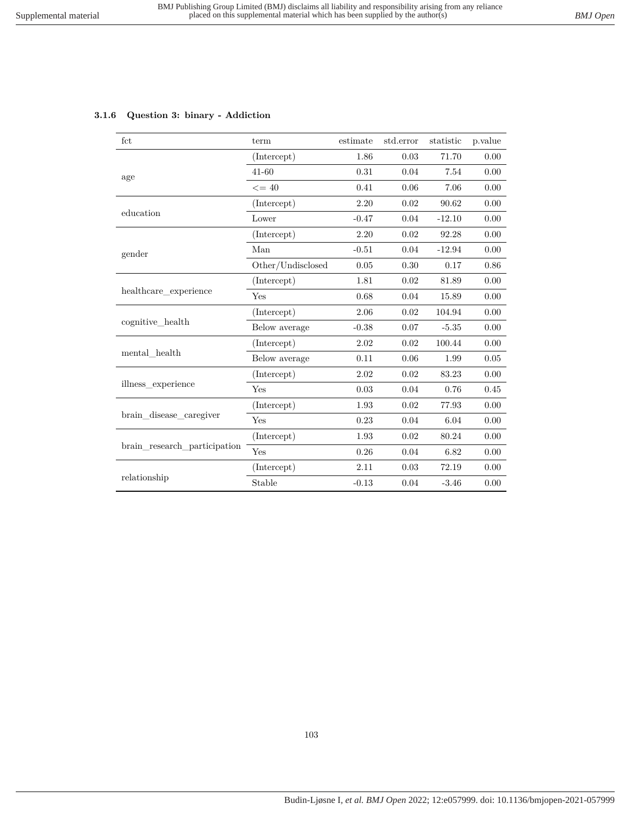## **3.1.6 Question 3: binary - Addiction**

| fct                          | term                | estimate | std.error | statistic                                                                   | p.value  |
|------------------------------|---------------------|----------|-----------|-----------------------------------------------------------------------------|----------|
|                              | (Intercept)         | 1.86     | 0.03      | 71.70                                                                       | 0.00     |
| age                          | $41 - 60$           | 0.31     | 0.04      | 7.54                                                                        | 0.00     |
|                              | $\leq$ = 40         | 0.41     | 0.06      | 7.06                                                                        | 0.00     |
|                              | (Intercept)         | 2.20     | 0.02      | 90.62                                                                       | 0.00     |
| education                    | Lower               | $-0.47$  | 0.04      | $-12.10$                                                                    | 0.00     |
|                              | (Intercept)         | 2.20     | 0.02      | 92.28                                                                       | 0.00     |
| gender                       | Man                 | $-0.51$  | 0.04      | $-12.94$                                                                    | 0.00     |
|                              | Other/Undisclosed   | 0.05     | 0.30      | 0.17                                                                        | 0.86     |
|                              | (Intercept)         | 1.81     | 0.02      | 81.89                                                                       | 0.00     |
| healthcare experience        | Yes                 | 0.68     | 0.04      | 15.89                                                                       | 0.00     |
|                              | (Intercept)         | 2.06     | 0.02      | 104.94                                                                      | 0.00     |
| cognitive_health             | Below average       | $-0.38$  | 0.07      | $-5.35$                                                                     | 0.00     |
|                              | (Intercept)         | 2.02     | 0.02      | 100.44                                                                      | $0.00\,$ |
| mental health                | Below average       | 0.11     | 0.06      | 1.99<br>83.23<br>0.76<br>77.93<br>6.04<br>80.24<br>6.82<br>72.19<br>$-3.46$ | $0.05\,$ |
|                              | (Intercept)         | 2.02     | 0.02      |                                                                             | 0.00     |
| illness experience           | Yes                 | 0.03     | 0.04      |                                                                             | 0.45     |
|                              | (Intercept)         | 1.93     | 0.02      |                                                                             | 0.00     |
| brain disease caregiver      | Yes                 | 0.23     | 0.04      |                                                                             | 0.00     |
|                              | (Intercept)         | 1.93     | 0.02      |                                                                             | 0.00     |
| brain research participation | Yes<br>0.26<br>0.04 |          | 0.00      |                                                                             |          |
|                              | (Intercept)         | 2.11     | 0.03      |                                                                             | 0.00     |
| relationship                 | Stable              | $-0.13$  | 0.04      |                                                                             | 0.00     |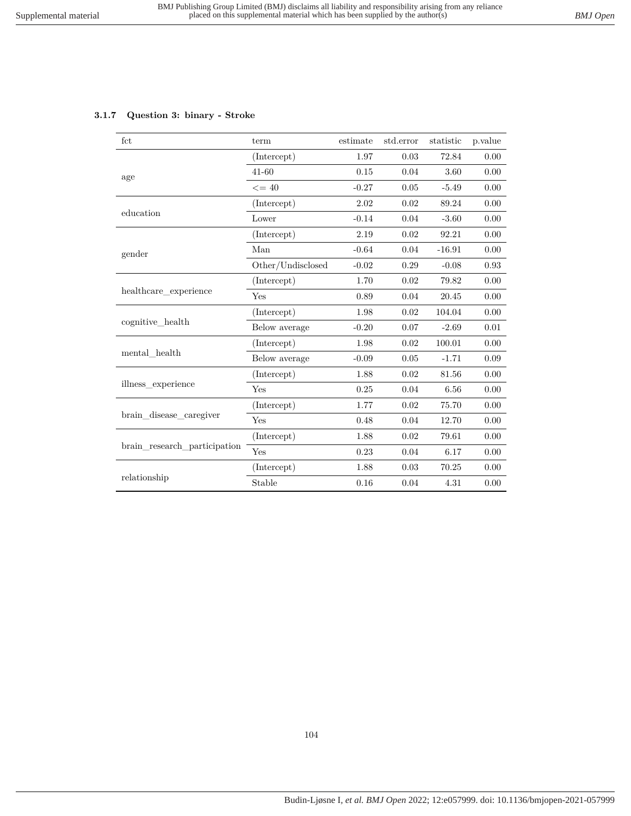## **3.1.7 Question 3: binary - Stroke**

| fct                          | term              | estimate | std.error                                        | statistic | p.value    |
|------------------------------|-------------------|----------|--------------------------------------------------|-----------|------------|
|                              | (Intercept)       | 1.97     | 0.03                                             | 72.84     | 0.00       |
| age                          | $41 - 60$         | 0.15     | 0.04                                             | 3.60      | 0.00       |
|                              | $\leq$ = 40       | $-0.27$  | 0.05                                             | $-5.49$   | 0.00       |
|                              | (Intercept)       | 2.02     | 0.02                                             | 89.24     | 0.00       |
| education                    | Lower             | $-0.14$  | 0.04                                             | $-3.60$   | 0.00       |
|                              | (Intercept)       | 2.19     | 0.02                                             | 92.21     | 0.00       |
| gender                       | Man               | $-0.64$  | 0.04                                             | $-16.91$  | 0.00       |
|                              | Other/Undisclosed | $-0.02$  | 0.29                                             | $-0.08$   | $\rm 0.93$ |
|                              | (Intercept)       | 1.70     | 0.02                                             | 79.82     | 0.00       |
| healthcare experience        | Yes               | 0.89     | 0.04                                             | 20.45     | 0.00       |
|                              | (Intercept)       | 1.98     | 0.02                                             | 104.04    | 0.00       |
| cognitive health             | Below average     | $-0.20$  | 0.07                                             | $-2.69$   | 0.01       |
|                              | (Intercept)       | 1.98     | 0.02                                             | 100.01    | $0.00\,$   |
| mental health                | Below average     | $-0.09$  | 0.05<br>$-1.71$<br>0.02<br>81.56<br>0.04<br>6.56 | 0.09      |            |
|                              | (Intercept)       | 1.88     |                                                  |           | 0.00       |
| illness experience           | Yes               | 0.25     |                                                  |           | 0.00       |
|                              | (Intercept)       | 1.77     | 0.02                                             | 75.70     | 0.00       |
| brain disease caregiver      | Yes               | 0.48     | 0.04                                             | 12.70     | $0.00\,$   |
|                              | (Intercept)       | 1.88     | 0.02                                             | 79.61     | 0.00       |
| brain research participation | Yes               | 0.23     | 0.04                                             | 6.17      | 0.00       |
|                              | (Intercept)       | 1.88     | 0.03                                             | 70.25     | 0.00       |
| relationship                 | Stable            | 0.16     | 0.04                                             | 4.31      | 0.00       |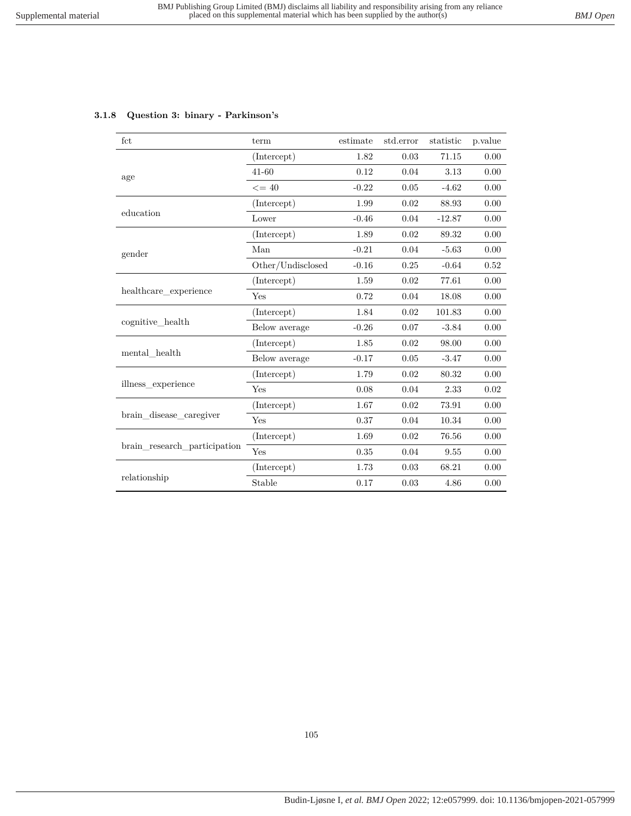|  |  |  |  | 3.1.8 Question 3: binary - Parkinson's |
|--|--|--|--|----------------------------------------|
|--|--|--|--|----------------------------------------|

| fct                          | term              | estimate                                                                                                                                                                                                                        | std.error | statistic | p.value |
|------------------------------|-------------------|---------------------------------------------------------------------------------------------------------------------------------------------------------------------------------------------------------------------------------|-----------|-----------|---------|
|                              | (Intercept)       | 1.82                                                                                                                                                                                                                            | 0.03      | 71.15     | 0.00    |
| age                          | 41-60             | 0.12                                                                                                                                                                                                                            | 0.04      | 3.13      | 0.00    |
|                              | $\leq$ = 40       | $-0.22$                                                                                                                                                                                                                         | $0.05\,$  | $-4.62$   | 0.00    |
|                              | (Intercept)       | 1.99                                                                                                                                                                                                                            | 0.02      | 88.93     | 0.00    |
| education                    | Lower             | $-0.46$                                                                                                                                                                                                                         | 0.04      | $-12.87$  | 0.00    |
|                              | (Intercept)       | 1.89                                                                                                                                                                                                                            | 0.02      | 89.32     | 0.00    |
| gender                       | Man               | $-0.21$                                                                                                                                                                                                                         | 0.04      | $-5.63$   | 0.00    |
|                              | Other/Undisclosed | $-0.16$                                                                                                                                                                                                                         | 0.25      | $-0.64$   | 0.52    |
|                              | (Intercept)       | 1.59                                                                                                                                                                                                                            | 0.02      | 77.61     | 0.00    |
| healthcare_experience        | Yes               | 0.72                                                                                                                                                                                                                            | 0.04      | 18.08     | 0.00    |
|                              | (Intercept)       | 1.84                                                                                                                                                                                                                            | 0.02      | 101.83    | 0.00    |
| cognitive health             | Below average     | $-0.26$                                                                                                                                                                                                                         | 0.07      | $-3.84$   | 0.00    |
|                              | (Intercept)       | 1.85                                                                                                                                                                                                                            | 0.02      | 98.00     | 0.00    |
| mental health                | Below average     | 0.05<br>$-0.17$<br>$-3.47$<br>1.79<br>0.02<br>80.32<br>0.08<br>0.04<br>2.33<br>1.67<br>0.02<br>73.91<br>0.37<br>10.34<br>0.04<br>1.69<br>0.02<br>76.56<br>0.35<br>0.04<br>9.55<br>1.73<br>0.03<br>68.21<br>0.17<br>0.03<br>4.86 | 0.00      |           |         |
|                              | (Intercept)       |                                                                                                                                                                                                                                 |           |           | 0.00    |
| illness experience           | Yes               |                                                                                                                                                                                                                                 |           |           | 0.02    |
|                              | (Intercept)       |                                                                                                                                                                                                                                 |           |           | 0.00    |
| brain disease caregiver      | Yes               |                                                                                                                                                                                                                                 |           |           | 0.00    |
|                              | (Intercept)       |                                                                                                                                                                                                                                 |           |           | 0.00    |
| brain research participation | Yes               |                                                                                                                                                                                                                                 |           |           | 0.00    |
|                              | (Intercept)       |                                                                                                                                                                                                                                 |           |           | 0.00    |
| relationship                 | Stable            |                                                                                                                                                                                                                                 |           |           | 0.00    |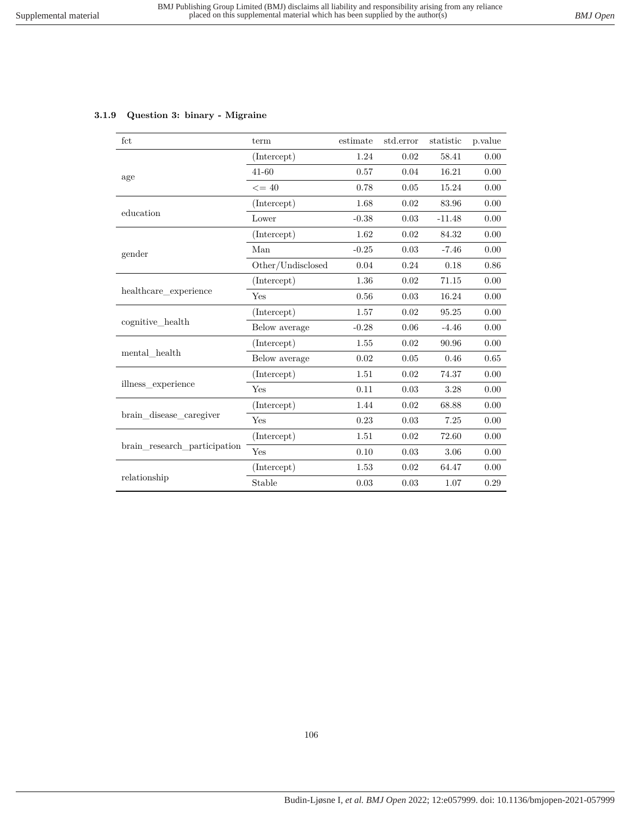## **3.1.9 Question 3: binary - Migraine**

| fct                          | term              | estimate | std.error                                                                                                                                        | statistic | p.value  |
|------------------------------|-------------------|----------|--------------------------------------------------------------------------------------------------------------------------------------------------|-----------|----------|
|                              | (Intercept)       | 1.24     | 0.02                                                                                                                                             | 58.41     | 0.00     |
| age                          | $41 - 60$         | 0.57     | 0.04                                                                                                                                             | 16.21     | 0.00     |
|                              | $\leq$ = 40       | 0.78     | 0.05                                                                                                                                             | 15.24     | 0.00     |
|                              | (Intercept)       | 1.68     | 0.02                                                                                                                                             | 83.96     | 0.00     |
| education                    | Lower             | $-0.38$  | 0.03                                                                                                                                             | $-11.48$  | 0.00     |
|                              | (Intercept)       | 1.62     | 0.02                                                                                                                                             | 84.32     | 0.00     |
| gender                       | Man               | $-0.25$  | 0.03                                                                                                                                             | $-7.46$   | 0.00     |
|                              | Other/Undisclosed | 0.04     | 0.24                                                                                                                                             | 0.18      | 0.86     |
|                              | (Intercept)       | 1.36     | 0.02                                                                                                                                             | 71.15     | 0.00     |
| healthcare experience        | Yes               | 0.56     | 0.03                                                                                                                                             | 16.24     | 0.00     |
|                              | (Intercept)       | 1.57     | 0.02                                                                                                                                             | 95.25     | 0.00     |
| cognitive health             | Below average     | $-0.28$  | 0.06                                                                                                                                             | $-4.46$   | 0.00     |
|                              | (Intercept)       | 1.55     | 0.02                                                                                                                                             | 90.96     | $0.00\,$ |
| mental health                | Below average     | 0.02     | 0.05<br>0.46<br>0.02<br>74.37<br>0.03<br>3.28<br>0.02<br>68.88<br>0.03<br>7.25<br>0.02<br>72.60<br>0.03<br>3.06<br>0.02<br>64.47<br>0.03<br>1.07 | $0.65\,$  |          |
|                              | (Intercept)       | 1.51     |                                                                                                                                                  |           | 0.00     |
| illness_experience           | Yes               | 0.11     |                                                                                                                                                  |           | 0.00     |
|                              | (Intercept)       | 1.44     |                                                                                                                                                  |           | 0.00     |
| brain disease caregiver      | Yes               | 0.23     |                                                                                                                                                  |           | $0.00\,$ |
|                              | (Intercept)       | 1.51     |                                                                                                                                                  |           | 0.00     |
| brain research participation | 0.10<br>Yes       |          |                                                                                                                                                  | 0.00      |          |
|                              | (Intercept)       | 1.53     |                                                                                                                                                  |           | 0.00     |
| relationship                 | Stable            | 0.03     |                                                                                                                                                  |           | 0.29     |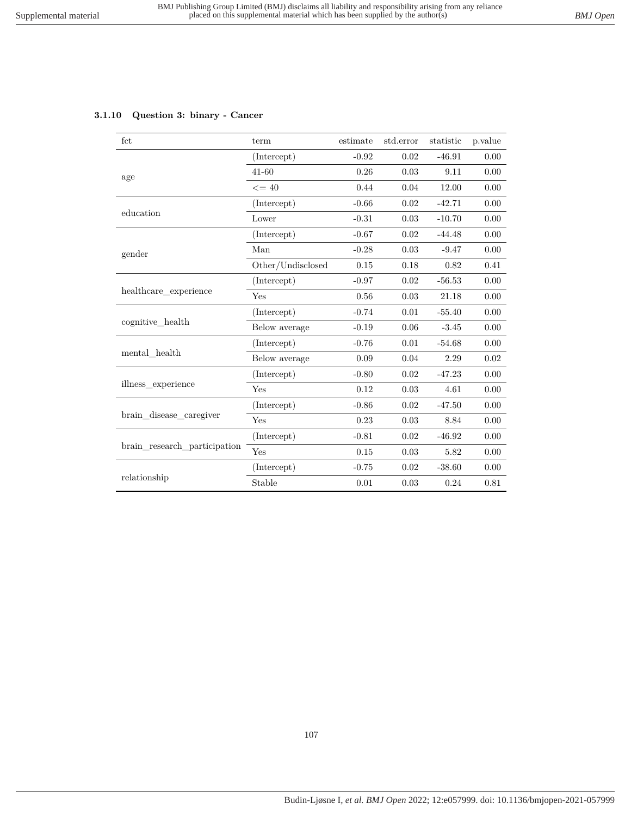## **3.1.10 Question 3: binary - Cancer**

| fct                          | term                       | estimate             | std.error | statistic | p.value |
|------------------------------|----------------------------|----------------------|-----------|-----------|---------|
|                              | (Intercept)                | $-0.92$              | 0.02      | $-46.91$  | 0.00    |
| age                          | $41 - 60$                  | 0.26                 | 0.03      | 9.11      | 0.00    |
|                              | $\leq$ = 40                | 0.44                 | 0.04      | 12.00     | 0.00    |
|                              | (Intercept)                | $-0.66$              | 0.02      | $-42.71$  | 0.00    |
| education                    | Lower                      | $-0.31$              | 0.03      | $-10.70$  | 0.00    |
|                              | (Intercept)                | $-0.67$              | 0.02      | $-44.48$  | 0.00    |
| gender                       | Man                        | $-0.28$              | 0.03      | $-9.47$   | 0.00    |
|                              | $\mbox{Other/Undisclosed}$ | 0.15                 | 0.18      | 0.82      | 0.41    |
|                              | (Intercept)                | $-0.97$              | 0.02      | $-56.53$  | 0.00    |
| healthcare_experience        | Yes                        | 0.56                 | 0.03      | 21.18     | 0.00    |
|                              | (Intercept)                | $-0.74$              | 0.01      | $-55.40$  | 0.00    |
| cognitive health             | Below average              | $-0.19$              | 0.06      | $-3.45$   | 0.00    |
|                              | (Intercept)                | $-0.76$              | 0.01      | $-54.68$  | 0.00    |
| mental health                | Below average              | 0.09<br>0.04<br>2.29 | 0.02      |           |         |
|                              | (Intercept)                | $-0.80$              | 0.02      | $-47.23$  | 0.00    |
| illness_experience           | Yes                        | 0.12                 | 0.03      | 4.61      | 0.00    |
|                              | (Intercept)                | $-0.86$              | 0.02      | $-47.50$  | 0.00    |
| brain disease caregiver      | Yes                        | 0.23                 | 0.03      | 8.84      | 0.00    |
|                              | (Intercept)                | $-0.81$              | 0.02      | $-46.92$  | 0.00    |
| brain research participation | Yes                        | 0.15                 | 0.03      | 5.82      | 0.00    |
|                              | (Intercept)                | $-0.75$              | 0.02      | $-38.60$  | 0.00    |
| relationship                 | Stable                     | 0.01                 | 0.03      | 0.24      | 0.81    |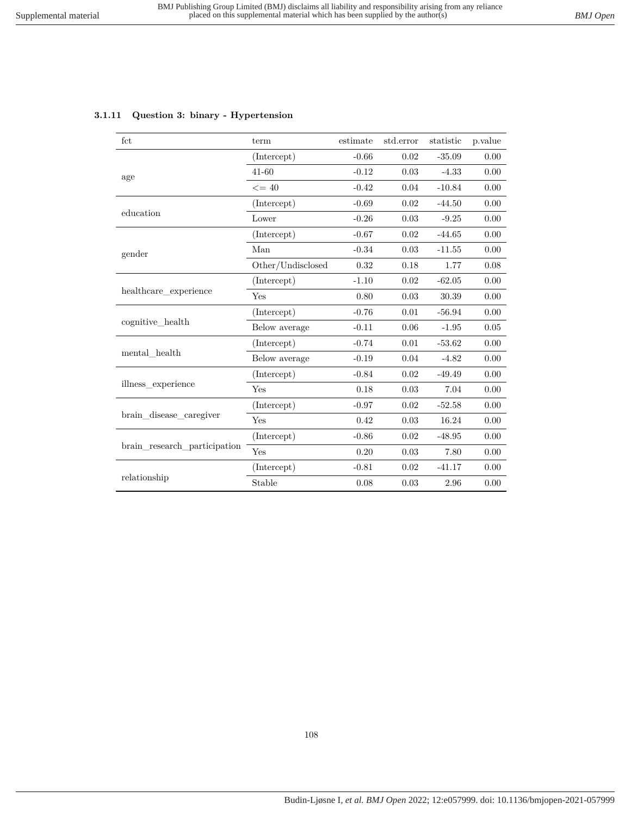|  |  |  | 3.1.11 Question 3: binary - Hypertension |
|--|--|--|------------------------------------------|
|--|--|--|------------------------------------------|

| fct                          | term              | estimate | std.error  | statistic | p.value |
|------------------------------|-------------------|----------|------------|-----------|---------|
|                              | (Intercept)       | $-0.66$  | 0.02       | $-35.09$  | 0.00    |
| age                          | $41 - 60$         | $-0.12$  | 0.03       | $-4.33$   | 0.00    |
|                              | $\leq$ = 40       | $-0.42$  | 0.04       | $-10.84$  | 0.00    |
|                              | (Intercept)       | $-0.69$  | 0.02       | $-44.50$  | 0.00    |
| education                    | Lower             | $-0.26$  | 0.03       | $-9.25$   | 0.00    |
|                              | (Intercept)       | $-0.67$  | 0.02       | $-44.65$  | 0.00    |
| gender                       | Man               | $-0.34$  | 0.03       | $-11.55$  | 0.00    |
|                              | Other/Undisclosed | 0.32     | 0.18       | 1.77      | 0.08    |
|                              | (Intercept)       | $-1.10$  | 0.02       | $-62.05$  | 0.00    |
| healthcare experience        | Yes               | 0.80     | 0.03       | 30.39     | 0.00    |
|                              | (Intercept)       | $-0.76$  | 0.01       | $-56.94$  | 0.00    |
| cognitive health             | Below average     | $-0.11$  | 0.06       | $-1.95$   | 0.05    |
|                              | (Intercept)       | $-0.74$  | 0.01       | $-53.62$  | 0.00    |
| mental health                | Below average     | $-0.19$  | 0.04       | $-4.82$   | 0.00    |
|                              | (Intercept)       | $-0.84$  | 0.02       | $-49.49$  | 0.00    |
| illness_experience           | Yes               | 0.18     | 0.03       | 7.04      | 0.00    |
|                              | (Intercept)       | $-0.97$  | 0.02       | $-52.58$  | 0.00    |
| brain_disease_caregiver      | Yes               | 0.42     | 0.03       | 16.24     | 0.00    |
|                              | (Intercept)       | $-0.86$  | 0.02       | $-48.95$  | 0.00    |
| brain research participation | Yes               | 0.20     | 0.03       | 7.80      | 0.00    |
|                              | (Intercept)       | $-0.81$  | 0.02       | $-41.17$  | 0.00    |
| relationship                 | Stable            | 0.08     | $\rm 0.03$ | 2.96      | 0.00    |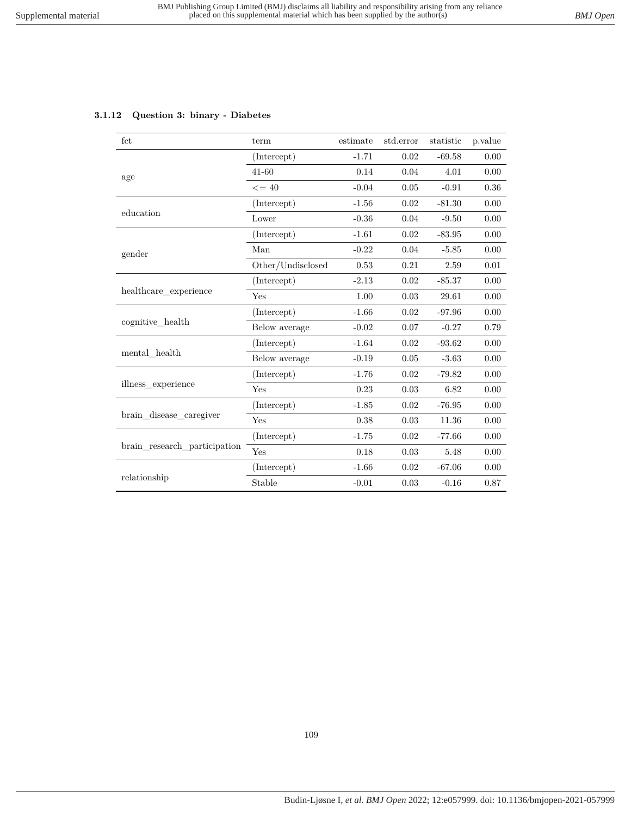## **3.1.12 Question 3: binary - Diabetes**

| fct                          | term              | estimate | std.error | statistic | p.value |
|------------------------------|-------------------|----------|-----------|-----------|---------|
|                              | (Intercept)       | $-1.71$  | 0.02      | $-69.58$  | 0.00    |
| age                          | $41 - 60$         | 0.14     | 0.04      | 4.01      | 0.00    |
|                              | $\leq$ = 40       | $-0.04$  | 0.05      | $-0.91$   | 0.36    |
| education                    | (Intercept)       | $-1.56$  | 0.02      | $-81.30$  | 0.00    |
|                              | Lower             | $-0.36$  | 0.04      | $-9.50$   | 0.00    |
|                              | (Intercept)       | $-1.61$  | 0.02      | $-83.95$  | 0.00    |
| gender                       | Man               | $-0.22$  | 0.04      | $-5.85$   | 0.00    |
|                              | Other/Undisclosed | 0.53     | 0.21      | 2.59      | 0.01    |
| healthcare_experience        | (Intercept)       | $-2.13$  | 0.02      | $-85.37$  | 0.00    |
|                              | Yes               | 1.00     | 0.03      | 29.61     | 0.00    |
| cognitive_health             | (Intercept)       | $-1.66$  | 0.02      | $-97.96$  | 0.00    |
|                              | Below average     | $-0.02$  | 0.07      | $-0.27$   | 0.79    |
| mental health                | (Intercept)       | $-1.64$  | 0.02      | $-93.62$  | 0.00    |
|                              | Below average     | $-0.19$  | 0.05      | $-3.63$   | 0.00    |
| illness experience           | (Intercept)       | $-1.76$  | 0.02      | $-79.82$  | 0.00    |
|                              | Yes               | 0.23     | 0.03      | 6.82      | 0.00    |
| brain disease caregiver      | (Intercept)       | $-1.85$  | 0.02      | $-76.95$  | 0.00    |
|                              | Yes               | 0.38     | 0.03      | 11.36     | 0.00    |
| brain research participation | (Intercept)       | $-1.75$  | 0.02      | $-77.66$  | 0.00    |
|                              | Yes               | 0.18     | 0.03      | 5.48      | 0.00    |
| relationship                 | (Intercept)       | $-1.66$  | 0.02      | $-67.06$  | 0.00    |
|                              | Stable            | $-0.01$  | 0.03      | $-0.16$   | 0.87    |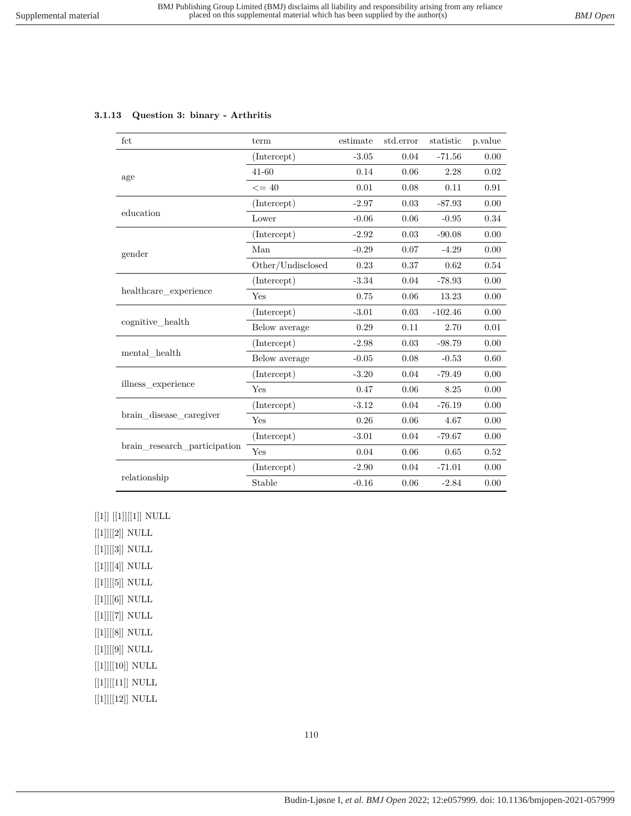## **3.1.13 Question 3: binary - Arthritis**

| fct                          | term              | estimate | std.error | statistic | p.value  |
|------------------------------|-------------------|----------|-----------|-----------|----------|
|                              | (Intercept)       | $-3.05$  | 0.04      | $-71.56$  | 0.00     |
| age                          | $41 - 60$         | 0.14     | 0.06      | 2.28      | 0.02     |
|                              | $\leq$ = 40       | 0.01     | 0.08      | 0.11      | 0.91     |
| education                    | (Intercept)       | $-2.97$  | 0.03      | $-87.93$  | 0.00     |
|                              | Lower             | $-0.06$  | $0.06\,$  | $-0.95$   | $0.34\,$ |
| gender                       | (Intercept)       | $-2.92$  | 0.03      | $-90.08$  | 0.00     |
|                              | Man               | $-0.29$  | 0.07      | $-4.29$   | 0.00     |
|                              | Other/Undisclosed | 0.23     | 0.37      | 0.62      | 0.54     |
| healthcare_experience        | (Intercept)       | $-3.34$  | 0.04      | $-78.93$  | 0.00     |
|                              | Yes               | 0.75     | 0.06      | 13.23     | 0.00     |
| cognitive health             | (Intercept)       | $-3.01$  | 0.03      | $-102.46$ | 0.00     |
|                              | Below average     | 0.29     | 0.11      | 2.70      | 0.01     |
| mental health                | (Intercept)       | $-2.98$  | 0.03      | $-98.79$  | 0.00     |
|                              | Below average     | $-0.05$  | 0.08      | $-0.53$   | 0.60     |
| illness experience           | (Intercept)       | $-3.20$  | 0.04      | $-79.49$  | 0.00     |
|                              | Yes               | 0.47     | $0.06\,$  | 8.25      | 0.00     |
| brain disease caregiver      | (Intercept)       | $-3.12$  | 0.04      | $-76.19$  | 0.00     |
|                              | Yes               | 0.26     | 0.06      | 4.67      | 0.00     |
| brain_research_participation | (Intercept)       | $-3.01$  | 0.04      | $-79.67$  | 0.00     |
|                              | Yes               | 0.04     | 0.06      | 0.65      | 0.52     |
| relationship                 | (Intercept)       | $-2.90$  | 0.04      | $-71.01$  | 0.00     |
|                              | Stable            | $-0.16$  | 0.06      | $-2.84$   | 0.00     |

 $\left[\left[1\right]\right]\left[\left[1\right]\right]\left[\left[1\right]\right]$  NULL

 $\left[ [1] \right] \left[ [2] \right]$  NULL  $[[1]][[3]]$  NULL  $[[1]][[4]]$  NULL  $[[1]][[5]]$  NULL  $[[1]][[6]]$  NULL  $\left[ [1] \right] \left[ [7] \right]$  NULL  $\left[ [1] \right] \left[ [8] \right]$  NULL  $\left[ [1] \right] \left[ [9] \right]$  NULL  $[[1]][[10]]$  NULL  $[[1]][[11]]$  NULL  $\left[ [1] \right] \left[ [12] \right]$  NULL